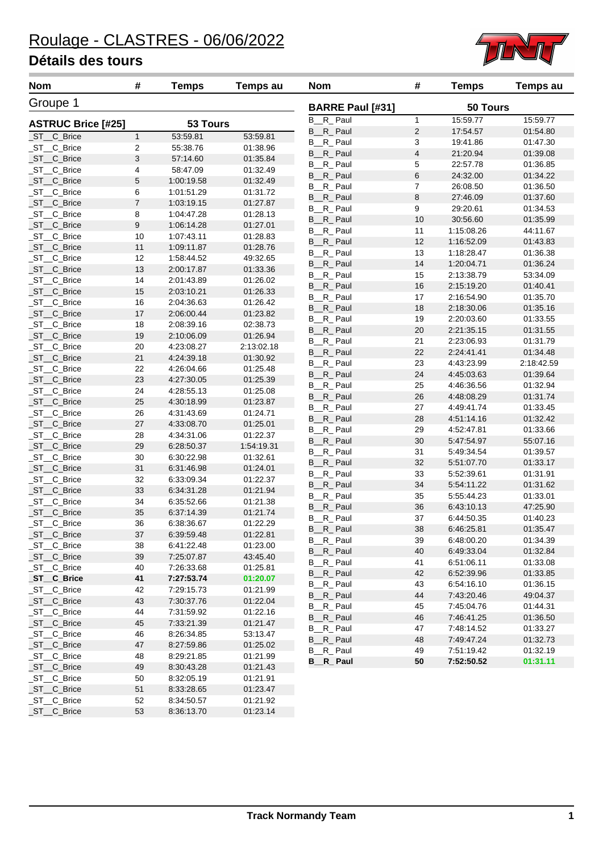

| <b>Nom</b>                | #              | <b>Temps</b> | <b>Temps au</b> | <b>Nom</b>              | #              | <b>Temps</b>             | Temps au             |
|---------------------------|----------------|--------------|-----------------|-------------------------|----------------|--------------------------|----------------------|
| Groupe 1                  |                |              |                 | <b>BARRE Paul [#31]</b> |                | 50 Tours                 |                      |
| <b>ASTRUC Brice [#25]</b> |                | 53 Tours     |                 | B_R_Paul                | $\mathbf{1}$   | 15:59.77                 | 15:59.77             |
| _ST__C_Brice              | $\mathbf{1}$   | 53:59.81     | 53:59.81        | B <sub>_R_</sub> Paul   | $\sqrt{2}$     | 17:54.57                 | 01:54.80             |
| ST_C_Brice                | 2              | 55:38.76     | 01:38.96        | B <sub>_R_</sub> Paul   | 3              | 19:41.86                 | 01:47.30             |
| _ST__C_Brice              | 3              | 57:14.60     | 01:35.84        | B <sub>_R_</sub> Paul   | 4              | 21:20.94                 | 01:39.08             |
| _ST__C_Brice              | 4              | 58:47.09     | 01:32.49        | B <sub>_R_</sub> Paul   | 5              | 22:57.78                 | 01:36.85             |
| _ST__C_Brice              | 5              | 1:00:19.58   | 01:32.49        | B <sub>_R_</sub> Paul   | 6              | 24:32.00                 | 01:34.22             |
| _ST__C_Brice              | 6              | 1:01:51.29   | 01:31.72        | B <sub>_R_</sub> Paul   | $\overline{7}$ | 26:08.50                 | 01:36.50             |
| _ST__C_Brice              | $\overline{7}$ | 1:03:19.15   | 01:27.87        | B <sub>_R_</sub> Paul   | $\bf8$         | 27:46.09                 | 01:37.60             |
| _ST__C_Brice              | 8              | 1:04:47.28   | 01:28.13        | B_R_Paul                | 9              | 29:20.61                 | 01:34.53             |
| _ST__C_Brice              | 9              | 1:06:14.28   | 01:27.01        | B <sub>_R_</sub> Paul   | 10             | 30:56.60                 | 01:35.99             |
| _ST__C_Brice              | 10             | 1:07:43.11   | 01:28.83        | B <sub>_R_</sub> Paul   | 11             | 1:15:08.26               | 44:11.67             |
| _ST__C_Brice              | 11             | 1:09:11.87   | 01:28.76        | B <sub>_R_</sub> Paul   | 12             | 1:16:52.09               | 01:43.83             |
| _ST__C_Brice              | 12             | 1:58:44.52   | 49:32.65        | B <sub>_R_</sub> Paul   | 13             | 1:18:28.47               | 01:36.38             |
| _ST__C_Brice              | 13             | 2:00:17.87   | 01:33.36        | B <sub>__R_</sub> Paul  | 14             | 1:20:04.71               | 01:36.24             |
| _ST__C_Brice              | 14             | 2:01:43.89   | 01:26.02        | B <sub>__R_</sub> Paul  | 15             | 2:13:38.79               | 53:34.09             |
| _ST__C_Brice              | 15             | 2:03:10.21   | 01:26.33        | B <sub>__R_</sub> Paul  | 16             | 2:15:19.20               | 01:40.41             |
| ST_C_Brice                | 16             | 2:04:36.63   | 01:26.42        | B <sub>__R_</sub> Paul  | 17             | 2:16:54.90               | 01:35.70             |
| _ST__C_Brice              | 17             | 2:06:00.44   | 01:23.82        | B <sub>_R_</sub> Paul   | 18             | 2:18:30.06               | 01:35.16             |
| _ST__C_Brice              | 18             | 2:08:39.16   | 02:38.73        | B_R_Paul                | 19             | 2:20:03.60               | 01:33.55             |
| _ST__C_Brice              | 19             | 2:10:06.09   | 01:26.94        | B <sub>_R_</sub> Paul   | 20             | 2:21:35.15               | 01:31.55             |
| _ST__C_Brice              | 20             | 4:23:08.27   | 2:13:02.18      | B_R_Paul                | 21             | 2:23:06.93               | 01:31.79             |
| _ST__C_Brice              | 21             | 4:24:39.18   | 01:30.92        | B <sub>_R_</sub> Paul   | 22             | 2:24:41.41               | 01:34.48             |
| _ST__C_Brice              | 22             | 4:26:04.66   | 01:25.48        | B <sub>_R_</sub> Paul   | 23             | 4:43:23.99               | 2:18:42.59           |
| _ST__C_Brice              | 23             | 4:27:30.05   | 01:25.39        | B <sub>_R_</sub> Paul   | 24             | 4:45:03.63               | 01:39.64             |
| _ST__C_Brice              | 24             | 4:28:55.13   | 01:25.08        | B <sub>_R_</sub> Paul   | 25             | 4:46:36.56               | 01:32.94             |
| _ST__C_Brice              | 25             | 4:30:18.99   | 01:23.87        | B <sub>_R_</sub> Paul   | 26             | 4:48:08.29               | 01:31.74             |
| _ST__C_Brice              | 26             | 4:31:43.69   | 01:24.71        | B <sub>__R_</sub> Paul  | 27             | 4:49:41.74               | 01:33.45             |
| _ST__C_Brice              | 27             | 4:33:08.70   | 01:25.01        | B <sub>__R_</sub> Paul  | 28             | 4:51:14.16               | 01:32.42             |
| _ST__C_Brice              | 28             | 4:34:31.06   | 01:22.37        | B <sub>__R_</sub> Paul  | 29             | 4:52:47.81               | 01:33.66             |
| _ST__C_Brice              | 29             | 6:28:50.37   | 1:54:19.31      | B <sub>-R-</sub> Paul   | 30             | 5:47:54.97               | 55:07.16             |
| _ST__C_Brice              | 30             | 6:30:22.98   | 01:32.61        | B <sub>__R_</sub> Paul  | 31             | 5:49:34.54               | 01:39.57             |
| _ST__C_Brice              | 31             | 6:31:46.98   | 01:24.01        | B <sub>_R_</sub> Paul   | 32             | 5:51:07.70               | 01:33.17             |
| _ST__C_Brice              | 32             | 6:33:09.34   | 01:22.37        | B <sub>__R_</sub> Paul  | 33             | 5:52:39.61               | 01:31.91             |
| _ST__C_Brice              | 33             | 6:34:31.28   | 01:21.94        | B <sub>_R_</sub> Paul   | 34             | 5:54:11.22               | 01:31.62             |
| _ST__C_Brice              | 34             | 6:35:52.66   | 01:21.38        | B <sub>__R_</sub> Paul  | 35             | 5:55:44.23               | 01:33.01             |
| _ST__C_Brice              | 35             | 6:37:14.39   | 01:21.74        | B <sub>_R_</sub> Paul   | 36             | 6:43:10.13               | 47:25.90             |
| ST C Brice                | 36             | 6:38:36.67   | 01:22.29        | B_R_Paul                | 37             | 6:44:50.35               | 01:40.23             |
| _ST__C_Brice              | 37             | 6:39:59.48   | 01:22.81        | B <sub>—</sub> R_ Paul  | 38             | 6:46:25.81               | 01:35.47             |
| ST C Brice                | 38             | 6:41:22.48   | 01:23.00        | B <sub>R_</sub> Paul    | 39             | 6:48:00.20               | 01:34.39             |
| _ST__C_Brice              | 39             | 7:25:07.87   | 43:45.40        | B <sub>__R_</sub> Paul  | 40             | 6:49:33.04               | 01:32.84             |
| _ST__C_Brice              | 40             | 7:26:33.68   | 01:25.81        | B <sub>R_</sub> Paul    | 41             | 6:51:06.11               | 01:33.08             |
| ST C_Brice                | 41             | 7:27:53.74   | 01:20.07        | B <sub>__R_</sub> Paul  | 42             | 6:52:39.96               | 01:33.85             |
| _ST__C_Brice              | 42             | 7:29:15.73   | 01:21.99        | B <sub>R_</sub> Paul    | 43             | 6:54:16.10               | 01:36.15             |
| _ST__C_Brice              | 43             | 7:30:37.76   | 01:22.04        | B <sub>-R-</sub> Paul   | 44             | 7:43:20.46<br>7:45:04.76 | 49:04.37             |
| _ST__C_Brice              | 44             | 7:31:59.92   | 01:22.16        | B <sub>_R_</sub> Paul   | 45             |                          | 01:44.31<br>01:36.50 |
| _ST__C_Brice              | 45             | 7:33:21.39   | 01:21.47        | B <sub>__R_</sub> Paul  | 46             | 7:46:41.25               |                      |
| _ST__C_Brice              | 46             | 8:26:34.85   | 53:13.47        | B <sub>__R_</sub> Paul  | 47             | 7:48:14.52               | 01:33.27<br>01:32.73 |
| _ST__C_Brice              | 47             | 8:27:59.86   | 01:25.02        | B <sub>__R_</sub> Paul  | 48             | 7:49:47.24               | 01:32.19             |
| _ST__C_Brice              | 48             | 8:29:21.85   | 01:21.99        | B <sub>__R_</sub> Paul  | 49             | 7:51:19.42               |                      |
| _ST__C_Brice              | 49             | 8:30:43.28   | 01:21.43        | <b>B_R_Paul</b>         | 50             | 7:52:50.52               | 01:31.11             |
| _ST__C_Brice              | 50             | 8:32:05.19   | 01:21.91        |                         |                |                          |                      |
| _ST__C_Brice              | 51             | 8:33:28.65   | 01:23.47        |                         |                |                          |                      |
| $\_ST\_C\_Brice$          | 52             | 8:34:50.57   | 01:21.92        |                         |                |                          |                      |
| _ST__C_Brice              | 53             | 8:36:13.70   | 01:23.14        |                         |                |                          |                      |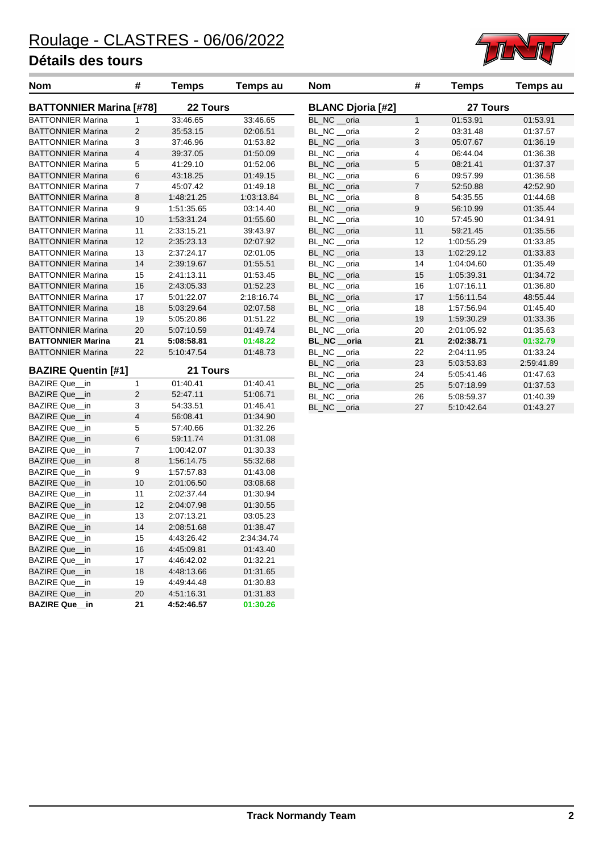

| nom                            | Ŧ              | ı emps          | remps au   |  |  |
|--------------------------------|----------------|-----------------|------------|--|--|
| <b>BATTONNIER Marina [#78]</b> |                | <b>22 Tours</b> |            |  |  |
| <b>BATTONNIER Marina</b>       | 1              | 33:46.65        | 33:46.65   |  |  |
| <b>BATTONNIER Marina</b>       | $\overline{2}$ | 35:53.15        | 02:06.51   |  |  |
| <b>BATTONNIER Marina</b>       | 3              | 37:46.96        | 01:53.82   |  |  |
| <b>BATTONNIER Marina</b>       | $\overline{4}$ | 39:37.05        | 01:50.09   |  |  |
| <b>BATTONNIER Marina</b>       | 5              | 41:29.10        | 01:52.06   |  |  |
| <b>BATTONNIER Marina</b>       | 6              | 43:18.25        | 01:49.15   |  |  |
| <b>BATTONNIER Marina</b>       | 7              | 45:07.42        | 01:49.18   |  |  |
| <b>BATTONNIER Marina</b>       | 8              | 1:48:21.25      | 1:03:13.84 |  |  |
| <b>BATTONNIER Marina</b>       | 9              | 1:51:35.65      | 03:14.40   |  |  |
| <b>BATTONNIER Marina</b>       | 10             | 1:53:31.24      | 01:55.60   |  |  |
| <b>BATTONNIER Marina</b>       | 11             | 2:33:15.21      | 39:43.97   |  |  |
| <b>BATTONNIER Marina</b>       | 12             | 2:35:23.13      | 02:07.92   |  |  |
| <b>BATTONNIER Marina</b>       | 13             | 2:37:24.17      | 02:01.05   |  |  |
| <b>BATTONNIER Marina</b>       | 14             | 2:39:19.67      | 01:55.51   |  |  |
| <b>BATTONNIER Marina</b>       | 15             | 2:41:13.11      | 01:53.45   |  |  |
| <b>BATTONNIER Marina</b>       | 16             | 2:43:05.33      | 01:52.23   |  |  |
| <b>BATTONNIER Marina</b>       | 17             | 5:01:22.07      | 2:18:16.74 |  |  |
| <b>BATTONNIER Marina</b>       | 18             | 5:03:29.64      | 02:07.58   |  |  |
| <b>BATTONNIER Marina</b>       | 19             | 5:05:20.86      | 01:51.22   |  |  |
| <b>BATTONNIER Marina</b>       | 20             | 5:07:10.59      | 01:49.74   |  |  |
| <b>BATTONNIER Marina</b>       | 21             | 5:08:58.81      | 01:48.22   |  |  |
| <b>BATTONNIER Marina</b>       | 22             | 5:10:47.54      | 01:48.73   |  |  |
| <b>BAZIRE Quentin [#1]</b>     |                | 21 Tours        |            |  |  |
| <b>BAZIRE Que</b><br>in        | 1              | 01:40.41        | 01:40.41   |  |  |
| <b>BAZIRE Que</b><br>in        | $\overline{2}$ | 52:47.11        | 51:06.71   |  |  |
| <b>BAZIRE Que</b><br>in        | 3              | 54:33.51        | 01:46.41   |  |  |
| BAZIRE Que<br>in               | 4              | 56:08.41        | 01:34.90   |  |  |
| <b>BAZIRE Que</b><br>in        | 5              | 57:40.66        | 01:32.26   |  |  |
| <b>BAZIRE Que</b><br>in        | 6              | 59:11.74        | 01:31.08   |  |  |
| <b>BAZIRE Que</b><br>in        | 7              | 1:00:42.07      | 01:30.33   |  |  |
| <b>BAZIRE Que</b><br>in        | 8              | 1.56.14.75      | 55:32.68   |  |  |
| <b>BAZIRE Que</b><br>in        | 9              | 1:57:57.83      | 01:43.08   |  |  |
| <b>BAZIRE Que</b><br>in        | 10             | 2:01:06.50      | 03:08.68   |  |  |
| <b>BAZIRE Que</b><br>in        | 11             | 2:02:37.44      | 01:30.94   |  |  |
| <b>BAZIRE Que</b><br>in        | 12             | 2:04:07.98      | 01:30.55   |  |  |
| <b>BAZIRE Que</b><br>in        | 13             | 2:07:13.21      | 03:05.23   |  |  |
| BAZIRE Que in                  | 14             | 2:08:51.68      | 01:38.47   |  |  |
| <b>BAZIRE Que</b><br>in        | 15             | 4:43:26.42      | 2:34:34.74 |  |  |
| <b>BAZIRE Que</b><br>in        | 16             | 4:45:09.81      | 01:43.40   |  |  |
| <b>BAZIRE Que</b><br>in        | 17             | 4:46:42.02      | 01:32.21   |  |  |
| <b>BAZIRE Que</b><br>in        | 18             | 4:48:13.66      | 01:31.65   |  |  |
| <b>BAZIRE Que</b><br>in        | 19             | 4:49:44.48      | 01:30.83   |  |  |
| BAZIRE Que<br>in               | 20             | 4:51:16.31      | 01:31.83   |  |  |
| <b>BAZIRE Que</b><br>in        | 21             | 4:52:46.57      | 01:30.26   |  |  |
|                                |                |                 |            |  |  |

| Nom                            | #              | Temps      | Temps au   | Nom                      | #              | <b>Temps</b> | Temps au   |
|--------------------------------|----------------|------------|------------|--------------------------|----------------|--------------|------------|
| <b>BATTONNIER Marina [#78]</b> |                | 22 Tours   |            | <b>BLANC Djoria [#2]</b> |                | 27 Tours     |            |
| <b>BATTONNIER Marina</b>       | 1              | 33:46.65   | 33:46.65   | BL NC oria               | $\mathbf{1}$   | 01:53.91     | 01:53.91   |
| <b>BATTONNIER Marina</b>       | 2              | 35:53.15   | 02:06.51   | BL_NC __ oria            | $\overline{2}$ | 03:31.48     | 01:37.57   |
| BATTONNIER Marina              | 3              | 37:46.96   | 01:53.82   | BL NC oria               | 3              | 05:07.67     | 01:36.19   |
| BATTONNIER Marina              | $\overline{4}$ | 39:37.05   | 01:50.09   | BL NC oria               | 4              | 06:44.04     | 01:36.38   |
| BATTONNIER Marina              | 5              | 41:29.10   | 01:52.06   | BL NC oria               | 5              | 08:21.41     | 01:37.37   |
| <b>BATTONNIER Marina</b>       | 6              | 43:18.25   | 01:49.15   | BL_NC __oria             | 6              | 09:57.99     | 01:36.58   |
| <b>BATTONNIER Marina</b>       | $\overline{7}$ | 45:07.42   | 01:49.18   | BL_NC __oria             | $\overline{7}$ | 52:50.88     | 42:52.90   |
| <b>BATTONNIER Marina</b>       | 8              | 1:48:21.25 | 1:03:13.84 | BL NC oria               | 8              | 54:35.55     | 01:44.68   |
| BATTONNIER Marina              | 9              | 1:51:35.65 | 03:14.40   | BL NC oria               | 9              | 56:10.99     | 01:35.44   |
| BATTONNIER Marina              | 10             | 1:53:31.24 | 01:55.60   | BL NC oria               | 10             | 57:45.90     | 01:34.91   |
| <b>BATTONNIER Marina</b>       | 11             | 2:33:15.21 | 39:43.97   | BL NC oria               | 11             | 59:21.45     | 01:35.56   |
| <b>BATTONNIER Marina</b>       | 12             | 2:35:23.13 | 02:07.92   | BL_NC __oria             | 12             | 1:00:55.29   | 01:33.85   |
| <b>BATTONNIER Marina</b>       | 13             | 2:37:24.17 | 02:01.05   | BL_NC __oria             | 13             | 1:02:29.12   | 01:33.83   |
| BATTONNIER Marina              | 14             | 2:39:19.67 | 01:55.51   | BL NC oria               | 14             | 1:04:04.60   | 01:35.49   |
| BATTONNIER Marina              | 15             | 2:41:13.11 | 01:53.45   | BL NC oria               | 15             | 1:05:39.31   | 01:34.72   |
| <b>BATTONNIER Marina</b>       | 16             | 2:43:05.33 | 01:52.23   | BL NC oria               | 16             | 1:07:16.11   | 01:36.80   |
| <b>BATTONNIER Marina</b>       | 17             | 5:01:22.07 | 2:18:16.74 | BL NC oria               | 17             | 1:56:11.54   | 48.55.44   |
| <b>BATTONNIER Marina</b>       | 18             | 5:03:29.64 | 02:07.58   | BL_NC __oria             | 18             | 1:57:56.94   | 01:45.40   |
| <b>BATTONNIER Marina</b>       | 19             | 5:05:20.86 | 01:51.22   | BL_NC __oria             | 19             | 1:59:30.29   | 01:33.36   |
| <b>BATTONNIER Marina</b>       | 20             | 5:07:10.59 | 01:49.74   | BL NC oria               | 20             | 2:01:05.92   | 01:35.63   |
| <b>BATTONNIER Marina</b>       | 21             | 5:08:58.81 | 01:48.22   | BL NC oria               | 21             | 2:02:38.71   | 01:32.79   |
| <b>BATTONNIER Marina</b>       | 22             | 5:10:47.54 | 01:48.73   | BL NC oria               | 22             | 2:04:11.95   | 01:33.24   |
|                                |                |            |            | BL_NC __oria             | 23             | 5:03:53.83   | 2:59:41.89 |
| <b>BAZIRE Quentin [#1]</b>     |                | 21 Tours   |            | BL_NC __oria             | 24             | 5:05:41.46   | 01:47.63   |
| BAZIRE Que in                  | 1              | 01:40.41   | 01:40.41   | BL_NC __oria             | 25             | 5:07:18.99   | 01:37.53   |
| BAZIRE Que_in                  | 2              | 52:47.11   | 51:06.71   | BL NC oria               | 26             | 5:08:59.37   | 01:40.39   |
| BAZIRE Que in                  | 3              | 54:33.51   | 01:46.41   | BL NC<br>oria            | 27             | 5:10:42.64   | 01:43.27   |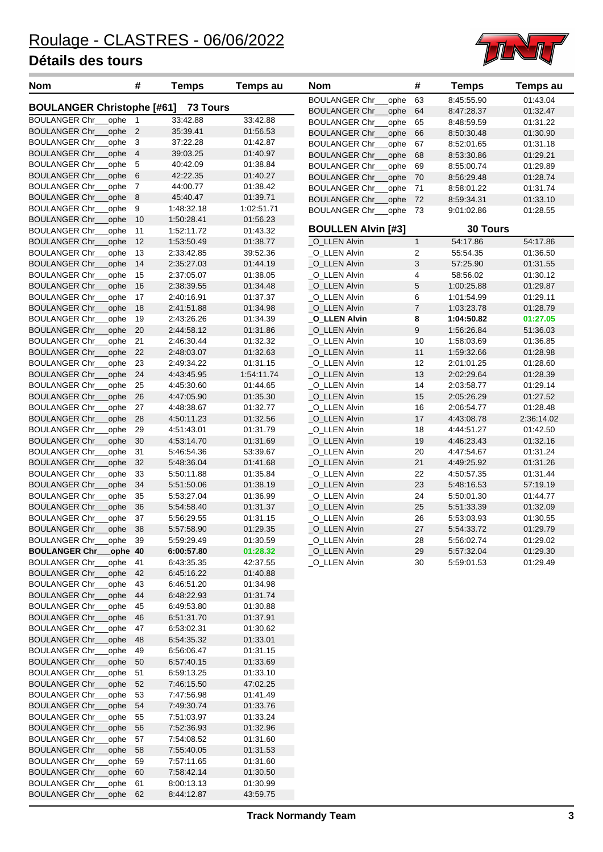

| <b>Nom</b>                                                     | #              | <b>Temps</b>             | <b>Temps au</b>      | <b>Nom</b>                     | #              | <b>Temps</b>             | <b>Temps au</b>      |
|----------------------------------------------------------------|----------------|--------------------------|----------------------|--------------------------------|----------------|--------------------------|----------------------|
|                                                                |                |                          |                      | <b>BOULANGER Chr_</b><br>ophe  | 63             | 8:45:55.90               | 01:43.04             |
| <b>BOULANGER Christophe [#61]</b>                              |                | <b>73 Tours</b>          |                      | <b>BOULANGER Chr.</b><br>ophe  | 64             | 8:47:28.37               | 01:32.47             |
| <b>BOULANGER Chr_</b><br>ophe                                  | $\mathbf{1}$   | 33:42.88                 | 33:42.88             | <b>BOULANGER Chr</b><br>ophe   | 65             | 8:48:59.59               | 01:31.22             |
| ophe<br><b>BOULANGER Chr.</b>                                  | $\overline{2}$ | 35:39.41                 | 01:56.53             | <b>BOULANGER Chr</b><br>_ophe  | 66             | 8:50:30.48               | 01:30.90             |
| ophe<br><b>BOULANGER Chr_</b>                                  | 3              | 37:22.28                 | 01:42.87             | <b>BOULANGER Chr_</b><br>ophe  | 67             | 8:52:01.65               | 01:31.18             |
| <b>BOULANGER Chr_</b><br>ophe                                  | $\overline{4}$ | 39:03.25<br>40:42.09     | 01:40.97             | <b>BOULANGER Chr_</b><br>ophe  | 68             | 8:53:30.86               | 01:29.21             |
| <b>BOULANGER Chr_</b><br>ophe<br><b>BOULANGER Chr_</b><br>ophe | 5<br>6         | 42:22.35                 | 01:38.84<br>01:40.27 | ophe<br><b>BOULANGER Chr_</b>  | 69             | 8:55:00.74               | 01:29.89             |
| ophe<br><b>BOULANGER Chr_</b>                                  | 7              | 44:00.77                 | 01:38.42             | <b>BOULANGER Chr_</b><br>_ophe | 70             | 8:56:29.48               | 01:28.74             |
| <b>BOULANGER Chr.</b><br>ophe                                  | 8              | 45:40.47                 | 01:39.71             | <b>BOULANGER Chr_</b><br>_ophe | 71             | 8:58:01.22               | 01:31.74             |
| ophe<br><b>BOULANGER Chr_</b>                                  | 9              | 1:48:32.18               | 1:02:51.71           | <b>BOULANGER Chr_</b><br>ophe  | 72             | 8:59:34.31               | 01:33.10             |
| <b>BOULANGER Chr_</b><br>ophe                                  | 10             | 1:50:28.41               | 01:56.23             | <b>BOULANGER Chr_</b><br>ophe  | 73             | 9:01:02.86               | 01:28.55             |
| <b>BOULANGER Chr_</b><br>ophe                                  | 11             | 1:52:11.72               | 01:43.32             | <b>BOULLEN Alvin [#3]</b>      |                | <b>30 Tours</b>          |                      |
| <b>BOULANGER Chr_</b><br>ophe                                  | 12             | 1:53:50.49               | 01:38.77             | O_LLEN Alvin                   | $\mathbf{1}$   | 54:17.86                 | 54:17.86             |
| <b>BOULANGER Chr.</b><br>ophe                                  | 13             | 2:33:42.85               | 39:52.36             | O LLEN Alvin                   | 2              | 55:54.35                 | 01:36.50             |
| <b>BOULANGER Chr_</b><br>ophe                                  | 14             | 2:35:27.03               | 01:44.19             | _O_LLEN Alvin                  | 3              | 57:25.90                 | 01:31.55             |
| ophe<br><b>BOULANGER Chr_</b>                                  | 15             | 2:37:05.07               | 01:38.05             | _O_LLEN Alvin                  | 4              | 58:56.02                 | 01:30.12             |
| <b>BOULANGER Chr</b><br>ophe                                   | 16             | 2:38:39.55               | 01:34.48             | _O_LLEN Alvin                  | 5              | 1:00:25.88               | 01:29.87             |
| <b>BOULANGER Chr_</b><br>ophe                                  | 17             | 2:40:16.91               | 01:37.37             | _O_LLEN Alvin                  | 6              | 1:01:54.99               | 01:29.11             |
| <b>BOULANGER Chr_</b><br>ophe                                  | 18             | 2:41:51.88               | 01:34.98             | _O_LLEN Alvin                  | $\overline{7}$ | 1:03:23.78               | 01:28.79             |
| <b>BOULANGER Chr</b><br>ophe                                   | 19             | 2:43:26.26               | 01:34.39             | _O_LLEN Alvin                  | 8              | 1:04:50.82               | 01:27.05             |
| <b>BOULANGER Chr_</b><br>ophe                                  | 20             | 2:44:58.12               | 01:31.86             | _O_LLEN Alvin                  | 9              | 1:56:26.84               | 51:36.03             |
| <b>BOULANGER Chr_</b><br>ophe                                  | 21             | 2:46:30.44               | 01:32.32             | _O_LLEN Alvin                  | 10             | 1:58:03.69               | 01:36.85             |
| <b>BOULANGER Chr_</b><br>ophe                                  | 22             | 2:48:03.07               | 01:32.63             | _O_LLEN Alvin                  | 11             | 1:59:32.66               | 01:28.98             |
| <b>BOULANGER Chr_</b><br>ophe                                  | 23             | 2:49:34.22               | 01:31.15             | _O_LLEN Alvin                  | 12             | 2:01:01.25               | 01:28.60             |
| <b>BOULANGER Chr_</b><br>ophe                                  | 24             | 4:43:45.95               | 1:54:11.74           | _O_LLEN Alvin                  | 13             | 2:02:29.64               | 01:28.39             |
| <b>BOULANGER Chr.</b><br>ophe                                  | 25             | 4:45:30.60               | 01:44.65             | _O_LLEN Alvin                  | 14             | 2:03:58.77               | 01:29.14             |
| <b>BOULANGER Chr_</b><br>ophe                                  | 26             | 4:47:05.90               | 01:35.30             | _O_LLEN Alvin                  | 15             | 2:05:26.29               | 01:27.52             |
| <b>BOULANGER Chr_</b><br>ophe                                  | 27             | 4:48:38.67               | 01:32.77             | _O_LLEN Alvin                  | 16             | 2:06:54.77               | 01:28.48             |
| <b>BOULANGER Chr_</b><br>ophe                                  | 28             | 4:50:11.23               | 01:32.56             | _O_LLEN Alvin                  | 17             | 4:43:08.78               | 2:36:14.02           |
| ophe<br><b>BOULANGER Chr_</b>                                  | 29             | 4:51:43.01               | 01:31.79             | _O_LLEN Alvin                  | 18             | 4:44:51.27               | 01:42.50             |
| <b>BOULANGER Chr.</b><br>ophe                                  | 30             | 4:53:14.70               | 01:31.69             | _O_LLEN Alvin                  | 19             | 4:46:23.43               | 01:32.16             |
| ophe<br><b>BOULANGER Chr</b>                                   | 31             | 5:46.54.36               | 53:39.67             | _O_LLEN Alvin                  | 20             | 4:47:54.67               | 01:31.24             |
| <b>BOULANGER Chr_</b><br>ophe                                  | 32             | 5:48:36.04               | 01:41.68             | _O_LLEN Alvin                  | 21             | 4:49:25.92               | 01:31.26             |
| <b>BOULANGER Chr_</b><br>ophe                                  | 33             | 5:50:11.88               | 01:35.84             | _O_LLEN Alvin                  | 22             | 4:50:57.35               | 01:31.44             |
| <b>BOULANGER Chr_</b><br>ophe                                  | 34             | 5:51:50.06               | 01:38.19             | _O_LLEN Alvin                  | 23             | 5:48:16.53               | 57:19.19             |
| <b>BOULANGER Chr.</b><br>ophe<br><b>BOULANGER Chr.</b><br>ophe | 35<br>36       | 5:53:27.04<br>5:54:58.40 | 01:36.99<br>01:31.37 | _O_LLEN Alvin<br>_O_LLEN Alvin | 24<br>25       | 5:50:01.30<br>5:51:33.39 | 01:44.77<br>01:32.09 |
| <b>BOULANGER Chr</b><br>ophe                                   | 37             | 5:56:29.55               | 01:31.15             | _O_LLEN Alvin                  | 26             | 5:53:03.93               | 01:30.55             |
| <b>BOULANGER Chr</b><br>ophe                                   | 38             | 5:57:58.90               | 01:29.35             | O_LLEN Alvin                   | 27             | 5:54:33.72               | 01:29.79             |
| <b>BOULANGER Chr_</b><br>_ophe                                 | 39             | 5:59:29.49               | 01:30.59             | _O_LLEN Alvin                  | 28             | 5:56:02.74               | 01:29.02             |
| <b>BOULANGER Chr_</b><br>ophe 40                               |                | 6:00:57.80               | 01:28.32             | _O_LLEN Alvin                  | 29             | 5:57:32.04               | 01:29.30             |
| <b>BOULANGER Chr_</b><br>ophe                                  | 41             | 6:43:35.35               | 42:37.55             | _O_LLEN Alvin                  | 30             | 5:59:01.53               | 01:29.49             |
| <b>BOULANGER Chr_</b><br>ophe                                  | 42             | 6:45:16.22               | 01:40.88             |                                |                |                          |                      |
| <b>BOULANGER Chr_</b><br>ophe                                  | 43             | 6:46:51.20               | 01:34.98             |                                |                |                          |                      |
| <b>BOULANGER Chr_</b><br>ophe                                  | 44             | 6:48:22.93               | 01:31.74             |                                |                |                          |                      |
| <b>BOULANGER Chr_</b><br>ophe                                  | 45             | 6:49:53.80               | 01:30.88             |                                |                |                          |                      |
| <b>BOULANGER Chr_</b><br>ophe                                  | 46             | 6:51:31.70               | 01:37.91             |                                |                |                          |                      |
| <b>BOULANGER Chr_</b><br>ophe                                  | 47             | 6:53:02.31               | 01:30.62             |                                |                |                          |                      |
| <b>BOULANGER Chr_</b><br>ophe                                  | 48             | 6:54:35.32               | 01:33.01             |                                |                |                          |                      |
| ophe<br><b>BOULANGER Chr_</b>                                  | 49             | 6:56:06.47               | 01:31.15             |                                |                |                          |                      |
| <b>BOULANGER Chr_</b><br>ophe                                  | 50             | 6.57:40.15               | 01:33.69             |                                |                |                          |                      |
| <b>BOULANGER Chr_</b><br>ophe                                  | 51             | 6:59:13.25               | 01:33.10             |                                |                |                          |                      |
| <b>BOULANGER Chr_</b><br>ophe                                  | 52             | 7:46:15.50               | 47:02.25             |                                |                |                          |                      |
| <b>BOULANGER Chr_</b><br>ophe                                  | 53             | 7:47:56.98               | 01:41.49             |                                |                |                          |                      |
| <b>BOULANGER Chr_</b><br>ophe                                  | 54             | 7:49:30.74               | 01:33.76             |                                |                |                          |                      |
| <b>BOULANGER Chr_</b><br>ophe                                  | 55             | 7:51:03.97               | 01:33.24             |                                |                |                          |                      |
| <b>BOULANGER Chr_</b><br>ophe                                  | 56             | 7:52:36.93               | 01:32.96             |                                |                |                          |                      |
| <b>BOULANGER Chr_</b><br>ophe                                  | 57             | 7:54:08.52               | 01:31.60             |                                |                |                          |                      |
| <b>BOULANGER Chr_</b><br>ophe                                  | 58             | 7:55:40.05               | 01:31.53             |                                |                |                          |                      |
| <b>BOULANGER Chr_</b><br>ophe                                  | 59             | 7:57:11.65               | 01:31.60             |                                |                |                          |                      |
| <b>BOULANGER Chr_</b><br>ophe<br><b>BOULANGER Chr_</b>         | 60             | 7:58:42.14               | 01:30.50             |                                |                |                          |                      |
| ophe<br><b>BOULANGER Chr_</b><br>ophe 62                       | 61             | 8:00:13.13<br>8:44:12.87 | 01:30.99<br>43:59.75 |                                |                |                          |                      |
|                                                                |                |                          |                      |                                |                |                          |                      |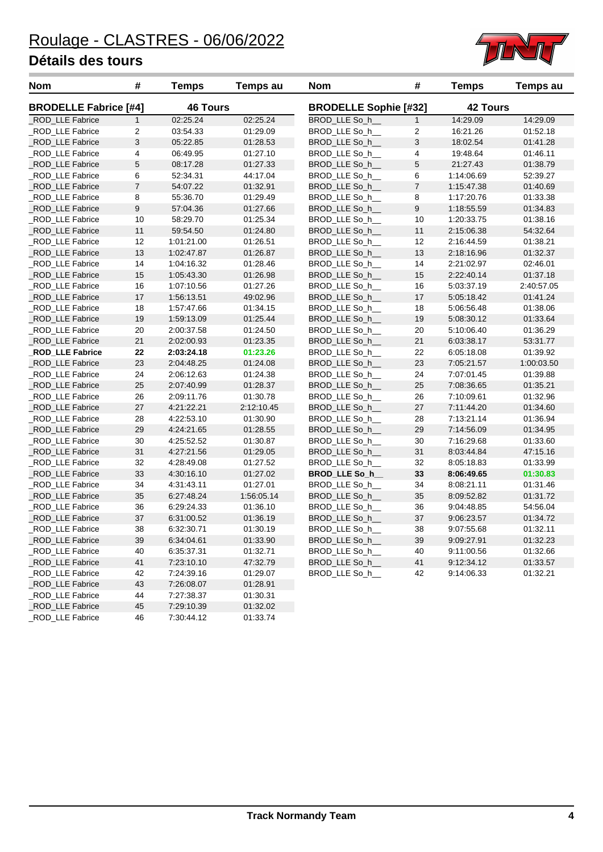

| <b>Nom</b>                   | #              | <b>Temps</b>    | <b>Temps au</b> | <b>Nom</b>                   | #              | <b>Temps</b>    | <b>Temps au</b> |
|------------------------------|----------------|-----------------|-----------------|------------------------------|----------------|-----------------|-----------------|
| <b>BRODELLE Fabrice [#4]</b> |                | <b>46 Tours</b> |                 | <b>BRODELLE Sophie [#32]</b> |                | <b>42 Tours</b> |                 |
| _ROD_LLE Fabrice             | $\mathbf{1}$   | 02:25.24        | 02:25.24        | BROD_LLE So_h__              | $\mathbf{1}$   | 14:29.09        | 14:29.09        |
| ROD_LLE Fabrice              | 2              | 03:54.33        | 01:29.09        | BROD_LLE So_h__              | 2              | 16:21.26        | 01:52.18        |
| ROD LLE Fabrice              | 3              | 05:22.85        | 01:28.53        | BROD_LLE So_h__              | 3              | 18:02.54        | 01:41.28        |
| ROD_LLE Fabrice              | 4              | 06:49.95        | 01:27.10        | BROD_LLE So_h__              | 4              | 19:48.64        | 01:46.11        |
| ROD_LLE Fabrice              | 5              | 08:17.28        | 01:27.33        | BROD_LLE So_h__              | 5              | 21:27.43        | 01:38.79        |
| ROD_LLE Fabrice              | 6              | 52:34.31        | 44:17.04        | BROD_LLE So_h__              | 6              | 1:14:06.69      | 52:39.27        |
| _ROD_LLE Fabrice             | $\overline{7}$ | 54:07.22        | 01:32.91        | BROD_LLE So_h__              | $\overline{7}$ | 1:15:47.38      | 01:40.69        |
| _ROD_LLE Fabrice             | 8              | 55:36.70        | 01:29.49        | BROD_LLE So_h__              | 8              | 1:17:20.76      | 01:33.38        |
| ROD LLE Fabrice              | 9              | 57:04.36        | 01:27.66        | BROD_LLE So_h_               | 9              | 1:18:55.59      | 01:34.83        |
| ROD_LLE Fabrice              | 10             | 58:29.70        | 01:25.34        | BROD_LLE So_h__              | 10             | 1:20:33.75      | 01:38.16        |
| _ROD_LLE Fabrice             | 11             | 59:54.50        | 01:24.80        | BROD_LLE So_h_               | 11             | 2:15:06.38      | 54:32.64        |
| ROD_LLE Fabrice              | 12             | 1:01:21.00      | 01:26.51        | BROD_LLE So_h__              | 12             | 2:16:44.59      | 01:38.21        |
| _ROD_LLE Fabrice             | 13             | 1:02:47.87      | 01:26.87        | BROD_LLE So_h__              | 13             | 2:18:16.96      | 01:32.37        |
| _ROD_LLE Fabrice             | 14             | 1:04:16.32      | 01:28.46        | BROD_LLE So_h__              | 14             | 2:21:02.97      | 02:46.01        |
| _ROD_LLE Fabrice             | 15             | 1:05:43.30      | 01:26.98        | BROD_LLE So_h_               | 15             | 2:22:40.14      | 01:37.18        |
| ROD_LLE Fabrice              | 16             | 1:07:10.56      | 01:27.26        | BROD_LLE So_h__              | 16             | 5:03:37.19      | 2:40:57.05      |
| ROD_LLE Fabrice              | 17             | 1:56:13.51      | 49:02.96        | BROD_LLE So_h__              | 17             | 5:05:18.42      | 01:41.24        |
| _ROD_LLE Fabrice             | 18             | 1:57:47.66      | 01:34.15        | BROD_LLE So_h__              | 18             | 5:06:56.48      | 01:38.06        |
| _ROD_LLE Fabrice             | 19             | 1:59:13.09      | 01:25.44        | BROD_LLE So_h_               | 19             | 5:08:30.12      | 01:33.64        |
| ROD_LLE Fabrice              | 20             | 2:00:37.58      | 01:24.50        | BROD_LLE So_h__              | 20             | 5:10:06.40      | 01:36.29        |
| ROD_LLE Fabrice              | 21             | 2:02:00.93      | 01:23.35        | BROD_LLE So_h__              | 21             | 6:03:38.17      | 53:31.77        |
| <b>ROD_LLE Fabrice</b>       | 22             | 2:03:24.18      | 01:23.26        | BROD_LLE So_h__              | 22             | 6:05:18.08      | 01:39.92        |
| ROD LLE Fabrice              | 23             | 2:04:48.25      | 01:24.08        | BROD LLE So h                | 23             | 7:05:21.57      | 1:00:03.50      |
| ROD_LLE Fabrice              | 24             | 2:06:12.63      | 01:24.38        | BROD LLE So h                | 24             | 7:07:01.45      | 01:39.88        |
| _ROD_LLE Fabrice             | 25             | 2:07:40.99      | 01:28.37        | BROD_LLE So_h__              | 25             | 7:08:36.65      | 01:35.21        |
| ROD_LLE Fabrice              | 26             | 2:09:11.76      | 01:30.78        | BROD_LLE So_h__              | 26             | 7:10:09.61      | 01:32.96        |
| ROD_LLE Fabrice              | 27             | 4:21:22.21      | 2:12:10.45      | BROD_LLE So_h__              | 27             | 7:11:44.20      | 01:34.60        |
| ROD_LLE Fabrice              | 28             | 4:22:53.10      | 01:30.90        | BROD_LLE So_h__              | 28             | 7:13:21.14      | 01:36.94        |
| _ROD_LLE Fabrice             | 29             | 4:24:21.65      | 01:28.55        | BROD_LLE So_h__              | 29             | 7:14:56.09      | 01:34.95        |
| _ROD_LLE Fabrice             | 30             | 4:25:52.52      | 01:30.87        | BROD_LLE So_h__              | 30             | 7:16:29.68      | 01:33.60        |
| ROD_LLE Fabrice              | 31             | 4:27:21.56      | 01:29.05        | BROD_LLE So_h_               | 31             | 8:03:44.84      | 47:15.16        |
| _ROD_LLE Fabrice             | 32             | 4:28:49.08      | 01:27.52        | BROD_LLE So_h__              | 32             | 8:05:18.83      | 01:33.99        |
| _ROD_LLE Fabrice             | 33             | 4:30:16.10      | 01:27.02        | BROD_LLE So_h_               | 33             | 8:06:49.65      | 01:30.83        |
| ROD LLE Fabrice              | 34             | 4:31:43.11      | 01:27.01        | BROD LLE So h                | 34             | 8:08:21.11      | 01:31.46        |
| _ROD_LLE Fabrice             | 35             | 6:27:48.24      | 1:56:05.14      | BROD LLE So h                | 35             | 8:09:52.82      | 01:31.72        |
| _ROD_LLE Fabrice             | 36             | 6:29:24.33      | 01:36.10        | BROD_LLE So_h__              | 36             | 9:04:48.85      | 54:56.04        |
| ROD_LLE Fabrice              | 37             | 6:31:00.52      | 01:36.19        | BROD_LLE So_h__              | 37             | 9:06:23.57      | 01:34.72        |
| ROD_LLE Fabrice              | 38             | 6:32:30.71      | 01:30.19        | BROD LLE So h                | 38             | 9:07:55.68      | 01:32.11        |
| _ROD_LLE Fabrice             | 39             | 6:34:04.61      | 01:33.90        | BROD_LLE So_h__              | 39             | 9:09:27.91      | 01:32.23        |
| _ROD_LLE Fabrice             | 40             | 6:35:37.31      | 01:32.71        | BROD_LLE So_h__              | 40             | 9:11:00.56      | 01:32.66        |
| _ROD_LLE Fabrice             | 41             | 7:23:10.10      | 47:32.79        | BROD LLE So h                | 41             | 9:12:34.12      | 01:33.57        |
| _ROD_LLE Fabrice             | 42             | 7:24:39.16      | 01:29.07        | BROD_LLE So_h__              | 42             | 9:14:06.33      | 01:32.21        |
| _ROD_LLE Fabrice             | 43             | 7:26:08.07      | 01:28.91        |                              |                |                 |                 |
| _ROD_LLE Fabrice             | 44             | 7:27:38.37      | 01:30.31        |                              |                |                 |                 |
| ROD LLE Fabrice              | 45             | 7:29:10.39      | 01:32.02        |                              |                |                 |                 |
| ROD_LLE Fabrice              | 46             | 7:30:44.12      | 01:33.74        |                              |                |                 |                 |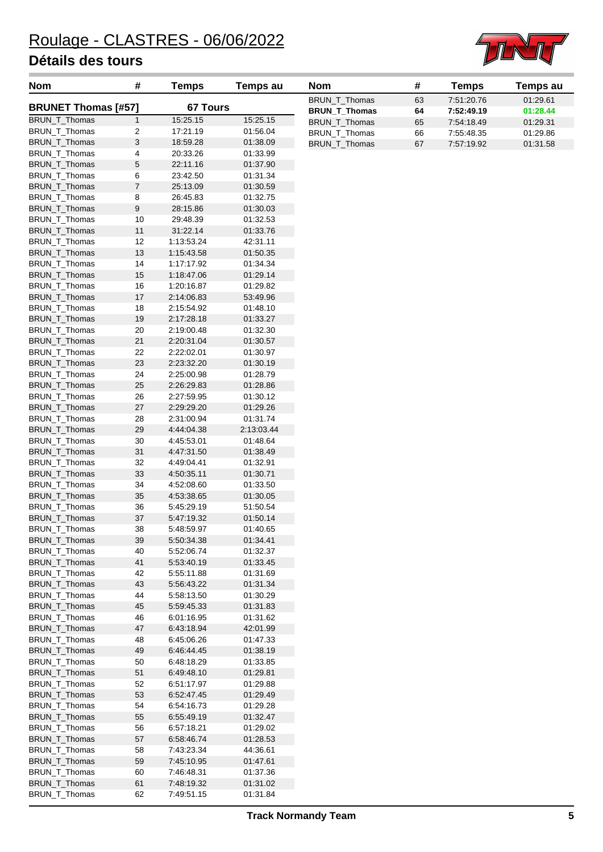

| <b>Nom</b>                     | #                | <b>Temps</b>             | Temps au               | <b>Nom</b>           | #  | <b>Temps</b> | <b>Temps au</b> |
|--------------------------------|------------------|--------------------------|------------------------|----------------------|----|--------------|-----------------|
| <b>BRUNET Thomas [#57]</b>     |                  | 67 Tours                 |                        | <b>BRUN T Thomas</b> | 63 | 7:51:20.76   | 01:29.61        |
|                                |                  |                          |                        | <b>BRUN_T_Thomas</b> | 64 | 7:52:49.19   | 01:28.44        |
| BRUN_T_Thomas                  | $\mathbf{1}$     | 15:25.15                 | 15:25.15               | BRUN_T_Thomas        | 65 | 7:54:18.49   | 01:29.31        |
| BRUN_T_Thomas                  | 2                | 17:21.19                 | 01:56.04               | BRUN_T_Thomas        | 66 | 7:55:48.35   | 01:29.86        |
| BRUN_T_Thomas                  | $\sqrt{3}$       | 18:59.28                 | 01:38.09               | <b>BRUN T Thomas</b> | 67 | 7:57:19.92   | 01:31.58        |
| BRUN_T_Thomas                  | 4                | 20:33.26                 | 01:33.99               |                      |    |              |                 |
| BRUN_T_Thomas                  | $\sqrt{5}$       | 22:11.16                 | 01:37.90               |                      |    |              |                 |
| BRUN_T_Thomas                  | 6                | 23:42.50                 | 01:31.34               |                      |    |              |                 |
| BRUN_T_Thomas                  | $\overline{7}$   | 25:13.09                 | 01:30.59               |                      |    |              |                 |
| BRUN_T_Thomas                  | $\bf 8$          | 26:45.83                 | 01:32.75               |                      |    |              |                 |
| BRUN_T_Thomas                  | $\boldsymbol{9}$ | 28:15.86                 | 01:30.03               |                      |    |              |                 |
| BRUN_T_Thomas                  | 10               | 29:48.39                 | 01:32.53               |                      |    |              |                 |
| BRUN_T_Thomas                  | 11               | 31:22.14                 | 01:33.76               |                      |    |              |                 |
| BRUN_T_Thomas                  | 12               | 1:13:53.24               | 42:31.11               |                      |    |              |                 |
| BRUN_T_Thomas                  | 13               | 1:15:43.58               | 01:50.35               |                      |    |              |                 |
| BRUN_T_Thomas                  | 14               | 1:17:17.92               | 01:34.34               |                      |    |              |                 |
| BRUN_T_Thomas                  | 15               | 1:18:47.06               | 01:29.14               |                      |    |              |                 |
| BRUN_T_Thomas                  | 16               | 1:20:16.87               | 01:29.82               |                      |    |              |                 |
| BRUN_T_Thomas                  | $17$             | 2:14:06.83               | 53:49.96               |                      |    |              |                 |
| BRUN_T_Thomas                  | 18               | 2:15:54.92               | 01:48.10               |                      |    |              |                 |
| BRUN_T_Thomas                  | 19               | 2:17:28.18               | 01:33.27               |                      |    |              |                 |
| BRUN_T_Thomas                  | 20               | 2:19:00.48               | 01:32.30               |                      |    |              |                 |
| BRUN_T_Thomas                  | 21               | 2:20:31.04               | 01:30.57               |                      |    |              |                 |
| BRUN_T_Thomas                  | 22               | 2:22:02.01               | 01:30.97               |                      |    |              |                 |
| BRUN_T_Thomas                  | 23               | 2:23:32.20               | 01:30.19               |                      |    |              |                 |
| BRUN_T_Thomas                  | 24               | 2:25:00.98               | 01:28.79               |                      |    |              |                 |
| BRUN_T_Thomas                  | 25               | 2:26:29.83               | 01:28.86               |                      |    |              |                 |
| BRUN_T_Thomas                  | 26               | 2:27:59.95               | 01:30.12               |                      |    |              |                 |
| BRUN_T_Thomas                  | 27               | 2:29:29.20               | 01:29.26               |                      |    |              |                 |
| BRUN_T_Thomas                  | 28               | 2:31:00.94               | 01:31.74<br>2:13:03.44 |                      |    |              |                 |
| BRUN_T_Thomas<br>BRUN_T_Thomas | 29<br>30         | 4:44:04.38<br>4:45:53.01 | 01:48.64               |                      |    |              |                 |
| BRUN_T_Thomas                  | 31               | 4:47:31.50               | 01:38.49               |                      |    |              |                 |
| BRUN_T_Thomas                  | 32               | 4:49:04.41               | 01:32.91               |                      |    |              |                 |
| BRUN_T_Thomas                  | 33               | 4:50:35.11               | 01:30.71               |                      |    |              |                 |
| BRUN_T_Thomas                  | 34               | 4:52:08.60               | 01:33.50               |                      |    |              |                 |
| BRUN_T_Thomas                  | 35               | 4:53:38.65               | 01:30.05               |                      |    |              |                 |
| BRUN_T_Thomas                  | 36               | 5:45:29.19               | 51:50.54               |                      |    |              |                 |
| BRUN_T_Thomas                  | 37               | 5:47:19.32               | 01:50.14               |                      |    |              |                 |
| BRUN_T_Thomas                  | 38               | 5:48:59.97               | 01:40.65               |                      |    |              |                 |
| BRUN_T_Thomas                  | 39               | 5:50:34.38               | 01:34.41               |                      |    |              |                 |
| BRUN_T_Thomas                  | 40               | 5:52:06.74               | 01:32.37               |                      |    |              |                 |
| BRUN_T_Thomas                  | 41               | 5.53.40.19               | 01:33.45               |                      |    |              |                 |
| BRUN_T_Thomas                  | 42               | 5:55:11.88               | 01:31.69               |                      |    |              |                 |
| BRUN_T_Thomas                  | 43               | 5:56:43.22               | 01:31.34               |                      |    |              |                 |
| BRUN_T_Thomas                  | 44               | 5:58:13.50               | 01:30.29               |                      |    |              |                 |
| BRUN_T_Thomas                  | 45               | 5.59.45.33               | 01:31.83               |                      |    |              |                 |
| BRUN_T_Thomas                  | 46               | 6:01:16.95               | 01:31.62               |                      |    |              |                 |
| BRUN_T_Thomas                  | 47               | 6:43:18.94               | 42:01.99               |                      |    |              |                 |
| BRUN_T_Thomas                  | 48               | 6:45:06.26               | 01:47.33               |                      |    |              |                 |
| BRUN_T_Thomas                  | 49               | 6:46:44.45               | 01:38.19               |                      |    |              |                 |
| BRUN_T_Thomas                  | 50               | 6:48:18.29               | 01:33.85               |                      |    |              |                 |
| BRUN_T_Thomas                  | 51               | 6:49:48.10               | 01:29.81               |                      |    |              |                 |
| BRUN_T_Thomas                  | 52               | 6:51:17.97               | 01:29.88               |                      |    |              |                 |
| BRUN_T_Thomas                  | 53               | 6.52.47.45               | 01:29.49               |                      |    |              |                 |
| BRUN_T_Thomas                  | 54               | 6:54:16.73               | 01:29.28               |                      |    |              |                 |
| BRUN_T_Thomas                  | 55               | 6:55:49.19               | 01:32.47               |                      |    |              |                 |
| BRUN_T_Thomas                  | 56               | 6:57:18.21               | 01:29.02               |                      |    |              |                 |
| BRUN_T_Thomas                  | 57               | 6:58:46.74               | 01:28.53               |                      |    |              |                 |
| BRUN_T_Thomas                  | 58               | 7:43:23.34               | 44:36.61               |                      |    |              |                 |
| BRUN_T_Thomas                  | 59               | 7:45:10.95               | 01:47.61               |                      |    |              |                 |
| BRUN_T_Thomas                  | 60               | 7:46:48.31               | 01:37.36               |                      |    |              |                 |
| BRUN_T_Thomas                  | 61               | 7:48:19.32               | 01:31.02               |                      |    |              |                 |
| BRUN_T_Thomas                  | 62               | 7:49:51.15               | 01:31.84               |                      |    |              |                 |
|                                |                  |                          |                        |                      |    |              |                 |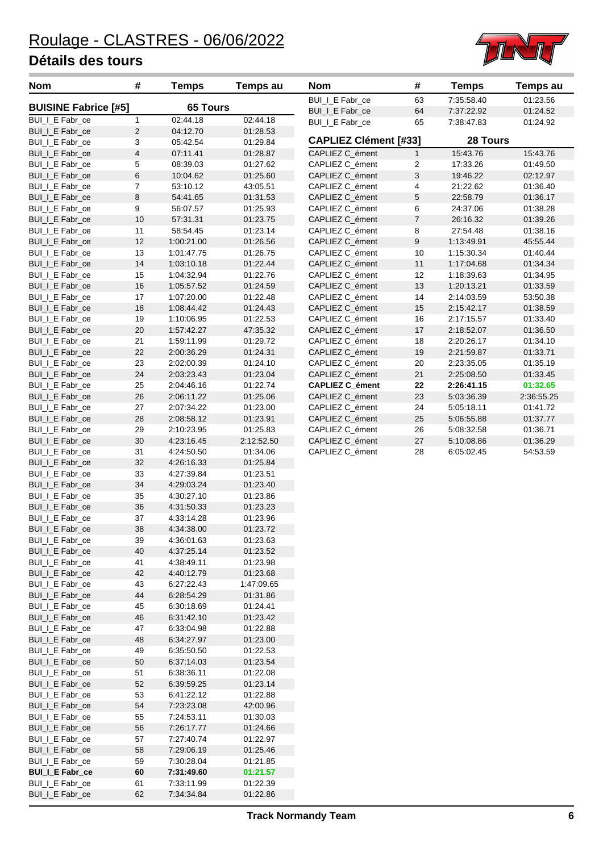

| Nom                                | #                       | <b>Temps</b>             | <b>Temps au</b>      | Nom                                | #                         | <b>Temps</b>             | Temps au             |
|------------------------------------|-------------------------|--------------------------|----------------------|------------------------------------|---------------------------|--------------------------|----------------------|
| <b>BUISINE Fabrice [#5]</b>        |                         | <b>65 Tours</b>          |                      | BUI_I_E Fabr_ce                    | 63                        | 7:35:58.40               | 01:23.56             |
|                                    |                         |                          |                      | <b>BUI_I_E</b> Fabr_ce             | 64                        | 7:37:22.92               | 01:24.52             |
| BUI_I_E Fabr_ce<br>BUI_I_E Fabr_ce | 1<br>$\overline{c}$     | 02:44.18<br>04:12.70     | 02:44.18<br>01:28.53 | BUI_I_E Fabr_ce                    | 65                        | 7:38:47.83               | 01:24.92             |
| BUI_I_E Fabr_ce                    | 3                       | 05:42.54                 | 01:29.84             | <b>CAPLIEZ Clément [#33]</b>       |                           | 28 Tours                 |                      |
| BUI_I_E Fabr_ce                    | $\overline{\mathbf{4}}$ | 07:11.41                 | 01:28.87             | CAPLIEZ C_ément                    | $\mathbf{1}$              | 15:43.76                 | 15:43.76             |
| BUI_I_E Fabr_ce                    | 5                       | 08:39.03                 | 01:27.62             | CAPLIEZ C_ément                    | 2                         | 17:33.26                 | 01:49.50             |
| BUI_I_E Fabr_ce                    | 6                       | 10:04.62                 | 01:25.60             | CAPLIEZ C_ément                    | $\ensuremath{\mathsf{3}}$ | 19:46.22                 | 02:12.97             |
| BUI_I_E Fabr_ce                    | 7                       | 53:10.12                 | 43:05.51             | CAPLIEZ C_ément                    | 4                         | 21:22.62                 | 01:36.40             |
| BUI_I_E Fabr_ce                    | 8                       | 54:41.65                 | 01:31.53             | CAPLIEZ C ément                    | $\sqrt{5}$                | 22:58.79                 | 01:36.17             |
| BUI_I_E Fabr_ce                    | 9                       | 56:07.57                 | 01:25.93             | CAPLIEZ C_ément                    | 6                         | 24:37.06                 | 01:38.28             |
| BUI_I_E Fabr_ce                    | 10                      | 57:31.31                 | 01:23.75             | CAPLIEZ C ément                    | $\boldsymbol{7}$          | 26:16.32                 | 01:39.26             |
| BUI_I_E Fabr_ce                    | 11                      | 58:54.45                 | 01:23.14             | CAPLIEZ C_ément                    | 8                         | 27:54.48                 | 01:38.16             |
| BUI_I_E Fabr_ce                    | 12                      | 1:00:21.00               | 01:26.56             | CAPLIEZ C_ément                    | $\boldsymbol{9}$          | 1:13:49.91               | 45:55.44             |
| BUI_I_E Fabr_ce                    | 13                      | 1:01:47.75               | 01:26.75             | CAPLIEZ C_ément                    | $10$                      | 1:15:30.34               | 01:40.44             |
| BUI_I_E Fabr_ce                    | 14                      | 1:03:10.18               | 01:22.44             | CAPLIEZ C_ément                    | 11                        | 1:17:04.68               | 01:34.34             |
| BUI_I_E Fabr_ce                    | 15                      | 1:04:32.94               | 01:22.76             | CAPLIEZ C_ément                    | 12                        | 1:18:39.63               | 01:34.95             |
| BUILLE Fabr_ce                     | 16                      | 1:05:57.52               | 01:24.59             | CAPLIEZ C_ément                    | 13                        | 1:20:13.21               | 01:33.59             |
| BUI_I_E Fabr_ce                    | 17                      | 1:07:20.00               | 01:22.48             | CAPLIEZ C ément                    | 14                        | 2:14:03.59               | 53:50.38             |
| BUI_I_E Fabr_ce                    | 18                      | 1:08:44.42               | 01:24.43             | CAPLIEZ C_ément                    | 15                        | 2:15:42.17               | 01:38.59             |
| BUI_I_E Fabr_ce                    | 19                      | 1:10:06.95               | 01:22.53             | CAPLIEZ C_ément                    | 16                        | 2:17:15.57               | 01:33.40             |
| BUI_I_E Fabr_ce                    | 20                      | 1:57:42.27               | 47:35.32             | CAPLIEZ C_ément                    | 17                        | 2:18:52.07               | 01:36.50             |
| BUI_I_E Fabr_ce                    | 21<br>22                | 1:59:11.99               | 01:29.72             | CAPLIEZ C_ément                    | 18<br>19                  | 2:20:26.17               | 01:34.10<br>01:33.71 |
| BUI_I_E Fabr_ce<br>BUI_I_E Fabr_ce | 23                      | 2:00:36.29<br>2:02:00.39 | 01:24.31<br>01:24.10 | CAPLIEZ C_ément<br>CAPLIEZ C_ément | 20                        | 2:21:59.87<br>2:23:35.05 | 01:35.19             |
| BUI_I_E Fabr_ce                    | 24                      | 2:03:23.43               | 01:23.04             | CAPLIEZ C_ément                    | 21                        | 2:25:08.50               | 01:33.45             |
| BUI_I_E Fabr_ce                    | 25                      | 2:04:46.16               | 01:22.74             | <b>CAPLIEZ C_ément</b>             | 22                        | 2:26:41.15               | 01:32.65             |
| BUI_I_E Fabr_ce                    | 26                      | 2:06:11.22               | 01:25.06             | CAPLIEZ C_ément                    | 23                        | 5:03:36.39               | 2:36:55.25           |
| BUI_I_E Fabr_ce                    | 27                      | 2:07:34.22               | 01:23.00             | CAPLIEZ C_ément                    | 24                        | 5:05:18.11               | 01:41.72             |
| BUI_I_E Fabr_ce                    | 28                      | 2:08:58.12               | 01:23.91             | CAPLIEZ C_ément                    | 25                        | 5:06:55.88               | 01:37.77             |
| BUI_I_E Fabr_ce                    | 29                      | 2:10:23.95               | 01:25.83             | CAPLIEZ C_ément                    | 26                        | 5:08:32.58               | 01:36.71             |
| BUI_I_E Fabr_ce                    | 30                      | 4:23:16.45               | 2:12:52.50           | CAPLIEZ C_ément                    | $27\,$                    | 5:10:08.86               | 01:36.29             |
| BUI_I_E Fabr_ce                    | 31                      | 4:24:50.50               | 01:34.06             | CAPLIEZ C_ément                    | 28                        | 6:05:02.45               | 54:53.59             |
| BUI_I_E Fabr_ce                    | 32                      | 4:26:16.33               | 01:25.84             |                                    |                           |                          |                      |
| BUI_I_E Fabr_ce                    | 33                      | 4:27:39.84               | 01:23.51             |                                    |                           |                          |                      |
| BUI_I_E Fabr_ce                    | 34                      | 4:29:03.24               | 01:23.40             |                                    |                           |                          |                      |
| BUI_I_E Fabr_ce                    | 35                      | 4:30:27.10               | 01:23.86             |                                    |                           |                          |                      |
| BUI_I_E Fabr_ce                    | 36                      | 4:31:50.33               | 01:23.23             |                                    |                           |                          |                      |
| BUI_I_E Fabr_ce                    | 37                      | 4:33:14.28               | 01:23.96             |                                    |                           |                          |                      |
| BUI_I_E Fabr_ce                    | 38                      | 4:34:38.00               | 01:23.72             |                                    |                           |                          |                      |
| BUI_I_E Fabr_ce                    | 39                      | 4:36:01.63               | 01:23.63<br>01:23.52 |                                    |                           |                          |                      |
| BUI_I_E Fabr_ce<br>BUI_I_E Fabr_ce | 40<br>41                | 4:37:25.14<br>4:38:49.11 | 01:23.98             |                                    |                           |                          |                      |
| BUI_I_E Fabr_ce                    | 42                      | 4:40:12.79               | 01:23.68             |                                    |                           |                          |                      |
| BUI_I_E Fabr_ce                    | 43                      | 6:27:22.43               | 1:47:09.65           |                                    |                           |                          |                      |
| BUI_I_E Fabr_ce                    | 44                      | 6:28:54.29               | 01:31.86             |                                    |                           |                          |                      |
| BUI_I_E Fabr_ce                    | 45                      | 6.30.18.69               | 01:24.41             |                                    |                           |                          |                      |
| BUI_I_E Fabr_ce                    | 46                      | 6:31:42.10               | 01:23.42             |                                    |                           |                          |                      |
| BUI_I_E Fabr_ce                    | 47                      | 6:33:04.98               | 01:22.88             |                                    |                           |                          |                      |
| BUILLE Fabr_ce                     | 48                      | 6:34:27.97               | 01:23.00             |                                    |                           |                          |                      |
| BUI_I_E Fabr_ce                    | 49                      | 6:35:50.50               | 01:22.53             |                                    |                           |                          |                      |
| BUI_I_E Fabr_ce                    | 50                      | 6:37:14.03               | 01:23.54             |                                    |                           |                          |                      |
| BUI_I_E Fabr_ce                    | 51                      | 6:38:36.11               | 01:22.08             |                                    |                           |                          |                      |
| BUI_I_E Fabr_ce                    | 52                      | 6:39:59.25               | 01:23.14             |                                    |                           |                          |                      |
| BUI_I_E Fabr_ce                    | 53                      | 6:41:22.12               | 01:22.88             |                                    |                           |                          |                      |
| BUI_I_E Fabr_ce                    | 54                      | 7:23:23.08               | 42:00.96             |                                    |                           |                          |                      |
| BUI_I_E Fabr_ce                    | 55                      | 7:24:53.11               | 01:30.03             |                                    |                           |                          |                      |
| BUI_I_E Fabr_ce                    | 56                      | 7:26:17.77               | 01:24.66             |                                    |                           |                          |                      |
| BUI_I_E Fabr_ce<br>BUI_I_E Fabr_ce | 57<br>58                | 7:27:40.74<br>7:29:06.19 | 01:22.97<br>01:25.46 |                                    |                           |                          |                      |
| BUI_I_E Fabr_ce                    | 59                      | 7:30:28.04               | 01:21.85             |                                    |                           |                          |                      |
| <b>BUI_I_E Fabr_ce</b>             | 60                      | 7:31:49.60               | 01:21.57             |                                    |                           |                          |                      |
| BUI_I_E Fabr_ce                    | 61                      | 7:33:11.99               | 01:22.39             |                                    |                           |                          |                      |
| BUI_I_E Fabr_ce                    | 62                      | 7:34:34.84               | 01:22.86             |                                    |                           |                          |                      |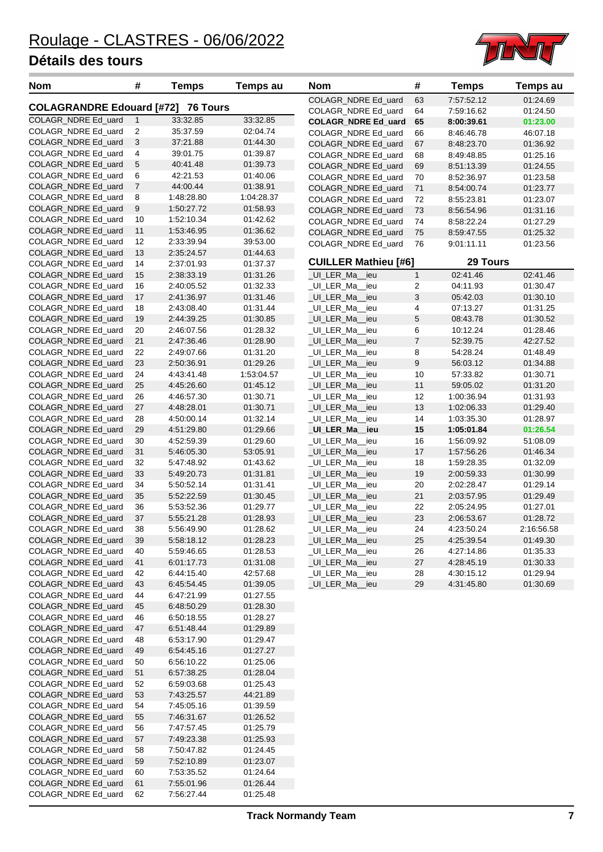

| <b>Nom</b>                                 | #                         | <b>Temps</b>             | <b>Temps au</b>      | <b>Nom</b>                         | #                | <b>Temps</b>             | <b>Temps au</b>      |
|--------------------------------------------|---------------------------|--------------------------|----------------------|------------------------------------|------------------|--------------------------|----------------------|
|                                            |                           | <b>76 Tours</b>          |                      | COLAGR_NDRE Ed_uard                | 63               | 7:57:52.12               | 01:24.69             |
| <b>COLAGRANDRE Edouard [#72]</b>           |                           |                          |                      | COLAGR_NDRE Ed_uard                | 64               | 7:59:16.62               | 01:24.50             |
| COLAGR_NDRE Ed_uard                        | $\mathbf{1}$              | 33:32.85                 | 33:32.85             | <b>COLAGR_NDRE Ed_uard</b>         | 65               | 8:00:39.61               | 01:23.00             |
| COLAGR_NDRE Ed_uard                        | $\overline{c}$            | 35:37.59                 | 02:04.74             | COLAGR_NDRE Ed_uard                | 66               | 8:46:46.78               | 46:07.18             |
| COLAGR_NDRE Ed_uard                        | $\ensuremath{\mathsf{3}}$ | 37:21.88                 | 01:44.30             | COLAGR_NDRE Ed_uard                | 67               | 8:48:23.70               | 01:36.92             |
| COLAGR_NDRE Ed_uard                        | 4                         | 39:01.75                 | 01:39.87             | COLAGR_NDRE Ed_uard                | 68               | 8:49:48.85               | 01:25.16             |
| COLAGR_NDRE Ed_uard                        | 5                         | 40:41.48                 | 01:39.73             | COLAGR_NDRE Ed_uard                | 69               | 8:51:13.39               | 01:24.55             |
| COLAGR_NDRE Ed_uard                        | 6                         | 42:21.53                 | 01:40.06             | COLAGR_NDRE Ed_uard                | 70               | 8:52:36.97               | 01:23.58             |
| COLAGR_NDRE Ed_uard                        | $\overline{7}$            | 44:00.44                 | 01:38.91             | COLAGR_NDRE Ed_uard                | $71$             | 8:54:00.74               | 01:23.77             |
| COLAGR_NDRE Ed_uard                        | 8                         | 1:48:28.80               | 1:04:28.37           | COLAGR_NDRE Ed_uard                | 72               | 8:55:23.81               | 01:23.07             |
| COLAGR_NDRE Ed_uard                        | 9                         | 1:50:27.72               | 01:58.93             | COLAGR_NDRE Ed_uard                | 73               | 8:56:54.96               | 01:31.16             |
| COLAGR NDRE Ed uard                        | 10                        | 1:52:10.34               | 01:42.62             | COLAGR_NDRE Ed_uard                | 74               | 8:58:22.24               | 01:27.29             |
| COLAGR_NDRE Ed_uard                        | 11                        | 1:53:46.95               | 01:36.62             | COLAGR_NDRE Ed_uard                | 75               | 8:59:47.55               | 01:25.32             |
| COLAGR_NDRE Ed_uard                        | 12                        | 2:33:39.94               | 39:53.00             | COLAGR_NDRE Ed_uard                | 76               | 9:01:11.11               | 01:23.56             |
| COLAGR_NDRE Ed_uard                        | 13                        | 2:35:24.57               | 01:44.63             | <b>CUILLER Mathieu [#6]</b>        |                  | 29 Tours                 |                      |
| COLAGR_NDRE Ed_uard                        | 14                        | 2:37:01.93               | 01:37.37             |                                    |                  |                          |                      |
| COLAGR_NDRE Ed_uard                        | 15                        | 2:38:33.19               | 01:31.26             | _UI_LER_Ma__ieu                    | $\mathbf{1}$     | 02:41.46                 | 02:41.46             |
| COLAGR_NDRE Ed_uard                        | 16                        | 2:40:05.52               | 01:32.33             | UI LER Ma ieu                      | 2                | 04:11.93                 | 01:30.47             |
| COLAGR_NDRE Ed_uard                        | 17                        | 2:41:36.97               | 01:31.46             | _UI_LER_Ma__ieu                    | 3                | 05:42.03                 | 01:30.10             |
| COLAGR_NDRE Ed_uard                        | 18                        | 2:43:08.40               | 01:31.44             | _UI_LER_Ma__ieu                    | 4                | 07:13.27                 | 01:31.25             |
| COLAGR_NDRE Ed_uard                        | 19                        | 2:44:39.25               | 01:30.85             | _UI_LER_Ma__ieu                    | 5                | 08:43.78                 | 01:30.52             |
| COLAGR_NDRE Ed_uard                        | 20                        | 2:46:07.56               | 01:28.32             | UI LER Ma ieu                      | 6                | 10:12.24                 | 01:28.46             |
| COLAGR NDRE Ed uard                        | 21                        | 2:47:36.46               | 01:28.90             | _UI_LER_Ma__ieu                    | $\boldsymbol{7}$ | 52:39.75                 | 42:27.52             |
| COLAGR_NDRE Ed_uard                        | 22                        | 2:49:07.66<br>2:50:36.91 | 01:31.20             | _UI_LER_Ma__ieu                    | 8                | 54:28.24                 | 01:48.49             |
| COLAGR_NDRE Ed_uard                        | 23                        |                          | 01:29.26             | _UI_LER_Ma__ieu                    | 9                | 56:03.12                 | 01:34.88             |
| COLAGR_NDRE Ed_uard                        | 24                        | 4:43:41.48               | 1:53:04.57           | _UI_LER_Ma__ieu                    | 10               | 57:33.82                 | 01:30.71             |
| COLAGR_NDRE Ed_uard                        | 25                        | 4:45:26.60               | 01:45.12             | _UI_LER_Ma__ieu                    | $11$             | 59:05.02                 | 01:31.20             |
| COLAGR_NDRE Ed_uard<br>COLAGR_NDRE Ed_uard | 26<br>27                  | 4:46:57.30<br>4:48:28.01 | 01:30.71<br>01:30.71 | UI LER Ma ieu                      | 12<br>13         | 1:00:36.94<br>1:02:06.33 | 01:31.93<br>01:29.40 |
| COLAGR_NDRE Ed_uard                        | 28                        | 4:50:00.14               | 01:32.14             | _UI_LER_Ma__ieu<br>_UI_LER_Ma__ieu | 14               | 1:03:35.30               | 01:28.97             |
| COLAGR_NDRE Ed_uard                        | 29                        | 4:51:29.80               | 01:29.66             | _UI_LER_Ma__ieu                    | 15               | 1:05:01.84               | 01:26.54             |
| COLAGR_NDRE Ed_uard                        | 30                        | 4:52:59.39               | 01:29.60             | _UI_LER_Ma__ieu                    | 16               | 1:56:09.92               | 51:08.09             |
| COLAGR_NDRE Ed_uard                        | 31                        | 5:46:05.30               | 53:05.91             | _UI_LER_Ma__ieu                    | 17               | 1:57:56.26               | 01:46.34             |
| COLAGR_NDRE Ed_uard                        | 32                        | 5:47:48.92               | 01:43.62             | _UI_LER_Ma__ieu                    | 18               | 1:59:28.35               | 01:32.09             |
| COLAGR_NDRE Ed_uard                        | 33                        | 5:49:20.73               | 01:31.81             | _UI_LER_Ma__ieu                    | 19               | 2:00:59.33               | 01:30.99             |
| COLAGR_NDRE Ed_uard                        | 34                        | 5:50:52.14               | 01:31.41             | _UI_LER_Ma__ieu                    | 20               | 2:02:28.47               | 01:29.14             |
| COLAGR_NDRE Ed_uard                        | 35                        | 5:52:22.59               | 01:30.45             | _UI_LER_Ma__ieu                    | 21               | 2:03:57.95               | 01:29.49             |
| COLAGR_NDRE Ed_uard                        | 36                        | 5:53:52.36               | 01:29.77             | UI LER Ma ieu                      | 22               | 2:05:24.95               | 01:27.01             |
| COLAGR_NDRE Ed_uard                        | 37                        | 5:55:21.28               | 01:28.93             | _UI_LER_Ma__ieu                    | 23               | 2:06:53.67               | 01:28.72             |
| COLAGR_NDRE Ed_uard                        | 38                        | 5:56:49.90               | 01:28.62             | UI_LER_Ma_<br>ieu                  | 24               | 4:23:50.24               | 2:16:56.58           |
| COLAGR_NDRE Ed_uard                        | 39                        | 5:58:18.12               | 01:28.23             | _UI_LER_Ma__ieu                    | 25               | 4:25:39.54               | 01:49.30             |
| COLAGR_NDRE Ed_uard                        | 40                        | 5:59:46.65               | 01:28.53             | _UI_LER_Ma__ieu                    | 26               | 4:27:14.86               | 01:35.33             |
| COLAGR_NDRE Ed_uard                        | 41                        | 6:01:17.73               | 01:31.08             | _UI_LER_Ma__ieu                    | 27               | 4:28:45.19               | 01:30.33             |
| COLAGR_NDRE Ed_uard                        | 42                        | 6:44:15.40               | 42:57.68             | _UI_LER_Ma__ieu                    | 28               | 4:30:15.12               | 01:29.94             |
| COLAGR_NDRE Ed_uard                        | 43                        | 6:45:54.45               | 01:39.05             | _UI_LER_Ma__ieu                    | 29               | 4:31:45.80               | 01:30.69             |
| COLAGR_NDRE Ed_uard                        | 44                        | 6:47:21.99               | 01:27.55             |                                    |                  |                          |                      |
| COLAGR_NDRE Ed_uard                        | 45                        | 6:48:50.29               | 01:28.30             |                                    |                  |                          |                      |
| COLAGR_NDRE Ed_uard                        | 46                        | 6:50:18.55               | 01:28.27             |                                    |                  |                          |                      |
| COLAGR_NDRE Ed_uard                        | 47                        | 6:51:48.44               | 01:29.89             |                                    |                  |                          |                      |
| COLAGR_NDRE Ed_uard                        | 48                        | 6:53:17.90               | 01:29.47             |                                    |                  |                          |                      |
| COLAGR_NDRE Ed_uard                        | 49                        | 6:54:45.16               | 01:27.27             |                                    |                  |                          |                      |
| COLAGR_NDRE Ed_uard                        | 50                        | 6.56.10.22               | 01:25.06             |                                    |                  |                          |                      |
| COLAGR_NDRE Ed_uard                        | 51                        | 6:57:38.25               | 01:28.04             |                                    |                  |                          |                      |
| COLAGR_NDRE Ed_uard                        | 52                        | 6:59:03.68               | 01:25.43             |                                    |                  |                          |                      |
| COLAGR_NDRE Ed_uard                        | 53                        | 7:43:25.57               | 44:21.89             |                                    |                  |                          |                      |
| COLAGR_NDRE Ed_uard                        | 54                        | 7:45:05.16               | 01:39.59             |                                    |                  |                          |                      |
| COLAGR_NDRE Ed_uard                        | 55                        | 7:46:31.67               | 01:26.52             |                                    |                  |                          |                      |
| COLAGR_NDRE Ed_uard                        | 56                        | 7:47:57.45               | 01:25.79             |                                    |                  |                          |                      |
| COLAGR_NDRE Ed_uard                        | 57                        | 7:49:23.38               | 01:25.93             |                                    |                  |                          |                      |
| COLAGR_NDRE Ed_uard                        | 58                        | 7:50:47.82               | 01:24.45             |                                    |                  |                          |                      |
| COLAGR_NDRE Ed_uard                        | 59                        | 7:52:10.89               | 01:23.07             |                                    |                  |                          |                      |
| COLAGR_NDRE Ed_uard                        | 60                        | 7:53:35.52               | 01:24.64             |                                    |                  |                          |                      |
| COLAGR_NDRE Ed_uard                        | 61                        | 7:55:01.96               | 01:26.44             |                                    |                  |                          |                      |
| COLAGR_NDRE Ed_uard                        | 62                        | 7:56:27.44               | 01:25.48             |                                    |                  |                          |                      |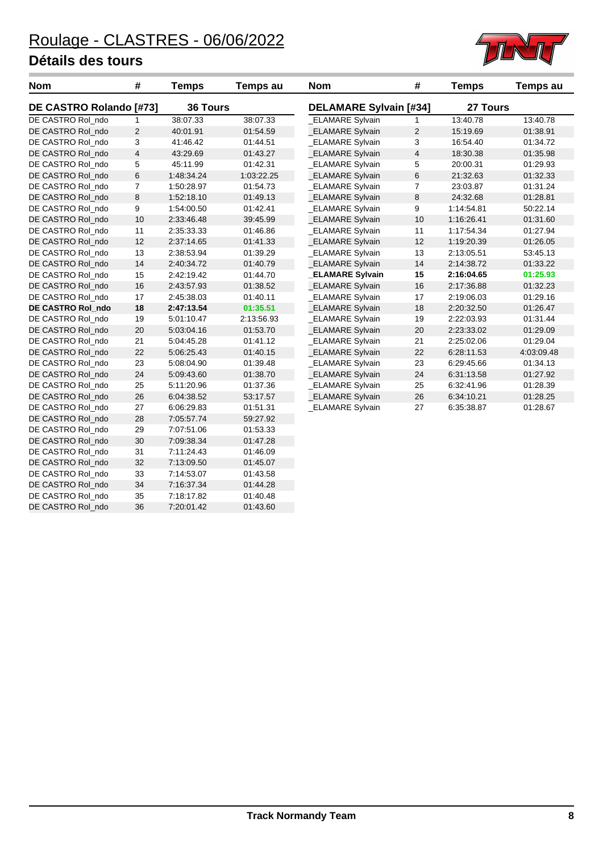DE CASTRO Rol\_ndo 36 7:20:01.42 01:43.60



| <b>Nom</b>              | #                       | <b>Temps</b> | Temps au   | <b>Nom</b>             | #                             | <b>Temps</b> | Temps au   |  |
|-------------------------|-------------------------|--------------|------------|------------------------|-------------------------------|--------------|------------|--|
| DE CASTRO Rolando [#73] |                         | 36 Tours     |            |                        | <b>DELAMARE Sylvain [#34]</b> |              | 27 Tours   |  |
| DE CASTRO Rol_ndo       | 1                       | 38:07.33     | 38:07.33   | <b>ELAMARE Sylvain</b> | 1                             | 13:40.78     | 13:40.78   |  |
| DE CASTRO Rol_ndo       | $\overline{c}$          | 40:01.91     | 01:54.59   | <b>ELAMARE Sylvain</b> | $\overline{\mathbf{c}}$       | 15:19.69     | 01:38.91   |  |
| DE CASTRO Rol ndo       | 3                       | 41:46.42     | 01:44.51   | <b>ELAMARE Sylvain</b> | 3                             | 16:54.40     | 01:34.72   |  |
| DE CASTRO Rol_ndo       | $\overline{\mathbf{4}}$ | 43:29.69     | 01:43.27   | <b>ELAMARE Sylvain</b> | $\overline{\mathbf{4}}$       | 18:30.38     | 01:35.98   |  |
| DE CASTRO Rol_ndo       | 5                       | 45:11.99     | 01:42.31   | <b>ELAMARE Sylvain</b> | $\mathbf 5$                   | 20:00.31     | 01:29.93   |  |
| DE CASTRO Rol_ndo       | 6                       | 1:48:34.24   | 1:03:22.25 | _ELAMARE Sylvain       | $\,$ 6 $\,$                   | 21:32.63     | 01:32.33   |  |
| DE CASTRO Rol_ndo       | $\overline{7}$          | 1:50:28.97   | 01:54.73   | _ELAMARE Sylvain       | $\overline{7}$                | 23:03.87     | 01:31.24   |  |
| DE CASTRO Rol ndo       | 8                       | 1:52:18.10   | 01:49.13   | <b>ELAMARE Sylvain</b> | 8                             | 24:32.68     | 01:28.81   |  |
| DE CASTRO Rol ndo       | 9                       | 1:54:00.50   | 01:42.41   | <b>ELAMARE Sylvain</b> | 9                             | 1:14:54.81   | 50:22.14   |  |
| DE CASTRO Rol_ndo       | 10                      | 2:33:46.48   | 39:45.99   | <b>ELAMARE Sylvain</b> | 10                            | 1:16:26.41   | 01:31.60   |  |
| DE CASTRO Rol ndo       | 11                      | 2:35:33.33   | 01:46.86   | <b>ELAMARE Sylvain</b> | 11                            | 1:17:54.34   | 01:27.94   |  |
| DE CASTRO Rol ndo       | 12                      | 2:37:14.65   | 01:41.33   | <b>ELAMARE Sylvain</b> | 12                            | 1:19:20.39   | 01:26.05   |  |
| DE CASTRO Rol_ndo       | 13                      | 2:38:53.94   | 01:39.29   | <b>ELAMARE Sylvain</b> | 13                            | 2:13:05.51   | 53:45.13   |  |
| DE CASTRO Rol ndo       | 14                      | 2:40:34.72   | 01:40.79   | _ELAMARE Sylvain       | 14                            | 2:14:38.72   | 01:33.22   |  |
| DE CASTRO Rol_ndo       | 15                      | 2:42:19.42   | 01:44.70   | <b>ELAMARE Sylvain</b> | 15                            | 2:16:04.65   | 01:25.93   |  |
| DE CASTRO Rol_ndo       | 16                      | 2:43:57.93   | 01:38.52   | <b>ELAMARE Sylvain</b> | 16                            | 2:17:36.88   | 01:32.23   |  |
| DE CASTRO Rol ndo       | 17                      | 2:45:38.03   | 01:40.11   | <b>ELAMARE Sylvain</b> | 17                            | 2:19:06.03   | 01:29.16   |  |
| DE CASTRO Rol_ndo       | 18                      | 2:47:13.54   | 01:35.51   | <b>ELAMARE Sylvain</b> | 18                            | 2:20:32.50   | 01:26.47   |  |
| DE CASTRO Rol ndo       | 19                      | 5:01:10.47   | 2:13:56.93 | <b>ELAMARE Sylvain</b> | 19                            | 2:22:03.93   | 01:31.44   |  |
| DE CASTRO Rol_ndo       | 20                      | 5:03:04.16   | 01:53.70   | <b>ELAMARE Sylvain</b> | 20                            | 2:23:33.02   | 01:29.09   |  |
| DE CASTRO Rol_ndo       | 21                      | 5:04:45.28   | 01:41.12   | _ELAMARE Sylvain       | 21                            | 2:25:02.06   | 01:29.04   |  |
| DE CASTRO Rol ndo       | 22                      | 5:06:25.43   | 01:40.15   | <b>ELAMARE Sylvain</b> | 22                            | 6:28:11.53   | 4:03:09.48 |  |
| DE CASTRO Rol ndo       | 23                      | 5:08:04.90   | 01:39.48   | _ELAMARE Sylvain       | 23                            | 6:29:45.66   | 01:34.13   |  |
| DE CASTRO Rol_ndo       | 24                      | 5:09:43.60   | 01:38.70   | _ELAMARE Sylvain       | 24                            | 6:31:13.58   | 01:27.92   |  |
| DE CASTRO Rol ndo       | 25                      | 5:11:20.96   | 01:37.36   | <b>ELAMARE Sylvain</b> | 25                            | 6:32:41.96   | 01:28.39   |  |
| DE CASTRO Rol_ndo       | 26                      | 6:04:38.52   | 53:17.57   | _ELAMARE Sylvain       | 26                            | 6:34:10.21   | 01:28.25   |  |
| DE CASTRO Rol_ndo       | 27                      | 6:06:29.83   | 01:51.31   | _ELAMARE Sylvain       | 27                            | 6:35:38.87   | 01:28.67   |  |
| DE CASTRO Rol ndo       | 28                      | 7:05:57.74   | 59:27.92   |                        |                               |              |            |  |
| DE CASTRO Rol_ndo       | 29                      | 7:07:51.06   | 01:53.33   |                        |                               |              |            |  |
| DE CASTRO Rol_ndo       | 30                      | 7:09:38.34   | 01:47.28   |                        |                               |              |            |  |
| DE CASTRO Rol ndo       | 31                      | 7:11:24.43   | 01:46.09   |                        |                               |              |            |  |
| DE CASTRO Rol_ndo       | 32                      | 7:13:09.50   | 01:45.07   |                        |                               |              |            |  |
| DE CASTRO Rol ndo       | 33                      | 7:14:53.07   | 01:43.58   |                        |                               |              |            |  |
| DE CASTRO Rol ndo       | 34                      | 7:16:37.34   | 01:44.28   |                        |                               |              |            |  |
| DE CASTRO Rol_ndo       | 35                      | 7:18:17.82   | 01:40.48   |                        |                               |              |            |  |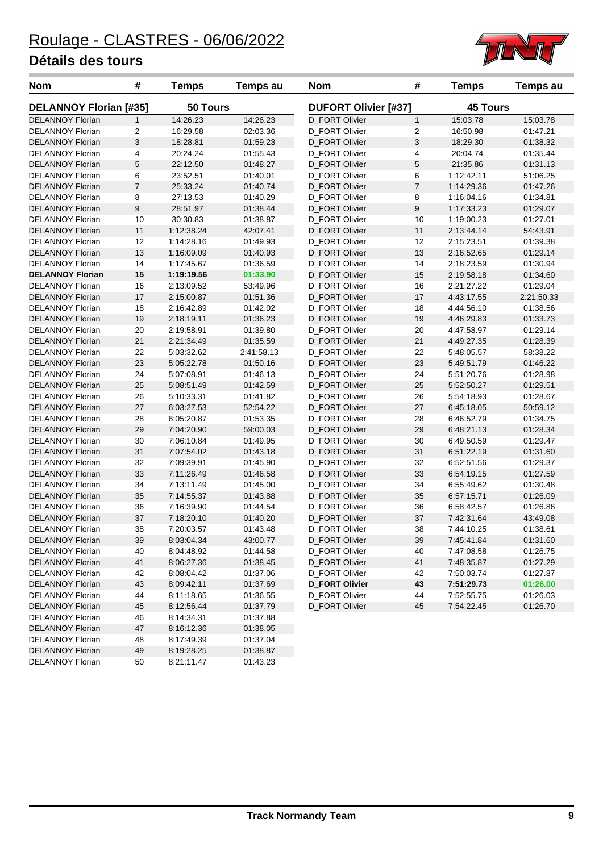DELANNOY Florian 50 8:21:11.47 01:43.23



| Nom                           | #              | <b>Temps</b> | Temps au   | <b>Nom</b>                  | #              | <b>Temps</b>    | <b>Temps au</b> |
|-------------------------------|----------------|--------------|------------|-----------------------------|----------------|-----------------|-----------------|
| <b>DELANNOY Florian [#35]</b> |                | 50 Tours     |            | <b>DUFORT Olivier [#37]</b> |                | <b>45 Tours</b> |                 |
| <b>DELANNOY Florian</b>       | $\mathbf{1}$   | 14:26.23     | 14:26.23   | D_FORT Olivier              | $\mathbf{1}$   | 15:03.78        | 15:03.78        |
| <b>DELANNOY Florian</b>       | 2              | 16:29.58     | 02:03.36   | D_FORT Olivier              | 2              | 16:50.98        | 01:47.21        |
| <b>DELANNOY Florian</b>       | 3              | 18:28.81     | 01:59.23   | <b>D_FORT Olivier</b>       | 3              | 18:29.30        | 01:38.32        |
| <b>DELANNOY Florian</b>       | 4              | 20:24.24     | 01:55.43   | D_FORT Olivier              | 4              | 20:04.74        | 01:35.44        |
| <b>DELANNOY Florian</b>       | 5              | 22:12.50     | 01:48.27   | <b>D_FORT Olivier</b>       | 5              | 21:35.86        | 01:31.13        |
| <b>DELANNOY Florian</b>       | 6              | 23:52.51     | 01:40.01   | D_FORT Olivier              | 6              | 1:12:42.11      | 51:06.25        |
| <b>DELANNOY Florian</b>       | $\overline{7}$ | 25:33.24     | 01:40.74   | D_FORT Olivier              | $\overline{7}$ | 1:14:29.36      | 01:47.26        |
| <b>DELANNOY Florian</b>       | 8              | 27:13.53     | 01:40.29   | D_FORT Olivier              | 8              | 1:16:04.16      | 01:34.81        |
| <b>DELANNOY Florian</b>       | 9              | 28:51.97     | 01:38.44   | <b>D_FORT Olivier</b>       | 9              | 1:17:33.23      | 01:29.07        |
| <b>DELANNOY Florian</b>       | 10             | 30:30.83     | 01:38.87   | D_FORT Olivier              | 10             | 1:19:00.23      | 01:27.01        |
| <b>DELANNOY Florian</b>       | 11             | 1:12:38.24   | 42:07.41   | D_FORT Olivier              | 11             | 2:13:44.14      | 54:43.91        |
| <b>DELANNOY Florian</b>       | 12             | 1:14:28.16   | 01:49.93   | D_FORT Olivier              | 12             | 2:15:23.51      | 01:39.38        |
| <b>DELANNOY Florian</b>       | 13             | 1:16:09.09   | 01:40.93   | D_FORT Olivier              | 13             | 2:16:52.65      | 01:29.14        |
| <b>DELANNOY Florian</b>       | 14             | 1:17:45.67   | 01:36.59   | D_FORT Olivier              | 14             | 2:18:23.59      | 01:30.94        |
| <b>DELANNOY Florian</b>       | 15             | 1:19:19.56   | 01:33.90   | <b>D_FORT Olivier</b>       | 15             | 2:19:58.18      | 01:34.60        |
| <b>DELANNOY Florian</b>       | 16             | 2:13:09.52   | 53:49.96   | D_FORT Olivier              | 16             | 2:21:27.22      | 01:29.04        |
| <b>DELANNOY Florian</b>       | 17             | 2:15:00.87   | 01:51.36   | D_FORT Olivier              | 17             | 4:43:17.55      | 2:21:50.33      |
| <b>DELANNOY Florian</b>       | 18             | 2:16:42.89   | 01:42.02   | D FORT Olivier              | 18             | 4:44:56.10      | 01:38.56        |
| <b>DELANNOY Florian</b>       | 19             | 2:18:19.11   | 01:36.23   | D_FORT Olivier              | 19             | 4:46:29.83      | 01:33.73        |
| <b>DELANNOY Florian</b>       | 20             | 2:19:58.91   | 01:39.80   | D_FORT Olivier              | 20             | 4:47:58.97      | 01:29.14        |
| <b>DELANNOY Florian</b>       | 21             | 2:21:34.49   | 01:35.59   | <b>D_FORT Olivier</b>       | 21             | 4:49:27.35      | 01:28.39        |
| <b>DELANNOY Florian</b>       | 22             | 5:03:32.62   | 2:41:58.13 | D_FORT Olivier              | 22             | 5:48:05.57      | 58:38.22        |
| <b>DELANNOY Florian</b>       | 23             | 5:05:22.78   | 01:50.16   | D_FORT Olivier              | 23             | 5:49:51.79      | 01:46.22        |
| <b>DELANNOY Florian</b>       | 24             | 5:07:08.91   | 01:46.13   | D_FORT Olivier              | 24             | 5:51:20.76      | 01:28.98        |
| <b>DELANNOY Florian</b>       | 25             | 5:08:51.49   | 01:42.59   | <b>D_FORT Olivier</b>       | 25             | 5:52:50.27      | 01:29.51        |
| <b>DELANNOY Florian</b>       | 26             | 5:10:33.31   | 01:41.82   | D_FORT Olivier              | 26             | 5:54:18.93      | 01:28.67        |
| <b>DELANNOY Florian</b>       | 27             | 6:03:27.53   | 52:54.22   | <b>D_FORT Olivier</b>       | 27             | 6:45:18.05      | 50:59.12        |
| <b>DELANNOY Florian</b>       | 28             | 6:05:20.87   | 01:53.35   | D_FORT Olivier              | 28             | 6:46:52.79      | 01:34.75        |
| <b>DELANNOY Florian</b>       | 29             | 7:04:20.90   | 59:00.03   | D_FORT Olivier              | 29             | 6:48:21.13      | 01:28.34        |
| <b>DELANNOY Florian</b>       | 30             | 7:06:10.84   | 01:49.95   | D_FORT Olivier              | 30             | 6:49:50.59      | 01:29.47        |
| <b>DELANNOY Florian</b>       | 31             | 7:07:54.02   | 01:43.18   | <b>D_FORT Olivier</b>       | 31             | 6:51:22.19      | 01:31.60        |
| <b>DELANNOY Florian</b>       | 32             | 7:09:39.91   | 01:45.90   | D_FORT Olivier              | 32             | 6:52:51.56      | 01:29.37        |
| <b>DELANNOY Florian</b>       | 33             | 7:11:26.49   | 01:46.58   | <b>D_FORT Olivier</b>       | 33             | 6:54:19.15      | 01:27.59        |
| <b>DELANNOY Florian</b>       | 34             | 7:13:11.49   | 01:45.00   | D_FORT Olivier              | 34             | 6:55:49.62      | 01:30.48        |
| <b>DELANNOY Florian</b>       | 35             | 7:14:55.37   | 01:43.88   | D_FORT Olivier              | 35             | 6:57:15.71      | 01:26.09        |
| <b>DELANNOY Florian</b>       | 36             | 7:16:39.90   | 01:44.54   | D_FORT Olivier              | 36             | 6:58:42.57      | 01:26.86        |
| <b>DELANNOY Florian</b>       | 37             | 7:18:20.10   | 01:40.20   | <b>D_FORT Olivier</b>       | 37             | 7:42:31.64      | 43:49.08        |
| <b>DELANNOY Florian</b>       | 38             | 7:20:03.57   | 01:43.48   | D_FORT Olivier              | 38             | 7:44:10.25      | 01:38.61        |
| <b>DELANNOY Florian</b>       | 39             | 8:03:04.34   | 43:00.77   | D_FORT Olivier              | 39             | 7:45:41.84      | 01:31.60        |
| <b>DELANNOY Florian</b>       | 40             | 8:04:48.92   | 01:44.58   | D_FORT Olivier              | 40             | 7:47:08.58      | 01:26.75        |
| <b>DELANNOY Florian</b>       | 41             | 8:06:27.36   | 01:38.45   | D_FORT Olivier              | 41             | 7:48:35.87      | 01:27.29        |
| <b>DELANNOY Florian</b>       | 42             | 8:08:04.42   | 01:37.06   | D_FORT Olivier              | 42             | 7:50:03.74      | 01:27.87        |
| <b>DELANNOY Florian</b>       | 43             | 8:09:42.11   | 01:37.69   | <b>D_FORT Olivier</b>       | 43             | 7:51:29.73      | 01:26.00        |
| <b>DELANNOY Florian</b>       | 44             | 8:11:18.65   | 01:36.55   | D_FORT Olivier              | 44             | 7:52:55.75      | 01:26.03        |
| <b>DELANNOY Florian</b>       | 45             | 8:12:56.44   | 01:37.79   | D_FORT Olivier              | 45             | 7:54:22.45      | 01:26.70        |
| <b>DELANNOY Florian</b>       | 46             | 8:14:34.31   | 01:37.88   |                             |                |                 |                 |
| <b>DELANNOY Florian</b>       | 47             | 8:16:12.36   | 01:38.05   |                             |                |                 |                 |
| <b>DELANNOY Florian</b>       | 48             | 8:17:49.39   | 01:37.04   |                             |                |                 |                 |
| <b>DELANNOY Florian</b>       | 49             | 8:19:28.25   | 01:38.87   |                             |                |                 |                 |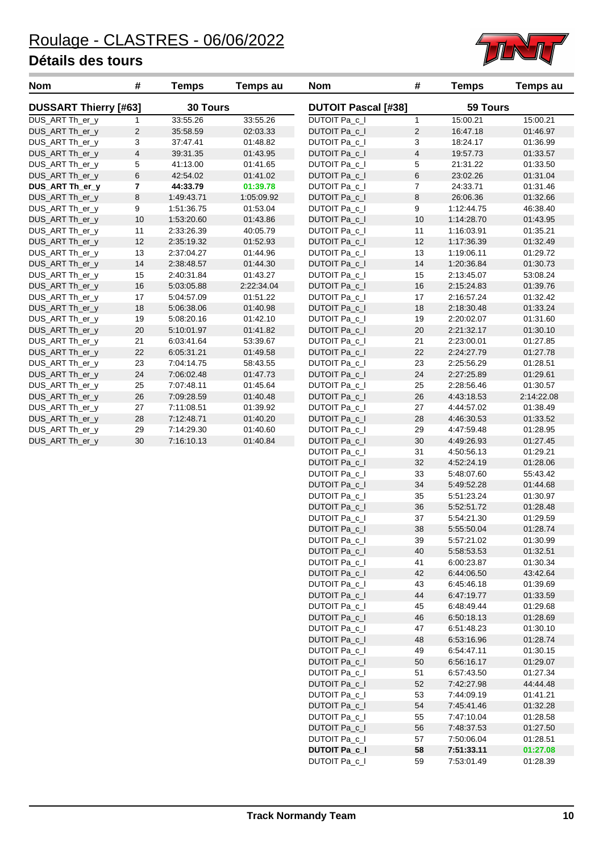

| <b>Nom</b>                         | #                       | <b>Temps</b>             | Temps au             | <b>Nom</b>                     | #                          | <b>Temps</b>             | <b>Temps au</b>      |
|------------------------------------|-------------------------|--------------------------|----------------------|--------------------------------|----------------------------|--------------------------|----------------------|
| <b>DUSSART Thierry [#63]</b>       |                         | 30 Tours                 |                      |                                | <b>DUTOIT Pascal [#38]</b> |                          | 59 Tours             |
| DUS_ART Th_er_y                    | 1                       | 33:55.26                 | 33:55.26             | DUTOIT Pa_c_I                  | $\mathbf{1}$               | 15:00.21                 | 15:00.21             |
| DUS_ART Th_er_y                    | $\overline{2}$          | 35:58.59                 | 02:03.33             | DUTOIT Pa_c_I                  | $\sqrt{2}$                 | 16:47.18                 | 01:46.97             |
| DUS_ART Th_er_y                    | 3                       | 37:47.41                 | 01:48.82             | DUTOIT Pa_c_I                  | 3                          | 18:24.17                 | 01:36.99             |
| DUS_ART Th_er_y                    | $\overline{4}$          | 39:31.35                 | 01:43.95             | DUTOIT Pa_c_I                  | $\overline{\mathbf{4}}$    | 19:57.73                 | 01:33.57             |
| DUS_ART Th_er_y                    | $\overline{5}$          | 41:13.00                 | 01:41.65             | DUTOIT Pa_c_I                  | 5                          | 21:31.22                 | 01:33.50             |
| DUS_ART Th_er_y                    | $\,6$                   | 42:54.02                 | 01:41.02             | DUTOIT Pa_c_I                  | 6                          | 23:02.26                 | 01:31.04             |
| DUS_ART Th_er_y                    | $\overline{\mathbf{r}}$ | 44:33.79                 | 01:39.78             | DUTOIT Pa_c_I                  | $\overline{7}$             | 24:33.71                 | 01:31.46             |
| DUS_ART Th_er_y                    | $\bf 8$                 | 1:49:43.71               | 1:05:09.92           | DUTOIT Pa_c_I                  | 8                          | 26:06.36                 | 01:32.66             |
| DUS_ART Th_er_y                    | 9                       | 1:51:36.75               | 01:53.04             | DUTOIT Pa c I                  | 9                          | 1:12:44.75               | 46:38.40             |
| DUS_ART Th_er_y                    | 10                      | 1:53:20.60               | 01:43.86             | DUTOIT Pa_c_I                  | 10                         | 1:14:28.70               | 01:43.95             |
| DUS_ART Th_er_y                    | 11                      | 2:33:26.39               | 40:05.79             | DUTOIT Pa_c_I                  | 11                         | 1:16:03.91               | 01:35.21             |
| DUS_ART Th_er_y                    | 12                      | 2:35:19.32               | 01:52.93             | DUTOIT Pa_c_I                  | 12                         | 1:17:36.39               | 01:32.49             |
| DUS_ART Th_er_y                    | 13                      | 2:37:04.27               | 01:44.96             | DUTOIT Pa_c_I                  | 13                         | 1:19:06.11               | 01:29.72             |
| DUS_ART Th_er_y                    | 14                      | 2:38:48.57               | 01:44.30             | DUTOIT Pa_c_I                  | 14                         | 1:20:36.84               | 01:30.73             |
| DUS_ART Th_er_y                    | 15                      | 2:40:31.84               | 01:43.27             | DUTOIT Pa_c_I                  | 15                         | 2:13:45.07               | 53:08.24             |
| DUS_ART Th_er_y                    | 16                      | 5:03:05.88               | 2:22:34.04           | DUTOIT Pa_c_I                  | 16                         | 2:15:24.83               | 01:39.76             |
| DUS_ART Th_er_y                    | 17                      | 5:04:57.09               | 01:51.22             | DUTOIT Pa_c_I                  | 17                         | 2:16:57.24               | 01:32.42             |
| DUS_ART Th_er_y                    | 18                      | 5:06:38.06               | 01:40.98             | DUTOIT Pa_c_I                  | 18                         | 2:18:30.48               | 01:33.24             |
| DUS_ART Th_er_y                    | 19                      | 5:08:20.16               | 01:42.10             | DUTOIT Pa_c_I                  | 19                         | 2:20:02.07               | 01:31.60             |
| DUS_ART Th_er_y                    | 20                      | 5:10:01.97               | 01:41.82             | DUTOIT Pa_c_I                  | 20                         | 2:21:32.17               | 01:30.10             |
| DUS_ART Th_er_y                    | 21                      | 6:03:41.64<br>6:05:31.21 | 53:39.67             | <b>DUTOIT Pa_c_I</b>           | 21<br>22                   | 2:23:00.01               | 01:27.85             |
| DUS_ART Th_er_y<br>DUS_ART Th_er_y | 22<br>23                |                          | 01:49.58             | DUTOIT Pa_c_I                  | 23                         | 2:24:27.79               | 01:27.78<br>01:28.51 |
|                                    |                         | 7:04:14.75               | 58:43.55             | DUTOIT Pa_c_I                  |                            | 2:25:56.29               |                      |
| DUS_ART Th_er_y<br>DUS_ART Th_er_y | 24<br>25                | 7:06:02.48<br>7:07:48.11 | 01:47.73<br>01:45.64 | DUTOIT Pa_c_I<br>DUTOIT Pa_c_I | 24<br>25                   | 2:27:25.89<br>2:28:56.46 | 01:29.61<br>01:30.57 |
| DUS_ART Th_er_y                    | 26                      | 7:09:28.59               | 01:40.48             | DUTOIT Pa_c_I                  | 26                         | 4:43:18.53               | 2:14:22.08           |
| DUS_ART Th_er_y                    | 27                      | 7:11:08.51               | 01:39.92             | DUTOIT Pa_c_I                  | 27                         | 4:44:57.02               | 01:38.49             |
| DUS_ART Th_er_y                    | 28                      | 7:12:48.71               | 01:40.20             | DUTOIT Pa_c_I                  | 28                         | 4:46:30.53               | 01:33.52             |
| DUS_ART Th_er_y                    | 29                      | 7:14:29.30               | 01:40.60             | DUTOIT Pa_c_I                  | 29                         | 4:47:59.48               | 01:28.95             |
| DUS_ART Th_er_y                    | 30                      | 7:16:10.13               | 01:40.84             | DUTOIT Pa_c_I                  | 30                         | 4:49:26.93               | 01:27.45             |
|                                    |                         |                          |                      | DUTOIT Pa_c_I                  | 31                         | 4:50:56.13               | 01:29.21             |
|                                    |                         |                          |                      | DUTOIT Pa_c_I                  | 32                         | 4:52:24.19               | 01:28.06             |
|                                    |                         |                          |                      | DUTOIT Pa c I                  | 33                         | 5:48:07.60               | 55:43.42             |
|                                    |                         |                          |                      | DUTOIT Pa c I                  | 34                         | 5:49:52.28               | 01:44.68             |
|                                    |                         |                          |                      | DUTOIT Pa_c_I                  | 35                         | 5:51:23.24               | 01:30.97             |
|                                    |                         |                          |                      | DUTOIT Pa_c_I                  | 36                         | 5:52:51.72               | 01:28.48             |
|                                    |                         |                          |                      | DUTOIT Pa_c_I                  | 37                         | 5:54:21.30               | 01:29.59             |
|                                    |                         |                          |                      | DUTOIT Pa_c_I                  | 38                         | 5:55:50.04               | 01:28.74             |
|                                    |                         |                          |                      | DUTOIT Pa_c_I                  | 39                         | 5:57:21.02               | 01:30.99             |
|                                    |                         |                          |                      | DUTOIT Pa_c_I                  | 40                         | 5:58:53.53               | 01:32.51             |
|                                    |                         |                          |                      | DUTOIT Pa_c_I                  | 41                         | 6:00:23.87               | 01:30.34             |
|                                    |                         |                          |                      | DUTOIT Pa_c_I                  | 42                         | 6:44:06.50               | 43:42.64             |
|                                    |                         |                          |                      | DUTOIT Pa_c_I                  | 43                         | 6:45:46.18               | 01:39.69             |
|                                    |                         |                          |                      | DUTOIT Pa_c_I                  | 44                         | 6:47:19.77               | 01:33.59             |
|                                    |                         |                          |                      | DUTOIT Pa_c_I                  | 45                         | 6:48:49.44               | 01:29.68             |
|                                    |                         |                          |                      | DUTOIT Pa_c_I                  | 46                         | 6:50:18.13               | 01:28.69             |
|                                    |                         |                          |                      | DUTOIT Pa c I                  | 47                         | 6:51:48.23               | 01:30.10             |
|                                    |                         |                          |                      | DUTOIT Pa_c_I                  | 48                         | 6:53:16.96               | 01:28.74             |
|                                    |                         |                          |                      | DUTOIT Pa_c_I                  | 49                         | 6:54:47.11               | 01:30.15             |
|                                    |                         |                          |                      | DUTOIT Pa_c_I                  | 50                         | 6:56:16.17               | 01:29.07             |
|                                    |                         |                          |                      | DUTOIT Pa_c_I                  | 51<br>52                   | 6:57:43.50               | 01:27.34             |
|                                    |                         |                          |                      | DUTOIT Pa_c_I<br>DUTOIT Pa_c_I | 53                         | 7:42:27.98<br>7:44:09.19 | 44:44.48<br>01:41.21 |
|                                    |                         |                          |                      | DUTOIT Pa_c_I                  |                            |                          |                      |
|                                    |                         |                          |                      | DUTOIT Pa_c_I                  | 54<br>55                   | 7:45:41.46<br>7:47:10.04 | 01:32.28<br>01:28.58 |
|                                    |                         |                          |                      | DUTOIT Pa_c_I                  | 56                         | 7:48:37.53               | 01:27.50             |
|                                    |                         |                          |                      | DUTOIT Pa_c_I                  | 57                         | 7:50:06.04               | 01:28.51             |
|                                    |                         |                          |                      | <b>DUTOIT Pa_c_I</b>           | 58                         | 7:51:33.11               | 01:27.08             |
|                                    |                         |                          |                      | DUTOIT Pa_c_I                  | 59                         | 7:53:01.49               | 01:28.39             |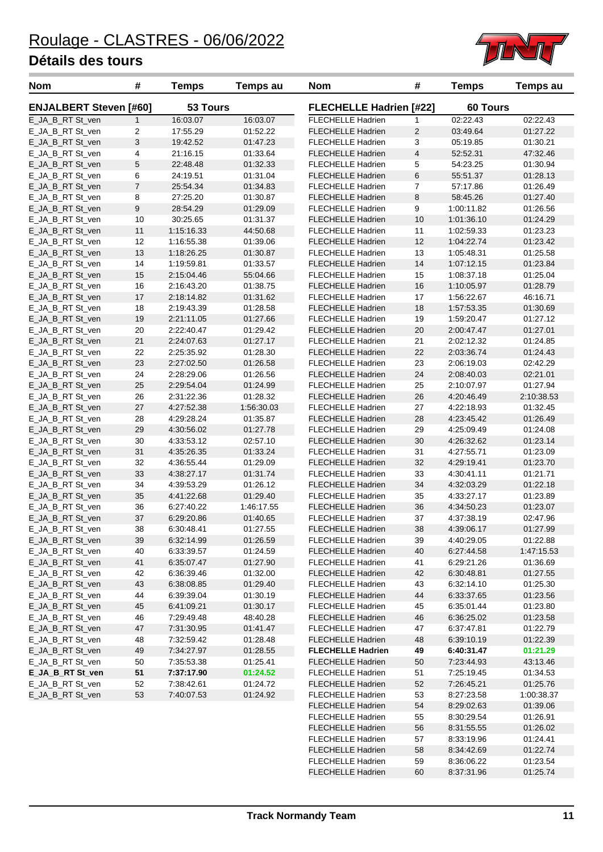

| <b>Nom</b>                           | #              | <b>Temps</b>             | Temps au             | <b>Nom</b>                                           | #                              | <b>Temps</b>             | Temps au             |  |  |
|--------------------------------------|----------------|--------------------------|----------------------|------------------------------------------------------|--------------------------------|--------------------------|----------------------|--|--|
| <b>ENJALBERT Steven [#60]</b>        |                | 53 Tours                 |                      |                                                      | <b>FLECHELLE Hadrien [#22]</b> |                          | 60 Tours             |  |  |
| E_JA_B_RT St_ven                     | $\mathbf{1}$   | 16:03.07                 | 16:03.07             | <b>FLECHELLE Hadrien</b>                             | 1                              | 02:22.43                 | 02:22.43             |  |  |
| E_JA_B_RT St_ven                     | 2              | 17:55.29                 | 01:52.22             | <b>FLECHELLE Hadrien</b>                             | $\overline{c}$                 | 03:49.64                 | 01:27.22             |  |  |
| E_JA_B_RT St_ven                     | 3              | 19:42.52                 | 01:47.23             | <b>FLECHELLE Hadrien</b>                             | 3                              | 05:19.85                 | 01:30.21             |  |  |
| E_JA_B_RT St_ven                     | 4              | 21:16.15                 | 01:33.64             | <b>FLECHELLE Hadrien</b>                             | $\overline{\mathbf{4}}$        | 52:52.31                 | 47:32.46             |  |  |
| E_JA_B_RT St_ven                     | 5              | 22:48.48                 | 01:32.33             | <b>FLECHELLE Hadrien</b>                             | 5                              | 54:23.25                 | 01:30.94             |  |  |
| E_JA_B_RT St_ven                     | 6              | 24:19.51                 | 01:31.04             | <b>FLECHELLE Hadrien</b>                             | 6                              | 55:51.37                 | 01:28.13             |  |  |
| E_JA_B_RT St_ven                     | $\overline{7}$ | 25:54.34                 | 01:34.83             | <b>FLECHELLE Hadrien</b>                             | $\overline{7}$                 | 57:17.86                 | 01:26.49             |  |  |
| E_JA_B_RT St_ven                     | 8              | 27:25.20                 | 01:30.87             | <b>FLECHELLE Hadrien</b>                             | 8                              | 58:45.26                 | 01:27.40             |  |  |
| E_JA_B_RT St_ven                     | 9              | 28:54.29                 | 01:29.09             | <b>FLECHELLE Hadrien</b>                             | 9                              | 1:00:11.82               | 01:26.56             |  |  |
| E_JA_B_RT St_ven                     | 10             | 30:25.65                 | 01:31.37             | <b>FLECHELLE Hadrien</b>                             | 10                             | 1:01:36.10               | 01:24.29             |  |  |
| E_JA_B_RT St_ven                     | 11             | 1:15:16.33               | 44:50.68             | <b>FLECHELLE Hadrien</b>                             | 11                             | 1:02:59.33               | 01:23.23             |  |  |
| E_JA_B_RT St_ven                     | 12             | 1:16:55.38               | 01:39.06             | <b>FLECHELLE Hadrien</b>                             | 12                             | 1:04:22.74               | 01:23.42             |  |  |
| E_JA_B_RT St_ven                     | 13             | 1:18:26.25               | 01:30.87             | <b>FLECHELLE Hadrien</b>                             | 13                             | 1:05:48.31               | 01:25.58             |  |  |
| E_JA_B_RT St_ven                     | 14             | 1:19:59.81               | 01:33.57             | <b>FLECHELLE Hadrien</b>                             | 14                             | 1:07:12.15               | 01:23.84             |  |  |
| E_JA_B_RT St_ven                     | 15             | 2:15:04.46               | 55:04.66             | <b>FLECHELLE Hadrien</b>                             | 15                             | 1:08:37.18               | 01:25.04             |  |  |
| E_JA_B_RT St_ven                     | 16             | 2:16:43.20               | 01:38.75             | <b>FLECHELLE Hadrien</b>                             | 16                             | 1:10:05.97               | 01:28.79             |  |  |
| E_JA_B_RT St_ven                     | 17             | 2:18:14.82               | 01:31.62             | <b>FLECHELLE Hadrien</b>                             | 17                             | 1:56:22.67               | 46:16.71             |  |  |
| E_JA_B_RT St_ven                     | 18             | 2:19:43.39               | 01:28.58             | <b>FLECHELLE Hadrien</b>                             | 18                             | 1:57:53.35               | 01:30.69             |  |  |
| E_JA_B_RT St_ven                     | 19             | 2:21:11.05               | 01:27.66             | <b>FLECHELLE Hadrien</b>                             | 19                             | 1:59:20.47               | 01:27.12             |  |  |
| E_JA_B_RT St_ven                     | 20             | 2:22:40.47               | 01:29.42             | <b>FLECHELLE Hadrien</b>                             | 20                             | 2:00:47.47               | 01:27.01             |  |  |
| E_JA_B_RT St_ven                     | 21             | 2:24:07.63               | 01:27.17             | <b>FLECHELLE Hadrien</b>                             | 21                             | 2:02:12.32               | 01:24.85             |  |  |
| E_JA_B_RT St_ven                     | 22             | 2:25:35.92               | 01:28.30             | <b>FLECHELLE Hadrien</b>                             | 22                             | 2:03:36.74               | 01:24.43             |  |  |
| E_JA_B_RT St_ven                     | 23             | 2:27:02.50               | 01:26.58             | <b>FLECHELLE Hadrien</b>                             | 23                             | 2:06:19.03               | 02:42.29             |  |  |
| E_JA_B_RT St_ven                     | 24             | 2:28:29.06               | 01:26.56             | <b>FLECHELLE Hadrien</b>                             | 24                             | 2:08:40.03               | 02:21.01             |  |  |
| E_JA_B_RT St_ven                     | 25             | 2:29:54.04               | 01:24.99             | <b>FLECHELLE Hadrien</b>                             | 25                             | 2:10:07.97               | 01:27.94             |  |  |
| E_JA_B_RT St_ven                     | 26<br>27       | 2:31:22.36               | 01:28.32             | <b>FLECHELLE Hadrien</b><br><b>FLECHELLE Hadrien</b> | 26                             | 4:20:46.49               | 2:10:38.53           |  |  |
| E_JA_B_RT St_ven<br>E_JA_B_RT St_ven |                | 4:27:52.38               | 1:56:30.03           | <b>FLECHELLE Hadrien</b>                             | 27                             | 4:22:18.93               | 01:32.45             |  |  |
|                                      | 28<br>29       | 4:29:28.24<br>4:30:56.02 | 01:35.87<br>01:27.78 | <b>FLECHELLE Hadrien</b>                             | 28<br>29                       | 4:23:45.42<br>4:25:09.49 | 01:26.49<br>01:24.08 |  |  |
| E_JA_B_RT St_ven<br>E_JA_B_RT St_ven | 30             | 4:33:53.12               | 02:57.10             | <b>FLECHELLE Hadrien</b>                             | 30                             | 4:26:32.62               | 01:23.14             |  |  |
| E_JA_B_RT St_ven                     | 31             | 4:35:26.35               | 01:33.24             | <b>FLECHELLE Hadrien</b>                             | 31                             | 4:27:55.71               | 01:23.09             |  |  |
| E_JA_B_RT St_ven                     | 32             | 4:36:55.44               | 01:29.09             | <b>FLECHELLE Hadrien</b>                             | 32                             | 4:29:19.41               | 01:23.70             |  |  |
| E_JA_B_RT St_ven                     | 33             | 4:38:27.17               | 01:31.74             | FLECHELLE Hadrien                                    | 33                             | 4:30:41.11               | 01:21.71             |  |  |
| E_JA_B_RT St_ven                     | 34             | 4:39:53.29               | 01:26.12             | <b>FLECHELLE Hadrien</b>                             | 34                             | 4:32:03.29               | 01:22.18             |  |  |
| E_JA_B_RT St_ven                     | 35             | 4:41:22.68               | 01:29.40             | <b>FLECHELLE Hadrien</b>                             | 35                             | 4:33:27.17               | 01:23.89             |  |  |
| E_JA_B_RT St_ven                     | 36             | 6:27:40.22               | 1:46:17.55           | <b>FLECHELLE Hadrien</b>                             | 36                             | 4:34:50.23               | 01:23.07             |  |  |
| E_JA_B_RT St_ven                     | 37             | 6:29:20.86               | 01:40.65             | FLECHELLE Hadrien                                    | 37                             | 4:37:38.19               | 02:47.96             |  |  |
| E_JA_B_RT St_ven                     | 38             | 6:30:48.41               | 01:27.55             | <b>FLECHELLE Hadrien</b>                             | 38                             | 4:39:06.17               | 01:27.99             |  |  |
| E_JA_B_RT St_ven                     | 39             | 6:32:14.99               | 01:26.59             | <b>FLECHELLE Hadrien</b>                             | 39                             | 4:40:29.05               | 01:22.88             |  |  |
| E_JA_B_RT St_ven                     | 40             | 6:33:39.57               | 01:24.59             | <b>FLECHELLE Hadrien</b>                             | 40                             | 6:27:44.58               | 1:47:15.53           |  |  |
| E JA B RT St ven                     | 41             | 6.35.07.47               | 01:27.90             | <b>FLECHELLE Hadrien</b>                             | 41                             | 6:29:21.26               | 01:36.69             |  |  |
| E_JA_B_RT St_ven                     | 42             | 6:36:39.46               | 01:32.00             | <b>FLECHELLE Hadrien</b>                             | 42                             | 6:30:48.81               | 01:27.55             |  |  |
| E_JA_B_RT St_ven                     | 43             | 6.38.08.85               | 01:29.40             | <b>FLECHELLE Hadrien</b>                             | 43                             | 6:32:14.10               | 01:25.30             |  |  |
| E_JA_B_RT St_ven                     | 44             | 6:39:39.04               | 01:30.19             | <b>FLECHELLE Hadrien</b>                             | 44                             | 6:33:37.65               | 01:23.56             |  |  |
| E_JA_B_RT St_ven                     | 45             | 6:41:09.21               | 01:30.17             | <b>FLECHELLE Hadrien</b>                             | 45                             | 6:35:01.44               | 01:23.80             |  |  |
| E_JA_B_RT St_ven                     | 46             | 7:29:49.48               | 48:40.28             | <b>FLECHELLE Hadrien</b>                             | 46                             | 6:36:25.02               | 01:23.58             |  |  |
| E_JA_B_RT St_ven                     | 47             | 7:31:30.95               | 01:41.47             | <b>FLECHELLE Hadrien</b>                             | 47                             | 6:37:47.81               | 01:22.79             |  |  |
| E_JA_B_RT St_ven                     | 48             | 7:32:59.42               | 01:28.48             | <b>FLECHELLE Hadrien</b>                             | 48                             | 6.39.10.19               | 01:22.39             |  |  |
| E_JA_B_RT St_ven                     | 49             | 7:34:27.97               | 01:28.55             | <b>FLECHELLE Hadrien</b>                             | 49                             | 6:40:31.47               | 01:21.29             |  |  |
| E_JA_B_RT St_ven                     | 50             | 7:35:53.38               | 01:25.41             | <b>FLECHELLE Hadrien</b>                             | 50                             | 7:23:44.93               | 43:13.46             |  |  |
| E_JA_B_RT St_ven                     | 51             | 7:37:17.90               | 01:24.52             | <b>FLECHELLE Hadrien</b>                             | 51                             | 7:25:19.45               | 01:34.53             |  |  |
| E_JA_B_RT St_ven                     | 52             | 7:38:42.61               | 01:24.72             | <b>FLECHELLE Hadrien</b>                             | 52                             | 7:26:45.21               | 01:25.76             |  |  |
| E_JA_B_RT St_ven                     | 53             | 7:40:07.53               | 01:24.92             | FLECHELLE Hadrien                                    | 53                             | 8:27:23.58               | 1:00:38.37           |  |  |
|                                      |                |                          |                      | <b>FLECHELLE Hadrien</b>                             | 54                             | 8:29:02.63               | 01:39.06             |  |  |
|                                      |                |                          |                      | <b>FLECHELLE Hadrien</b>                             | 55                             | 8:30:29.54               | 01:26.91             |  |  |
|                                      |                |                          |                      | <b>FLECHELLE Hadrien</b>                             | 56                             | 8.31.55.55               | 01:26.02             |  |  |
|                                      |                |                          |                      | <b>FLECHELLE Hadrien</b>                             | 57                             | 8:33:19.96               | 01:24.41             |  |  |
|                                      |                |                          |                      | <b>FLECHELLE Hadrien</b>                             | 58                             | 8.34.42.69               | 01:22.74             |  |  |

FLECHELLE Hadrien 59 8:36:06.22 01:23.54

FLECHELLE Hadrien 60 8:37:31.96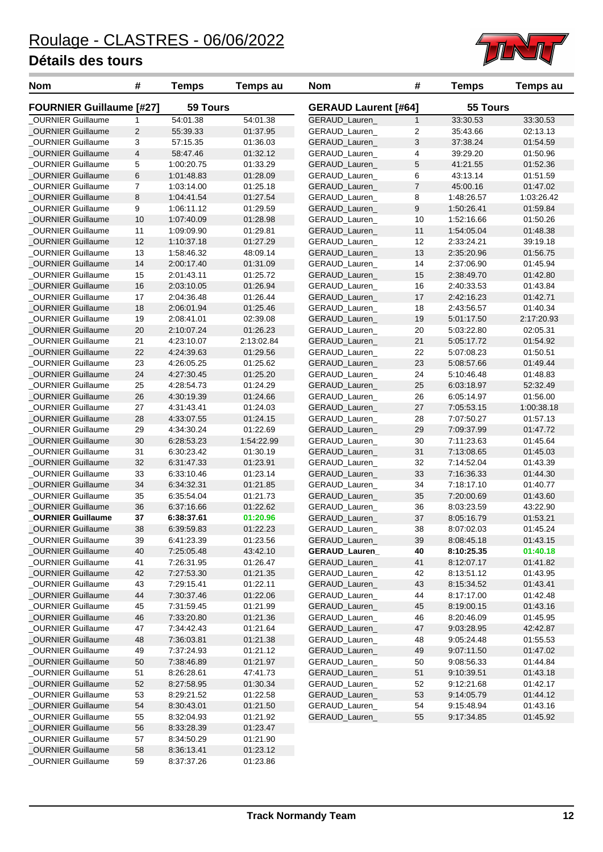\_OURNIER Guillaume 59 8:37:37.26 01:23.86



| Nom                             | #                       | <b>Temps</b> | <b>Temps au</b> | Nom                         | #              | <b>Temps</b> | Temps au   |
|---------------------------------|-------------------------|--------------|-----------------|-----------------------------|----------------|--------------|------------|
| <b>FOURNIER Guillaume [#27]</b> |                         | 59 Tours     |                 | <b>GERAUD Laurent [#64]</b> |                | 55 Tours     |            |
| <b>OURNIER Guillaume</b>        | 1                       | 54:01.38     | 54:01.38        | GERAUD_Lauren               | $\mathbf{1}$   | 33:30.53     | 33:30.53   |
| OURNIER Guillaume               | $\overline{c}$          | 55:39.33     | 01:37.95        | GERAUD_Lauren_              | $\overline{2}$ | 35:43.66     | 02:13.13   |
| <b>OURNIER Guillaume</b>        | 3                       | 57:15.35     | 01:36.03        | GERAUD_Lauren               | 3              | 37:38.24     | 01:54.59   |
| <b>OURNIER Guillaume</b>        | $\overline{\mathbf{4}}$ | 58:47.46     | 01:32.12        | GERAUD_Lauren_              | 4              | 39:29.20     | 01:50.96   |
| <b>OURNIER Guillaume</b>        | 5                       | 1:00:20.75   | 01:33.29        | GERAUD_Lauren_              | 5              | 41:21.55     | 01:52.36   |
| _OURNIER Guillaume              | 6                       | 1:01:48.83   | 01:28.09        | GERAUD_Lauren_              | 6              | 43:13.14     | 01:51.59   |
| <b>OURNIER Guillaume</b>        | 7                       | 1:03:14.00   | 01:25.18        | GERAUD_Lauren_              | $\overline{7}$ | 45:00.16     | 01:47.02   |
| OURNIER Guillaume               | 8                       | 1:04:41.54   | 01:27.54        | GERAUD_Lauren_              | 8              | 1:48:26.57   | 1:03:26.42 |
| <b>OURNIER Guillaume</b>        | 9                       | 1:06:11.12   | 01:29.59        | GERAUD_Lauren_              | 9              | 1:50:26.41   | 01:59.84   |
| <b>OURNIER Guillaume</b>        | 10                      | 1:07:40.09   | 01:28.98        | <b>GERAUD Lauren</b>        | 10             | 1:52:16.66   | 01:50.26   |
| <b>OURNIER Guillaume</b>        | 11                      | 1:09:09.90   | 01:29.81        | GERAUD_Lauren_              | 11             | 1:54:05.04   | 01:48.38   |
| OURNIER Guillaume               | 12                      | 1:10:37.18   | 01:27.29        | GERAUD_Lauren_              | 12             | 2:33:24.21   | 39:19.18   |
| _OURNIER Guillaume              | 13                      | 1:58:46.32   | 48:09.14        | GERAUD_Lauren               | 13             | 2:35:20.96   | 01:56.75   |
| _OURNIER Guillaume              | 14                      | 2:00:17.40   | 01:31.09        | GERAUD_Lauren_              | 14             | 2:37:06.90   | 01:45.94   |
| OURNIER Guillaume               | 15                      | 2:01:43.11   | 01:25.72        | GERAUD_Lauren_              | 15             | 2:38:49.70   | 01:42.80   |
| OURNIER Guillaume               | 16                      | 2:03:10.05   | 01:26.94        | GERAUD_Lauren_              | 16             | 2:40:33.53   | 01:43.84   |
| <b>OURNIER Guillaume</b>        | 17                      | 2:04:36.48   | 01:26.44        | GERAUD_Lauren_              | 17             | 2:42:16.23   | 01:42.71   |
| OURNIER Guillaume               | 18                      | 2:06:01.94   | 01:25.46        | GERAUD_Lauren_              | 18             | 2:43:56.57   | 01:40.34   |
| OURNIER Guillaume               | 19                      | 2:08:41.01   | 02:39.08        | GERAUD_Lauren               | 19             | 5:01:17.50   | 2:17:20.93 |
| OURNIER Guillaume               | 20                      | 2:10:07.24   | 01:26.23        | GERAUD_Lauren_              | 20             | 5:03:22.80   | 02:05.31   |
| <b>OURNIER Guillaume</b>        | 21                      | 4:23:10.07   | 2:13:02.84      | GERAUD_Lauren_              | 21             | 5:05:17.72   | 01:54.92   |
| OURNIER Guillaume               | 22                      | 4:24:39.63   | 01:29.56        | GERAUD_Lauren_              | 22             | 5:07:08.23   | 01:50.51   |
| OURNIER Guillaume               | 23                      | 4:26:05.25   | 01:25.62        | <b>GERAUD Lauren</b>        | 23             | 5:08:57.66   | 01:49.44   |
| _OURNIER Guillaume              | 24                      | 4:27:30.45   | 01:25.20        | GERAUD_Lauren_              | 24             | 5:10:46.48   | 01:48.83   |
| <b>OURNIER Guillaume</b>        | 25                      | 4:28:54.73   | 01:24.29        | GERAUD_Lauren_              | 25             | 6:03:18.97   | 52:32.49   |
| <b>OURNIER Guillaume</b>        | 26                      | 4:30:19.39   | 01:24.66        | GERAUD_Lauren_              | 26             | 6:05:14.97   | 01:56.00   |
| _OURNIER Guillaume              | 27                      | 4:31:43.41   | 01:24.03        | GERAUD_Lauren_              | 27             | 7:05:53.15   | 1:00:38.18 |
| _OURNIER Guillaume              | 28                      | 4:33:07.55   | 01:24.15        | GERAUD_Lauren_              | 28             | 7:07:50.27   | 01:57.13   |
| _OURNIER Guillaume              | 29                      | 4:34:30.24   | 01:22.69        | GERAUD_Lauren_              | 29             | 7:09:37.99   | 01:47.72   |
| _OURNIER Guillaume              | 30                      | 6:28:53.23   | 1:54:22.99      | GERAUD_Lauren_              | 30             | 7:11:23.63   | 01:45.64   |
| <b>OURNIER Guillaume</b>        | 31                      | 6:30:23.42   | 01:30.19        | GERAUD_Lauren_              | 31             | 7:13:08.65   | 01:45.03   |
| <b>OURNIER Guillaume</b>        | 32                      | 6:31:47.33   | 01:23.91        | GERAUD_Lauren_              | 32             | 7:14:52.04   | 01:43.39   |
| <b>OURNIER Guillaume</b>        | 33                      | 6:33:10.46   | 01:23.14        | GERAUD_Lauren_              | 33             | 7:16:36.33   | 01:44.30   |
| OURNIER Guillaume               | 34                      | 6:34:32.31   | 01:21.85        | <b>GERAUD Lauren</b>        | 34             | 7:18:17.10   | 01:40.77   |
| _OURNIER Guillaume              | 35                      | 6:35:54.04   | 01:21.73        | <b>GERAUD Lauren</b>        | 35             | 7:20:00.69   | 01:43.60   |
| _OURNIER Guillaume              | 36                      | 6:37:16.66   | 01:22.62        | GERAUD_Lauren_              | 36             | 8:03:23.59   | 43:22.90   |
| <b>OURNIER Guillaume</b>        | 37                      | 6:38:37.61   | 01:20.96        | GERAUD_Lauren_              | 37             | 8:05:16.79   | 01:53.21   |
| OURNIER Guillaume               | 38                      | 6:39:59.83   | 01:22.23        | GERAUD_Lauren_              | 38             | 8:07:02.03   | 01:45.24   |
| <b>OURNIER Guillaume</b>        | 39                      | 6:41:23.39   | 01:23.56        | GERAUD_Lauren_              | 39             | 8:08:45.18   | 01:43.15   |
| _OURNIER Guillaume              | 40                      | 7:25:05.48   | 43:42.10        | GERAUD_Lauren_              | 40             | 8:10:25.35   | 01:40.18   |
| <b>OURNIER Guillaume</b>        | 41                      | 7:26:31.95   | 01:26.47        | <b>GERAUD Lauren</b>        | 41             | 8:12:07.17   | 01:41.82   |
| _OURNIER Guillaume              | 42                      | 7:27:53.30   | 01:21.35        | GERAUD_Lauren_              | 42             | 8:13:51.12   | 01:43.95   |
| <b>OURNIER Guillaume</b>        | 43                      | 7:29:15.41   | 01:22.11        | <b>GERAUD Lauren</b>        | 43             | 8:15:34.52   | 01:43.41   |
| _OURNIER Guillaume              | 44                      | 7:30:37.46   | 01:22.06        | GERAUD_Lauren_              | 44             | 8:17:17.00   | 01:42.48   |
| <b>OURNIER Guillaume</b>        | 45                      | 7:31:59.45   | 01:21.99        | GERAUD_Lauren_              | 45             | 8:19:00.15   | 01:43.16   |
| _OURNIER Guillaume              | 46                      | 7:33:20.80   | 01:21.36        | GERAUD_Lauren_              | 46             | 8:20:46.09   | 01:45.95   |
| OURNIER Guillaume               | 47                      | 7:34:42.43   | 01:21.64        | <b>GERAUD Lauren</b>        | 47             | 9:03:28.95   | 42:42.87   |
| <b>OURNIER Guillaume</b>        | 48                      | 7:36:03.81   | 01:21.38        | GERAUD_Lauren_              | 48             | 9:05:24.48   | 01:55.53   |
| OURNIER Guillaume               | 49                      | 7:37:24.93   | 01:21.12        | GERAUD_Lauren_              | 49             | 9:07:11.50   | 01:47.02   |
| _OURNIER Guillaume              | 50                      | 7:38:46.89   | 01:21.97        | GERAUD_Lauren_              | 50             | 9:08:56.33   | 01:44.84   |
| _OURNIER Guillaume              | 51                      | 8:26:28.61   | 47:41.73        | GERAUD_Lauren_              | $51\,$         | 9:10:39.51   | 01:43.18   |
| _OURNIER Guillaume              | 52                      | 8:27:58.95   | 01:30.34        | GERAUD_Lauren_              | 52             | 9:12:21.68   | 01:42.17   |
| _OURNIER Guillaume              | 53                      | 8:29:21.52   | 01:22.58        | GERAUD_Lauren_              | 53             | 9:14:05.79   | 01:44.12   |
| <b>OURNIER Guillaume</b>        | 54                      | 8:30:43.01   | 01:21.50        | GERAUD_Lauren_              | 54             | 9:15:48.94   | 01:43.16   |
| OURNIER Guillaume               | 55                      | 8:32:04.93   | 01:21.92        | GERAUD_Lauren_              | 55             | 9:17:34.85   | 01:45.92   |
| _OURNIER Guillaume              | 56                      | 8:33:28.39   | 01:23.47        |                             |                |              |            |
| OURNIER Guillaume               | 57                      | 8:34:50.29   | 01:21.90        |                             |                |              |            |
| <b>OURNIER Guillaume</b>        | 58                      | 8:36:13.41   | 01:23.12        |                             |                |              |            |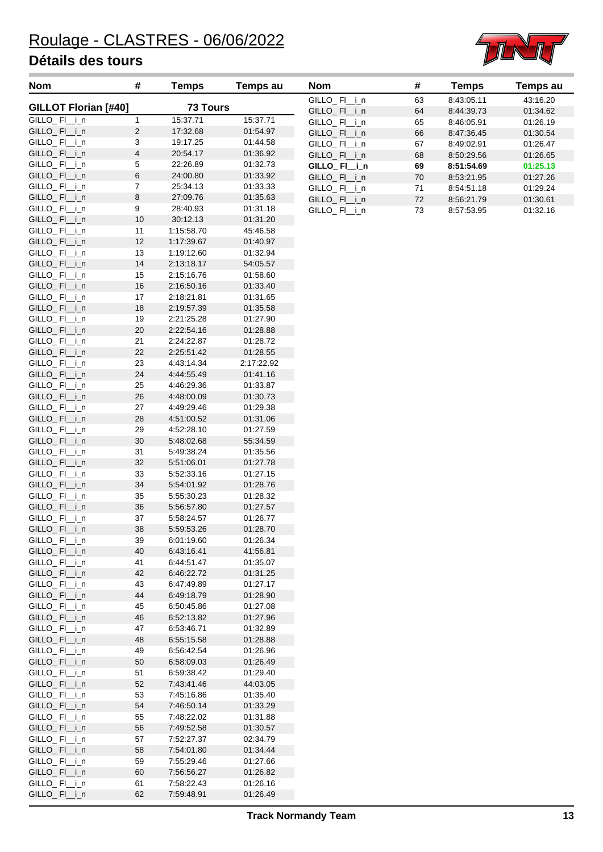

| <b>Nom</b>                   | #                       | <b>Temps</b>             | Temps au             | Nom                          | #        | <b>Temps</b>             | <b>Temps au</b>      |
|------------------------------|-------------------------|--------------------------|----------------------|------------------------------|----------|--------------------------|----------------------|
| <b>GILLOT Florian [#40]</b>  |                         | <b>73 Tours</b>          |                      | GILLO_FI_i_n                 | 63       | 8:43:05.11               | 43:16.20             |
|                              |                         |                          |                      | GILLO_FI_i_n                 | 64       | 8:44:39.73               | 01:34.62             |
| GILLO_FI_i_n                 | $\mathbf{1}$            | 15:37.71                 | 15:37.71             | GILLO_FI_i_n                 | 65       | 8:46:05.91               | 01:26.19             |
| GILLO_FI_i_n<br>GILLO_FI_i_n | $\mathbf{2}$<br>3       | 17:32.68<br>19:17.25     | 01:54.97<br>01:44.58 | GILLO_FI_i_n                 | 66       | 8:47:36.45               | 01:30.54             |
| GILLO_FI_i_n                 | $\overline{\mathbf{4}}$ | 20:54.17                 | 01:36.92             | GILLO_FI_i_n                 | 67       | 8:49:02.91               | 01:26.47             |
| GILLO_FI_i_n                 | 5                       | 22:26.89                 | 01:32.73             | GILLO_FI_i_n                 | 68       | 8:50:29.56               | 01:26.65             |
| GILLO_FI_i_n                 | $\,6$                   | 24:00.80                 | 01:33.92             | GILLO_FI_i_n                 | 69<br>70 | 8:51:54.69               | 01:25.13             |
| GILLO_FI_i_n                 | $\boldsymbol{7}$        | 25:34.13                 | 01:33.33             | GILLO_FI_i_n<br>GILLO_FI_i_n | 71       | 8:53:21.95<br>8:54:51.18 | 01:27.26<br>01:29.24 |
| GILLO_FI_i_n                 | 8                       | 27:09.76                 | 01:35.63             | GILLO_FI_i_n                 | 72       | 8:56:21.79               | 01:30.61             |
| GILLO_FI_i_n                 | 9                       | 28:40.93                 | 01:31.18             | GILLO_FI_i_n                 | 73       | 8:57:53.95               | 01:32.16             |
| GILLO_FI_i_n                 | 10                      | 30:12.13                 | 01:31.20             |                              |          |                          |                      |
| GILLO_FI_i_n                 | 11                      | 1:15:58.70               | 45:46.58             |                              |          |                          |                      |
| GILLO_FI_i_n                 | 12                      | 1:17:39.67               | 01:40.97             |                              |          |                          |                      |
| GILLO_FI_i_n                 | 13                      | 1:19:12.60               | 01:32.94             |                              |          |                          |                      |
| GILLO_FI_i_n                 | 14                      | 2:13:18.17               | 54:05.57             |                              |          |                          |                      |
| GILLO_FI_i_n                 | 15                      | 2:15:16.76               | 01:58.60             |                              |          |                          |                      |
| GILLO_FI_i_n                 | 16                      | 2:16:50.16               | 01:33.40             |                              |          |                          |                      |
| GILLO_FI_i_n                 | 17                      | 2:18:21.81               | 01:31.65             |                              |          |                          |                      |
| GILLO_FI_i_n                 | 18                      | 2:19:57.39               | 01:35.58             |                              |          |                          |                      |
| GILLO_FI_i_n                 | 19                      | 2:21:25.28               | 01:27.90             |                              |          |                          |                      |
| GILLO_FI_i_n                 | $20\,$                  | 2:22:54.16               | 01:28.88             |                              |          |                          |                      |
| GILLO_FI_i_n                 | 21                      | 2:24:22.87               | 01:28.72             |                              |          |                          |                      |
| GILLO_FI_i_n                 | 22                      | 2:25:51.42               | 01:28.55             |                              |          |                          |                      |
| GILLO_FI_i_n                 | 23                      | 4:43:14.34               | 2:17:22.92           |                              |          |                          |                      |
| GILLO_FI_i_n                 | 24                      | 4:44:55.49               | 01:41.16             |                              |          |                          |                      |
| GILLO_FI_i_n                 | 25                      | 4:46:29.36               | 01:33.87             |                              |          |                          |                      |
| GILLO_FI_i_n                 | 26                      | 4:48:00.09               | 01:30.73             |                              |          |                          |                      |
| GILLO_FI_i_n                 | 27                      | 4:49:29.46               | 01:29.38             |                              |          |                          |                      |
| GILLO_FI_i_n                 | 28                      | 4:51:00.52               | 01:31.06             |                              |          |                          |                      |
| GILLO_FI_i_n                 | 29<br>30                | 4:52:28.10               | 01:27.59             |                              |          |                          |                      |
| GILLO_FI_i_n                 |                         | 5:48:02.68<br>5:49:38.24 | 55:34.59<br>01:35.56 |                              |          |                          |                      |
| GILLO_FI_i_n<br>GILLO_FI_i_n | 31<br>32                | 5:51:06.01               | 01:27.78             |                              |          |                          |                      |
| GILLO_FI_i_n                 | 33                      | 5:52:33.16               | 01:27.15             |                              |          |                          |                      |
| GILLO_FI_i_n                 | 34                      | 5:54:01.92               | 01:28.76             |                              |          |                          |                      |
| GILLO_FI_i_n                 | 35                      | 5:55:30.23               | 01:28.32             |                              |          |                          |                      |
| GILLO_FI_i_n                 | 36                      | 5.56.57.80               | 01:27.57             |                              |          |                          |                      |
| GILLO_FI_i_n                 | 37                      | 5:58:24.57               | 01:26.77             |                              |          |                          |                      |
| GILLO_FI_i_n                 | 38                      | 5.59.53.26               | 01:28.70             |                              |          |                          |                      |
| GILLO_FI_i_n                 | 39                      | 6:01:19.60               | 01:26.34             |                              |          |                          |                      |
| GILLO_FI_i_n                 | 40                      | 6:43:16.41               | 41:56.81             |                              |          |                          |                      |
| GILLO_FI_i_n                 | 41                      | 6:44:51.47               | 01:35.07             |                              |          |                          |                      |
| GILLO_FI_i_n                 | 42                      | 6:46:22.72               | 01:31.25             |                              |          |                          |                      |
| GILLO_FI_i_n                 | 43                      | 6:47:49.89               | 01:27.17             |                              |          |                          |                      |
| GILLO_FI_i_n                 | 44                      | 6:49:18.79               | 01:28.90             |                              |          |                          |                      |
| GILLO_FI_i_n                 | 45                      | 6.50.45.86               | 01:27.08             |                              |          |                          |                      |
| GILLO_FI_i_n                 | 46                      | 6:52:13.82               | 01:27.96             |                              |          |                          |                      |
| GILLO_FI_i_n                 | 47                      | 6:53:46.71               | 01:32.89             |                              |          |                          |                      |
| GILLO_FI_i_n                 | 48                      | 6.55:15.58               | 01:28.88             |                              |          |                          |                      |
| GILLO_FI_i_n                 | 49                      | 6.56.42.54               | 01:26.96             |                              |          |                          |                      |
| GILLO_FI_i_n                 | 50                      | 6:58:09.03               | 01:26.49             |                              |          |                          |                      |
| GILLO_FI_i_n                 | 51                      | 6.59.38.42               | 01:29.40             |                              |          |                          |                      |
| GILLO_FI_i_n                 | 52                      | 7:43:41.46               | 44:03.05             |                              |          |                          |                      |
| GILLO_FI_i_n                 | 53                      | 7:45:16.86               | 01:35.40             |                              |          |                          |                      |
| GILLO_FI_i_n                 | 54                      | 7:46:50.14               | 01:33.29             |                              |          |                          |                      |
| GILLO_FI_i_n<br>GILLO_FI_i_n | 55                      | 7:48:22.02<br>7:49:52.58 | 01:31.88<br>01:30.57 |                              |          |                          |                      |
| GILLO_FI_i_n                 | 56<br>57                | 7:52:27.37               | 02:34.79             |                              |          |                          |                      |
| GILLO_FI_i_n                 | 58                      | 7:54:01.80               | 01:34.44             |                              |          |                          |                      |
| GILLO_FI_i_n                 | 59                      | 7:55:29.46               | 01:27.66             |                              |          |                          |                      |
| GILLO_FI_i_n                 | 60                      | 7:56:56.27               | 01:26.82             |                              |          |                          |                      |
| GILLO_FI_i_n                 | 61                      | 7:58:22.43               | 01:26.16             |                              |          |                          |                      |
| GILLO_FI_i_n                 | 62                      | 7:59:48.91               | 01:26.49             |                              |          |                          |                      |

| Temps au |
|----------|
| 43:16.20 |
| 01:34.62 |
| 01:26.19 |
| 01:30.54 |
| 01:26.47 |
| 01:26.65 |
| 01:25.13 |
| 01:27.26 |
| 01:29.24 |
| 01:30.61 |
| 01:32.16 |
|          |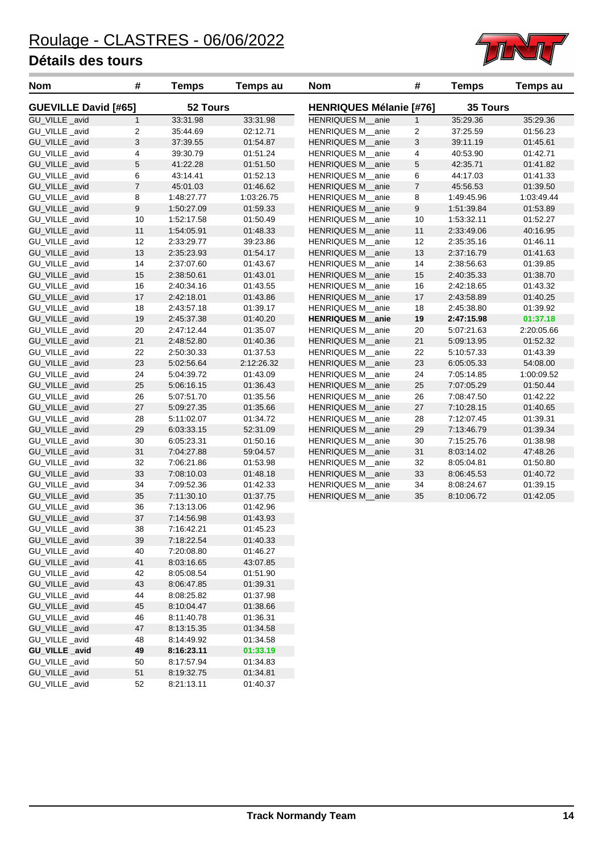GU\_VILLE \_avid 52 8:21:13.11 01:40.37



| <b>Nom</b>                      | #                       | <b>Temps</b> | <b>Temps au</b> | <b>Nom</b>                     | #                         | <b>Temps</b>    | <b>Temps au</b> |
|---------------------------------|-------------------------|--------------|-----------------|--------------------------------|---------------------------|-----------------|-----------------|
| <b>GUEVILLE David [#65]</b>     |                         | 52 Tours     |                 | <b>HENRIQUES Mélanie [#76]</b> |                           | <b>35 Tours</b> |                 |
| GU_VILLE _avid                  | $\mathbf{1}$            | 33:31.98     | 33:31.98        | HENRIQUES M_anie               | $\mathbf{1}$              | 35:29.36        | 35:29.36        |
| GU_VILLE_avid                   | $\overline{\mathbf{c}}$ | 35:44.69     | 02:12.71        | HENRIQUES M_anie               | $\boldsymbol{2}$          | 37:25.59        | 01:56.23        |
| GU_VILLE _avid                  | 3                       | 37:39.55     | 01:54.87        | HENRIQUES M_anie               | $\ensuremath{\mathsf{3}}$ | 39:11.19        | 01:45.61        |
| GU_VILLE _avid                  | 4                       | 39:30.79     | 01:51.24        | HENRIQUES M_anie               | 4                         | 40:53.90        | 01:42.71        |
| GU_VILLE _avid                  | 5                       | 41:22.28     | 01:51.50        | HENRIQUES M_anie               | $\mathbf 5$               | 42:35.71        | 01:41.82        |
| GU_VILLE _avid                  | 6                       | 43:14.41     | 01:52.13        | HENRIQUES M_anie               | 6                         | 44:17.03        | 01:41.33        |
| GU_VILLE_avid                   | $\sqrt{7}$              | 45:01.03     | 01:46.62        | HENRIQUES M_anie               | $\overline{7}$            | 45:56.53        | 01:39.50        |
| GU_VILLE_avid                   | 8                       | 1:48:27.77   | 1:03:26.75      | HENRIQUES M_anie               | 8                         | 1:49:45.96      | 1:03:49.44      |
| GU_VILLE _avid                  | 9                       | 1:50:27.09   | 01:59.33        | HENRIQUES M anie               | $\boldsymbol{9}$          | 1:51:39.84      | 01:53.89        |
| GU VILLE avid                   | 10                      | 1:52:17.58   | 01:50.49        | HENRIQUES M anie               | 10                        | 1:53:32.11      | 01:52.27        |
| GU_VILLE_avid                   | 11                      | 1:54:05.91   | 01:48.33        | HENRIQUES M_anie               | 11                        | 2:33:49.06      | 40:16.95        |
| GU_VILLE _avid                  | 12                      | 2:33:29.77   | 39:23.86        | HENRIQUES M_anie               | 12                        | 2:35:35.16      | 01:46.11        |
| GU_VILLE _avid                  | 13                      | 2:35:23.93   | 01:54.17        | HENRIQUES M_anie               | 13                        | 2:37:16.79      | 01:41.63        |
| GU_VILLE _avid                  | 14                      | 2:37:07.60   | 01:43.67        | HENRIQUES M_anie               | 14                        | 2:38:56.63      | 01:39.85        |
| GU_VILLE _avid                  | 15                      | 2:38:50.61   | 01:43.01        | HENRIQUES M_anie               | 15                        | 2:40:35.33      | 01:38.70        |
| GU_VILLE _avid                  | 16                      | 2:40:34.16   | 01:43.55        | HENRIQUES M_anie               | 16                        | 2:42:18.65      | 01:43.32        |
| GU_VILLE _avid                  | 17                      | 2:42:18.01   | 01:43.86        | HENRIQUES M_anie               | 17                        | 2:43:58.89      | 01:40.25        |
| GU_VILLE _avid                  | 18                      | 2:43:57.18   | 01:39.17        | HENRIQUES M_anie               | 18                        | 2:45:38.80      | 01:39.92        |
| GU_VILLE _avid                  | 19                      | 2:45:37.38   | 01:40.20        | <b>HENRIQUES M_anie</b>        | 19                        | 2:47:15.98      | 01:37.18        |
| GU_VILLE _avid                  | 20                      | 2:47:12.44   | 01:35.07        | HENRIQUES M_anie               | 20                        | 5:07:21.63      | 2:20:05.66      |
| GU_VILLE _avid                  | 21                      | 2:48:52.80   | 01:40.36        | HENRIQUES M_anie               | 21                        | 5:09:13.95      | 01:52.32        |
| GU_VILLE _avid                  | 22                      | 2:50:30.33   | 01:37.53        | HENRIQUES M_anie               | 22                        | 5:10:57.33      | 01:43.39        |
| GU_VILLE_avid                   | 23                      | 5:02:56.64   | 2:12:26.32      | HENRIQUES M_anie               | 23                        | 6:05:05.33      | 54:08.00        |
| GU_VILLE _avid                  | 24                      | 5:04:39.72   | 01:43.09        | HENRIQUES M_anie               | 24                        | 7:05:14.85      | 1:00:09.52      |
| GU_VILLE _avid                  | 25                      | 5:06:16.15   | 01:36.43        | HENRIQUES M_anie               | 25                        | 7:07:05.29      | 01:50.44        |
| GU_VILLE _avid                  | 26                      | 5:07:51.70   | 01:35.56        | HENRIQUES M_anie               | 26                        | 7:08:47.50      | 01:42.22        |
| GU_VILLE_avid                   | 27                      | 5:09:27.35   | 01:35.66        | HENRIQUES M_anie               | 27                        | 7:10:28.15      | 01:40.65        |
| GU_VILLE _avid                  | 28                      | 5:11:02.07   | 01:34.72        | HENRIQUES M_anie               | 28                        | 7:12:07.45      | 01:39.31        |
| GU_VILLE _avid                  | 29                      | 6:03:33.15   | 52:31.09        | HENRIQUES M_anie               | 29                        | 7:13:46.79      | 01:39.34        |
| GU_VILLE _avid                  | 30                      | 6:05:23.31   | 01:50.16        | HENRIQUES M_anie               | 30                        | 7:15:25.76      | 01:38.98        |
| GU_VILLE _avid                  | 31                      | 7:04:27.88   | 59:04.57        | HENRIQUES M anie               | 31                        | 8:03:14.02      | 47:48.26        |
| GU_VILLE _avid                  | 32                      | 7:06:21.86   | 01:53.98        | HENRIQUES M_anie               | 32                        | 8:05:04.81      | 01:50.80        |
| GU_VILLE_avid                   | 33                      | 7:08:10.03   | 01:48.18        | HENRIQUES M_anie               | 33                        | 8:06:45.53      | 01:40.72        |
| GU_VILLE _avid                  | 34                      | 7:09:52.36   | 01:42.33        | HENRIQUES M_anie               | 34                        | 8:08:24.67      | 01:39.15        |
| GU_VILLE_avid                   | 35                      | 7:11:30.10   | 01:37.75        | HENRIQUES M_anie               | 35                        | 8:10:06.72      | 01:42.05        |
| GU_VILLE _avid                  | 36                      | 7:13:13.06   | 01:42.96        |                                |                           |                 |                 |
| GU_VILLE_avid                   | 37                      | 7:14:56.98   | 01:43.93        |                                |                           |                 |                 |
| GU_VILLE _avid                  | 38                      |              |                 |                                |                           |                 |                 |
|                                 |                         | 7:16:42.21   | 01:45.23        |                                |                           |                 |                 |
| GU_VILLE_avid                   | 39                      | 7:18:22.54   | 01:40.33        |                                |                           |                 |                 |
| GU_VILLE _avid<br>GU_VILLE_avid | 40                      | 7:20:08.80   | 01:46.27        |                                |                           |                 |                 |
|                                 | 41                      | 8:03:16.65   | 43:07.85        |                                |                           |                 |                 |
| GU_VILLE_avid                   | 42                      | 8:05:08.54   | 01:51.90        |                                |                           |                 |                 |
| GU_VILLE_avid                   | 43                      | 8:06:47.85   | 01:39.31        |                                |                           |                 |                 |
| GU_VILLE _avid                  | 44                      | 8:08:25.82   | 01:37.98        |                                |                           |                 |                 |
| GU_VILLE _avid                  | 45                      | 8:10:04.47   | 01:38.66        |                                |                           |                 |                 |
| GU_VILLE _avid                  | 46                      | 8:11:40.78   | 01:36.31        |                                |                           |                 |                 |
| GU_VILLE _avid                  | 47                      | 8:13:15.35   | 01:34.58        |                                |                           |                 |                 |
| GU_VILLE _avid                  | 48                      | 8:14:49.92   | 01:34.58        |                                |                           |                 |                 |
| GU_VILLE_avid                   | 49                      | 8:16:23.11   | 01:33.19        |                                |                           |                 |                 |
| GU_VILLE _avid                  | 50                      | 8:17:57.94   | 01:34.83        |                                |                           |                 |                 |
| GU_VILLE _avid                  | 51                      | 8:19:32.75   | 01:34.81        |                                |                           |                 |                 |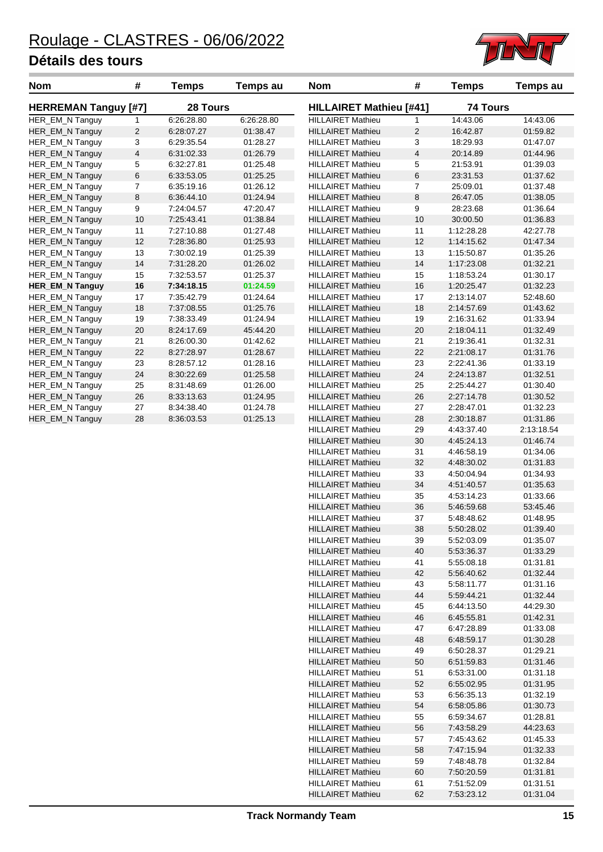

| <b>Nom</b>                  | #                       | <b>Temps</b> | <b>Temps au</b> | <b>Nom</b>                                           | #                       | <b>Temps</b>             | <b>Temps au</b>      |  |
|-----------------------------|-------------------------|--------------|-----------------|------------------------------------------------------|-------------------------|--------------------------|----------------------|--|
| <b>HERREMAN Tanguy [#7]</b> |                         | 28 Tours     |                 | <b>HILLAIRET Mathieu [#41]</b>                       |                         |                          | <b>74 Tours</b>      |  |
| HER_EM_N Tanguy             | 1                       | 6:26:28.80   | 6:26:28.80      | <b>HILLAIRET Mathieu</b>                             | 1                       | 14:43.06                 | 14:43.06             |  |
| HER_EM_N Tanguy             | $\overline{c}$          | 6:28:07.27   | 01:38.47        | <b>HILLAIRET Mathieu</b>                             | $\overline{c}$          | 16:42.87                 | 01:59.82             |  |
| HER_EM_N Tanguy             | 3                       | 6:29:35.54   | 01:28.27        | <b>HILLAIRET Mathieu</b>                             | 3                       | 18:29.93                 | 01:47.07             |  |
| HER_EM_N Tanguy             | $\overline{\mathbf{4}}$ | 6:31:02.33   | 01:26.79        | <b>HILLAIRET Mathieu</b>                             | $\overline{\mathbf{4}}$ | 20:14.89                 | 01:44.96             |  |
| HER_EM_N Tanguy             | 5                       | 6:32:27.81   | 01:25.48        | <b>HILLAIRET Mathieu</b>                             | 5                       | 21:53.91                 | 01:39.03             |  |
| HER_EM_N Tanguy             | 6                       | 6:33:53.05   | 01:25.25        | <b>HILLAIRET Mathieu</b>                             | 6                       | 23:31.53                 | 01:37.62             |  |
| HER_EM_N Tanguy             | 7                       | 6:35:19.16   | 01:26.12        | <b>HILLAIRET Mathieu</b>                             | $\overline{7}$          | 25:09.01                 | 01:37.48             |  |
| HER_EM_N Tanguy             | $\bf8$                  | 6:36:44.10   | 01:24.94        | <b>HILLAIRET Mathieu</b>                             | 8                       | 26:47.05                 | 01:38.05             |  |
| HER_EM_N Tanguy             | 9                       | 7:24:04.57   | 47:20.47        | <b>HILLAIRET Mathieu</b>                             | 9                       | 28:23.68                 | 01:36.64             |  |
| HER_EM_N Tanguy             | 10                      | 7:25:43.41   | 01:38.84        | <b>HILLAIRET Mathieu</b>                             | 10                      | 30:00.50                 | 01:36.83             |  |
| HER_EM_N Tanguy             | 11                      | 7:27:10.88   | 01:27.48        | <b>HILLAIRET Mathieu</b>                             | 11                      | 1:12:28.28               | 42:27.78             |  |
| HER_EM_N Tanguy             | 12                      | 7:28:36.80   | 01:25.93        | <b>HILLAIRET Mathieu</b>                             | 12                      | 1:14:15.62               | 01:47.34             |  |
| HER_EM_N Tanguy             | 13                      | 7:30:02.19   | 01:25.39        | <b>HILLAIRET Mathieu</b>                             | 13                      | 1:15:50.87               | 01:35.26             |  |
| HER_EM_N Tanguy             | 14                      | 7:31:28.20   | 01:26.02        | <b>HILLAIRET Mathieu</b>                             | 14                      | 1:17:23.08               | 01:32.21             |  |
| HER_EM_N Tanguy             | 15                      | 7:32:53.57   | 01:25.37        | <b>HILLAIRET Mathieu</b>                             | 15                      | 1:18:53.24               | 01:30.17             |  |
| <b>HER_EM_N Tanguy</b>      | 16                      | 7:34:18.15   | 01:24.59        | <b>HILLAIRET Mathieu</b>                             | 16                      | 1:20:25.47               | 01:32.23             |  |
| HER_EM_N Tanguy             | 17                      | 7:35:42.79   | 01:24.64        | <b>HILLAIRET Mathieu</b>                             | 17                      | 2:13:14.07               | 52:48.60             |  |
| HER_EM_N Tanguy             | 18                      | 7:37:08.55   | 01:25.76        | <b>HILLAIRET Mathieu</b>                             | 18                      | 2:14:57.69               | 01:43.62             |  |
| HER_EM_N Tanguy             | 19                      | 7:38:33.49   | 01:24.94        | <b>HILLAIRET Mathieu</b>                             | 19                      | 2:16:31.62               | 01:33.94             |  |
| HER_EM_N Tanguy             | 20                      | 8:24:17.69   | 45:44.20        | <b>HILLAIRET Mathieu</b>                             | 20                      | 2:18:04.11               | 01:32.49             |  |
| HER_EM_N Tanguy             | 21                      | 8:26:00.30   | 01:42.62        | <b>HILLAIRET Mathieu</b>                             | 21                      | 2:19:36.41               | 01:32.31             |  |
| HER_EM_N Tanguy             | 22                      | 8:27:28.97   | 01:28.67        | <b>HILLAIRET Mathieu</b>                             | 22                      | 2:21:08.17               | 01:31.76             |  |
| HER_EM_N Tanguy             | 23                      | 8:28:57.12   | 01:28.16        | <b>HILLAIRET Mathieu</b>                             | 23                      | 2:22:41.36               | 01:33.19             |  |
| HER_EM_N Tanguy             | 24                      | 8:30:22.69   | 01:25.58        | <b>HILLAIRET Mathieu</b>                             | 24                      | 2:24:13.87               | 01:32.51             |  |
| HER_EM_N Tanguy             | 25                      | 8:31:48.69   | 01:26.00        | <b>HILLAIRET Mathieu</b>                             | 25                      | 2:25:44.27               | 01:30.40             |  |
| HER_EM_N Tanguy             | 26                      | 8:33:13.63   | 01:24.95        | <b>HILLAIRET Mathieu</b>                             | 26                      | 2:27:14.78               | 01:30.52             |  |
| HER_EM_N Tanguy             | 27                      | 8:34:38.40   | 01:24.78        | <b>HILLAIRET Mathieu</b>                             | 27                      | 2:28:47.01               | 01:32.23             |  |
| HER_EM_N Tanguy             | 28                      | 8:36:03.53   | 01:25.13        | <b>HILLAIRET Mathieu</b>                             | 28                      | 2:30:18.87               | 01:31.86             |  |
|                             |                         |              |                 | <b>HILLAIRET Mathieu</b>                             | 29                      | 4:43:37.40               | 2:13:18.54           |  |
|                             |                         |              |                 | <b>HILLAIRET Mathieu</b>                             | 30                      | 4:45:24.13               | 01:46.74             |  |
|                             |                         |              |                 | <b>HILLAIRET Mathieu</b>                             | 31                      | 4:46:58.19               | 01:34.06             |  |
|                             |                         |              |                 | <b>HILLAIRET Mathieu</b>                             | 32                      | 4:48:30.02               | 01:31.83             |  |
|                             |                         |              |                 | <b>HILLAIRET Mathieu</b>                             | 33                      | 4:50:04.94               | 01:34.93             |  |
|                             |                         |              |                 | <b>HILLAIRET Mathieu</b>                             | 34                      | 4:51:40.57               | 01:35.63             |  |
|                             |                         |              |                 | <b>HILLAIRET Mathieu</b>                             | 35                      | 4:53:14.23               | 01:33.66             |  |
|                             |                         |              |                 | <b>HILLAIRET Mathieu</b>                             | 36                      | 5:46:59.68               | 53:45.46             |  |
|                             |                         |              |                 | <b>HILLAIRET Mathieu</b>                             | 37                      | 5:48:48.62               | 01:48.95             |  |
|                             |                         |              |                 | <b>HILLAIRET Mathieu</b>                             | 38                      | 5:50:28.02               | 01:39.40             |  |
|                             |                         |              |                 | <b>HILLAIRET Mathieu</b>                             | 39                      | 5:52:03.09               | 01:35.07             |  |
|                             |                         |              |                 | <b>HILLAIRET Mathieu</b>                             | 40                      | 5:53:36.37               | 01:33.29             |  |
|                             |                         |              |                 | <b>HILLAIRET Mathieu</b><br><b>HILLAIRET Mathieu</b> | 41                      | 5:55:08.18               | 01:31.81             |  |
|                             |                         |              |                 | <b>HILLAIRET Mathieu</b>                             | 42                      | 5:56:40.62               | 01:32.44             |  |
|                             |                         |              |                 |                                                      | 43<br>44                | 5:58:11.77<br>5:59:44.21 | 01:31.16             |  |
|                             |                         |              |                 | <b>HILLAIRET Mathieu</b><br><b>HILLAIRET Mathieu</b> | 45                      | 6:44:13.50               | 01:32.44<br>44:29.30 |  |
|                             |                         |              |                 | <b>HILLAIRET Mathieu</b>                             | 46                      | 6:45:55.81               | 01:42.31             |  |
|                             |                         |              |                 | <b>HILLAIRET Mathieu</b>                             | 47                      | 6:47:28.89               | 01:33.08             |  |
|                             |                         |              |                 | <b>HILLAIRET Mathieu</b>                             | 48                      | 6:48:59.17               | 01:30.28             |  |
|                             |                         |              |                 | <b>HILLAIRET Mathieu</b>                             | 49                      | 6:50:28.37               | 01:29.21             |  |
|                             |                         |              |                 | <b>HILLAIRET Mathieu</b>                             | 50                      | 6.51.59.83               | 01:31.46             |  |
|                             |                         |              |                 | <b>HILLAIRET Mathieu</b>                             | 51                      | 6:53:31.00               | 01:31.18             |  |
|                             |                         |              |                 | <b>HILLAIRET Mathieu</b>                             | 52                      | 6:55:02.95               | 01:31.95             |  |
|                             |                         |              |                 | <b>HILLAIRET Mathieu</b>                             | 53                      | 6:56:35.13               | 01:32.19             |  |
|                             |                         |              |                 | <b>HILLAIRET Mathieu</b>                             | 54                      | 6:58:05.86               | 01:30.73             |  |
|                             |                         |              |                 | <b>HILLAIRET Mathieu</b>                             | 55                      | 6:59:34.67               | 01:28.81             |  |
|                             |                         |              |                 | <b>HILLAIRET Mathieu</b>                             | 56                      | 7:43:58.29               | 44:23.63             |  |
|                             |                         |              |                 | <b>HILLAIRET Mathieu</b>                             | 57                      | 7:45:43.62               | 01:45.33             |  |
|                             |                         |              |                 | <b>HILLAIRET Mathieu</b>                             | 58                      | 7:47:15.94               | 01:32.33             |  |
|                             |                         |              |                 | <b>HILLAIRET Mathieu</b>                             | 59                      | 7:48:48.78               | 01:32.84             |  |
|                             |                         |              |                 |                                                      |                         |                          |                      |  |

HILLAIRET Mathieu 60 7:50:20.59 01:31.81 HILLAIRET Mathieu 61 7:51:52.09 01:31.51 HILLAIRET Mathieu 62 7:53:23.12 01:31.04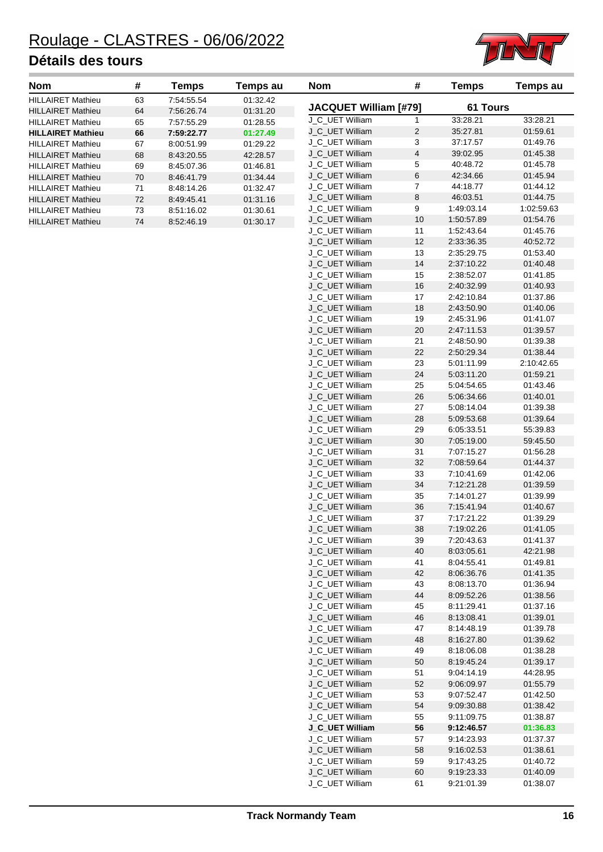

| <b>Nom</b>               | #  | Temps      | Temps au | <b>Nom</b>                                     | #              | Temps      | Temps au             |
|--------------------------|----|------------|----------|------------------------------------------------|----------------|------------|----------------------|
| <b>HILLAIRET Mathieu</b> | 63 | 7:54:55.54 | 01:32.42 |                                                |                |            |                      |
| <b>HILLAIRET Mathieu</b> | 64 | 7:56:26.74 | 01:31.20 | <b>JACQUET William [#79]</b>                   |                | 61 Tours   |                      |
| <b>HILLAIRET Mathieu</b> | 65 | 7:57:55.29 | 01:28.55 | J C UET William                                |                | 33:28.21   | 33:28.21             |
| <b>HILLAIRET Mathieu</b> | 66 | 7:59:22.77 | 01:27.49 | J C UET William                                | 2              | 35:27.81   | 01:59.61             |
| <b>HILLAIRET Mathieu</b> | 67 | 8:00:51.99 | 01:29.22 | J C UET William                                | 3              | 37:17.57   | 01:49.76             |
| <b>HILLAIRET Mathieu</b> | 68 | 8:43:20.55 | 42:28.57 | J C UET William                                | 4              | 39:02.95   | 01:45.38             |
| <b>HILLAIRET Mathieu</b> | 69 | 8:45:07.36 | 01:46.81 | J C UET William                                | 5              | 40:48.72   | 01:45.78             |
| <b>HILLAIRET Mathieu</b> | 70 | 8:46:41.79 | 01:34.44 | J C UET William                                | 6              | 42:34.66   | 01:45.94             |
| <b>HILLAIRET Mathieu</b> | 71 | 8:48:14.26 | 01:32.47 | J C UET William                                | 7              | 44:18.77   | 01:44.12             |
| <b>HILLAIRET Mathieu</b> | 72 | 8:49:45.41 | 01:31.16 | J C UET William                                | 8              | 46:03.51   | 01:44.75             |
| <b>HILLAIRET Mathieu</b> | 73 | 8:51:16.02 | 01:30.61 | J C UET William                                | 9              | 1:49:03.14 | 1:02:59.63           |
| <b>HILLAIRET Mathieu</b> | 74 | 8:52:46.19 | 01:30.17 | J C UET William                                | 10             | 1:50:57.89 | 01:54.76             |
|                          |    |            |          | $\bigcap$ ii $\sqsubset$ $\top$ is in $\sqcap$ | $\overline{A}$ | 1.50.10.01 | $\sim$ $\sim$ $\sim$ |

| ייישו                        |                         | rompa      | ı vırıpə uu |
|------------------------------|-------------------------|------------|-------------|
| <b>JACQUET William [#79]</b> |                         | 61 Tours   |             |
| J C UET William              | 1                       | 33:28.21   | 33:28.21    |
| J_C_UET William              | 2                       | 35:27.81   | 01:59.61    |
| J_C_UET William              | 3                       | 37:17.57   | 01:49.76    |
| J_C_UET William              | $\overline{\mathbf{4}}$ | 39:02.95   | 01:45.38    |
| J_C_UET William              | 5                       | 40:48.72   | 01:45.78    |
| J_C_UET William              | 6                       | 42:34.66   | 01:45.94    |
| J_C_UET William              | 7                       | 44:18.77   | 01:44.12    |
| J_C_UET William              | 8                       | 46:03.51   | 01:44.75    |
| J_C_UET William              | 9                       | 1:49:03.14 | 1:02:59.63  |
| J_C_UET William              | 10                      | 1:50:57.89 | 01:54.76    |
| J_C_UET William              | 11                      | 1:52:43.64 | 01:45.76    |
| J_C_UET William              | 12                      | 2:33:36.35 | 40:52.72    |
| J_C_UET William              | 13                      |            |             |
|                              |                         | 2:35:29.75 | 01:53.40    |
| J_C_UET William              | 14                      | 2:37:10.22 | 01:40.48    |
| J_C_UET William              | 15                      | 2:38:52.07 | 01:41.85    |
| J_C_UET William              | 16                      | 2:40:32.99 | 01:40.93    |
| J_C_UET William              | 17                      | 2:42:10.84 | 01:37.86    |
| J C UET William              | 18                      | 2:43:50.90 | 01:40.06    |
| J_C_UET William              | 19                      | 2:45:31.96 | 01:41.07    |
| J_C_UET William              | 20                      | 2:47:11.53 | 01:39.57    |
| J_C_UET William              | 21                      | 2:48:50.90 | 01:39.38    |
| J_C_UET William              | 22                      | 2:50:29.34 | 01:38.44    |
| J_C_UET William              | 23                      | 5:01:11.99 | 2:10:42.65  |
| J_C_UET William              | 24                      | 5:03:11.20 | 01:59.21    |
| J_C_UET William              | 25                      | 5:04:54.65 | 01:43.46    |
| J_C_UET William              | 26                      | 5.06.34.66 | 01:40.01    |
| J_C_UET William              | 27                      | 5:08:14.04 | 01:39.38    |
| J_C_UET William              | 28                      | 5:09:53.68 | 01:39.64    |
| J_C_UET William              | 29                      | 6:05:33.51 | 55:39.83    |
| J_C_UET William              | 30                      | 7:05:19.00 | 59:45.50    |
| J_C_UET William              | 31                      | 7:07:15.27 | 01:56.28    |
| J_C_UET William              | 32                      | 7:08:59.64 | 01:44.37    |
| J_C_UET William              | 33                      | 7:10:41.69 | 01:42.06    |
| J_C_UET William              | 34                      | 7:12:21.28 | 01:39.59    |
| J_C_UET William              | 35                      | 7:14:01.27 | 01:39.99    |
| J_C_UET William              | 36                      | 7:15:41.94 | 01:40.67    |
| J_C_UET William              | 37                      | 7:17:21.22 | 01:39.29    |
| J_C_UET William              | 38                      | 7:19:02.26 | 01:41.05    |
| J_C_UET William              | 39                      | 7:20:43.63 | 01:41.37    |
| J_C_UET William              | 40                      | 8:03:05.61 | 42:21.98    |
| J_C_UET William              | 41                      | 8:04:55.41 | 01:49.81    |
| J_C_UET William              | 42                      | 8:06:36.76 | 01:41.35    |
| J_C_UET William              | 43                      | 8:08:13.70 | 01:36.94    |
| J_C_UET William              | 44                      | 8:09:52.26 | 01:38.56    |
| J_C_UET William              | 45                      | 8:11:29.41 | 01:37.16    |
| J_C_UET William              | 46                      | 8:13:08.41 | 01:39.01    |
| J_C_UET William              | 47                      | 8:14:48.19 | 01:39.78    |
| J_C_UET William              | 48                      | 8:16:27.80 | 01:39.62    |
| J_C_UET William              | 49                      | 8:18:06.08 | 01:38.28    |
| J_C_UET William              | 50                      | 8:19:45.24 | 01:39.17    |
| J_C_UET William              | 51                      | 9:04:14.19 | 44:28.95    |
| J_C_UET William              | 52                      | 9:06:09.97 | 01:55.79    |
| J_C_UET William              | 53                      | 9:07:52.47 | 01:42.50    |
| J_C_UET William              | 54                      | 9:09:30.88 | 01:38.42    |
| J_C_UET William              | 55                      | 9:11:09.75 | 01:38.87    |
| J_C_UET William              | 56                      | 9:12:46.57 | 01:36.83    |
| J_C_UET William              | 57                      | 9:14:23.93 | 01:37.37    |
| J_C_UET William              | 58                      | 9:16:02.53 | 01:38.61    |
| J_C_UET William              | 59                      | 9:17:43.25 | 01:40.72    |
| J_C_UET William              | 60                      | 9:19:23.33 | 01:40.09    |
| J_C_UET William              | 61                      | 9:21:01.39 | 01:38.07    |
|                              |                         |            |             |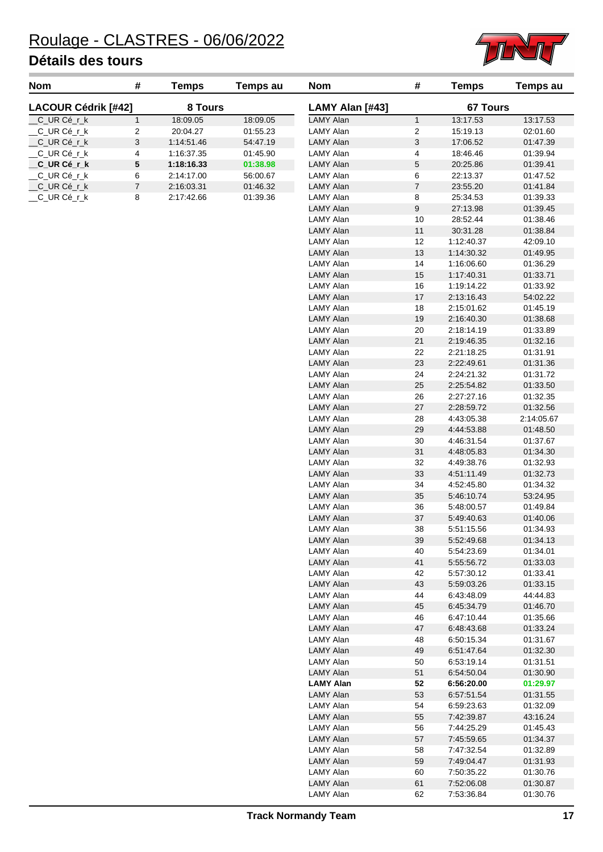

| <b>Nom</b>                 | # | Temps      | Temps au | <b>Nom</b>      | #               | <b>Temps</b> | <b>Temps au</b> |
|----------------------------|---|------------|----------|-----------------|-----------------|--------------|-----------------|
| <b>LACOUR Cédrik [#42]</b> |   | 8 Tours    |          | LAMY Alan [#43] | <b>67 Tours</b> |              |                 |
| CURCérk                    |   | 18:09.05   | 18:09.05 | LAMY Alan       |                 | 13:17.53     | 13:17.53        |
| CURCérk                    | 2 | 20:04.27   | 01:55.23 | LAMY Alan       | 2               | 15:19.13     | 02:01.60        |
| CURCérk                    | 3 | 1:14:51.46 | 54:47.19 | LAMY Alan       | 3               | 17:06.52     | 01:47.39        |
| CURCérk                    | 4 | 1:16:37.35 | 01:45.90 | LAMY Alan       | 4               | 18:46.46     | 01:39.94        |
| CURCérk                    | 5 | 1:18:16.33 | 01:38.98 | LAMY Alan       | 5               | 20:25.86     | 01:39.41        |
| CURCérk                    | 6 | 2:14:17.00 | 56:00.67 | LAMY Alan       | 6               | 22:13.37     | 01:47.52        |
| CURCérk                    |   | 2:16:03.31 | 01:46.32 | LAMY Alan       | 7               | 23:55.20     | 01:41.84        |
| CURCérk                    | 8 | 2:17:42.66 | 01:39.36 | LAMY Alan       | 8               | 25:34.53     | 01:39.33        |
|                            |   |            |          |                 |                 |              |                 |

| LAMY Alan [#43]                      |          | <b>67 Tours</b>          |                      |
|--------------------------------------|----------|--------------------------|----------------------|
| <b>LAMY Alan</b>                     | 1        | 13:17.53                 | 13:17.53             |
| I AMY Alan                           | 2        | 15:19.13                 | 02:01.60             |
| <b>LAMY Alan</b>                     | 3        | 17:06.52                 | 01:47.39             |
| I AMY Alan                           | 4        | 18:46.46                 | 01:39.94             |
| <b>LAMY Alan</b>                     | 5        | 20:25.86                 | 01:39.41             |
| LAMY Alan                            | 6        | 22:13.37                 | 01:47.52             |
| <b>LAMY Alan</b>                     | 7        | 23:55.20                 | 01:41.84             |
| <b>LAMY Alan</b>                     | 8        | 25:34.53                 | 01:39.33             |
| <b>LAMY Alan</b>                     | 9        | 27:13.98                 | 01:39.45             |
| LAMY Alan                            | 10       | 28:52.44                 | 01:38.46             |
| <b>LAMY Alan</b>                     | 11       | 30:31.28                 | 01:38.84             |
| I AMY Alan                           | 12       | 1:12:40.37               | 42:09.10             |
| <b>LAMY Alan</b>                     | 13       | 1:14:30.32               | 01:49.95             |
| LAMY Alan                            | 14       | 1:16:06.60               | 01:36.29             |
| <b>LAMY Alan</b>                     | 15       | 1:17:40.31               | 01:33.71             |
| <b>LAMY Alan</b>                     | 16       | 1:19:14.22               | 01:33.92             |
| <b>LAMY Alan</b>                     | 17       | 2:13:16.43               | 54:02.22             |
| LAMY Alan                            | 18       | 2:15:01.62               | 01:45.19             |
| <b>LAMY Alan</b>                     | 19       | 2:16:40.30               | 01:38.68             |
| LAMY Alan                            | 20       | 2:18:14.19               | 01:33.89             |
| <b>LAMY Alan</b>                     | 21       | 2:19:46.35               | 01:32.16             |
| <b>LAMY Alan</b>                     | 22       | 2:21:18.25               | 01:31.91             |
| LAMY Alan                            | 23       | 2:22:49.61               | 01:31.36             |
| <b>LAMY Alan</b><br><b>LAMY Alan</b> | 24<br>25 | 2:24:21.32               | 01:31.72             |
| <b>LAMY Alan</b>                     |          | 2:25:54.82<br>2:27:27.16 | 01:33.50<br>01:32.35 |
| <b>LAMY Alan</b>                     | 26<br>27 | 2:28:59.72               | 01:32.56             |
| LAMY Alan                            | 28       | 4:43:05.38               | 2:14:05.67           |
| <b>LAMY Alan</b>                     | 29       | 4:44:53.88               | 01:48.50             |
| LAMY Alan                            | 30       | 4:46:31.54               | 01:37.67             |
| <b>LAMY Alan</b>                     | 31       | 4:48:05.83               | 01:34.30             |
| <b>LAMY Alan</b>                     | 32       | 4:49:38.76               | 01:32.93             |
| <b>LAMY Alan</b>                     | 33       | 4:51:11.49               | 01:32.73             |
| LAMY Alan                            | 34       | 4:52:45.80               | 01:34.32             |
| <b>LAMY Alan</b>                     | 35       | 5:46:10.74               | 53:24.95             |
| LAMY Alan                            | 36       | 5:48:00.57               | 01:49.84             |
| <b>LAMY Alan</b>                     | 37       | 5:49:40.63               | 01:40.06             |
| LAMY Alan                            | 38       | 5:51:15.56               | 01:34.93             |
| <b>LAMY Alan</b>                     | 39       | 5:52:49.68               | 01:34.13             |
| LAMY Alan                            | 40       | 5:54:23.69               | 01:34.01             |
| LAMY Alan                            | 41       | 5:55:56.72               | 01:33.03             |
| <b>LAMY Alan</b>                     | 42       | 5:57:30.12               | 01:33.41             |
| LAMY Alan                            | 43       | 5:59:03.26               | 01:33.15             |
| LAMY Alan                            | 44       | 6:43:48.09               | 44:44.83             |
| LAMY Alan                            | 45       | 6:45:34.79               | 01:46.70             |
| LAMY Alan                            | 46       | 6:47:10.44               | 01:35.66             |
| <b>LAMY Alan</b>                     | 47       | 6:48:43.68               | 01:33.24             |
| LAMY Alan                            | 48       | 6:50:15.34               | 01:31.67             |
| LAMY Alan                            | 49       | 6:51:47.64<br>6:53:19.14 | 01:32.30             |
| LAMY Alan<br>LAMY Alan               | 50<br>51 |                          | 01:31.51             |
| <b>LAMY Alan</b>                     | 52       | 6:54:50.04<br>6:56:20.00 | 01:30.90<br>01:29.97 |
| LAMY Alan                            | 53       | 6:57:51.54               | 01:31.55             |
| LAMY Alan                            | 54       | 6:59:23.63               | 01:32.09             |
| LAMY Alan                            | 55       | 7:42:39.87               | 43:16.24             |
| LAMY Alan                            | 56       | 7:44:25.29               | 01:45.43             |
| LAMY Alan                            | 57       | 7:45:59.65               | 01:34.37             |
| LAMY Alan                            | 58       | 7:47:32.54               | 01:32.89             |
| <b>LAMY Alan</b>                     | 59       | 7:49:04.47               | 01:31.93             |
| LAMY Alan                            | 60       | 7:50:35.22               | 01:30.76             |
| <b>LAMY Alan</b>                     | 61       | 7:52:06.08               | 01:30.87             |
| LAMY Alan                            | 62       | 7:53:36.84               | 01:30.76             |
|                                      |          |                          |                      |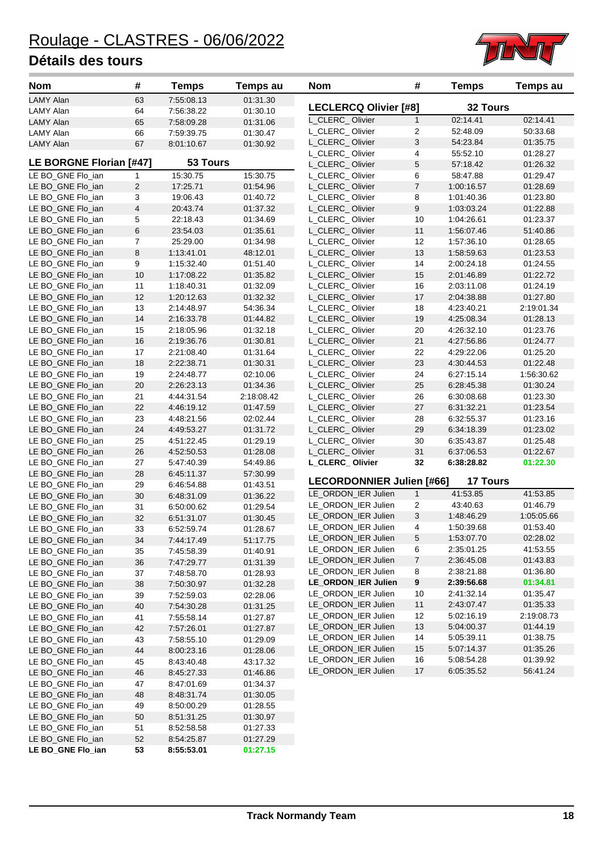

| Nom                                    | #                       | <b>Temps</b>             | Temps au             | <b>Nom</b>                                 | #              | <b>Temps</b>         | Temps au               |
|----------------------------------------|-------------------------|--------------------------|----------------------|--------------------------------------------|----------------|----------------------|------------------------|
| <b>LAMY Alan</b>                       | 63                      | 7:55:08.13               | 01:31.30             |                                            |                | <b>32 Tours</b>      |                        |
| LAMY Alan                              | 64                      | 7:56:38.22               | 01:30.10             | <b>LECLERCQ Olivier [#8]</b>               |                |                      |                        |
| <b>LAMY Alan</b>                       | 65                      | 7:58:09.28               | 01:31.06             | L_CLERC_Olivier                            | 1              | 02:14.41             | 02:14.41               |
| LAMY Alan                              | 66                      | 7:59:39.75               | 01:30.47             | L_CLERC_Olivier                            | 2              | 52:48.09             | 50:33.68               |
| <b>LAMY Alan</b>                       | 67                      | 8:01:10.67               | 01:30.92             | L_CLERC_Olivier                            | 3              | 54:23.84             | 01:35.75               |
|                                        |                         |                          |                      | L_CLERC_Olivier                            | 4              | 55:52.10             | 01:28.27               |
| LE BORGNE Florian [#47]                |                         | 53 Tours                 |                      | L_CLERC_Olivier                            | 5              | 57:18.42             | 01:26.32               |
| LE BO_GNE Flo_ian                      | 1                       | 15:30.75                 | 15:30.75             | L_CLERC_Olivier                            | 6              | 58:47.88             | 01:29.47               |
| LE BO_GNE Flo_ian                      | $\overline{c}$          | 17:25.71                 | 01:54.96             | L_CLERC_Olivier                            | $\overline{7}$ | 1:00:16.57           | 01:28.69               |
| LE BO_GNE Flo_ian                      | 3                       | 19:06.43                 | 01:40.72             | L_CLERC_Olivier                            | 8              | 1:01:40.36           | 01:23.80               |
| LE BO_GNE Flo_ian                      | $\overline{\mathbf{4}}$ | 20:43.74                 | 01:37.32             | L_CLERC_Olivier                            | 9              | 1:03:03.24           | 01:22.88               |
| LE BO_GNE Flo_ian                      | 5                       | 22:18.43                 | 01:34.69             | L CLERC Olivier                            | 10             | 1:04:26.61           | 01:23.37               |
| LE BO_GNE Flo_ian                      | 6                       | 23:54.03                 | 01:35.61             | L_CLERC_Olivier                            | 11             | 1:56:07.46           | 51:40.86               |
| LE BO_GNE Flo_ian                      | $\overline{7}$          | 25:29.00                 | 01:34.98             | L_CLERC_Olivier                            | 12             | 1:57:36.10           | 01:28.65               |
| LE BO_GNE Flo_ian                      | 8                       | 1:13:41.01               | 48:12.01             | L_CLERC_Olivier                            | 13             | 1:58:59.63           | 01:23.53               |
| LE BO_GNE Flo_ian                      | 9                       | 1:15:32.40               | 01:51.40             | L_CLERC_Olivier                            | 14             | 2:00:24.18           | 01:24.55               |
| LE BO_GNE Flo_ian                      | 10                      | 1:17:08.22               | 01:35.82             | L_CLERC_Olivier                            | 15             | 2:01:46.89           | 01:22.72               |
| LE BO_GNE Flo_ian                      | 11                      | 1:18:40.31               | 01:32.09             | L_CLERC_Olivier                            | 16             | 2:03:11.08           | 01:24.19               |
| LE BO_GNE Flo_ian                      | 12                      | 1:20:12.63               | 01:32.32             | L_CLERC_Olivier                            | 17             | 2:04:38.88           | 01:27.80               |
| LE BO_GNE Flo_ian                      | 13                      | 2:14:48.97               | 54:36.34             | L_CLERC_Olivier                            | 18             | 4:23:40.21           | 2:19:01.34             |
| LE BO_GNE Flo_ian                      | 14                      | 2:16:33.78               | 01:44.82             | L_CLERC_Olivier                            | 19             | 4:25:08.34           | 01:28.13               |
| LE BO_GNE Flo_ian                      | 15                      | 2:18:05.96               | 01:32.18             | L_CLERC_Olivier                            | 20             | 4:26:32.10           | 01:23.76               |
| LE BO_GNE Flo_ian                      | 16                      | 2:19:36.76               | 01:30.81             | L_CLERC_Olivier                            | 21             | 4:27:56.86           | 01:24.77               |
| LE BO_GNE Flo_ian                      | 17                      | 2:21:08.40               | 01:31.64             | L_CLERC_Olivier                            | 22             | 4:29:22.06           | 01:25.20               |
| LE BO_GNE Flo_ian                      | 18                      | 2:22:38.71               | 01:30.31             | L_CLERC_Olivier                            | 23             | 4:30:44.53           | 01:22.48               |
| LE BO_GNE Flo_ian                      | 19                      | 2:24:48.77               | 02:10.06             | L_CLERC_Olivier                            | 24             | 6:27:15.14           | 1:56:30.62             |
| LE BO_GNE Flo_ian                      | 20                      | 2:26:23.13               | 01:34.36             | L_CLERC_Olivier                            | 25             | 6:28:45.38           | 01:30.24               |
| LE BO_GNE Flo_ian                      | 21                      | 4:44:31.54               | 2:18:08.42           | L_CLERC_Olivier                            | 26             | 6:30:08.68           | 01:23.30               |
| LE BO_GNE Flo_ian                      | 22                      | 4:46:19.12               | 01:47.59             | L_CLERC_Olivier                            | 27             | 6:31:32.21           | 01:23.54               |
| LE BO_GNE Flo_ian                      | 23                      | 4:48:21.56               | 02:02.44             | L_CLERC_Olivier                            | 28             | 6:32:55.37           | 01:23.16               |
| LE BO_GNE Flo_ian                      | 24                      | 4:49:53.27               | 01:31.72             | L_CLERC_Olivier                            | 29             | 6:34:18.39           | 01:23.02               |
| LE BO_GNE Flo_ian                      | 25                      | 4:51:22.45               | 01:29.19             | L_CLERC_Olivier                            | 30             | 6:35:43.87           | 01:25.48               |
| LE BO_GNE Flo_ian                      | 26                      | 4:52:50.53               | 01:28.08             | L_CLERC_Olivier                            | 31             | 6:37:06.53           | 01:22.67               |
| LE BO_GNE Flo_ian                      | 27                      | 5:47:40.39               | 54:49.86             | L_CLERC_Olivier                            | 32             | 6:38:28.82           | 01:22.30               |
| LE BO_GNE Flo_ian                      | 28                      | 6:45:11.37               | 57:30.99             | LECORDONNIER Julien [#66]                  |                | <b>17 Tours</b>      |                        |
| LE BO_GNE Flo_ian                      | 29                      | 6:46:54.88               | 01:43.51             |                                            |                |                      | 41:53.85               |
| LE BO_GNE Flo_ian                      | 30                      | 6:48:31.09               | 01:36.22             | LE_ORDON_IER Julien                        | $\mathbf{1}$   | 41:53.85<br>43:40.63 | 01:46.79               |
| LE BO_GNE Flo_ian                      | 31                      | 6.50.00.62               | 01:29.54             | LE_ORDON_IER Julien                        | 2<br>3         | 1:48:46.29           |                        |
| LE BO_GNE Flo_ian                      | 32                      | 6:51:31.07               | 01:30.45             | LE_ORDON_IER Julien                        | 4              | 1:50:39.68           | 1:05:05.66<br>01:53.40 |
| LE BO GNE Flo ian                      | 33                      | 6:52:59.74               | 01:28.67             | LE_ORDON_IER Julien<br>LE_ORDON_IER Julien | 5              | 1:53:07.70           | 02:28.02               |
| LE BO_GNE Flo_ian                      | 34                      | 7:44:17.49               | 51:17.75             | LE_ORDON_IER Julien                        | 6              | 2:35:01.25           | 41:53.55               |
| LE BO_GNE Flo_ian                      | 35                      | 7:45:58.39               | 01:40.91             | LE_ORDON_IER Julien                        | 7              | 2:36:45.08           | 01:43.83               |
| LE BO GNE Flo ian                      | 36                      | 7:47:29.77               | 01:31.39             | LE_ORDON_IER Julien                        | 8              | 2:38:21.88           | 01:36.80               |
| LE BO_GNE Flo_ian                      | 37                      | 7:48:58.70               | 01:28.93             | LE_ORDON_IER Julien                        | 9              | 2:39:56.68           | 01:34.81               |
| LE BO_GNE Flo_ian                      | 38                      | 7:50:30.97               | 01:32.28             | LE_ORDON_IER Julien                        | 10             | 2:41:32.14           | 01:35.47               |
| LE BO_GNE Flo_ian                      | 39                      | 7:52:59.03               | 02:28.06             | LE_ORDON_IER Julien                        | $11$           | 2:43:07.47           | 01:35.33               |
| LE BO_GNE Flo_ian                      | 40                      | 7:54:30.28               | 01:31.25             | LE_ORDON_IER Julien                        | 12             | 5:02:16.19           | 2:19:08.73             |
| LE BO GNE Flo ian                      | 41                      | 7:55:58.14               | 01:27.87             | LE_ORDON_IER Julien                        | 13             | 5:04:00.37           | 01:44.19               |
| LE BO_GNE Flo_ian                      | 42                      | 7:57:26.01               | 01:27.87             | LE_ORDON_IER Julien                        | 14             | 5:05:39.11           | 01:38.75               |
| LE BO_GNE Flo_ian                      | 43                      | 7:58:55.10               | 01:29.09             | LE_ORDON_IER Julien                        | 15             | 5:07:14.37           | 01:35.26               |
| LE BO_GNE Flo_ian                      | 44                      | 8:00:23.16               | 01:28.06             | LE_ORDON_IER Julien                        | 16             | 5:08:54.28           | 01:39.92               |
| LE BO_GNE Flo_ian                      | 45                      | 8:43:40.48               | 43:17.32             | LE_ORDON_IER Julien                        | 17             | 6:05:35.52           | 56:41.24               |
| LE BO_GNE Flo_ian                      | 46                      | 8:45:27.33               | 01:46.86<br>01:34.37 |                                            |                |                      |                        |
| LE BO_GNE Flo_ian                      | 47                      | 8:47:01.69               |                      |                                            |                |                      |                        |
| LE BO_GNE Flo_ian                      | 48                      | 8:48:31.74               | 01:30.05             |                                            |                |                      |                        |
| LE BO_GNE Flo_ian<br>LE BO_GNE Flo_ian | 49                      | 8:50:00.29               | 01:28.55             |                                            |                |                      |                        |
|                                        | $50\,$                  | 8:51:31.25               | 01:30.97             |                                            |                |                      |                        |
| LE BO_GNE Flo_ian<br>LE BO_GNE Flo_ian | 51<br>52                | 8:52:58.58<br>8:54:25.87 | 01:27.33<br>01:27.29 |                                            |                |                      |                        |
| LE BO_GNE Flo_ian                      | 53                      | 8:55:53.01               | 01:27.15             |                                            |                |                      |                        |
|                                        |                         |                          |                      |                                            |                |                      |                        |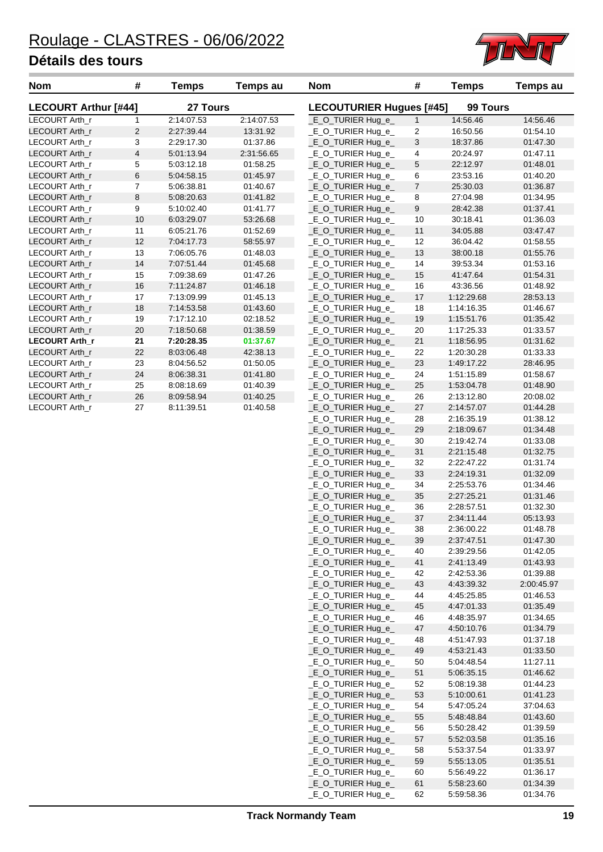

\_E\_O\_TURIER Hug\_e\_ 36 2:28:57.51 01:32.30 \_E\_O\_TURIER Hug\_e\_ 37 2:34:11.44 05:13.93 \_E\_O\_TURIER Hug\_e\_ 38 2:36:00.22 01:48.78 \_E\_O\_TURIER Hug\_e\_ 39 2:37:47.51 01:47.30 \_E\_O\_TURIER Hug\_e\_ 40 2:39:29.56 01:42.05 \_E\_O\_TURIER Hug\_e\_ 41 2:41:13.49 01:43.93 \_E\_O\_TURIER Hug\_e\_ 42 2:42:53.36 01:39.88 \_E\_O\_TURIER Hug\_e\_ 43 4:43:39.32 2:00:45.97 \_E\_O\_TURIER Hug\_e\_ 44 4:45:25.85 01:46.53 \_E\_O\_TURIER Hug\_e\_ 45 4:47:01.33 01:35.49 \_E\_O\_TURIER Hug\_e\_ 46 4:48:35.97 01:34.65 \_E\_O\_TURIER Hug\_e\_ 47 4:50:10.76 01:34.79 \_E\_O\_TURIER Hug\_e\_ 48 4:51:47.93 01:37.18 \_E\_O\_TURIER Hug\_e\_ 49 4:53:21.43 01:33.50 \_E\_O\_TURIER Hug\_e\_ 50 5:04:48.54 11:27.11 \_E\_O\_TURIER Hug\_e\_ 51 5:06:35.15 01:46.62 \_E\_O\_TURIER Hug\_e\_ 52 5:08:19.38 01:44.23 \_E\_O\_TURIER Hug\_e\_ 53 5:10:00.61 01:41.23 \_E\_O\_TURIER Hug\_e\_ 54 5:47:05.24 37:04.63 \_E\_O\_TURIER Hug\_e\_ 55 5:48:48.84 01:43.60 \_E\_O\_TURIER Hug\_e\_ 56 5:50:28.42 01:39.59 \_E\_O\_TURIER Hug\_e\_ 57 5:52:03.58 01:35.16 \_E\_O\_TURIER Hug\_e\_ 58 5:53:37.54 01:33.97 \_E\_O\_TURIER Hug\_e\_ 59 5:55:13.05 01:35.51 \_E\_O\_TURIER Hug\_e\_ 60 5:56:49.22 01:36.17 \_E\_O\_TURIER Hug\_e\_ 61 5:58:23.60 01:34.39 \_E\_O\_TURIER Hug\_e\_ 62 5:59:58.36 01:34.76

| <b>Nom</b>                  | #                       | <b>Temps</b> | Temps au   | <b>Nom</b>                      | #                       | <b>Temps</b> | Temps au |
|-----------------------------|-------------------------|--------------|------------|---------------------------------|-------------------------|--------------|----------|
| <b>LECOURT Arthur [#44]</b> |                         | 27 Tours     |            | <b>LECOUTURIER Hugues [#45]</b> |                         | 99 Tours     |          |
| LECOURT Arth_r              | $\mathbf{1}$            | 2:14:07.53   | 2:14:07.53 | _E_O_TURIER Hug_e_              | $\mathbf{1}$            | 14:56.46     | 14:56.46 |
| LECOURT Arth_r              | $\overline{2}$          | 2:27:39.44   | 13:31.92   | _E_O_TURIER Hug_e_              | $\overline{c}$          | 16:50.56     | 01:54.10 |
| LECOURT Arth_r              | 3                       | 2:29:17.30   | 01:37.86   | _E_O_TURIER Hug_e_              | 3                       | 18:37.86     | 01:47.30 |
| LECOURT Arth_r              | $\overline{\mathbf{4}}$ | 5:01:13.94   | 2:31:56.65 | _E_O_TURIER Hug_e_              | $\overline{\mathbf{4}}$ | 20:24.97     | 01:47.11 |
| LECOURT Arth_r              | 5                       | 5:03:12.18   | 01:58.25   | _E_O_TURIER Hug_e_              | $5\,$                   | 22:12.97     | 01:48.01 |
| LECOURT Arth_r              | 6                       | 5:04:58.15   | 01:45.97   | _E_O_TURIER Hug_e_              | 6                       | 23:53.16     | 01:40.20 |
| LECOURT Arth_r              | $\overline{7}$          | 5:06:38.81   | 01:40.67   | _E_O_TURIER Hug_e_              | $\boldsymbol{7}$        | 25:30.03     | 01:36.87 |
| LECOURT Arth_r              | $\bf8$                  | 5:08:20.63   | 01:41.82   | _E_O_TURIER Hug_e_              | 8                       | 27:04.98     | 01:34.95 |
| LECOURT Arth r              | 9                       | 5:10:02.40   | 01:41.77   | _E_O_TURIER Hug_e_              | 9                       | 28:42.38     | 01:37.41 |
| LECOURT Arth_r              | 10                      | 6:03:29.07   | 53:26.68   | _E_O_TURIER Hug_e_              | 10                      | 30:18.41     | 01:36.03 |
| LECOURT Arth_r              | 11                      | 6:05:21.76   | 01:52.69   | _E_O_TURIER Hug_e_              | 11                      | 34:05.88     | 03:47.47 |
| LECOURT Arth r              | 12                      | 7:04:17.73   | 58:55.97   | _E_O_TURIER Hug_e_              | 12                      | 36:04.42     | 01:58.55 |
| LECOURT Arth r              | 13                      | 7:06:05.76   | 01:48.03   | _E_O_TURIER Hug_e_              | 13                      | 38:00.18     | 01:55.76 |
| LECOURT Arth_r              | 14                      | 7:07:51.44   | 01:45.68   | _E_O_TURIER Hug_e_              | 14                      | 39:53.34     | 01:53.16 |
| LECOURT Arth_r              | 15                      | 7:09:38.69   | 01:47.26   | _E_O_TURIER Hug_e_              | 15                      | 41:47.64     | 01:54.31 |
| LECOURT Arth r              | 16                      | 7:11:24.87   | 01:46.18   | _E_O_TURIER Hug_e_              | 16                      | 43:36.56     | 01:48.92 |
| LECOURT Arth r              | 17                      | 7:13:09.99   | 01:45.13   | _E_O_TURIER Hug_e_              | 17                      | 1:12:29.68   | 28:53.13 |
| LECOURT Arth r              | 18                      | 7:14:53.58   | 01:43.60   | E O TURIER Hug e                | 18                      | 1:14:16.35   | 01:46.67 |
| LECOURT Arth r              | 19                      | 7:17:12.10   | 02:18.52   | _E_O_TURIER Hug_e_              | 19                      | 1:15:51.76   | 01:35.42 |
| LECOURT Arth r              | 20                      | 7:18:50.68   | 01:38.59   | _E_O_TURIER Hug_e_              | 20                      | 1:17:25.33   | 01:33.57 |
| <b>LECOURT Arth r</b>       | 21                      | 7:20:28.35   | 01:37.67   | _E_O_TURIER Hug_e_              | 21                      | 1:18:56.95   | 01:31.62 |
| LECOURT Arth r              | 22                      | 8:03:06.48   | 42:38.13   | _E_O_TURIER Hug_e_              | 22                      | 1:20:30.28   | 01:33.33 |
| LECOURT Arth r              | 23                      | 8:04:56.52   | 01:50.05   | _E_O_TURIER Hug_e_              | 23                      | 1:49:17.22   | 28:46.95 |
| LECOURT Arth r              | 24                      | 8:06:38.31   | 01:41.80   | E O TURIER Hug e                | 24                      | 1:51:15.89   | 01:58.67 |
| LECOURT Arth r              | 25                      | 8:08:18.69   | 01:40.39   | E O TURIER Hug e                | 25                      | 1:53:04.78   | 01:48.90 |
| LECOURT Arth r              | 26                      | 8:09:58.94   | 01:40.25   | E O TURIER Hug e                | 26                      | 2:13:12.80   | 20:08.02 |
| LECOURT Arth_r              | 27                      | 8:11:39.51   | 01:40.58   | _E_O_TURIER Hug_e_              | 27                      | 2:14:57.07   | 01:44.28 |
|                             |                         |              |            | _E_O_TURIER Hug_e_              | 28                      | 2:16:35.19   | 01:38.12 |
|                             |                         |              |            | E_O_TURIER Hug_e_               | 29                      | 2:18:09.67   | 01:34.48 |
|                             |                         |              |            | _E_O_TURIER Hug_e_              | 30                      | 2:19:42.74   | 01:33.08 |
|                             |                         |              |            | _E_O_TURIER Hug_e_              | 31                      | 2:21:15.48   | 01:32.75 |
|                             |                         |              |            | _E_O_TURIER Hug_e_              | 32                      | 2:22:47.22   | 01:31.74 |
|                             |                         |              |            | _E_O_TURIER Hug_e_              | 33                      | 2:24:19.31   | 01:32.09 |
|                             |                         |              |            | _E_O_TURIER Hug_e_              | 34                      | 2:25:53.76   | 01:34.46 |
|                             |                         |              |            | _E_O_TURIER Hug_e_              | 35                      | 2:27:25.21   | 01:31.46 |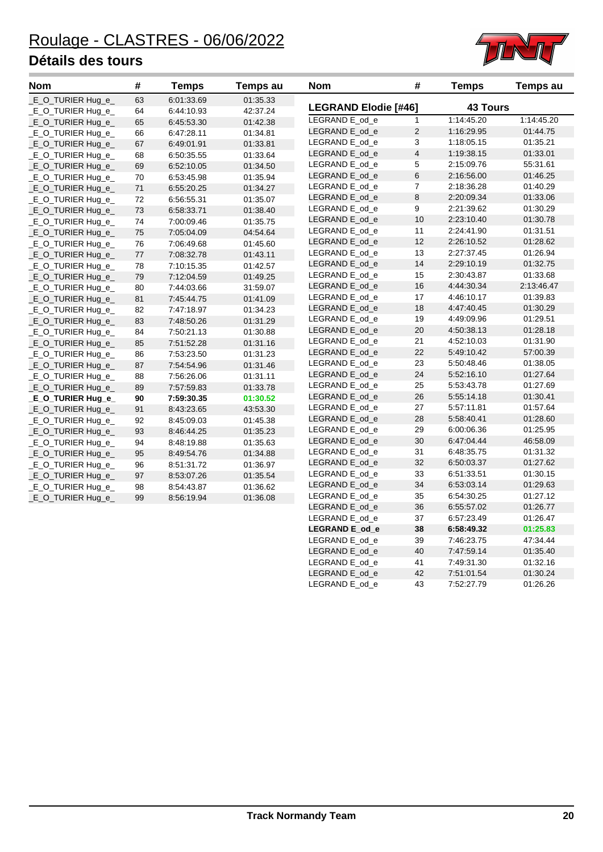

| <b>Nom</b>          | #      | <b>Temps</b> | <b>Temps au</b> | <b>Nom</b>                  | #                       | <b>Temps</b>    | <b>Temps au</b> |
|---------------------|--------|--------------|-----------------|-----------------------------|-------------------------|-----------------|-----------------|
| _E_O_TURIER Hug_e_  | 63     | 6:01:33.69   | 01:35.33        |                             |                         |                 |                 |
| _E_O_TURIER Hug_e_  | 64     | 6:44:10.93   | 42:37.24        | <b>LEGRAND Elodie [#46]</b> |                         | <b>43 Tours</b> |                 |
| _E_O_TURIER Hug_e_  | 65     | 6:45:53.30   | 01:42.38        | LEGRAND E_od_e              | $\mathbf{1}$            | 1:14:45.20      | 1:14:45.20      |
| _E_O_TURIER Hug_e_  | 66     | 6:47:28.11   | 01:34.81        | LEGRAND E_od_e              | $\overline{c}$          | 1:16:29.95      | 01:44.75        |
| _E_O_TURIER Hug_e_  | 67     | 6:49:01.91   | 01:33.81        | LEGRAND E od e              | 3                       | 1:18:05.15      | 01:35.21        |
| _E_O_TURIER Hug_e_  | 68     | 6:50:35.55   | 01:33.64        | LEGRAND E_od_e              | $\overline{\mathbf{4}}$ | 1:19:38.15      | 01:33.01        |
| _E_O_TURIER Hug_e_  | 69     | 6:52:10.05   | 01:34.50        | LEGRAND E_od_e              | 5                       | 2:15:09.76      | 55:31.61        |
| _E_O_TURIER Hug_e_  | 70     | 6:53:45.98   | 01:35.94        | LEGRAND E_od_e              | 6                       | 2:16:56.00      | 01:46.25        |
| _E_O_TURIER Hug_e_  | 71     | 6:55:20.25   | 01:34.27        | LEGRAND E_od_e              | 7                       | 2:18:36.28      | 01:40.29        |
| _E_O_TURIER Hug_e_  | 72     | 6:56:55.31   | 01:35.07        | LEGRAND E od e              | 8                       | 2:20:09.34      | 01:33.06        |
| _E_O_TURIER Hug_e_  | 73     | 6:58:33.71   | 01:38.40        | LEGRAND E od e              | 9                       | 2:21:39.62      | 01:30.29        |
| _E_O_TURIER Hug_e_  | 74     | 7:00:09.46   | 01:35.75        | LEGRAND E_od_e              | 10                      | 2:23:10.40      | 01:30.78        |
| _E_O_TURIER Hug_e_  | 75     | 7:05:04.09   | 04:54.64        | LEGRAND E_od_e              | 11                      | 2:24:41.90      | 01:31.51        |
| _E_O_TURIER Hug_e_  | 76     | 7:06:49.68   | 01:45.60        | LEGRAND E_od_e              | 12                      | 2:26:10.52      | 01:28.62        |
| _E_O_TURIER Hug_e_  | $77\,$ | 7:08:32.78   | 01:43.11        | LEGRAND E_od_e              | 13                      | 2:27:37.45      | 01:26.94        |
| $E$ O_TURIER Hug e_ | 78     | 7:10:15.35   | 01:42.57        | LEGRAND E_od_e              | 14                      | 2:29:10.19      | 01:32.75        |
| _E_O_TURIER Hug_e_  | 79     | 7:12:04.59   | 01:49.25        | LEGRAND E_od_e              | 15                      | 2:30:43.87      | 01:33.68        |
| _E_O_TURIER Hug_e_  | 80     | 7:44:03.66   | 31:59.07        | LEGRAND E_od_e              | 16                      | 4:44:30.34      | 2:13:46.47      |
| _E_O_TURIER Hug_e_  | 81     | 7:45:44.75   | 01:41.09        | LEGRAND E_od_e              | 17                      | 4:46:10.17      | 01:39.83        |
| _E_O_TURIER Hug_e_  | 82     | 7:47:18.97   | 01:34.23        | LEGRAND E od e              | 18                      | 4:47:40.45      | 01:30.29        |
| _E_O_TURIER Hug_e_  | 83     | 7:48:50.26   | 01:31.29        | LEGRAND E_od_e              | 19                      | 4:49:09.96      | 01:29.51        |
| _E_O_TURIER Hug_e_  | 84     | 7:50:21.13   | 01:30.88        | LEGRAND E_od_e              | 20                      | 4:50:38.13      | 01:28.18        |
| _E_O_TURIER Hug_e_  | 85     | 7:51:52.28   | 01:31.16        | LEGRAND E_od_e              | 21                      | 4:52:10.03      | 01:31.90        |
| _E_O_TURIER Hug_e_  | 86     | 7:53:23.50   | 01:31.23        | LEGRAND E_od_e              | 22                      | 5:49:10.42      | 57:00.39        |
| _E_O_TURIER Hug_e_  | 87     | 7:54:54.96   | 01:31.46        | LEGRAND E_od_e              | 23                      | 5:50:48.46      | 01:38.05        |
| E O TURIER Hug e    | 88     | 7:56:26.06   | 01:31.11        | LEGRAND E od e              | 24                      | 5:52:16.10      | 01:27.64        |
| _E_O_TURIER Hug_e_  | 89     | 7:57:59.83   | 01:33.78        | LEGRAND E_od_e              | 25                      | 5:53:43.78      | 01:27.69        |
| _E_O_TURIER Hug_e_  | 90     | 7:59:30.35   | 01:30.52        | LEGRAND E_od_e              | 26                      | 5:55:14.18      | 01:30.41        |
| _E_O_TURIER Hug_e_  | 91     | 8:43:23.65   | 43:53.30        | LEGRAND E_od_e              | 27                      | 5:57:11.81      | 01:57.64        |
| _E_O_TURIER Hug_e_  | 92     | 8:45:09.03   | 01:45.38        | LEGRAND E od e              | 28                      | 5:58:40.41      | 01:28.60        |
| _E_O_TURIER Hug_e_  | 93     | 8:46:44.25   | 01:35.23        | LEGRAND E_od_e              | 29                      | 6:00:06.36      | 01:25.95        |
| _E_O_TURIER Hug_e_  | 94     | 8:48:19.88   | 01:35.63        | LEGRAND E_od_e              | 30                      | 6:47:04.44      | 46:58.09        |
| _E_O_TURIER Hug_e_  | 95     | 8:49:54.76   | 01:34.88        | LEGRAND E_od_e              | 31                      | 6:48:35.75      | 01:31.32        |
| _E_O_TURIER Hug_e_  | 96     | 8:51:31.72   | 01:36.97        | LEGRAND E_od_e              | 32                      | 6:50:03.37      | 01:27.62        |
| _E_O_TURIER Hug_e_  | 97     | 8:53:07.26   | 01:35.54        | LEGRAND E_od_e              | 33                      | 6:51:33.51      | 01:30.15        |
| _E_O_TURIER Hug_e_  | 98     | 8:54:43.87   | 01:36.62        | LEGRAND E_od_e              | 34                      | 6:53:03.14      | 01:29.63        |
| E_O_TURIER Hug_e_   | 99     | 8:56:19.94   | 01:36.08        | LEGRAND E_od_e              | 35                      | 6:54:30.25      | 01:27.12        |
|                     |        |              |                 | LEGRAND E_od_e              | 36                      | 6:55:57.02      | 01:26.77        |
|                     |        |              |                 | LEGRAND E_od_e              | 37                      | 6:57:23.49      | 01:26.47        |
|                     |        |              |                 | LEGRAND E_od_e              | 38                      | 6:58:49.32      | 01:25.83        |
|                     |        |              |                 | LEGRAND E od e              | 39                      | 7:46:23.75      | 47:34.44        |

LEGRAND E\_od\_e 40 7:47:59.14 01:35.40 LEGRAND E\_od\_e 41 7:49:31.30 01:32.16 LEGRAND E\_od\_e 42 7:51:01.54 01:30.24 LEGRAND E\_od\_e 43 7:52:27.79 01:26.26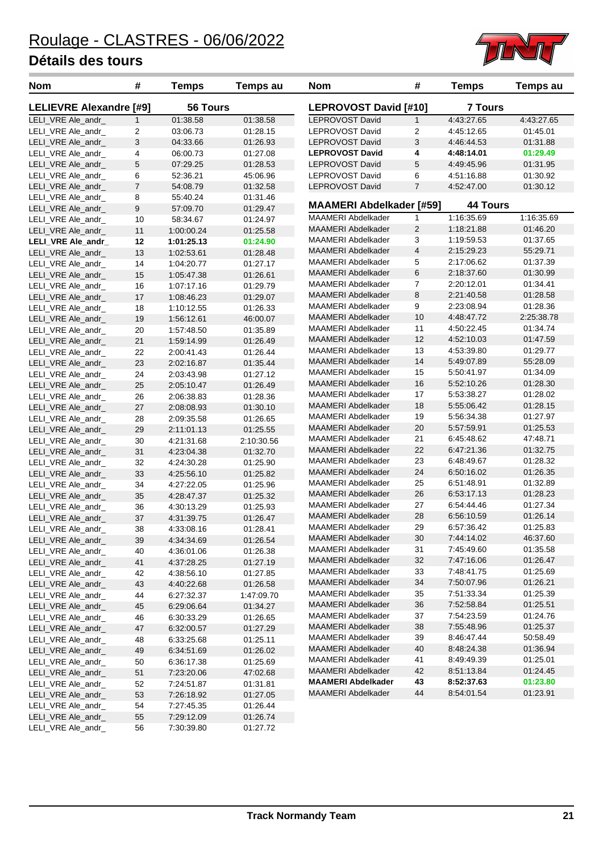

| <b>Nom</b>                     | #                | <b>Temps</b> | <b>Temps au</b> | Nom                             | #              | <b>Temps</b>    | Temps au   |
|--------------------------------|------------------|--------------|-----------------|---------------------------------|----------------|-----------------|------------|
| <b>LELIEVRE Alexandre [#9]</b> |                  | 56 Tours     |                 | LEPROVOST David [#10]           |                | <b>7 Tours</b>  |            |
| LELI_VRE Ale_andr_             | $\mathbf{1}$     | 01:38.58     | 01:38.58        | LEPROVOST David                 | $\mathbf{1}$   | 4:43:27.65      | 4:43:27.65 |
| LELI_VRE Ale_andr_             | $\overline{c}$   | 03:06.73     | 01:28.15        | <b>LEPROVOST David</b>          | $\overline{c}$ | 4:45:12.65      | 01:45.01   |
| LELI_VRE Ale_andr_             | 3                | 04:33.66     | 01:26.93        | LEPROVOST David                 | 3              | 4:46:44.53      | 01:31.88   |
| LELI_VRE Ale_andr_             | 4                | 06:00.73     | 01:27.08        | <b>LEPROVOST David</b>          | 4              | 4:48:14.01      | 01:29.49   |
| LELI_VRE Ale_andr_             | 5                | 07:29.25     | 01:28.53        | LEPROVOST David                 | 5              | 4:49:45.96      | 01:31.95   |
| LELI_VRE Ale_andr_             | 6                | 52:36.21     | 45:06.96        | LEPROVOST David                 | 6              | 4:51:16.88      | 01:30.92   |
| LELI_VRE Ale_andr_             | $\boldsymbol{7}$ | 54:08.79     | 01:32.58        | LEPROVOST David                 | $\overline{7}$ | 4:52:47.00      | 01:30.12   |
| LELI_VRE Ale_andr_             | 8                | 55:40.24     | 01:31.46        |                                 |                |                 |            |
| LELI VRE Ale andr              | 9                | 57:09.70     | 01:29.47        | <b>MAAMERI Abdelkader [#59]</b> |                | <b>44 Tours</b> |            |
| LELI_VRE Ale_andr_             | 10               | 58:34.67     | 01:24.97        | MAAMERI Abdelkader              | 1              | 1:16:35.69      | 1:16:35.69 |
| LELI_VRE Ale_andr_             | 11               | 1:00:00.24   | 01:25.58        | <b>MAAMERI Abdelkader</b>       | 2              | 1:18:21.88      | 01:46.20   |
| LELI_VRE Ale_andr_             | 12               | 1:01:25.13   | 01:24.90        | MAAMERI Abdelkader              | 3              | 1:19:59.53      | 01:37.65   |
| LELI_VRE Ale_andr_             | 13               | 1:02:53.61   | 01:28.48        | <b>MAAMERI Abdelkader</b>       | $\overline{4}$ | 2:15:29.23      | 55:29.71   |
| LELI_VRE Ale_andr_             | 14               | 1:04:20.77   | 01:27.17        | MAAMERI Abdelkader              | 5              | 2:17:06.62      | 01:37.39   |
| LELI_VRE Ale_andr_             | 15               | 1:05:47.38   | 01:26.61        | MAAMERI Abdelkader              | 6              | 2:18:37.60      | 01:30.99   |
| LELI_VRE Ale_andr_             | 16               | 1:07:17.16   | 01:29.79        | MAAMERI Abdelkader              | 7              | 2:20:12.01      | 01:34.41   |
| LELI_VRE Ale_andr_             | 17               | 1:08:46.23   | 01:29.07        | <b>MAAMERI Abdelkader</b>       | 8              | 2:21:40.58      | 01:28.58   |
| LELI VRE Ale andr              | 18               | 1:10:12.55   | 01:26.33        | MAAMERI Abdelkader              | 9              | 2:23:08.94      | 01:28.36   |
| LELI_VRE Ale_andr_             | 19               | 1:56:12.61   | 46:00.07        | <b>MAAMERI Abdelkader</b>       | 10             | 4:48:47.72      | 2:25:38.78 |
| LELI_VRE Ale_andr_             | 20               | 1:57:48.50   | 01:35.89        | MAAMERI Abdelkader              | 11             | 4:50:22.45      | 01:34.74   |
| LELI_VRE Ale_andr_             | 21               | 1:59:14.99   | 01:26.49        | MAAMERI Abdelkader              | 12             | 4:52:10.03      | 01:47.59   |
| LELI_VRE Ale_andr_             | 22               | 2:00:41.43   | 01:26.44        | MAAMERI Abdelkader              | 13             | 4:53:39.80      | 01:29.77   |
| LELI_VRE Ale_andr_             | 23               | 2:02:16.87   | 01:35.44        | <b>MAAMERI Abdelkader</b>       | 14             | 5:49:07.89      | 55:28.09   |
| LELI_VRE Ale_andr_             | 24               | 2:03:43.98   | 01:27.12        | MAAMERI Abdelkader              | 15             | 5:50:41.97      | 01:34.09   |
| LELI_VRE Ale_andr_             | 25               | 2:05:10.47   | 01:26.49        | <b>MAAMERI Abdelkader</b>       | 16             | 5:52:10.26      | 01:28.30   |
|                                |                  |              |                 | MAAMERI Abdelkader              | 17             | 5:53:38.27      | 01:28.02   |
| LELI_VRE Ale_andr_             | 26<br>27         | 2:06:38.83   | 01:28.36        | MAAMERI Abdelkader              | 18             | 5:55:06.42      | 01:28.15   |
| LELI_VRE Ale_andr_             |                  | 2:08:08.93   | 01:30.10        | MAAMERI Abdelkader              | 19             | 5:56:34.38      | 01:27.97   |
| LELI_VRE Ale_andr_             | 28               | 2:09:35.58   | 01:26.65        | <b>MAAMERI Abdelkader</b>       | 20             | 5:57:59.91      | 01:25.53   |
| LELI_VRE Ale_andr_             | 29               | 2:11:01.13   | 01:25.55        | MAAMERI Abdelkader              | 21             | 6:45:48.62      | 47:48.71   |
| LELI_VRE Ale_andr_             | 30               | 4:21:31.68   | 2:10:30.56      | MAAMERI Abdelkader              | 22             | 6:47:21.36      | 01:32.75   |
| LELI_VRE Ale_andr_             | 31               | 4:23:04.38   | 01:32.70        | MAAMERI Abdelkader              | 23             | 6:48:49.67      | 01:28.32   |
| LELI_VRE Ale_andr_             | 32               | 4:24:30.28   | 01:25.90        | <b>MAAMERI Abdelkader</b>       | 24             | 6:50:16.02      | 01:26.35   |
| LELI_VRE Ale_andr_             | 33               | 4:25:56.10   | 01:25.82        | MAAMERI Abdelkader              | 25             | 6:51:48.91      | 01:32.89   |
| LELI_VRE Ale_andr_             | 34               | 4:27:22.05   | 01:25.96        |                                 |                |                 | 01:28.23   |
| LELI_VRE Ale_andr_             | 35               | 4:28:47.37   | 01:25.32        | <b>MAAMERI Abdelkader</b>       | 26             | 6:53:17.13      | 01:27.34   |
| LELI_VRE Ale_andr_             | 36               | 4:30:13.29   | 01:25.93        | MAAMERI Abdelkader              | 27             | 6:54:44.46      |            |
| LELI_VRE Ale_andr_             | 37               | 4:31:39.75   | 01:26.47        | MAAMERI Abdelkader              | 28             | 6:56:10.59      | 01:26.14   |
| LELI_VRE Ale_andr_             | 38               | 4:33:08.16   | 01:28.41        | <b>MAAMERI Abdelkader</b>       | 29             | 6:57:36.42      | 01:25.83   |
| LELI_VRE Ale_andr_             | 39               | 4:34:34.69   | 01:26.54        | <b>MAAMERI Abdelkader</b>       | 30             | 7:44:14.02      | 46:37.60   |
| LELI_VRE Ale_andr_             | 40               | 4:36:01.06   | 01:26.38        | MAAMERI Abdelkader              | 31             | 7:45:49.60      | 01:35.58   |
| LELI_VRE Ale_andr_             | 41               | 4:37:28.25   | 01:27.19        | <b>MAAMERI Abdelkader</b>       | 32             | 7:47:16.06      | 01:26.47   |
| LELI_VRE Ale_andr_             | 42               | 4:38:56.10   | 01:27.85        | MAAMERI Abdelkader              | 33             | 7:48:41.75      | 01:25.69   |
| LELI_VRE Ale_andr_             | 43               | 4:40:22.68   | 01:26.58        | MAAMERI Abdelkader              | 34             | 7:50:07.96      | 01:26.21   |
| LELI_VRE Ale_andr_             | 44               | 6:27:32.37   | 1:47:09.70      | MAAMERI Abdelkader              | 35             | 7:51:33.34      | 01:25.39   |
| LELI_VRE Ale_andr_             | 45               | 6.29.06.64   | 01:34.27        | MAAMERI Abdelkader              | 36             | 7:52:58.84      | 01:25.51   |
| LELI_VRE Ale_andr_             | 46               | 6:30:33.29   | 01:26.65        | MAAMERI Abdelkader              | 37             | 7:54:23.59      | 01:24.76   |
| LELI_VRE Ale_andr_             | 47               | 6:32:00.57   | 01:27.29        | MAAMERI Abdelkader              | 38             | 7:55:48.96      | 01:25.37   |
| LELI_VRE Ale_andr_             | 48               | 6:33:25.68   | 01:25.11        | MAAMERI Abdelkader              | 39             | 8:46:47.44      | 50:58.49   |
| LELI_VRE Ale_andr_             | 49               | 6:34:51.69   | 01:26.02        | MAAMERI Abdelkader              | 40             | 8:48:24.38      | 01:36.94   |
| LELI_VRE Ale_andr_             | 50               | 6:36:17.38   | 01:25.69        | MAAMERI Abdelkader              | 41             | 8:49:49.39      | 01:25.01   |
| LELI_VRE Ale_andr_             | 51               | 7:23:20.06   | 47:02.68        | MAAMERI Abdelkader              | 42             | 8:51:13.84      | 01:24.45   |
| LELI_VRE Ale_andr_             | 52               | 7:24:51.87   | 01:31.81        | <b>MAAMERI Abdelkader</b>       | 43             | 8:52:37.63      | 01:23.80   |
| LELI_VRE Ale_andr_             | 53               | 7:26:18.92   | 01:27.05        | <b>MAAMERI Abdelkader</b>       | 44             | 8:54:01.54      | 01:23.91   |
| LELI_VRE Ale_andr_             | 54               | 7:27:45.35   | 01:26.44        |                                 |                |                 |            |
| LELI_VRE Ale_andr_             | 55               | 7:29:12.09   | 01:26.74        |                                 |                |                 |            |
| LELI_VRE Ale_andr_             | 56               | 7:30:39.80   | 01:27.72        |                                 |                |                 |            |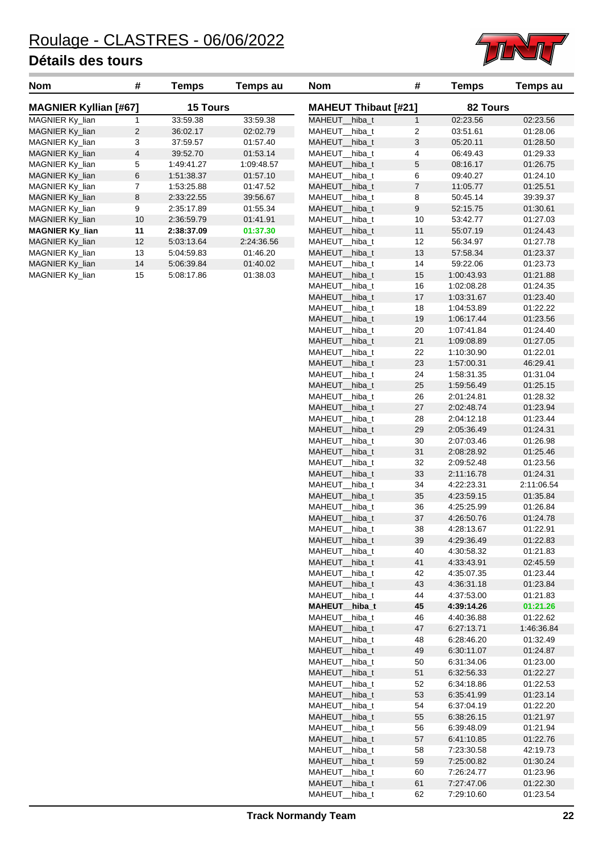

| <b>Nom</b>                                      | #  | Temps      | Temps au                    | <b>Nom</b>    | #              | Temps      | Temps au |
|-------------------------------------------------|----|------------|-----------------------------|---------------|----------------|------------|----------|
| <b>MAGNIER Kyllian [#67]</b><br><b>15 Tours</b> |    |            | <b>MAHEUT Thibaut [#21]</b> |               | 82 Tours       |            |          |
| MAGNIER Ky lian                                 |    | 33:59.38   | 33:59.38                    | MAHEUT hiba t |                | 02:23.56   | 02:23.56 |
| MAGNIER Ky_lian                                 | 2  | 36:02.17   | 02:02.79                    | MAHEUT hiba t | 2              | 03:51.61   | 01:28.06 |
| MAGNIER Ky lian                                 | 3  | 37:59.57   | 01:57.40                    | MAHEUT hiba t | 3              | 05:20.11   | 01:28.50 |
| MAGNIER Ky_lian                                 | 4  | 39:52.70   | 01:53.14                    | MAHEUT hiba t | 4              | 06:49.43   | 01:29.33 |
| MAGNIER Ky lian                                 | 5  | 1:49:41.27 | 1:09:48.57                  | MAHEUT hiba t | 5              | 08:16.17   | 01:26.75 |
| MAGNIER Ky_lian                                 | 6  | 1:51:38.37 | 01:57.10                    | MAHEUT hiba t | 6              | 09:40.27   | 01:24.10 |
| MAGNIER Ky_lian                                 |    | 1:53:25.88 | 01:47.52                    | MAHEUT hiba t | $\overline{7}$ | 11:05.77   | 01:25.51 |
| MAGNIER Ky lian                                 | 8  | 2:33:22.55 | 39:56.67                    | MAHEUT hiba t | 8              | 50:45.14   | 39:39.37 |
| MAGNIER Ky_lian                                 | 9  | 2:35:17.89 | 01:55.34                    | MAHEUT hiba t | 9              | 52:15.75   | 01:30.61 |
| MAGNIER Ky lian                                 | 10 | 2:36:59.79 | 01:41.91                    | MAHEUT hiba t | 10             | 53:42.77   | 01:27.03 |
| <b>MAGNIER Ky_lian</b>                          | 11 | 2:38:37.09 | 01:37.30                    | MAHEUT hiba t | 11             | 55:07.19   | 01.24.43 |
| MAGNIER Ky lian                                 | 12 | 5:03:13.64 | 2.24.36.56                  | MAHEUT hiba t | 12             | 56:34.97   | 01:27.78 |
| MAGNIER Ky lian                                 | 13 | 5:04:59.83 | 01:46.20                    | MAHEUT hiba t | 13             | 57:58.34   | 01:23.37 |
| MAGNIER Ky_lian                                 | 14 | 5:06:39.84 | 01:40.02                    | MAHEUT hiba t | 14             | 59:22.06   | 01:23.73 |
| MAGNIER Ky lian                                 | 15 | 5:08:17.86 | 01:38.03                    | MAHEUT hiba t | 15             | 1:00:43.93 | 01:21.88 |

| <b>MAHEUT Thibaut [#21]</b> |                | 82 Tours   |            |
|-----------------------------|----------------|------------|------------|
| MAHEUT<br>hiba t            | 1              | 02:23.56   | 02:23.56   |
| MAHEUT<br>hiba t            | 2              | 03:51.61   | 01:28.06   |
| MAHEUT<br>hiba_t            | 3              | 05:20.11   | 01:28.50   |
| MAHEUT<br>hiba t            | 4              | 06:49.43   | 01:29.33   |
| MAHEUT                      |                |            |            |
| hiba t                      | 5              | 08:16.17   | 01:26.75   |
| MAHEUT<br>hiba_t            | 6              | 09:40.27   | 01:24.10   |
| MAHEUT_<br>hiba_t           | $\overline{7}$ | 11:05.77   | 01:25.51   |
| MAHEUT<br>_hiba_t           | 8              | 50:45.14   | 39:39.37   |
| MAHEUT<br>hiba t            | 9              | 52:15.75   | 01:30.61   |
| hiba t<br>MAHEUT            | 10             | 53:42.77   | 01:27.03   |
| MAHEUT<br>hiba t            | 11             | 55:07.19   | 01:24.43   |
| MAHEUT<br>hiba_t            | 12             | 56:34.97   | 01:27.78   |
| MAHEUT<br>hiba_t            | 13             | 57:58.34   | 01:23.37   |
| MAHEUT<br>hiba_t            | 14             | 59:22.06   | 01:23.73   |
| MAHEUT<br>hiba_t            | 15             | 1:00:43.93 | 01:21.88   |
| MAHEUT<br>hiba t            | 16             | 1:02:08.28 | 01:24.35   |
| MAHEUT<br>hiba t            | 17             | 1:03:31.67 | 01:23.40   |
| MAHEUT<br>hiba_t            | 18             | 1:04:53.89 | 01:22.22   |
| MAHEUT<br>hiba t            | 19             | 1:06:17.44 | 01:23.56   |
| MAHEUT                      | 20             | 1:07:41.84 | 01:24.40   |
| hiba_t                      |                |            |            |
| hiba_t<br>MAHEUT            | 21             | 1.09.08.89 | 01:27.05   |
| hiba_t<br>MAHEUT            | 22             | 1:10:30.90 | 01:22.01   |
| MAHEUT_<br>hiba_t           | 23             | 1:57:00.31 | 46:29.41   |
| MAHEUT<br>hiba t            | 24             | 1:58:31.35 | 01:31.04   |
| MAHEUT<br>hiba t            | 25             | 1.59.56.49 | 01:25.15   |
| MAHEUT<br>hiba t            | 26             | 2:01:24.81 | 01:28.32   |
| MAHEUT<br>hiba t            | 27             | 2:02:48.74 | 01:23.94   |
| MAHEUT<br>hiba_t            | 28             | 2:04:12.18 | 01:23.44   |
| MAHEUT_<br>hiba_t           | 29             | 2:05:36.49 | 01:24.31   |
| MAHEUT<br>hiba_t            | 30             | 2:07:03.46 | 01:26.98   |
| MAHEUT<br>hiba_t            | 31             | 2:08:28.92 | 01:25.46   |
| MAHEUT<br>hiba t            | 32             | 2:09:52.48 | 01:23.56   |
| MAHEUT<br>hiba_t            | 33             | 2:11:16.78 | 01:24.31   |
| MAHEUT<br>hiba t            | 34             | 4:22:23.31 | 2:11:06.54 |
| MAHEUT<br>hiba_t            | 35             | 4:23:59.15 | 01:35.84   |
| MAHEUT<br>hiba t            | 36             | 4:25:25.99 | 01:26.84   |
| MAHEUT_<br>hiba_t           | 37             | 4:26:50.76 | 01:24.78   |
| MAHEUT<br>hiba_t            | 38             | 4:28:13.67 | 01:22.91   |
| <b>MAHEUT</b><br>hiba_t     | 39             | 4:29:36.49 | 01:22.83   |
| MAHEUT<br>hiba_t            | 40             | 4:30:58.32 | 01:21.83   |
| MAHEUT_<br>hiba_t           | 41             | 4:33:43.91 | 02:45.59   |
| MAHEUT<br>hiba_t            | 42             | 4:35:07.35 | 01:23.44   |
| MAHEUT_<br>hiba_t           | 43             | 4:36:31.18 | 01:23.84   |
| MAHEUT<br>hiba_t            | 44             | 4:37:53.00 | 01:21.83   |
| <b>MAHEUT</b><br>hiba_t     | 45             | 4:39:14.26 | 01:21.26   |
| <b>MAHEUT</b><br>hiba_t     | 46             | 4:40:36.88 | 01:22.62   |
| MAHEUT_<br>hiba_t           | 47             | 6:27:13.71 | 1:46:36.84 |
| MAHEUT<br>hiba_t            | 48             | 6:28:46.20 | 01:32.49   |
| MAHEUT_<br>hiba_t           | 49             | 6:30:11.07 | 01:24.87   |
| MAHEUT<br>hiba_t            | 50             | 6:31:34.06 | 01:23.00   |
| <b>MAHEUT</b><br>hiba_t     | 51             | 6:32:56.33 | 01:22.27   |
| MAHEUT<br>hiba_t            | 52             | 6:34:18.86 | 01:22.53   |
| MAHEUT<br>hiba_t            | 53             |            |            |
|                             |                | 6:35:41.99 | 01:23.14   |
| MAHEUT<br>hiba_t            | 54             | 6:37:04.19 | 01:22.20   |
| MAHEUT<br>hiba_t            | 55             | 6.38.26.15 | 01:21.97   |
| MAHEUT<br>hiba_t            | 56             | 6:39:48.09 | 01:21.94   |
| MAHEUT_<br>hiba_t           | 57             | 6:41:10.85 | 01:22.76   |
| MAHEUT<br>hiba_t            | 58             | 7:23:30.58 | 42:19.73   |
| MAHEUT_<br>hiba_t           | 59             | 7:25:00.82 | 01:30.24   |
| MAHEUT<br>hiba_t            | 60             | 7:26:24.77 | 01:23.96   |
| MAHEUT_<br>hiba_t           | 61             | 7:27:47.06 | 01:22.30   |
| MAHEUT_<br>hiba_t           | 62             | 7:29:10.60 | 01:23.54   |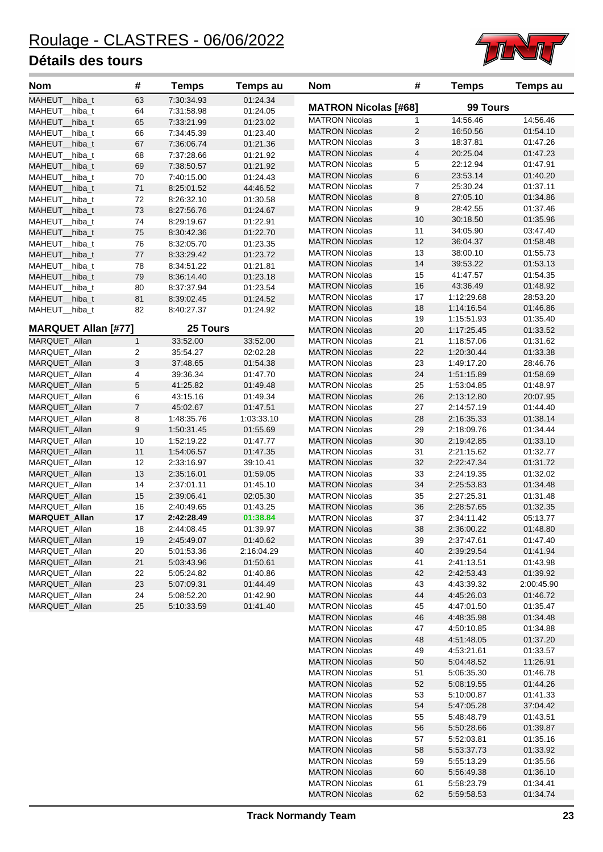

| Nom                        | #              | <b>Temps</b> | <b>Temps au</b> | <b>Nom</b>                                     | #                       | <b>Temps</b>         | <b>Temps au</b>      |
|----------------------------|----------------|--------------|-----------------|------------------------------------------------|-------------------------|----------------------|----------------------|
| MAHEUT_hiba_t              | 63             | 7:30:34.93   | 01:24.34        | <b>MATRON Nicolas [#68]</b>                    |                         | 99 Tours             |                      |
| MAHEUT_hiba_t              | 64             | 7:31:58.98   | 01:24.05        |                                                |                         |                      |                      |
| MAHEUT_hiba_t              | 65             | 7:33:21.99   | 01:23.02        | <b>MATRON Nicolas</b>                          | 1                       | 14:56.46             | 14:56.46             |
| MAHEUT_hiba_t              | 66             | 7:34:45.39   | 01:23.40        | <b>MATRON Nicolas</b>                          | $\overline{2}$<br>3     | 16:50.56             | 01:54.10             |
| MAHEUT_hiba_t              | 67             | 7:36:06.74   | 01:21.36        | <b>MATRON Nicolas</b><br><b>MATRON Nicolas</b> | $\overline{\mathbf{4}}$ | 18:37.81<br>20:25.04 | 01:47.26<br>01:47.23 |
| MAHEUT_hiba_t              | 68             | 7:37:28.66   | 01:21.92        |                                                | 5                       | 22:12.94             | 01:47.91             |
| MAHEUT_hiba_t              | 69             | 7:38:50.57   | 01:21.92        | <b>MATRON Nicolas</b><br><b>MATRON Nicolas</b> | 6                       | 23:53.14             | 01:40.20             |
| MAHEUT_hiba_t              | 70             | 7:40:15.00   | 01:24.43        | <b>MATRON Nicolas</b>                          | 7                       | 25:30.24             | 01:37.11             |
| MAHEUT_hiba_t              | 71             | 8:25:01.52   | 44:46.52        | <b>MATRON Nicolas</b>                          | 8                       | 27:05.10             | 01:34.86             |
| MAHEUT hiba t              | 72             | 8:26:32.10   | 01:30.58        | <b>MATRON Nicolas</b>                          | 9                       | 28:42.55             | 01:37.46             |
| MAHEUT_hiba_t              | 73             | 8:27:56.76   | 01:24.67        | <b>MATRON Nicolas</b>                          | 10                      | 30:18.50             | 01:35.96             |
| MAHEUT_hiba_t              | 74             | 8:29:19.67   | 01:22.91        | <b>MATRON Nicolas</b>                          | 11                      | 34:05.90             | 03:47.40             |
| MAHEUT_hiba_t              | 75             | 8:30:42.36   | 01:22.70        | <b>MATRON Nicolas</b>                          | 12                      | 36:04.37             | 01:58.48             |
| MAHEUT_hiba_t              | 76             | 8:32:05.70   | 01:23.35        | <b>MATRON Nicolas</b>                          | 13                      | 38:00.10             | 01:55.73             |
| MAHEUT_hiba_t              | 77             | 8:33:29.42   | 01:23.72        | <b>MATRON Nicolas</b>                          | 14                      | 39:53.22             | 01:53.13             |
| MAHEUT_hiba_t              | 78             | 8:34:51.22   | 01:21.81        | <b>MATRON Nicolas</b>                          | 15                      | 41:47.57             | 01:54.35             |
| MAHEUT hiba t              | 79             | 8:36:14.40   | 01:23.18        | <b>MATRON Nicolas</b>                          | 16                      | 43:36.49             | 01:48.92             |
| MAHEUT_hiba_t              | 80             | 8:37:37.94   | 01:23.54        | <b>MATRON Nicolas</b>                          | 17                      | 1:12:29.68           | 28:53.20             |
| MAHEUT_hiba_t              | 81             | 8:39:02.45   | 01:24.52        | <b>MATRON Nicolas</b>                          | 18                      | 1:14:16.54           | 01:46.86             |
| MAHEUT_hiba_t              | 82             | 8:40:27.37   | 01:24.92        | <b>MATRON Nicolas</b>                          | 19                      | 1:15:51.93           | 01:35.40             |
| <b>MARQUET Allan [#77]</b> |                | 25 Tours     |                 | <b>MATRON Nicolas</b>                          | 20                      | 1:17:25.45           | 01:33.52             |
| MARQUET_Allan              | $\mathbf{1}$   | 33:52.00     | 33:52.00        | <b>MATRON Nicolas</b>                          | 21                      | 1:18:57.06           | 01:31.62             |
| MARQUET_Allan              | 2              | 35:54.27     | 02:02.28        | <b>MATRON Nicolas</b>                          | 22                      | 1:20:30.44           | 01:33.38             |
| <b>MARQUET Allan</b>       | 3              | 37:48.65     | 01:54.38        | <b>MATRON Nicolas</b>                          | 23                      | 1:49:17.20           | 28:46.76             |
| MARQUET_Allan              | 4              | 39:36.34     | 01:47.70        | <b>MATRON Nicolas</b>                          | 24                      | 1:51:15.89           | 01:58.69             |
| MARQUET_Allan              | 5              | 41:25.82     | 01:49.48        | <b>MATRON Nicolas</b>                          | 25                      | 1:53:04.85           | 01:48.97             |
| MARQUET_Allan              | 6              | 43:15.16     | 01:49.34        | <b>MATRON Nicolas</b>                          | 26                      | 2:13:12.80           | 20:07.95             |
| MARQUET_Allan              | $\overline{7}$ | 45:02.67     | 01:47.51        | <b>MATRON Nicolas</b>                          | 27                      | 2:14:57.19           | 01:44.40             |
| MARQUET_Allan              | 8              | 1:48:35.76   | 1:03:33.10      | <b>MATRON Nicolas</b>                          | 28                      | 2:16:35.33           | 01:38.14             |
| MARQUET_Allan              | 9              | 1:50:31.45   | 01:55.69        | <b>MATRON Nicolas</b>                          | 29                      | 2:18:09.76           | 01:34.44             |
| MARQUET_Allan              | 10             | 1:52:19.22   | 01:47.77        | <b>MATRON Nicolas</b>                          | 30                      | 2:19:42.85           | 01:33.10             |
| MARQUET_Allan              | 11             | 1:54:06.57   | 01:47.35        | <b>MATRON Nicolas</b>                          | 31                      | 2:21:15.62           | 01:32.77             |
| MARQUET_Allan              | 12             | 2:33:16.97   | 39:10.41        | <b>MATRON Nicolas</b>                          | 32                      | 2:22:47.34           | 01:31.72             |
| <b>MARQUET Allan</b>       | 13             | 2:35:16.01   | 01:59.05        | <b>MATRON Nicolas</b>                          | 33                      | 2:24:19.35           | 01:32.02             |
| MARQUET_Allan              | 14             | 2:37:01.11   | 01:45.10        | <b>MATRON Nicolas</b>                          | 34                      | 2:25:53.83           | 01:34.48             |
| MARQUET_Allan              | 15             | 2:39:06.41   | 02:05.30        | <b>MATRON Nicolas</b>                          | 35                      | 2:27:25.31           | 01:31.48             |
| MARQUET_Allan              | 16             | 2:40:49.65   | 01:43.25        | <b>MATRON Nicolas</b>                          | 36                      | 2:28:57.65           | 01:32.35             |
| <b>MARQUET_Allan</b>       | 17             | 2:42:28.49   | 01:38.84        | <b>MATRON Nicolas</b>                          | 37                      | 2:34:11.42           | 05:13.77             |
| MARQUET_Allan              | 18             | 2:44:08.45   | 01:39.97        | <b>MATRON Nicolas</b>                          | 38                      | 2:36:00.22           | 01:48.80             |
| MARQUET_Allan              | 19             | 2:45:49.07   | 01:40.62        | <b>MATRON Nicolas</b>                          | 39                      | 2:37:47.61           | 01:47.40             |
| MARQUET_Allan              | 20             | 5:01:53.36   | 2:16:04.29      | <b>MATRON Nicolas</b>                          | 40                      | 2:39:29.54           | 01:41.94             |
| MARQUET Allan              | 21             | 5:03:43.96   | 01:50.61        | <b>MATRON Nicolas</b>                          | 41                      | 2:41:13.51           | 01:43.98             |
| MARQUET_Allan              | 22             | 5:05:24.82   | 01:40.86        | <b>MATRON Nicolas</b>                          | 42                      | 2:42:53.43           | 01:39.92             |
| MARQUET_Allan              | 23             | 5:07:09.31   | 01:44.49        | <b>MATRON Nicolas</b>                          | 43                      | 4:43:39.32           | 2:00:45.90           |
| MARQUET_Allan              | 24             | 5:08:52.20   | 01:42.90        | <b>MATRON Nicolas</b>                          | 44                      | 4:45:26.03           | 01:46.72             |
| MARQUET_Allan              | 25             | 5:10:33.59   | 01:41.40        | <b>MATRON Nicolas</b>                          | 45                      | 4:47:01.50           | 01:35.47             |
|                            |                |              |                 | <b>MATRON Nicolas</b>                          | 46                      | 4:48:35.98           | 01:34.48             |
|                            |                |              |                 | <b>MATRON Nicolas</b>                          | 47                      | 4:50:10.85           | 01:34.88             |
|                            |                |              |                 | <b>MATRON Nicolas</b>                          | 48                      | 4:51:48.05           | 01:37.20             |
|                            |                |              |                 | <b>MATRON Nicolas</b>                          | 49                      | 4:53:21.61           | 01:33.57             |
|                            |                |              |                 | <b>MATRON Nicolas</b>                          | 50                      | 5:04:48.52           | 11:26.91             |
|                            |                |              |                 | <b>MATRON Nicolas</b>                          | 51                      | 5:06:35.30           | 01:46.78             |
|                            |                |              |                 | <b>MATRON Nicolas</b>                          | 52                      | 5:08:19.55           | 01:44.26             |
|                            |                |              |                 | <b>MATRON Nicolas</b>                          | 53                      | 5:10:00.87           | 01:41.33             |
|                            |                |              |                 | <b>MATRON Nicolas</b>                          | 54                      | 5:47:05.28           | 37:04.42             |
|                            |                |              |                 | <b>MATRON Nicolas</b>                          | 55                      | 5:48:48.79           | 01:43.51             |
|                            |                |              |                 | <b>MATRON Nicolas</b>                          | 56                      | 5:50:28.66           | 01:39.87             |
|                            |                |              |                 | <b>MATRON Nicolas</b>                          | 57                      | 5:52:03.81           | 01:35.16             |
|                            |                |              |                 |                                                |                         |                      |                      |

**Track Normandy Team 23**

MATRON Nicolas 58 5:53:37.73 01:33.92 MATRON Nicolas 59 5:55:13.29 01:35.56 MATRON Nicolas 60 5:56:49.38 01:36.10 MATRON Nicolas 61 5:58:23.79 01:34.41 MATRON Nicolas 62 5:59:58.53 01:34.74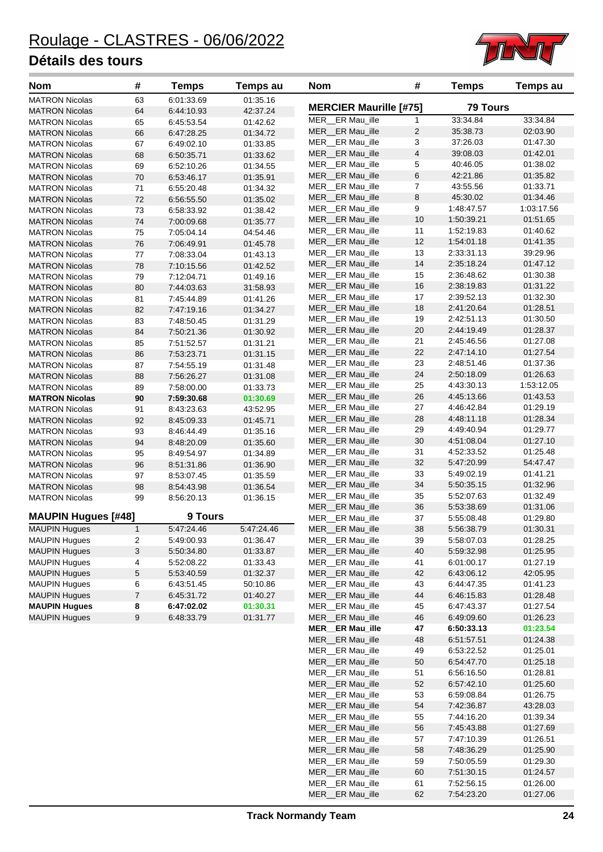

| <b>Nom</b>                                     | #                   | <b>Temps</b>             | Temps au             | <b>Nom</b>                          | #                            | <b>Temps</b>             | <b>Temps au</b>      |
|------------------------------------------------|---------------------|--------------------------|----------------------|-------------------------------------|------------------------------|--------------------------|----------------------|
| <b>MATRON Nicolas</b>                          | 63                  | 6:01:33.69               | 01:35.16             |                                     |                              | <b>79 Tours</b>          |                      |
| <b>MATRON Nicolas</b>                          | 64                  | 6:44:10.93               | 42:37.24             | <b>MERCIER Maurille [#75]</b>       |                              |                          |                      |
| <b>MATRON Nicolas</b>                          | 65                  | 6:45:53.54               | 01:42.62             | MER ER Mau_ille                     | 1                            | 33:34.84                 | 33:34.84             |
| <b>MATRON Nicolas</b>                          | 66                  | 6:47:28.25               | 01:34.72             | MER ER Mau_ille                     | 2                            | 35:38.73                 | 02:03.90             |
| <b>MATRON Nicolas</b>                          | 67                  | 6:49:02.10               | 01:33.85             | MER ER Mau ille<br>MER ER Mau_ille  | 3<br>$\overline{\mathbf{4}}$ | 37:26.03<br>39:08.03     | 01:47.30<br>01:42.01 |
| <b>MATRON Nicolas</b>                          | 68                  | 6:50:35.71               | 01:33.62             | MER_ER Mau_ille                     | 5                            | 40:46.05                 | 01:38.02             |
| <b>MATRON Nicolas</b>                          | 69                  | 6:52:10.26               | 01:34.55             | MER__ER Mau_ille                    | $\,6$                        | 42:21.86                 | 01:35.82             |
| <b>MATRON Nicolas</b>                          | 70                  | 6:53:46.17               | 01:35.91             | MER ER Mau_ille                     | $\overline{7}$               | 43:55.56                 | 01:33.71             |
| <b>MATRON Nicolas</b>                          | 71                  | 6:55:20.48               | 01:34.32             | MER ER Mau_ille                     | 8                            | 45:30.02                 | 01:34.46             |
| <b>MATRON Nicolas</b>                          | 72                  | 6:56:55.50               | 01:35.02             | MER ER Mau_ille                     | 9                            | 1:48:47.57               | 1:03:17.56           |
| <b>MATRON Nicolas</b>                          | 73                  | 6:58:33.92               | 01:38.42             | MER ER Mau_ille                     | 10                           | 1:50:39.21               | 01:51.65             |
| <b>MATRON Nicolas</b>                          | 74<br>75            | 7:00:09.68               | 01:35.77             | MER ER Mau_ille                     | 11                           | 1:52:19.83               | 01:40.62             |
| <b>MATRON Nicolas</b>                          | 76                  | 7:05:04.14<br>7:06:49.91 | 04:54.46<br>01:45.78 | MER ER Mau_ille                     | 12                           | 1:54:01.18               | 01:41.35             |
| <b>MATRON Nicolas</b><br><b>MATRON Nicolas</b> | 77                  | 7:08:33.04               | 01:43.13             | MER ER Mau ille                     | 13                           | 2:33:31.13               | 39:29.96             |
| <b>MATRON Nicolas</b>                          | 78                  | 7:10:15.56               | 01:42.52             | MER__ER Mau_ille                    | 14                           | 2:35:18.24               | 01:47.12             |
| <b>MATRON Nicolas</b>                          | 79                  | 7:12:04.71               | 01:49.16             | MER_ER Mau_ille                     | 15                           | 2:36:48.62               | 01:30.38             |
| <b>MATRON Nicolas</b>                          | 80                  | 7:44:03.63               | 31:58.93             | MER ER Mau_ille                     | 16                           | 2:38:19.83               | 01:31.22             |
| <b>MATRON Nicolas</b>                          | 81                  | 7:45:44.89               | 01:41.26             | MER ER Mau_ille                     | 17                           | 2:39:52.13               | 01:32.30             |
| <b>MATRON Nicolas</b>                          | 82                  | 7:47:19.16               | 01:34.27             | MER ER Mau_ille                     | 18                           | 2:41:20.64               | 01:28.51             |
| <b>MATRON Nicolas</b>                          | 83                  | 7:48:50.45               | 01:31.29             | MER ER Mau ille                     | 19                           | 2:42:51.13               | 01:30.50             |
| <b>MATRON Nicolas</b>                          | 84                  | 7:50:21.36               | 01:30.92             | MER ER Mau_ille                     | 20                           | 2:44:19.49               | 01:28.37             |
| <b>MATRON Nicolas</b>                          | 85                  | 7:51:52.57               | 01:31.21             | MER_ER Mau_ille                     | 21                           | 2:45:46.56               | 01:27.08             |
| <b>MATRON Nicolas</b>                          | 86                  | 7:53:23.71               | 01:31.15             | MER__ER Mau_ille                    | 22                           | 2:47:14.10               | 01:27.54             |
| <b>MATRON Nicolas</b>                          | 87                  | 7:54:55.19               | 01:31.48             | MER_ER Mau_ille                     | 23                           | 2:48:51.46               | 01:37.36             |
| <b>MATRON Nicolas</b>                          | 88                  | 7:56:26.27               | 01:31.08             | MER ER Mau_ille                     | 24                           | 2:50:18.09               | 01:26.63             |
| <b>MATRON Nicolas</b>                          | 89                  | 7:58:00.00               | 01:33.73             | MER_ER Mau_ille                     | 25                           | 4:43:30.13               | 1:53:12.05           |
| <b>MATRON Nicolas</b>                          | 90                  | 7:59:30.68               | 01:30.69             | MER ER Mau_ille                     | 26                           | 4:45:13.66               | 01:43.53             |
| <b>MATRON Nicolas</b>                          | 91                  | 8.43.23.63               | 43:52.95             | MER ER Mau_ille                     | 27                           | 4:46:42.84               | 01:29.19             |
| <b>MATRON Nicolas</b>                          | 92                  | 8:45:09.33               | 01:45.71             | MER__ER Mau_ille                    | 28                           | 4:48:11.18               | 01:28.34             |
| <b>MATRON Nicolas</b>                          | 93                  | 8:46:44.49               | 01:35.16             | MER_ER Mau_ille                     | 29                           | 4:49:40.94               | 01:29.77             |
| <b>MATRON Nicolas</b>                          | 94                  | 8:48:20.09               | 01:35.60             | MER__ER Mau_ille                    | 30                           | 4:51:08.04               | 01:27.10             |
| <b>MATRON Nicolas</b>                          | 95                  | 8:49:54.97               | 01:34.89             | MER ER Mau_ille                     | 31                           | 4:52:33.52               | 01:25.48             |
| <b>MATRON Nicolas</b>                          | 96                  | 8:51:31.86               | 01:36.90             | MER ER Mau_ille                     | 32                           | 5:47:20.99               | 54:47.47             |
| <b>MATRON Nicolas</b>                          | 97                  | 8:53:07.45               | 01:35.59             | MER_ER Mau_ille                     | 33                           | 5:49:02.19               | 01:41.21             |
| <b>MATRON Nicolas</b>                          | 98                  | 8:54:43.98               | 01:36.54             | MER ER Mau ille                     | 34                           | 5:50:35.15               | 01:32.96             |
| <b>MATRON Nicolas</b>                          | 99                  | 8:56:20.13               | 01:36.15             | MER_ER Mau_ille                     | 35                           | 5:52:07.63               | 01:32.49             |
|                                                |                     |                          |                      | MER_ER Mau_ille                     | 36                           | 5:53:38.69               | 01:31.06             |
| <b>MAUPIN Hugues [#48]</b>                     |                     | 9 Tours                  |                      | MER ER Mau ille                     | 37                           | 5:55:08.48               | 01:29.80             |
| MAUPIN Hugues                                  | 1                   | 5:47:24.46               | 5:47:24.46           | MER_ER Mau_ille                     | 38                           | 5:56:38.79               | 01:30.31             |
| <b>MAUPIN Hugues</b>                           | 2                   | 5:49:00.93               | 01:36.47             | MER ER Mau_ille                     | 39                           | 5:58:07.03               | 01:28.25             |
| <b>MAUPIN Hugues</b>                           | 3                   | 5:50:34.80               | 01:33.87             | MER_ER Mau_ille                     | 40                           | 5:59:32.98               | 01:25.95             |
| <b>MAUPIN Hugues</b>                           | 4                   | 5:52:08.22               | 01:33.43             | MER ER Mau ille                     | 41                           | 6:01:00.17               | 01:27.19             |
| <b>MAUPIN Hugues</b>                           | 5                   | 5:53:40.59               | 01:32.37             | MER ER Mau ille<br>MER_ER Mau_ille  | 42<br>43                     | 6:43:06.12               | 42:05.95             |
| <b>MAUPIN Hugues</b>                           | 6<br>$\overline{7}$ | 6:43:51.45               | 50:10.86             |                                     |                              | 6:44:47.35               | 01:41.23             |
| <b>MAUPIN Hugues</b><br><b>MAUPIN Hugues</b>   | 8                   | 6:45:31.72<br>6:47:02.02 | 01:40.27<br>01:30.31 | MER__ER Mau_ille<br>MER ER Mau_ille | 44<br>45                     | 6:46:15.83<br>6:47:43.37 | 01:28.48<br>01:27.54 |
| <b>MAUPIN Hugues</b>                           | 9                   | 6:48:33.79               | 01:31.77             | MER ER Mau ille                     | 46                           | 6:49:09.60               | 01:26.23             |
|                                                |                     |                          |                      | <b>MER_ER Mau_ille</b>              | 47                           | 6:50:33.13               | 01:23.54             |
|                                                |                     |                          |                      | MER ER Mau ille                     | 48                           | 6:51:57.51               | 01:24.38             |
|                                                |                     |                          |                      | MER ER Mau ille                     | 49                           | 6:53:22.52               | 01:25.01             |
|                                                |                     |                          |                      | MER ER Mau ille                     | 50                           | 6:54:47.70               | 01:25.18             |
|                                                |                     |                          |                      | MER ER Mau ille                     | 51                           | 6:56:16.50               | 01:28.81             |
|                                                |                     |                          |                      | MER__ER Mau_ille                    | 52                           | 6:57:42.10               | 01:25.60             |
|                                                |                     |                          |                      | MER_ER Mau_ille                     | 53                           | 6:59:08.84               | 01:26.75             |
|                                                |                     |                          |                      | MER ER Mau_ille                     | 54                           | 7:42:36.87               | 43:28.03             |
|                                                |                     |                          |                      | MER ER Mau_ille                     | 55                           | 7:44:16.20               | 01:39.34             |
|                                                |                     |                          |                      | MER ER Mau ille                     | 56                           | 7:45:43.88               | 01:27.69             |
|                                                |                     |                          |                      | MER ER Mau ille                     | 57                           | 7:47:10.39               | 01:26.51             |
|                                                |                     |                          |                      | MER__ER Mau_ille                    | 58                           | 7:48:36.29               | 01:25.90             |
|                                                |                     |                          |                      | MER ER Mau_ille                     | 59                           | 7:50:05.59               | 01:29.30             |
|                                                |                     |                          |                      | MER__ER Mau_ille                    | 60                           | 7:51:30.15               | 01:24.57             |

MER\_\_ER Mau\_ille 61 7:52:56.15 01:26.00 MER\_\_ER Mau\_ille 62 7:54:23.20 01:27.06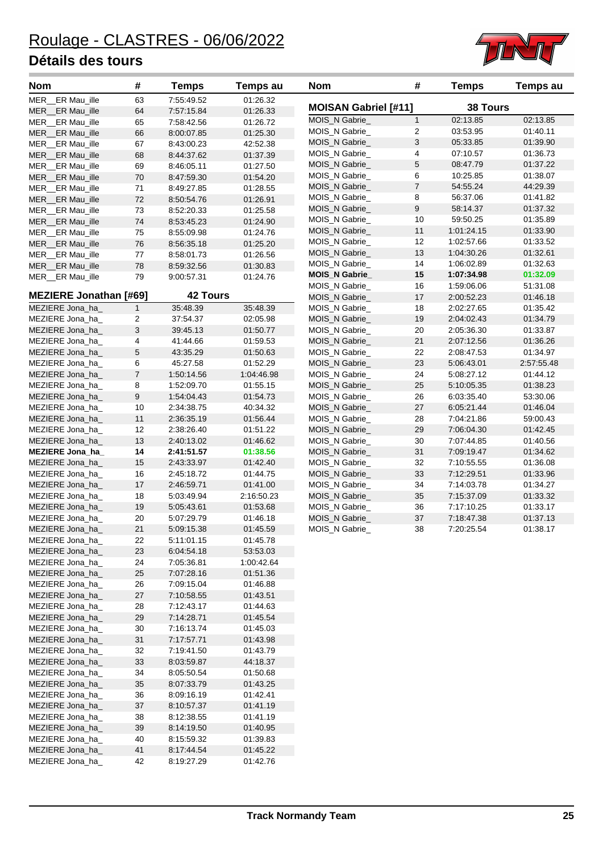

| <b>Nom</b>                    | #                         | <b>Temps</b>    | Temps au   | <b>Nom</b>                  | #                | <b>Temps</b>    | <b>Temps au</b> |
|-------------------------------|---------------------------|-----------------|------------|-----------------------------|------------------|-----------------|-----------------|
| MER ER Mau ille               | 63                        | 7:55:49.52      | 01:26.32   |                             |                  | <b>38 Tours</b> |                 |
| MER ER Mau_ille               | 64                        | 7:57:15.84      | 01:26.33   | <b>MOISAN Gabriel [#11]</b> |                  |                 |                 |
| MER ER Mau_ille               | 65                        | 7:58:42.56      | 01:26.72   | MOIS_N Gabrie_              | $\mathbf{1}$     | 02:13.85        | 02:13.85        |
| MER ER Mau ille               | 66                        | 8:00:07.85      | 01:25.30   | MOIS_N Gabrie_              | $\overline{c}$   | 03:53.95        | 01:40.11        |
| MER ER Mau_ille               | 67                        | 8:43:00.23      | 42:52.38   | MOIS_N Gabrie_              | 3                | 05:33.85        | 01:39.90        |
| MER ER Mau ille               | 68                        | 8:44:37.62      | 01:37.39   | MOIS_N Gabrie_              | 4                | 07:10.57        | 01:36.73        |
| MER_ER Mau_ille               | 69                        | 8:46:05.11      | 01:27.50   | MOIS_N Gabrie_              | 5                | 08:47.79        | 01:37.22        |
| MER ER Mau ille               | 70                        | 8:47:59.30      | 01:54.20   | MOIS_N Gabrie_              | 6                | 10:25.85        | 01:38.07        |
| MER ER Mau ille               | 71                        | 8:49:27.85      | 01:28.55   | MOIS_N Gabrie_              | $\boldsymbol{7}$ | 54:55.24        | 44:29.39        |
| MER_ER Mau_ille               | 72                        | 8:50:54.76      | 01:26.91   | MOIS_N Gabrie_              | 8                | 56:37.06        | 01:41.82        |
| MER ER Mau_ille               | 73                        | 8:52:20.33      | 01:25.58   | MOIS_N Gabrie_              | 9                | 58:14.37        | 01:37.32        |
| MER ER Mau ille               | 74                        | 8:53:45.23      | 01:24.90   | MOIS_N Gabrie_              | 10               | 59:50.25        | 01:35.89        |
| MER ER Mau ille               | 75                        | 8:55:09.98      | 01:24.76   | MOIS_N Gabrie_              | 11               | 1:01:24.15      | 01:33.90        |
| MER ER Mau ille               | 76                        | 8:56:35.18      | 01:25.20   | MOIS_N Gabrie_              | 12               | 1:02:57.66      | 01:33.52        |
| MER ER Mau_ille               | 77                        | 8:58:01.73      | 01:26.56   | MOIS_N Gabrie_              | 13               | 1:04:30.26      | 01:32.61        |
| MER ER Mau ille               | 78                        | 8:59:32.56      | 01:30.83   | MOIS_N Gabrie_              | 14               | 1:06:02.89      | 01:32.63        |
| MER_ER Mau_ille               | 79                        | 9:00:57.31      | 01:24.76   | <b>MOIS_N Gabrie_</b>       | 15               | 1:07:34.98      | 01:32.09        |
|                               |                           |                 |            | MOIS_N Gabrie_              | 16               | 1:59:06.06      | 51:31.08        |
| <b>MEZIERE Jonathan [#69]</b> |                           | <b>42 Tours</b> |            | MOIS_N Gabrie_              | 17               | 2:00:52.23      | 01:46.18        |
| MEZIERE Jona ha               | $\mathbf{1}$              | 35:48.39        | 35:48.39   | MOIS_N Gabrie_              | 18               | 2:02:27.65      | 01:35.42        |
| MEZIERE Jona_ha_              | $\overline{c}$            | 37:54.37        | 02:05.98   | MOIS N Gabrie               | 19               | 2:04:02.43      | 01:34.79        |
| MEZIERE Jona_ha_              | $\ensuremath{\mathsf{3}}$ | 39:45.13        | 01:50.77   | MOIS_N Gabrie_              | 20               | 2:05:36.30      | 01:33.87        |
| MEZIERE Jona ha               | 4                         | 41:44.66        | 01:59.53   | MOIS_N Gabrie_              | 21               | 2:07:12.56      | 01:36.26        |
| MEZIERE Jona_ha_              | $\sqrt{5}$                | 43:35.29        | 01:50.63   | MOIS_N Gabrie_              | 22               | 2:08:47.53      | 01:34.97        |
| MEZIERE Jona_ha_              | 6                         | 45:27.58        | 01:52.29   | MOIS_N Gabrie_              | 23               | 5:06:43.01      | 2:57:55.48      |
| MEZIERE Jona_ha_              | $\boldsymbol{7}$          | 1:50:14.56      | 1:04:46.98 | MOIS_N Gabrie_              | 24               | 5:08:27.12      | 01:44.12        |
| MEZIERE Jona_ha_              | 8                         | 1:52:09.70      | 01:55.15   | MOIS_N Gabrie_              | 25               | 5:10:05.35      | 01:38.23        |
| MEZIERE Jona_ha_              | $\boldsymbol{9}$          | 1:54:04.43      | 01:54.73   | MOIS_N Gabrie_              | 26               | 6:03:35.40      | 53:30.06        |
| MEZIERE Jona_ha_              | 10                        | 2:34:38.75      | 40:34.32   | MOIS_N Gabrie_              | 27               | 6:05:21.44      | 01:46.04        |
| MEZIERE Jona_ha_              | 11                        | 2:36:35.19      | 01:56.44   | MOIS_N Gabrie_              | 28               | 7:04:21.86      | 59:00.43        |
| MEZIERE Jona_ha_              | 12                        | 2:38:26.40      | 01:51.22   | MOIS_N Gabrie_              | 29               | 7:06:04.30      | 01:42.45        |
| MEZIERE Jona_ha_              | 13                        | 2:40:13.02      | 01:46.62   | MOIS_N Gabrie_              | 30               | 7:07:44.85      | 01:40.56        |
| MEZIERE Jona_ha_              | 14                        | 2:41:51.57      | 01:38.56   | MOIS_N Gabrie_              | 31               | 7:09:19.47      | 01:34.62        |
| MEZIERE Jona_ha_              | 15                        | 2:43:33.97      | 01:42.40   | MOIS_N Gabrie_              | 32               | 7:10:55.55      | 01:36.08        |
| MEZIERE Jona_ha_              | 16                        | 2:45:18.72      | 01:44.75   | MOIS_N Gabrie_              | 33               | 7:12:29.51      | 01:33.96        |
| MEZIERE Jona_ha_              | 17                        | 2:46:59.71      | 01:41.00   | MOIS N Gabrie               | 34               | 7:14:03.78      | 01:34.27        |
| MEZIERE Jona_ha_              | 18                        | 5:03:49.94      | 2:16:50.23 | MOIS_N Gabrie_              | 35               | 7:15:37.09      | 01:33.32        |
| MEZIERE Jona_ha_              | 19                        | 5:05:43.61      | 01:53.68   | MOIS_N Gabrie_              | 36               | 7:17:10.25      | 01:33.17        |
| MEZIERE Jona_ha_              | 20                        | 5:07:29.79      | 01:46.18   | MOIS_N Gabrie_              | 37               | 7:18:47.38      | 01:37.13        |
| MEZIERE Jona_ha_              | 21                        | 5:09:15.38      | 01:45.59   | MOIS_N Gabrie_              | 38               | 7:20:25.54      | 01:38.17        |
|                               |                           |                 |            |                             |                  |                 |                 |
| MEZIERE Jona_ha_              | 22                        | 5:11:01.15      | 01:45.78   |                             |                  |                 |                 |
| MEZIERE Jona_ha_              | 23                        | 6:04:54.18      | 53:53.03   |                             |                  |                 |                 |
| MEZIERE Jona_ha_              | 24                        | 7:05:36.81      | 1:00:42.64 |                             |                  |                 |                 |
| MEZIERE Jona_ha_              | 25                        | 7:07:28.16      | 01:51.36   |                             |                  |                 |                 |
| MEZIERE Jona_ha_              | 26                        | 7:09:15.04      | 01:46.88   |                             |                  |                 |                 |
| MEZIERE Jona_ha_              | 27                        | 7:10:58.55      | 01:43.51   |                             |                  |                 |                 |
| MEZIERE Jona_ha_              | 28                        | 7:12:43.17      | 01:44.63   |                             |                  |                 |                 |
| MEZIERE Jona_ha_              | 29                        | 7:14:28.71      | 01:45.54   |                             |                  |                 |                 |
| MEZIERE Jona_ha_              | 30                        | 7:16:13.74      | 01:45.03   |                             |                  |                 |                 |
| MEZIERE Jona_ha_              | 31                        | 7:17:57.71      | 01:43.98   |                             |                  |                 |                 |
| MEZIERE Jona_ha_              | 32                        | 7:19:41.50      | 01:43.79   |                             |                  |                 |                 |
| MEZIERE Jona_ha_              | 33                        | 8:03:59.87      | 44:18.37   |                             |                  |                 |                 |
| MEZIERE Jona_ha_              | 34                        | 8:05:50.54      | 01:50.68   |                             |                  |                 |                 |
| MEZIERE Jona_ha_              | 35                        | 8:07:33.79      | 01:43.25   |                             |                  |                 |                 |
| MEZIERE Jona_ha_              | 36                        | 8:09:16.19      | 01:42.41   |                             |                  |                 |                 |
| MEZIERE Jona_ha_              | 37                        | 8:10:57.37      | 01:41.19   |                             |                  |                 |                 |
| MEZIERE Jona_ha_              | 38                        | 8:12:38.55      | 01:41.19   |                             |                  |                 |                 |
| MEZIERE Jona_ha_              | 39                        | 8:14:19.50      | 01:40.95   |                             |                  |                 |                 |
| MEZIERE Jona_ha_              | 40                        | 8:15:59.32      | 01:39.83   |                             |                  |                 |                 |
| MEZIERE Jona_ha_              | 41                        | 8:17:44.54      | 01:45.22   |                             |                  |                 |                 |
| MEZIERE Jona_ha_              | 42                        | 8:19:27.29      | 01:42.76   |                             |                  |                 |                 |

| <b>Nom</b>                  | #              | <b>Temps</b>    | <b>Temps au</b> |
|-----------------------------|----------------|-----------------|-----------------|
| <b>MOISAN Gabriel [#11]</b> |                | <b>38 Tours</b> |                 |
| MOIS N Gabrie               | $\mathbf{1}$   | 02:13.85        | 02:13.85        |
| MOIS N Gabrie               | 2              | 03:53.95        | 01:40.11        |
| MOIS N Gabrie               | 3              | 05:33.85        | 01:39.90        |
| MOIS_N Gabrie_              | 4              | 07:10.57        | 01:36.73        |
| MOIS_N Gabrie_              | 5              | 08:47.79        | 01:37.22        |
| MOIS N Gabrie               | 6              | 10:25.85        | 01:38.07        |
| MOIS_N Gabrie_              | $\overline{7}$ | 54:55.24        | 44:29.39        |
| MOIS N Gabrie               | 8              | 56:37.06        | 01:41.82        |
| MOIS N Gabrie               | 9              | 58:14.37        | 01:37.32        |
| MOIS_N Gabrie_              | 10             | 59:50.25        | 01:35.89        |
| MOIS N Gabrie               | 11             | 1:01:24.15      | 01:33.90        |
| MOIS N Gabrie               | 12             | 1:02:57.66      | 01:33.52        |
| MOIS_N Gabrie_              | 13             | 1:04:30.26      | 01:32.61        |
| MOIS_N Gabrie_              | 14             | 1:06:02.89      | 01:32.63        |
| <b>MOIS_N Gabrie_</b>       | 15             | 1:07:34.98      | 01:32.09        |
| MOIS N Gabrie               | 16             | 1:59:06.06      | 51:31.08        |
| MOIS N Gabrie               | 17             | 2:00:52.23      | 01:46.18        |
| MOIS N Gabrie               | 18             | 2:02:27.65      | 01:35.42        |
| MOIS N Gabrie               | 19             | 2:04:02.43      | 01:34.79        |
| MOIS_N Gabrie_              | 20             | 2:05:36.30      | 01:33.87        |
| MOIS N Gabrie               | 21             | 2:07:12.56      | 01:36.26        |
| MOIS N Gabrie               | 22             | 2:08:47.53      | 01:34.97        |
| MOIS_N Gabrie_              | 23             | 5:06:43.01      | 2:57:55.48      |
| MOIS_N Gabrie_              | 24             | 5:08:27.12      | 01:44.12        |
| MOIS N Gabrie               | 25             | 5:10:05.35      | 01:38.23        |
| MOIS N Gabrie               | 26             | 6:03:35.40      | 53:30.06        |
| MOIS N Gabrie               | 27             | 6:05:21.44      | 01:46.04        |
| MOIS N Gabrie               | 28             | 7:04:21.86      | 59:00.43        |
| MOIS_N Gabrie_              | 29             | 7:06:04.30      | 01:42.45        |
| MOIS_N Gabrie_              | 30             | 7:07:44.85      | 01:40.56        |
| MOIS_N Gabrie_              | 31             | 7:09:19.47      | 01:34.62        |
| MOIS N Gabrie               | 32             | 7:10:55.55      | 01:36.08        |
| MOIS N Gabrie               | 33             | 7:12:29.51      | 01:33.96        |
| MOIS N Gabrie               | 34             | 7:14:03.78      | 01:34.27        |
| MOIS N Gabrie               | 35             | 7:15:37.09      | 01:33.32        |
| MOIS_N Gabrie_              | 36             | 7:17:10.25      | 01:33.17        |
| MOIS N Gabrie               | 37             | 7:18:47.38      | 01:37.13        |
| MOIS N Gabrie               | 38             | 7:20:25.54      | 01:38.17        |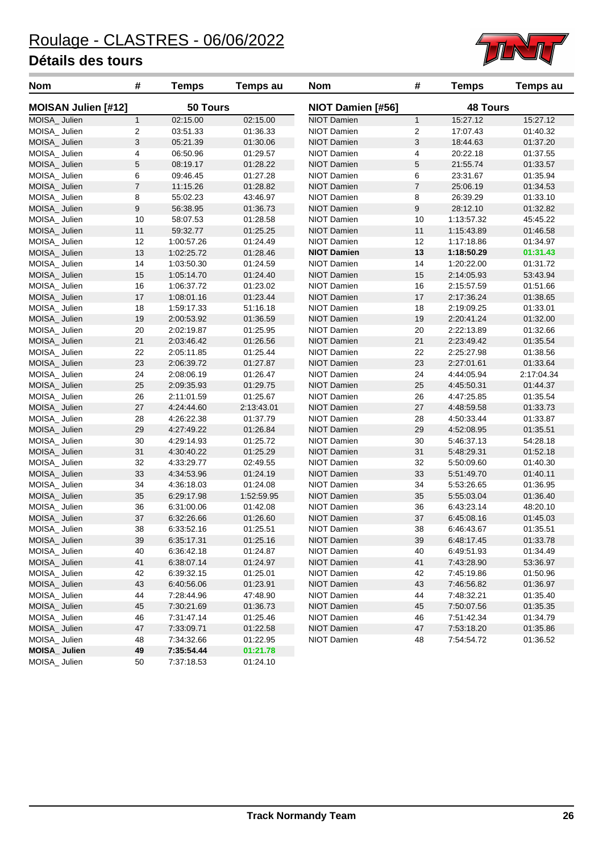

| <b>Nom</b>                 | #              | <b>Temps</b>             | Temps au   | <b>Nom</b>         | #              | <b>Temps</b>    | <b>Temps au</b> |
|----------------------------|----------------|--------------------------|------------|--------------------|----------------|-----------------|-----------------|
| <b>MOISAN Julien [#12]</b> |                | 50 Tours                 |            | NIOT Damien [#56]  |                | <b>48 Tours</b> |                 |
| MOISA_Julien               | $\mathbf{1}$   | 02:15.00                 | 02:15.00   | <b>NIOT Damien</b> | $\mathbf{1}$   | 15:27.12        | 15:27.12        |
| MOISA_Julien               | 2              | 03:51.33                 | 01:36.33   | NIOT Damien        | 2              | 17:07.43        | 01:40.32        |
| MOISA_Julien               | 3              | 05:21.39                 | 01:30.06   | <b>NIOT Damien</b> | 3              | 18:44.63        | 01:37.20        |
| MOISA Julien               | 4              | 06:50.96                 | 01:29.57   | NIOT Damien        | 4              | 20:22.18        | 01:37.55        |
| MOISA_Julien               | 5              | 08:19.17                 | 01:28.22   | <b>NIOT Damien</b> | 5              | 21:55.74        | 01:33.57        |
| MOISA_Julien               | 6              | 09:46.45                 | 01:27.28   | NIOT Damien        | 6              | 23:31.67        | 01:35.94        |
| MOISA_Julien               | $\overline{7}$ | 11:15.26                 | 01:28.82   | <b>NIOT Damien</b> | $\overline{7}$ | 25:06.19        | 01:34.53        |
| MOISA_ Julien              | 8              | 55:02.23                 | 43:46.97   | NIOT Damien        | 8              | 26:39.29        | 01:33.10        |
| MOISA_Julien               | 9              | 56:38.95                 | 01:36.73   | <b>NIOT Damien</b> | 9              | 28:12.10        | 01:32.82        |
| MOISA_Julien               | 10             | 58:07.53                 | 01:28.58   | NIOT Damien        | 10             | 1:13:57.32      | 45:45.22        |
| MOISA_Julien               | 11             | 59:32.77                 | 01:25.25   | <b>NIOT Damien</b> | 11             | 1:15:43.89      | 01:46.58        |
| MOISA_ Julien              | 12             | 1:00:57.26               | 01:24.49   | NIOT Damien        | 12             | 1:17:18.86      | 01:34.97        |
| MOISA_Julien               | 13             | 1:02:25.72               | 01:28.46   | <b>NIOT Damien</b> | 13             | 1:18:50.29      | 01:31.43        |
| MOISA_ Julien              | 14             | 1:03:50.30               | 01:24.59   | NIOT Damien        | 14             | 1:20:22.00      | 01:31.72        |
| MOISA_Julien               | 15             | 1:05:14.70               | 01:24.40   | <b>NIOT Damien</b> | 15             | 2:14:05.93      | 53:43.94        |
| MOISA_Julien               | 16             | 1:06:37.72               | 01:23.02   | NIOT Damien        | 16             | 2:15:57.59      | 01:51.66        |
| MOISA_Julien               | 17             | 1:08:01.16               | 01:23.44   | <b>NIOT Damien</b> | 17             | 2:17:36.24      | 01:38.65        |
| MOISA_ Julien              | 18             | 1:59:17.33               | 51:16.18   | NIOT Damien        | 18             | 2:19:09.25      | 01:33.01        |
| MOISA_Julien               | 19             | 2:00:53.92               | 01:36.59   | <b>NIOT Damien</b> | 19             | 2:20:41.24      | 01:32.00        |
| MOISA_Julien               | 20             | 2:02:19.87               | 01:25.95   | <b>NIOT Damien</b> | 20             | 2:22:13.89      | 01:32.66        |
| MOISA_Julien               | 21             | 2:03:46.42               | 01:26.56   | <b>NIOT Damien</b> | 21             | 2:23:49.42      | 01:35.54        |
| MOISA_ Julien              | 22             | 2:05:11.85               | 01:25.44   | NIOT Damien        | 22             | 2:25:27.98      | 01:38.56        |
| MOISA_Julien               | 23             | 2:06:39.72               | 01:27.87   | <b>NIOT Damien</b> | 23             | 2:27:01.61      | 01:33.64        |
| MOISA_Julien               | 24             | 2:08:06.19               | 01:26.47   | NIOT Damien        | 24             | 4:44:05.94      | 2:17:04.34      |
| MOISA_Julien               | 25             | 2:09:35.93               | 01:29.75   | <b>NIOT Damien</b> | 25             | 4:45:50.31      | 01:44.37        |
| MOISA_ Julien              | 26             | 2:11:01.59               | 01:25.67   | NIOT Damien        | 26             | 4:47:25.85      | 01:35.54        |
| MOISA_Julien               | 27             | 4:24:44.60               | 2:13:43.01 | <b>NIOT Damien</b> | 27             | 4:48:59.58      | 01:33.73        |
| MOISA_ Julien              | 28             | 4:26:22.38               | 01:37.79   | NIOT Damien        | 28             | 4:50:33.44      | 01:33.87        |
| MOISA_Julien               | 29             | 4:27:49.22               | 01:26.84   | <b>NIOT Damien</b> | 29             | 4:52:08.95      | 01:35.51        |
| MOISA_ Julien              | 30             | 4:29:14.93               | 01:25.72   | NIOT Damien        | 30             | 5:46:37.13      | 54:28.18        |
| MOISA_Julien               | 31             | 4:30:40.22               | 01:25.29   | <b>NIOT Damien</b> | 31             | 5:48:29.31      | 01:52.18        |
| MOISA_ Julien              | 32             | 4:33:29.77               | 02:49.55   | NIOT Damien        | 32             | 5:50:09.60      | 01:40.30        |
| MOISA_Julien               | 33             | 4:34:53.96               | 01:24.19   | <b>NIOT Damien</b> | 33             | 5:51:49.70      | 01:40.11        |
| MOISA_Julien               | 34             | 4:36:18.03               | 01:24.08   | NIOT Damien        | 34             | 5:53:26.65      | 01:36.95        |
| MOISA Julien               | 35             | 6:29:17.98               | 1:52:59.95 | <b>NIOT Damien</b> | 35             | 5:55:03.04      | 01:36.40        |
| MOISA_ Julien              | 36             | 6:31:00.06               | 01:42.08   | NIOT Damien        | 36             | 6:43:23.14      | 48:20.10        |
| MOISA_Julien               | 37             | 6:32:26.66               | 01:26.60   | <b>NIOT Damien</b> | 37             | 6:45:08.16      | 01:45.03        |
| MOISA_ Julien              | 38             | 6:33:52.16               | 01:25.51   | NIOT Damien        | 38             | 6:46:43.67      | 01:35.51        |
| MOISA_Julien               | 39             | 6:35:17.31               | 01:25.16   | NIOT Damien        | 39             | 6:48:17.45      | 01:33.78        |
| MOISA_Julien               | 40             | 6:36:42.18               | 01:24.87   | NIOT Damien        | 40             | 6:49:51.93      | 01:34.49        |
| MOISA_Julien               |                |                          |            |                    |                |                 |                 |
| MOISA_Julien               | 41             | 6:38:07.14<br>6:39:32.15 | 01:24.97   | NIOT Damien        | 41             | 7:43:28.90      | 53:36.97        |
|                            | 42             |                          | 01:25.01   | NIOT Damien        | 42             | 7:45:19.86      | 01:50.96        |
| MOISA_Julien               | 43             | 6:40:56.06               | 01:23.91   | NIOT Damien        | 43             | 7:46:56.82      | 01:36.97        |
| MOISA_ Julien              | 44             | 7:28:44.96               | 47:48.90   | NIOT Damien        | 44             | 7:48:32.21      | 01:35.40        |
| MOISA_Julien               | 45             | 7:30:21.69               | 01:36.73   | NIOT Damien        | 45             | 7:50:07.56      | 01:35.35        |
| MOISA_Julien               | 46             | 7:31:47.14               | 01:25.46   | NIOT Damien        | 46             | 7:51:42.34      | 01:34.79        |
| MOISA_Julien               | 47             | 7:33:09.71               | 01:22.58   | <b>NIOT Damien</b> | 47             | 7:53:18.20      | 01:35.86        |
| MOISA_Julien               | 48             | 7:34:32.66               | 01:22.95   | NIOT Damien        | 48             | 7:54:54.72      | 01:36.52        |
| MOISA_Julien               | 49             | 7:35:54.44               | 01:21.78   |                    |                |                 |                 |
| MOISA_Julien               | 50             | 7:37:18.53               | 01:24.10   |                    |                |                 |                 |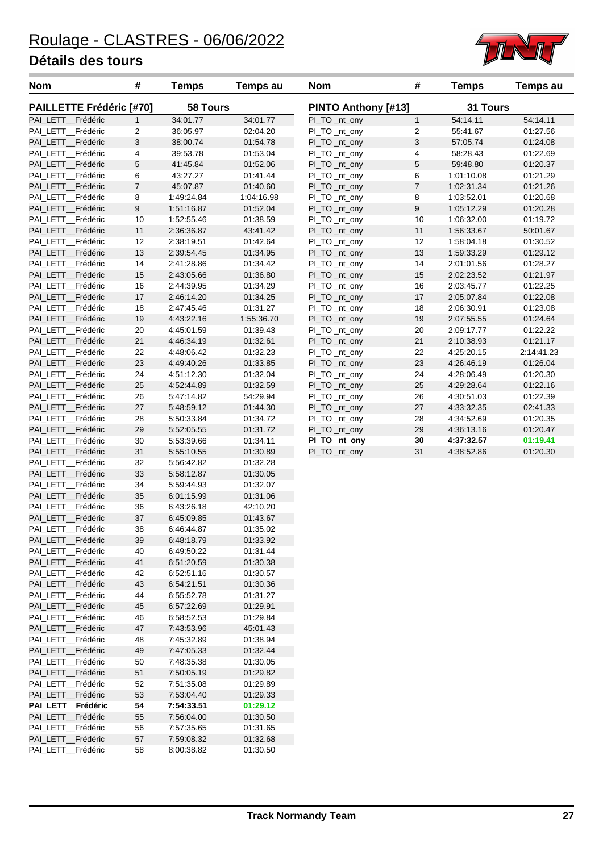

| <b>Nom</b>                              | #                | <b>Temps</b>             | <b>Temps au</b>      | <b>Nom</b>                     | #                | <b>Temps</b>             | <b>Temps au</b>      |
|-----------------------------------------|------------------|--------------------------|----------------------|--------------------------------|------------------|--------------------------|----------------------|
| <b>PAILLETTE Frédéric [#70]</b>         |                  | <b>58 Tours</b>          |                      | <b>PINTO Anthony [#13]</b>     |                  | 31 Tours                 |                      |
| PAI_LETT_Frédéric                       | $\mathbf{1}$     | 34:01.77                 | 34:01.77             | PI_TO _nt_ony                  | $\mathbf{1}$     | 54:14.11                 | 54:14.11             |
| PAI_LETT_Frédéric                       | $\overline{c}$   | 36:05.97                 | 02:04.20             | PI_TO _nt_ony                  | $\sqrt{2}$       | 55:41.67                 | 01:27.56             |
| PAI_LETT_Frédéric                       | $\mathbf{3}$     | 38:00.74                 | 01:54.78             | PI_TO _nt_ony                  | $\sqrt{3}$       | 57:05.74                 | 01:24.08             |
| PAI_LETT_Frédéric                       | 4                | 39:53.78                 | 01:53.04             | PI_TO _nt_ony                  | 4                | 58:28.43                 | 01:22.69             |
| PAI_LETT_Frédéric                       | $\mathbf 5$      | 41:45.84                 | 01:52.06             | PI_TO _nt_ony                  | $\,$ 5 $\,$      | 59:48.80                 | 01:20.37             |
| PAI_LETT_Frédéric                       | 6                | 43:27.27                 | 01:41.44             | PI_TO _nt_ony                  | 6                | 1:01:10.08               | 01:21.29             |
| PAI_LETT_Frédéric                       | $\boldsymbol{7}$ | 45:07.87                 | 01:40.60             | PI_TO _nt_ony                  | $\boldsymbol{7}$ | 1:02:31.34               | 01:21.26             |
| PAI LETT Frédéric                       | 8                | 1:49:24.84               | 1:04:16.98           | PI_TO _nt_ony                  | 8                | 1:03:52.01               | 01:20.68             |
| PAI_LETT_Frédéric                       | $\boldsymbol{9}$ | 1:51:16.87               | 01:52.04             | PI_TO _nt_ony                  | 9                | 1:05:12.29               | 01:20.28             |
| PAI_LETT_Frédéric                       | 10               | 1:52:55.46               | 01:38.59             | PI_TO _nt_ony                  | 10               | 1:06:32.00               | 01:19.72             |
| PAI_LETT_Frédéric                       | 11               | 2:36:36.87               | 43:41.42             | PI_TO _nt_ony                  | 11               | 1:56:33.67               | 50:01.67             |
| PAI_LETT_Frédéric                       | 12               | 2:38:19.51               | 01:42.64             | PI_TO _nt_ony                  | 12               | 1:58:04.18               | 01:30.52             |
| PAI_LETT_Frédéric                       | 13               | 2:39:54.45               | 01:34.95             | PI_TO _nt_ony<br>PI_TO _nt_ony | 13               | 1:59:33.29               | 01:29.12             |
| PAI_LETT_Frédéric<br>PAI_LETT_Frédéric  | 14<br>15         | 2:41:28.86<br>2:43:05.66 | 01:34.42<br>01:36.80 | PI_TO _nt_ony                  | 14<br>15         | 2:01:01.56<br>2:02:23.52 | 01:28.27<br>01:21.97 |
| PAI_LETT_Frédéric                       | 16               | 2:44:39.95               | 01:34.29             |                                | 16               | 2:03:45.77               | 01:22.25             |
| PAI LETT Frédéric                       | 17               | 2:46:14.20               | 01:34.25             | PI_TO _nt_ony                  | 17               | 2:05:07.84               | 01:22.08             |
| PAI_LETT_Frédéric                       | 18               | 2:47:45.46               | 01:31.27             | PI_TO _nt_ony<br>PI_TO _nt_ony | 18               | 2:06:30.91               | 01:23.08             |
| PAI_LETT_Frédéric                       | 19               | 4:43:22.16               | 1:55:36.70           | PI_TO _nt_ony                  | 19               | 2:07:55.55               | 01:24.64             |
| PAI_LETT_Frédéric                       | 20               | 4:45:01.59               | 01:39.43             | PI_TO _nt_ony                  | 20               | 2:09:17.77               | 01:22.22             |
| PAI LETT Frédéric                       | 21               | 4:46:34.19               | 01:32.61             | PI_TO _nt_ony                  | 21               | 2:10:38.93               | 01:21.17             |
| PAI_LETT_Frédéric                       | 22               | 4:48:06.42               | 01:32.23             | PI_TO _nt_ony                  | 22               | 4:25:20.15               | 2:14:41.23           |
| PAI_LETT_Frédéric                       | 23               | 4:49:40.26               | 01:33.85             | PI_TO _nt_ony                  | 23               | 4:26:46.19               | 01:26.04             |
| PAI_LETT_Frédéric                       | 24               | 4:51:12.30               | 01:32.04             | PI_TO _nt_ony                  | 24               | 4:28:06.49               | 01:20.30             |
| PAI_LETT_Frédéric                       | 25               | 4:52:44.89               | 01:32.59             | PI_TO _nt_ony                  | 25               | 4:29:28.64               | 01:22.16             |
| PAI_LETT_Frédéric                       | 26               | 5:47:14.82               | 54:29.94             | PI_TO _nt_ony                  | 26               | 4:30:51.03               | 01:22.39             |
| PAI_LETT_Frédéric                       | 27               | 5:48:59.12               | 01:44.30             | PI_TO _nt_ony                  | 27               | 4:33:32.35               | 02:41.33             |
| PAI_LETT_Frédéric                       | 28               | 5:50:33.84               | 01:34.72             | PI_TO _nt_ony                  | 28               | 4:34:52.69               | 01:20.35             |
| PAI_LETT_Frédéric                       | 29               | 5:52:05.55               | 01:31.72             | PI_TO _nt_ony                  | 29               | 4:36:13.16               | 01:20.47             |
| PAI_LETT_Frédéric                       | $30\,$           | 5:53:39.66               | 01:34.11             | PI_TO _nt_ony                  | 30               | 4:37:32.57               | 01:19.41             |
| PAI_LETT_Frédéric                       | 31               | 5:55:10.55               | 01:30.89             | PI_TO _nt_ony                  | 31               | 4:38:52.86               | 01:20.30             |
| PAI_LETT_Frédéric                       | 32               | 5:56:42.82               | 01:32.28             |                                |                  |                          |                      |
| PAI_LETT_Frédéric                       | 33               | 5:58:12.87               | 01:30.05             |                                |                  |                          |                      |
| PAI_LETT_Frédéric                       | 34               | 5:59:44.93               | 01:32.07             |                                |                  |                          |                      |
| PAI_LETT_Frédéric                       | 35               | 6:01:15.99               | 01:31.06             |                                |                  |                          |                      |
| PAI LETT Frédéric                       | 36               | 6:43:26.18               | 42:10.20             |                                |                  |                          |                      |
| PAI_LETT_Frédéric                       | 37               | 6:45:09.85               | 01:43.67             |                                |                  |                          |                      |
| PAI_LETT_Frédéric                       | 38               | 6:46:44.87               | 01:35.02             |                                |                  |                          |                      |
| PAI_LETT__Frédéric                      | 39               | 6:48:18.79               | 01:33.92             |                                |                  |                          |                      |
| PAI_LETT_Frédéric                       | 40               | 6:49:50.22               | 01:31.44             |                                |                  |                          |                      |
| PAI_LETT_Frédéric                       | 41               | 6.51.20.59               | 01:30.38             |                                |                  |                          |                      |
| PAI_LETT_Frédéric                       | 42               | 6:52:51.16               | 01:30.57             |                                |                  |                          |                      |
| PAI_LETT_Frédéric                       | 43               | 6.54:21.51               | 01:30.36             |                                |                  |                          |                      |
| PAI_LETT__Frédéric                      | 44               | 6.55.52.78               | 01:31.27             |                                |                  |                          |                      |
| PAI_LETT__Frédéric                      | 45               | 6:57:22.69               | 01:29.91             |                                |                  |                          |                      |
| PAI_LETT_Frédéric                       | 46               | 6.58.52.53               | 01:29.84             |                                |                  |                          |                      |
| PAI_LETT_Frédéric                       | 47               | 7:43:53.96               | 45:01.43             |                                |                  |                          |                      |
| PAI_LETT__Frédéric                      | 48               | 7:45:32.89               | 01:38.94             |                                |                  |                          |                      |
| PAI_LETT_Frédéric                       | 49               | 7:47:05.33               | 01:32.44             |                                |                  |                          |                      |
| PAI_LETT__Frédéric                      | 50               | 7:48:35.38               | 01:30.05             |                                |                  |                          |                      |
| PAI_LETT__Frédéric                      | 51               | 7:50:05.19               | 01:29.82             |                                |                  |                          |                      |
| PAI_LETT_Frédéric                       | 52               | 7:51:35.08               | 01:29.89             |                                |                  |                          |                      |
| PAI_LETT_Frédéric                       | 53               | 7.53.04.40               | 01:29.33             |                                |                  |                          |                      |
| PAI_LETT_Frédéric                       | 54               | 7:54:33.51               | 01:29.12             |                                |                  |                          |                      |
| PAI_LETT_Frédéric                       | 55               | 7:56:04.00               | 01:30.50             |                                |                  |                          |                      |
| PAL LETT_Frédéric                       | 56               | 7:57:35.65               | 01:31.65             |                                |                  |                          |                      |
| PAI_LETT__Frédéric<br>PAI_LETT_Frédéric | 57<br>58         | 7:59:08.32<br>8:00:38.82 | 01:32.68<br>01:30.50 |                                |                  |                          |                      |
|                                         |                  |                          |                      |                                |                  |                          |                      |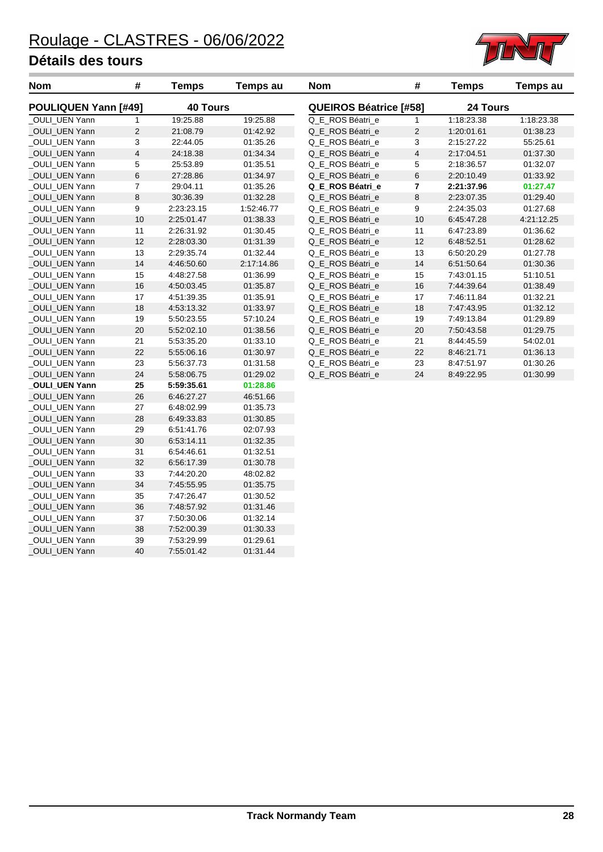\_OULI\_UEN Yann 36 7:48:57.92 01:31.46

\_OULI\_UEN Yann 38 7:52:00.39 01:30.33 \_OULI\_UEN Yann 39 7:53:29.99 01:29.61 \_OULI\_UEN Yann 40 7:55:01.42 01:31.44

\_OULI\_UEN Yann 37 7:50:30.06<br>
\_OULI\_UEN Yann 38 7:52:00.39



| <b>Nom</b>                  | #              | <b>Temps</b>    | Temps au   | <b>Nom</b>                    | #                       | <b>Temps</b> | <b>Temps au</b> |
|-----------------------------|----------------|-----------------|------------|-------------------------------|-------------------------|--------------|-----------------|
| <b>POULIQUEN Yann [#49]</b> |                | <b>40 Tours</b> |            | <b>QUEIROS Béatrice [#58]</b> |                         | 24 Tours     |                 |
| OULI_UEN Yann               | 1              | 19:25.88        | 19:25.88   | Q_E_ROS Béatri_e              | $\mathbf{1}$            | 1:18:23.38   | 1:18:23.38      |
| <b>OULI UEN Yann</b>        | $\overline{c}$ | 21:08.79        | 01:42.92   | Q E ROS Béatri e              | $\overline{2}$          | 1:20:01.61   | 01:38.23        |
| OULI_UEN Yann               | 3              | 22:44.05        | 01:35.26   | Q_E_ROS Béatri_e              | 3                       | 2:15:27.22   | 55:25.61        |
| _OULI_UEN Yann              | 4              | 24:18.38        | 01:34.34   | Q_E_ROS Béatri_e              | 4                       | 2:17:04.51   | 01:37.30        |
| OULI UEN Yann               | 5              | 25:53.89        | 01:35.51   | Q E ROS Béatri e              | 5                       | 2:18:36.57   | 01:32.07        |
| <b>OULI UEN Yann</b>        | 6              | 27:28.86        | 01:34.97   | Q E ROS Béatri e              | 6                       | 2:20:10.49   | 01:33.92        |
| OULI_UEN Yann               | 7              | 29:04.11        | 01:35.26   | Q_E_ROS Béatri_e              | $\overline{\mathbf{r}}$ | 2:21:37.96   | 01:27.47        |
| OULI UEN Yann               | 8              | 30:36.39        | 01:32.28   | Q_E_ROS Béatri_e              | 8                       | 2:23:07.35   | 01:29.40        |
| OULI UEN Yann               | 9              | 2:23:23.15      | 1:52:46.77 | Q E ROS Béatri e              | 9                       | 2:24:35.03   | 01:27.68        |
| OULI UEN Yann               | 10             | 2:25:01.47      | 01:38.33   | Q_E_ROS Béatri_e              | 10                      | 6:45:47.28   | 4:21:12.25      |
| OULI UEN Yann               | 11             | 2:26:31.92      | 01:30.45   | Q_E_ROS Béatri_e              | 11                      | 6:47:23.89   | 01:36.62        |
| OULI_UEN Yann               | 12             | 2:28:03.30      | 01:31.39   | Q_E_ROS Béatri_e              | 12                      | 6:48:52.51   | 01:28.62        |
| OULI_UEN Yann               | 13             | 2:29:35.74      | 01:32.44   | Q_E_ROS Béatri_e              | 13                      | 6:50:20.29   | 01:27.78        |
| <b>OULI UEN Yann</b>        | 14             | 4:46:50.60      | 2:17:14.86 | Q E ROS Béatri e              | 14                      | 6:51:50.64   | 01:30.36        |
| <b>OULI UEN Yann</b>        | 15             | 4:48:27.58      | 01:36.99   | Q E ROS Béatri e              | 15                      | 7:43:01.15   | 51:10.51        |
| OULI_UEN Yann               | 16             | 4:50:03.45      | 01:35.87   | Q_E_ROS Béatri_e              | 16                      | 7:44:39.64   | 01:38.49        |
| OULI_UEN Yann               | 17             | 4:51:39.35      | 01:35.91   | Q_E_ROS Béatri_e              | 17                      | 7:46:11.84   | 01:32.21        |
| OULI UEN Yann               | 18             | 4:53:13.32      | 01:33.97   | Q_E_ROS Béatri_e              | 18                      | 7:47:43.95   | 01:32.12        |
| OULI UEN Yann               | 19             | 5:50:23.55      | 57:10.24   | Q E ROS Béatri e              | 19                      | 7:49:13.84   | 01:29.89        |
| OULI UEN Yann               | 20             | 5:52:02.10      | 01:38.56   | Q E ROS Béatri e              | 20                      | 7:50:43.58   | 01:29.75        |
| OULI_UEN Yann               | 21             | 5:53:35.20      | 01:33.10   | Q_E_ROS Béatri_e              | 21                      | 8:44:45.59   | 54:02.01        |
| _OULI_UEN Yann              | 22             | 5:55:06.16      | 01:30.97   | Q_E_ROS Béatri_e              | 22                      | 8:46:21.71   | 01:36.13        |
| <b>OULI UEN Yann</b>        | 23             | 5:56:37.73      | 01:31.58   | Q E ROS Béatri e              | 23                      | 8:47:51.97   | 01:30.26        |
| OULI UEN Yann               | 24             | 5:58:06.75      | 01:29.02   | Q_E_ROS Béatri_e              | 24                      | 8:49:22.95   | 01:30.99        |
| <b>OULI_UEN Yann</b>        | 25             | 5:59:35.61      | 01:28.86   |                               |                         |              |                 |
| _OULI_UEN Yann              | 26             | 6:46:27.27      | 46:51.66   |                               |                         |              |                 |
| OULI UEN Yann               | 27             | 6:48:02.99      | 01:35.73   |                               |                         |              |                 |
| <b>OULI UEN Yann</b>        | 28             | 6:49:33.83      | 01:30.85   |                               |                         |              |                 |
| OULI UEN Yann               | 29             | 6:51:41.76      | 02:07.93   |                               |                         |              |                 |
| _OULI_UEN Yann              | 30             | 6:53:14.11      | 01:32.35   |                               |                         |              |                 |
| _OULI_UEN Yann              | 31             | 6:54:46.61      | 01:32.51   |                               |                         |              |                 |
| OULI UEN Yann               | 32             | 6:56:17.39      | 01:30.78   |                               |                         |              |                 |
| <b>OULI UEN Yann</b>        | 33             | 7:44:20.20      | 48:02.82   |                               |                         |              |                 |
| OULI_UEN Yann               | 34             | 7:45:55.95      | 01:35.75   |                               |                         |              |                 |
| OULI_UEN Yann               | 35             | 7:47:26.47      | 01:30.52   |                               |                         |              |                 |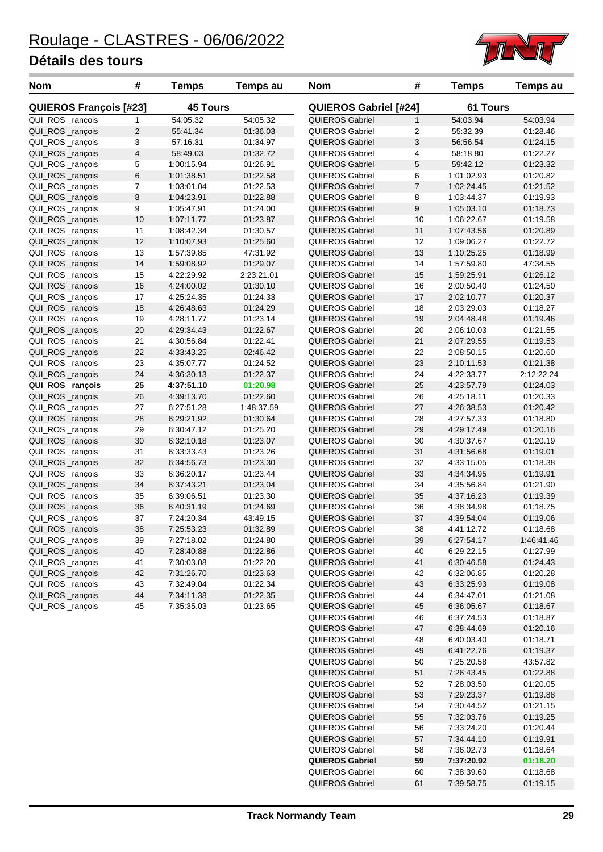

| <b>Nom</b>                    | #                       | <b>Temps</b>    | <b>Temps au</b> | <b>Nom</b>                   | #                | <b>Temps</b>    | Temps au   |
|-------------------------------|-------------------------|-----------------|-----------------|------------------------------|------------------|-----------------|------------|
| <b>QUIEROS François [#23]</b> |                         | <b>45 Tours</b> |                 | <b>QUIEROS Gabriel [#24]</b> |                  | <b>61 Tours</b> |            |
| QUI_ROS_rançois               | 1                       | 54:05.32        | 54:05.32        | QUIEROS Gabriel              | $\mathbf{1}$     | 54:03.94        | 54:03.94   |
| QUI_ROS _rançois              | 2                       | 55:41.34        | 01:36.03        | QUIEROS Gabriel              | 2                | 55:32.39        | 01:28.46   |
| QUI_ROS_rançois               | 3                       | 57:16.31        | 01:34.97        | <b>QUIEROS Gabriel</b>       | 3                | 56:56.54        | 01:24.15   |
| QUI_ROS_rançois               | $\overline{\mathbf{4}}$ | 58:49.03        | 01:32.72        | QUIEROS Gabriel              | 4                | 58:18.80        | 01:22.27   |
| QUI_ROS_rançois               | 5                       | 1:00:15.94      | 01:26.91        | <b>QUIEROS Gabriel</b>       | 5                | 59:42.12        | 01:23.32   |
| QUI_ROS _rançois              | 6                       | 1:01:38.51      | 01:22.58        | QUIEROS Gabriel              | 6                | 1:01:02.93      | 01:20.82   |
| QUI_ROS _rançois              | 7                       | 1:03:01.04      | 01:22.53        | <b>QUIEROS Gabriel</b>       | $\overline{7}$   | 1:02:24.45      | 01:21.52   |
| QUI_ROS_rançois               | 8                       | 1:04:23.91      | 01:22.88        | QUIEROS Gabriel              | 8                | 1:03:44.37      | 01:19.93   |
| QUI_ROS_rançois               | 9                       | 1:05:47.91      | 01:24.00        | <b>QUIEROS Gabriel</b>       | $\boldsymbol{9}$ | 1:05:03.10      | 01:18.73   |
| QUI_ROS_rançois               | 10                      | 1:07:11.77      | 01:23.87        | <b>QUIEROS Gabriel</b>       | 10               | 1:06:22.67      | 01:19.58   |
| QUI_ROS_rançois               | 11                      | 1:08:42.34      | 01:30.57        | <b>QUIEROS Gabriel</b>       | 11               | 1:07:43.56      | 01:20.89   |
| QUI_ROS_rançois               | 12                      | 1:10:07.93      | 01:25.60        | QUIEROS Gabriel              | 12               | 1:09:06.27      | 01:22.72   |
| QUI_ROS _rançois              | 13                      | 1:57:39.85      | 47:31.92        | <b>QUIEROS Gabriel</b>       | 13               | 1:10:25.25      | 01:18.99   |
| QUI_ROS_rançois               | 14                      | 1:59:08.92      | 01:29.07        | <b>QUIEROS Gabriel</b>       | 14               | 1:57:59.80      | 47:34.55   |
| QUI_ROS _rançois              | 15                      | 4:22:29.92      | 2:23:21.01      | <b>QUIEROS Gabriel</b>       | 15               | 1:59:25.91      | 01:26.12   |
| QUI_ROS_rançois               | 16                      | 4:24:00.02      | 01:30.10        | <b>QUIEROS Gabriel</b>       | 16               | 2:00:50.40      | 01:24.50   |
| QUI_ROS_rançois               | 17                      | 4:25:24.35      | 01:24.33        | <b>QUIEROS Gabriel</b>       | 17               | 2:02:10.77      | 01:20.37   |
| QUI_ROS _rançois              | 18                      | 4:26:48.63      | 01:24.29        | QUIEROS Gabriel              | 18               | 2:03:29.03      | 01:18.27   |
| QUI_ROS _rançois              | 19                      | 4:28:11.77      | 01:23.14        | <b>QUIEROS Gabriel</b>       | 19               | 2:04:48.48      | 01:19.46   |
| QUI_ROS_rançois               | 20                      | 4:29:34.43      | 01:22.67        | <b>QUIEROS Gabriel</b>       | 20               | 2:06:10.03      | 01:21.55   |
| QUI_ROS_rançois               | 21                      | 4:30:56.84      | 01:22.41        | <b>QUIEROS Gabriel</b>       | 21               | 2:07:29.55      | 01:19.53   |
| QUI_ROS_rançois               | 22                      | 4:33:43.25      | 02:46.42        | QUIEROS Gabriel              | 22               | 2:08:50.15      | 01:20.60   |
| QUI_ROS _rançois              | 23                      | 4:35:07.77      | 01:24.52        | QUIEROS Gabriel              | 23               | 2:10:11.53      | 01:21.38   |
| QUI_ROS _rançois              | 24                      | 4:36:30.13      | 01:22.37        | <b>QUIEROS Gabriel</b>       | 24               | 4:22:33.77      | 2:12:22.24 |
| QUI_ROS_rançois               | 25                      | 4:37:51.10      | 01:20.98        | QUIEROS Gabriel              | 25               | 4:23:57.79      | 01:24.03   |
| QUI_ROS_rançois               | 26                      | 4:39:13.70      | 01:22.60        | QUIEROS Gabriel              | 26               | 4:25:18.11      | 01:20.33   |
| QUI_ROS_rançois               | 27                      | 6:27:51.28      | 1:48:37.59      | <b>QUIEROS Gabriel</b>       | 27               | 4:26:38.53      | 01:20.42   |
| QUI_ROS_rançois               | 28                      | 6:29:21.92      | 01:30.64        | <b>QUIEROS Gabriel</b>       | 28               | 4:27:57.33      | 01:18.80   |
| QUI_ROS _rançois              | 29                      | 6:30:47.12      | 01:25.20        | <b>QUIEROS Gabriel</b>       | 29               | 4:29:17.49      | 01:20.16   |
| QUI_ROS _rançois              | 30                      | 6:32:10.18      | 01:23.07        | QUIEROS Gabriel              | 30               | 4:30:37.67      | 01:20.19   |
| QUI_ROS_rançois               | 31                      | 6:33:33.43      | 01:23.26        | <b>QUIEROS Gabriel</b>       | 31               | 4:31:56.68      | 01:19.01   |
| QUI_ROS_rançois               | 32                      | 6:34:56.73      | 01:23.30        | QUIEROS Gabriel              | 32               | 4:33:15.05      | 01:18.38   |
| QUI_ROS_rançois               | 33                      | 6:36:20.17      | 01:23.44        | QUIEROS Gabriel              | 33               | 4:34:34.95      | 01:19.91   |
| QUI_ROS_rançois               | 34                      | 6:37:43.21      | 01:23.04        | QUIEROS Gabriel              | 34               | 4:35:56.84      | 01:21.90   |
| QUI_ROS _rançois              | 35                      | 6:39:06.51      | 01:23.30        | <b>QUIEROS Gabriel</b>       | 35               | 4:37:16.23      | 01:19.39   |
| QUI_ROS_rançois               | 36                      | 6:40:31.19      | 01:24.69        | QUIEROS Gabriel              | 36               | 4:38:34.98      | 01:18.75   |
| QUI_ROS _rançois              | 37                      | 7:24:20.34      | 43:49.15        | QUIEROS Gabriel              | 37               | 4:39:54.04      | 01:19.06   |
| QUI_ROS_rançois               | 38                      | 7:25:53.23      | 01:32.89        | <b>QUIEROS Gabriel</b>       | 38               | 4:41:12.72      | 01:18.68   |
| QUI_ROS_rançois               | 39                      | 7:27:18.02      | 01:24.80        | QUIEROS Gabriel              | 39               | 6:27:54.17      | 1:46:41.46 |
| QUI_ROS _rançois              | 40                      | 7:28:40.88      | 01:22.86        | QUIEROS Gabriel              | 40               | 6:29:22.15      | 01:27.99   |
| QUI_ROS _rançois              | 41                      | 7:30:03.08      | 01:22.20        | <b>QUIEROS Gabriel</b>       | 41               | 6:30:46.58      | 01:24.43   |
| QUI_ROS _rançois              | 42                      | 7:31:26.70      | 01:23.63        | QUIEROS Gabriel              | 42               | 6:32:06.85      | 01:20.28   |
| QUI_ROS _rançois              | 43                      | 7:32:49.04      | 01:22.34        | <b>QUIEROS Gabriel</b>       | 43               | 6:33:25.93      | 01:19.08   |
| QUI_ROS _rançois              | 44                      | 7:34:11.38      | 01:22.35        | QUIEROS Gabriel              | 44               | 6:34:47.01      | 01:21.08   |
| QUI_ROS _rançois              | 45                      | 7:35:35.03      | 01:23.65        | <b>QUIEROS Gabriel</b>       | 45               | 6:36:05.67      | 01:18.67   |
|                               |                         |                 |                 | QUIEROS Gabriel              | 46               | 6:37:24.53      | 01:18.87   |
|                               |                         |                 |                 | <b>QUIEROS Gabriel</b>       | 47               | 6:38:44.69      | 01:20.16   |
|                               |                         |                 |                 | QUIEROS Gabriel              | 48               | 6:40:03.40      | 01:18.71   |
|                               |                         |                 |                 | <b>QUIEROS Gabriel</b>       | 49               | 6:41:22.76      | 01:19.37   |
|                               |                         |                 |                 | QUIEROS Gabriel              | 50               | 7:25:20.58      | 43:57.82   |
|                               |                         |                 |                 | <b>QUIEROS Gabriel</b>       | 51               | 7:26:43.45      | 01:22.88   |
|                               |                         |                 |                 | QUIEROS Gabriel              | 52               | 7:28:03.50      | 01:20.05   |
|                               |                         |                 |                 | <b>QUIEROS Gabriel</b>       | 53               | 7:29:23.37      | 01:19.88   |
|                               |                         |                 |                 | QUIEROS Gabriel              | 54               | 7:30:44.52      | 01:21.15   |
|                               |                         |                 |                 | <b>QUIEROS Gabriel</b>       | 55               | 7:32:03.76      | 01:19.25   |

**QUIEROS Gabriel 55 7:32:03.76** 

QUIEROS Gabriel 56 7:33:24.20 01:20.44 QUIEROS Gabriel 57 7:34:44.10 01:19.91 QUIEROS Gabriel 58 7:36:02.73 01:18.64 **QUIEROS Gabriel 59 7:37:20.92 01:18.20** QUIEROS Gabriel 60 7:38:39.60 01:18.68 QUIEROS Gabriel 61 7:39:58.75 01:19.15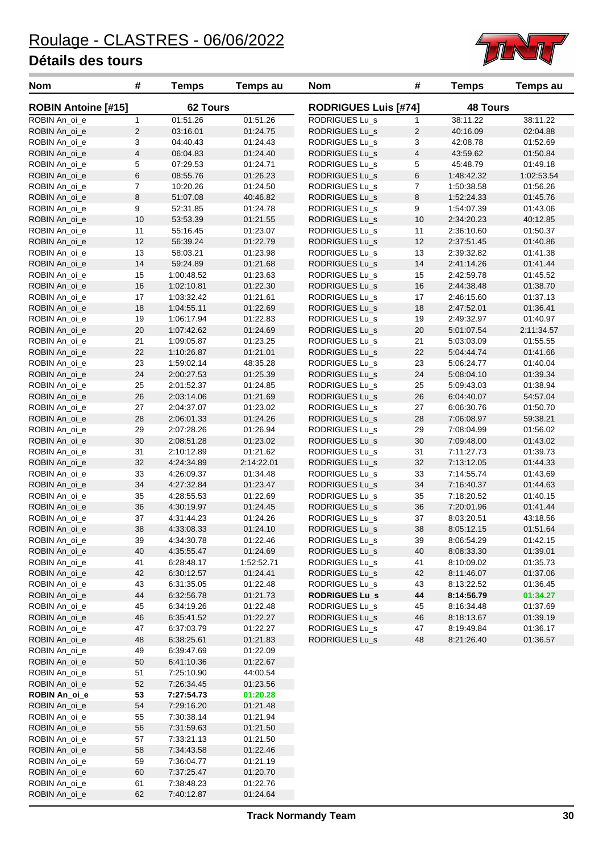

| <b>Nom</b>                     | #              | <b>Temps</b>             | Temps au             | <b>Nom</b>                  | #                       | <b>Temps</b>    | Temps au   |  |
|--------------------------------|----------------|--------------------------|----------------------|-----------------------------|-------------------------|-----------------|------------|--|
| <b>ROBIN Antoine [#15]</b>     |                | 62 Tours                 |                      | <b>RODRIGUES Luis [#74]</b> |                         | <b>48 Tours</b> |            |  |
| ROBIN An_oi_e                  | $\mathbf{1}$   | 01:51.26                 | 01:51.26             | RODRIGUES Lu_s              | 1                       | 38:11.22        | 38:11.22   |  |
| ROBIN An_oi_e                  | $\sqrt{2}$     | 03:16.01                 | 01:24.75             | <b>RODRIGUES Lu_s</b>       | $\overline{c}$          | 40:16.09        | 02:04.88   |  |
| ROBIN An_oi_e                  | 3              | 04:40.43                 | 01:24.43             | RODRIGUES Lu_s              | 3                       | 42:08.78        | 01:52.69   |  |
| ROBIN An_oi_e                  | $\overline{4}$ | 06:04.83                 | 01:24.40             | <b>RODRIGUES Lu_s</b>       | $\overline{\mathbf{4}}$ | 43:59.62        | 01:50.84   |  |
| ROBIN An_oi_e                  | 5              | 07:29.53                 | 01:24.71             | RODRIGUES Lu_s              | 5                       | 45:48.79        | 01:49.18   |  |
| ROBIN An_oi_e                  | $\,6$          | 08:55.76                 | 01:26.23             | <b>RODRIGUES Lu_s</b>       | 6                       | 1:48:42.32      | 1:02:53.54 |  |
| ROBIN An_oi_e                  | $\overline{7}$ | 10:20.26                 | 01:24.50             | RODRIGUES Lu_s              | 7                       | 1:50:38.58      | 01:56.26   |  |
| ROBIN An_oi_e                  | 8              | 51:07.08                 | 40:46.82             | <b>RODRIGUES Lu_s</b>       | 8                       | 1:52:24.33      | 01:45.76   |  |
| ROBIN An oi e                  | 9              | 52:31.85                 | 01:24.78             | RODRIGUES Lu_s              | 9                       | 1:54:07.39      | 01:43.06   |  |
| ROBIN An_oi_e                  | 10             | 53:53.39                 | 01:21.55             | <b>RODRIGUES Lu_s</b>       | 10                      | 2:34:20.23      | 40:12.85   |  |
| ROBIN An_oi_e                  | 11             | 55:16.45                 | 01:23.07             | RODRIGUES Lu_s              | 11                      | 2:36:10.60      | 01:50.37   |  |
| ROBIN An_oi_e                  | 12             | 56:39.24                 | 01:22.79             | <b>RODRIGUES Lu_s</b>       | 12                      | 2:37:51.45      | 01:40.86   |  |
| ROBIN An_oi_e                  | 13             | 58:03.21                 | 01:23.98             | RODRIGUES Lu_s              | 13                      | 2:39:32.82      | 01:41.38   |  |
| ROBIN An_oi_e                  | 14             | 59:24.89                 | 01:21.68             | <b>RODRIGUES Lu_s</b>       | 14                      | 2:41:14.26      | 01:41.44   |  |
| ROBIN An_oi_e                  | 15             | 1:00:48.52               | 01:23.63             | RODRIGUES Lu_s              | 15                      | 2:42:59.78      | 01:45.52   |  |
| ROBIN An_oi_e                  | 16             | 1:02:10.81               | 01:22.30             | <b>RODRIGUES Lu_s</b>       | 16                      | 2:44:38.48      | 01:38.70   |  |
| ROBIN An_oi_e                  | 17             | 1:03:32.42               | 01:21.61             | RODRIGUES Lu s              | 17                      | 2:46:15.60      | 01:37.13   |  |
| ROBIN An_oi_e                  | 18             | 1:04:55.11               | 01:22.69             | <b>RODRIGUES Lu_s</b>       | 18                      | 2:47:52.01      | 01:36.41   |  |
| ROBIN An_oi_e                  | 19             | 1:06:17.94               | 01:22.83             | RODRIGUES Lu s              | 19                      | 2:49:32.97      | 01:40.97   |  |
| ROBIN An_oi_e                  | 20             | 1:07:42.62               | 01:24.69             | <b>RODRIGUES Lu_s</b>       | 20                      | 5:01:07.54      | 2:11:34.57 |  |
| ROBIN An_oi_e                  | 21             | 1:09:05.87               | 01:23.25             | RODRIGUES Lu_s              | 21                      | 5:03:03.09      | 01:55.55   |  |
| ROBIN An_oi_e                  | 22             | 1:10:26.87               | 01:21.01             | <b>RODRIGUES Lu_s</b>       | 22                      | 5:04:44.74      | 01:41.66   |  |
| ROBIN An_oi_e                  | 23             | 1:59:02.14               | 48:35.28             | RODRIGUES Lu s              | 23                      | 5:06:24.77      | 01:40.04   |  |
| ROBIN An_oi_e                  | 24             | 2:00:27.53               | 01:25.39             | <b>RODRIGUES Lu_s</b>       | 24                      | 5:08:04.10      | 01:39.34   |  |
| ROBIN An_oi_e                  | 25             | 2:01:52.37               | 01:24.85             | RODRIGUES Lu_s              | 25                      | 5:09:43.03      | 01:38.94   |  |
| ROBIN An_oi_e                  | 26             | 2:03:14.06               | 01:21.69             | <b>RODRIGUES Lu_s</b>       | 26                      | 6:04:40.07      | 54:57.04   |  |
| ROBIN An_oi_e                  | 27             | 2:04:37.07               | 01:23.02             | RODRIGUES Lu_s              | 27                      | 6:06:30.76      | 01:50.70   |  |
| ROBIN An_oi_e                  | 28             | 2:06:01.33               | 01:24.26             | <b>RODRIGUES Lu_s</b>       | 28                      | 7:06:08.97      | 59:38.21   |  |
| ROBIN An_oi_e                  | 29             | 2:07:28.26               | 01:26.94             | RODRIGUES Lu_s              | 29                      | 7:08:04.99      | 01:56.02   |  |
| ROBIN An_oi_e                  | 30             | 2:08:51.28               | 01:23.02             | <b>RODRIGUES Lu_s</b>       | 30                      | 7:09:48.00      | 01:43.02   |  |
| ROBIN An_oi_e                  | 31             | 2:10:12.89               | 01:21.62             | RODRIGUES Lu_s              | 31                      | 7:11:27.73      | 01:39.73   |  |
| ROBIN An_oi_e                  | 32             | 4:24:34.89               | 2:14:22.01           | <b>RODRIGUES Lu_s</b>       | 32                      | 7:13:12.05      | 01:44.33   |  |
| ROBIN An_oi_e                  | 33             | 4:26:09.37               | 01:34.48             | RODRIGUES Lu s              | 33                      | 7:14:55.74      | 01:43.69   |  |
| ROBIN An_oi_e                  | 34             | 4:27:32.84               | 01:23.47             | <b>RODRIGUES Lu_s</b>       | 34                      | 7:16:40.37      | 01:44.63   |  |
| ROBIN An_oi_e                  | 35             | 4:28:55.53               | 01:22.69             | RODRIGUES Lu_s              | 35                      | 7:18:20.52      | 01:40.15   |  |
| ROBIN An_oi_e                  | 36             | 4:30:19.97               | 01:24.45             | <b>RODRIGUES Lu_s</b>       | 36                      | 7:20:01.96      | 01:41.44   |  |
| ROBIN An_oi_e                  | 37             | 4:31:44.23               | 01:24.26             | RODRIGUES Lu_s              | 37                      | 8:03:20.51      | 43:18.56   |  |
| ROBIN An_oi_e                  | 38             | 4:33:08.33               | 01:24.10             | <b>RODRIGUES Lu_s</b>       | 38                      | 8:05:12.15      | 01:51.64   |  |
| ROBIN An_oi_e                  | 39             | 4:34:30.78               | 01:22.46             | RODRIGUES Lu_s              | 39                      | 8:06:54.29      | 01:42.15   |  |
| ROBIN An_oi_e                  | 40             | 4:35:55.47               | 01:24.69             | RODRIGUES Lu_s              | 40                      | 8:08:33.30      | 01:39.01   |  |
| ROBIN An_oi_e                  | 41             | 6:28:48.17               | 1:52:52.71           | RODRIGUES Lu_s              | 41                      | 8:10:09.02      | 01:35.73   |  |
| ROBIN An_oi_e                  | 42             | 6:30:12.57               | 01:24.41             | RODRIGUES Lu_s              | 42                      | 8:11:46.07      | 01:37.06   |  |
| ROBIN An_oi_e                  | 43             | 6:31:35.05               | 01:22.48             | RODRIGUES Lu_s              | 43                      | 8:13:22.52      | 01:36.45   |  |
| ROBIN An_oi_e                  | 44             | 6:32:56.78               | 01:21.73             | <b>RODRIGUES Lu_s</b>       | 44                      | 8:14:56.79      | 01:34.27   |  |
| ROBIN An_oi_e                  | 45             | 6:34:19.26               | 01:22.48             | RODRIGUES Lu_s              | 45                      | 8:16:34.48      | 01:37.69   |  |
| ROBIN An_oi_e                  | 46             | 6:35:41.52               | 01:22.27             | RODRIGUES Lu_s              | 46                      | 8:18:13.67      | 01:39.19   |  |
| ROBIN An_oi_e                  | 47             | 6:37:03.79               | 01:22.27             | RODRIGUES Lu_s              | 47                      | 8:19:49.84      | 01:36.17   |  |
| ROBIN An_oi_e                  | 48             | 6:38:25.61               | 01:21.83             | RODRIGUES Lu_s              | 48                      | 8:21:26.40      | 01:36.57   |  |
| ROBIN An_oi_e                  | 49             | 6:39:47.69               | 01:22.09             |                             |                         |                 |            |  |
| ROBIN An_oi_e                  | 50             | 6:41:10.36               | 01:22.67             |                             |                         |                 |            |  |
| ROBIN An_oi_e                  | 51             | 7:25:10.90               | 44:00.54             |                             |                         |                 |            |  |
| ROBIN An_oi_e                  | 52             | 7:26:34.45               | 01:23.56             |                             |                         |                 |            |  |
| ROBIN An_oi_e                  | 53             | 7:27:54.73               | 01:20.28             |                             |                         |                 |            |  |
| ROBIN An_oi_e                  | 54             | 7:29:16.20               | 01:21.48             |                             |                         |                 |            |  |
| ROBIN An_oi_e                  | 55             | 7:30:38.14               | 01:21.94             |                             |                         |                 |            |  |
| ROBIN An_oi_e                  | 56             | 7:31:59.63               | 01:21.50             |                             |                         |                 |            |  |
| ROBIN An_oi_e<br>ROBIN An_oi_e | 57<br>58       | 7:33:21.13<br>7:34:43.58 | 01:21.50             |                             |                         |                 |            |  |
| ROBIN An_oi_e                  | 59             | 7:36:04.77               | 01:22.46<br>01:21.19 |                             |                         |                 |            |  |
| ROBIN An_oi_e                  | 60             | 7:37:25.47               | 01:20.70             |                             |                         |                 |            |  |
| ROBIN An_oi_e                  | 61             | 7:38:48.23               | 01:22.76             |                             |                         |                 |            |  |
| ROBIN An_oi_e                  | 62             | 7:40:12.87               | 01:24.64             |                             |                         |                 |            |  |
|                                |                |                          |                      |                             |                         |                 |            |  |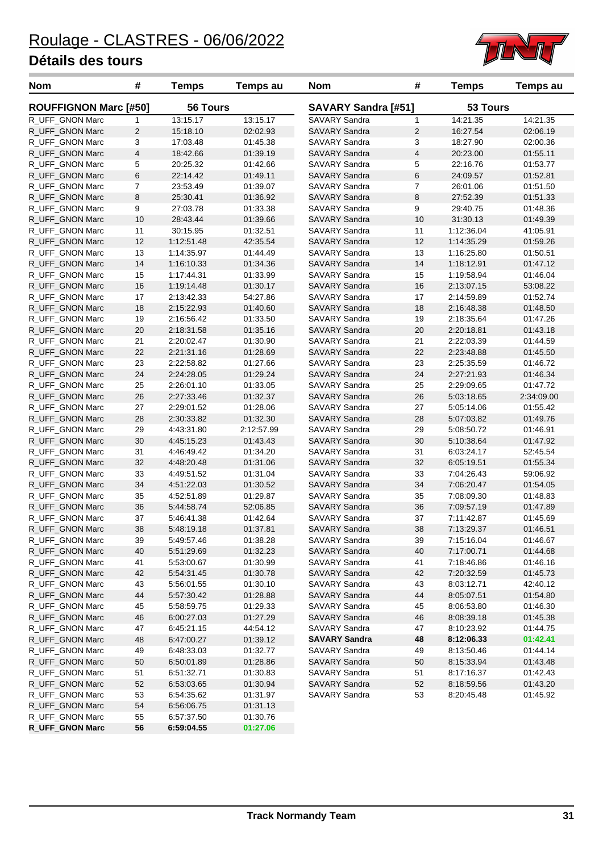

| Nom                          | #                       | <b>Temps</b>    | <b>Temps au</b> | Nom                        | #                       | <b>Temps</b> | Temps au   |
|------------------------------|-------------------------|-----------------|-----------------|----------------------------|-------------------------|--------------|------------|
| <b>ROUFFIGNON Marc [#50]</b> |                         | <b>56 Tours</b> |                 | <b>SAVARY Sandra [#51]</b> |                         | 53 Tours     |            |
| R_UFF_GNON Marc              | 1                       | 13:15.17        | 13:15.17        | SAVARY Sandra              | 1                       | 14:21.35     | 14:21.35   |
| R_UFF_GNON Marc              | $\overline{c}$          | 15:18.10        | 02:02.93        | <b>SAVARY Sandra</b>       | $\overline{c}$          | 16:27.54     | 02:06.19   |
| R_UFF_GNON Marc              | 3                       | 17:03.48        | 01:45.38        | SAVARY Sandra              | 3                       | 18:27.90     | 02:00.36   |
| R UFF GNON Marc              | $\overline{\mathbf{4}}$ | 18:42.66        | 01:39.19        | <b>SAVARY Sandra</b>       | $\overline{\mathbf{4}}$ | 20:23.00     | 01:55.11   |
| R_UFF_GNON Marc              | 5                       | 20:25.32        | 01:42.66        | SAVARY Sandra              | 5                       | 22:16.76     | 01:53.77   |
| R_UFF_GNON Marc              | 6                       | 22:14.42        | 01:49.11        | <b>SAVARY Sandra</b>       | 6                       | 24:09.57     | 01:52.81   |
| R_UFF_GNON Marc              | 7                       | 23:53.49        | 01:39.07        | SAVARY Sandra              | 7                       | 26:01.06     | 01:51.50   |
| R_UFF_GNON Marc              | 8                       | 25:30.41        | 01:36.92        | <b>SAVARY Sandra</b>       | 8                       | 27:52.39     | 01:51.33   |
| R_UFF_GNON Marc              | 9                       | 27:03.78        | 01:33.38        | SAVARY Sandra              | 9                       | 29:40.75     | 01:48.36   |
| R_UFF_GNON Marc              | 10                      | 28:43.44        | 01:39.66        | <b>SAVARY Sandra</b>       | 10                      | 31:30.13     | 01:49.39   |
| R_UFF_GNON Marc              | 11                      | 30:15.95        | 01:32.51        | SAVARY Sandra              | 11                      | 1:12:36.04   | 41:05.91   |
| R_UFF_GNON Marc              | 12                      | 1:12:51.48      | 42:35.54        | <b>SAVARY Sandra</b>       | 12                      | 1:14:35.29   | 01:59.26   |
| R_UFF_GNON Marc              | 13                      | 1:14:35.97      | 01:44.49        | SAVARY Sandra              | 13                      | 1:16:25.80   | 01:50.51   |
| R_UFF_GNON Marc              | 14                      | 1:16:10.33      | 01:34.36        | <b>SAVARY Sandra</b>       | 14                      | 1:18:12.91   | 01:47.12   |
| R_UFF_GNON Marc              | 15                      | 1:17:44.31      | 01:33.99        | SAVARY Sandra              | 15                      | 1:19:58.94   | 01:46.04   |
| R_UFF_GNON Marc              | 16                      | 1:19:14.48      | 01:30.17        | <b>SAVARY Sandra</b>       | 16                      | 2:13:07.15   | 53:08.22   |
| R_UFF_GNON Marc              | 17                      | 2:13:42.33      | 54:27.86        | <b>SAVARY Sandra</b>       | 17                      | 2:14:59.89   | 01:52.74   |
| R_UFF_GNON Marc              | 18                      | 2:15:22.93      | 01:40.60        | <b>SAVARY Sandra</b>       | 18                      | 2:16:48.38   | 01:48.50   |
| R_UFF_GNON Marc              | 19                      | 2:16:56.42      | 01:33.50        | SAVARY Sandra              | 19                      | 2:18:35.64   | 01:47.26   |
| R UFF GNON Marc              | 20                      | 2:18:31.58      | 01:35.16        | <b>SAVARY Sandra</b>       | 20                      | 2:20:18.81   | 01:43.18   |
| R_UFF_GNON Marc              | 21                      | 2:20:02.47      | 01:30.90        | SAVARY Sandra              | 21                      | 2:22:03.39   | 01:44.59   |
| R_UFF_GNON Marc              | 22                      | 2:21:31.16      | 01:28.69        | <b>SAVARY Sandra</b>       | 22                      | 2:23:48.88   | 01:45.50   |
| R_UFF_GNON Marc              | 23                      | 2:22:58.82      | 01:27.66        | SAVARY Sandra              | 23                      | 2:25:35.59   | 01:46.72   |
| R_UFF_GNON Marc              | 24                      | 2:24:28.05      | 01:29.24        | <b>SAVARY Sandra</b>       | 24                      | 2:27:21.93   | 01:46.34   |
| R_UFF_GNON Marc              | 25                      | 2:26:01.10      | 01:33.05        | SAVARY Sandra              | 25                      | 2:29:09.65   | 01:47.72   |
| R_UFF_GNON Marc              | 26                      | 2:27:33.46      | 01:32.37        | <b>SAVARY Sandra</b>       | 26                      | 5:03:18.65   | 2:34:09.00 |
| R_UFF_GNON Marc              | 27                      | 2:29:01.52      | 01:28.06        | SAVARY Sandra              | 27                      | 5:05:14.06   | 01:55.42   |
| R_UFF_GNON Marc              | 28                      | 2:30:33.82      | 01:32.30        | <b>SAVARY Sandra</b>       | 28                      | 5:07:03.82   | 01:49.76   |
| R_UFF_GNON Marc              | 29                      | 4:43:31.80      | 2:12:57.99      | SAVARY Sandra              | 29                      | 5:08:50.72   | 01:46.91   |
| R_UFF_GNON Marc              | 30                      | 4:45:15.23      | 01:43.43        | <b>SAVARY Sandra</b>       | 30                      | 5:10:38.64   | 01:47.92   |
| R_UFF_GNON Marc              | 31                      | 4:46:49.42      | 01:34.20        | SAVARY Sandra              | 31                      | 6:03:24.17   | 52:45.54   |
| R_UFF_GNON Marc              | 32                      | 4:48:20.48      | 01:31.06        | <b>SAVARY Sandra</b>       | 32                      | 6:05:19.51   | 01:55.34   |
| R_UFF_GNON Marc              | 33                      | 4:49:51.52      | 01:31.04        | SAVARY Sandra              | 33                      | 7:04:26.43   | 59:06.92   |
| R UFF GNON Marc              | 34                      | 4:51:22.03      | 01:30.52        | <b>SAVARY Sandra</b>       | 34                      | 7:06:20.47   | 01:54.05   |
| R_UFF_GNON Marc              | 35                      | 4:52:51.89      | 01:29.87        | SAVARY Sandra              | 35                      | 7:08:09.30   | 01:48.83   |
| R_UFF_GNON Marc              | 36                      | 5:44:58.74      | 52:06.85        | <b>SAVARY Sandra</b>       | 36                      | 7:09:57.19   | 01:47.89   |
| R_UFF_GNON Marc              | 37                      | 5:46:41.38      | 01:42.64        | <b>SAVARY Sandra</b>       | 37                      | 7:11:42.87   | 01:45.69   |
| R_UFF_GNON Marc              | 38                      | 5:48:19.18      | 01:37.81        | <b>SAVARY Sandra</b>       | 38                      | 7:13:29.37   | 01:46.51   |
| R_UFF_GNON Marc              | 39                      | 5:49:57.46      | 01:38.28        | SAVARY Sandra              | 39                      | 7:15:16.04   | 01:46.67   |
| R_UFF_GNON Marc              | 40                      | 5:51:29.69      | 01:32.23        | SAVARY Sandra              | 40                      | 7:17:00.71   | 01:44.68   |
| R_UFF_GNON Marc              | 41                      | 5:53:00.67      | 01:30.99        | SAVARY Sandra              | 41                      | 7:18:46.86   | 01:46.16   |
| R UFF GNON Marc              | 42                      | 5:54:31.45      | 01:30.78        | SAVARY Sandra              | 42                      | 7:20:32.59   | 01:45.73   |
| R_UFF_GNON Marc              | 43                      | 5:56:01.55      | 01:30.10        | SAVARY Sandra              | 43                      | 8:03:12.71   | 42:40.12   |
| R_UFF_GNON Marc              | 44                      | 5:57:30.42      | 01:28.88        | <b>SAVARY Sandra</b>       | 44                      | 8:05:07.51   | 01:54.80   |
| R_UFF_GNON Marc              | 45                      | 5:58:59.75      | 01:29.33        | SAVARY Sandra              | 45                      | 8:06:53.80   | 01:46.30   |
| R_UFF_GNON Marc              | 46                      | 6:00:27.03      | 01:27.29        | <b>SAVARY Sandra</b>       | 46                      | 8:08:39.18   | 01:45.38   |
| R_UFF_GNON Marc              | 47                      | 6:45:21.15      | 44:54.12        | SAVARY Sandra              | 47                      | 8:10:23.92   | 01:44.75   |
| R_UFF_GNON Marc              | 48                      | 6:47:00.27      | 01:39.12        | <b>SAVARY Sandra</b>       | 48                      | 8:12:06.33   | 01:42.41   |
| R_UFF_GNON Marc              | 49                      | 6:48:33.03      | 01:32.77        | SAVARY Sandra              | 49                      | 8:13:50.46   | 01:44.14   |
| R_UFF_GNON Marc              | 50                      | 6:50:01.89      | 01:28.86        | SAVARY Sandra              | 50                      | 8:15:33.94   | 01:43.48   |
| R_UFF_GNON Marc              | 51                      | 6:51:32.71      | 01:30.83        | SAVARY Sandra              | 51                      | 8:17:16.37   | 01:42.43   |
| R_UFF_GNON Marc              | 52                      | 6:53:03.65      | 01:30.94        | SAVARY Sandra              | 52                      | 8:18:59.56   | 01:43.20   |
| R_UFF_GNON Marc              | 53                      | 6:54:35.62      | 01:31.97        | SAVARY Sandra              | 53                      | 8:20:45.48   | 01:45.92   |
| R_UFF_GNON Marc              | 54                      | 6:56:06.75      | 01:31.13        |                            |                         |              |            |
| R_UFF_GNON Marc              | 55                      | 6:57:37.50      | 01:30.76        |                            |                         |              |            |
| <b>R_UFF_GNON Marc</b>       | 56                      | 6:59:04.55      | 01:27.06        |                            |                         |              |            |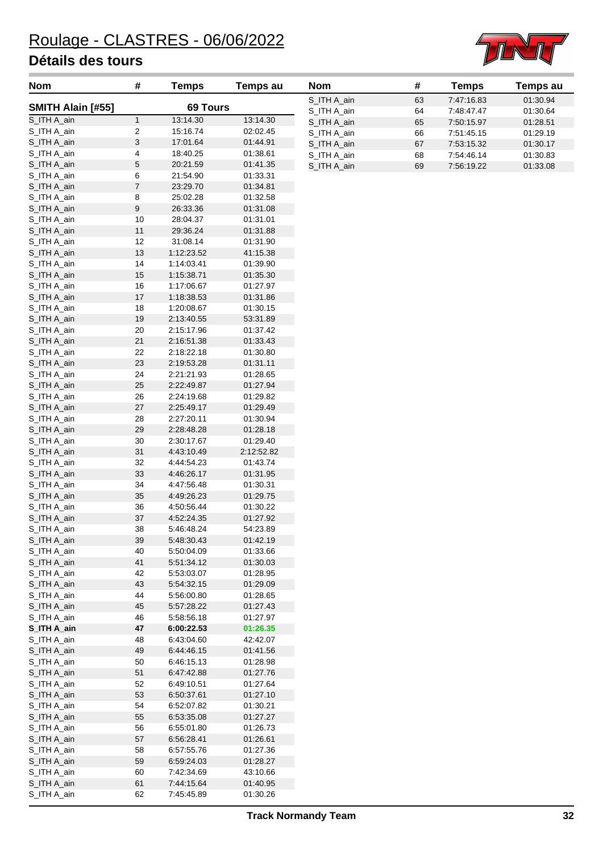

| Nom                        | #                | <b>Temps</b>             | <b>Temps au</b>      | <b>Nom</b>                 | #        | <b>Temps</b>             | Temps au             |
|----------------------------|------------------|--------------------------|----------------------|----------------------------|----------|--------------------------|----------------------|
| SMITH Alain [#55]          |                  | 69 Tours                 |                      | S_ITH A_ain                | 63       | 7:47:16.83               | 01:30.94             |
| S_ITH A_ain                | $\mathbf{1}$     | 13:14.30                 | 13:14.30             | S_ITH A_ain                | 64       | 7:48:47.47               | 01:30.64             |
| S_ITH A_ain                | 2                | 15:16.74                 | 02:02.45             | S_ITH A_ain                | 65       | 7:50:15.97               | 01:28.51             |
| S_ITH A_ain                | 3                | 17:01.64                 | 01:44.91             | S_ITH A_ain                | 66       | 7:51:45.15               | 01:29.19             |
| S_ITH A_ain                | 4                | 18:40.25                 | 01:38.61             | S_ITH A_ain                | 67       | 7:53:15.32               | 01:30.17             |
| S_ITH A_ain                | 5                | 20:21.59                 | 01:41.35             | S_ITH A_ain<br>S_ITH A_ain | 68<br>69 | 7:54:46.14<br>7:56:19.22 | 01:30.83<br>01:33.08 |
| S_ITH A_ain                | 6                | 21:54.90                 | 01:33.31             |                            |          |                          |                      |
| S_ITH A_ain                | $\boldsymbol{7}$ | 23:29.70                 | 01:34.81             |                            |          |                          |                      |
| S_ITH A_ain                | 8                | 25:02.28                 | 01:32.58             |                            |          |                          |                      |
| S_ITH A_ain                | 9                | 26:33.36                 | 01:31.08             |                            |          |                          |                      |
| S_ITH A_ain                | 10               | 28:04.37                 | 01:31.01             |                            |          |                          |                      |
| S_ITH A_ain                | 11               | 29:36.24                 | 01:31.88             |                            |          |                          |                      |
| S_ITH A_ain                | 12               | 31:08.14                 | 01:31.90             |                            |          |                          |                      |
| S_ITH A_ain                | 13               | 1:12:23.52               | 41:15.38             |                            |          |                          |                      |
| S_ITH A_ain                | 14               | 1:14:03.41               | 01:39.90             |                            |          |                          |                      |
| S_ITH A_ain                | 15               | 1:15:38.71               | 01:35.30             |                            |          |                          |                      |
| S_ITH A_ain                | 16               | 1:17:06.67               | 01:27.97             |                            |          |                          |                      |
| S_ITH A_ain                | 17               | 1:18:38.53               | 01:31.86             |                            |          |                          |                      |
| S_ITH A_ain                | 18               | 1:20:08.67               | 01:30.15             |                            |          |                          |                      |
| S_ITH A_ain                | 19               | 2:13:40.55               | 53:31.89             |                            |          |                          |                      |
| S_ITH A_ain                | 20               | 2:15:17.96               | 01:37.42             |                            |          |                          |                      |
| S_ITH A_ain                | 21               | 2:16:51.38               | 01:33.43             |                            |          |                          |                      |
| S_ITH A_ain                | 22               | 2:18:22.18               | 01:30.80             |                            |          |                          |                      |
| S_ITH A_ain                | 23               | 2:19:53.28               | 01:31.11             |                            |          |                          |                      |
| S_ITH A_ain                | 24               | 2:21:21.93               | 01:28.65             |                            |          |                          |                      |
| S_ITH A_ain                | 25               | 2:22:49.87               | 01:27.94             |                            |          |                          |                      |
| S_ITH A_ain                | 26               | 2:24:19.68               | 01:29.82             |                            |          |                          |                      |
| S_ITH A_ain                | $27\,$           | 2:25:49.17               | 01:29.49             |                            |          |                          |                      |
| S_ITH A_ain                | 28               | 2:27:20.11               | 01:30.94             |                            |          |                          |                      |
| S_ITH A_ain                | 29               | 2:28:48.28               | 01:28.18             |                            |          |                          |                      |
| S_ITH A_ain                | 30               | 2:30:17.67               | 01:29.40             |                            |          |                          |                      |
| S_ITH A_ain                | 31               | 4:43:10.49               | 2:12:52.82           |                            |          |                          |                      |
| S_ITH A_ain                | 32               | 4:44:54.23               | 01:43.74             |                            |          |                          |                      |
| S_ITH A_ain                | 33               | 4:46:26.17               | 01:31.95             |                            |          |                          |                      |
| S_ITH A_ain<br>S_ITH A_ain | 34<br>35         | 4:47:56.48<br>4:49:26.23 | 01:30.31<br>01:29.75 |                            |          |                          |                      |
| S_ITH A_ain                | 36               | 4:50:56.44               | 01:30.22             |                            |          |                          |                      |
| S_ITH A_ain                | 37               | 4:52:24.35               | 01:27.92             |                            |          |                          |                      |
| S ITH A ain                | 38               | 5:46:48.24               | 54:23.89             |                            |          |                          |                      |
| S_ITH A_ain                | 39               | 5:48:30.43               | 01:42.19             |                            |          |                          |                      |
| S_ITH A_ain                | 40               | 5:50:04.09               | 01:33.66             |                            |          |                          |                      |
| S_ITH A_ain                | 41               | 5.51.34.12               | 01:30.03             |                            |          |                          |                      |
| S_ITH A_ain                | 42               | 5.53.03.07               | 01:28.95             |                            |          |                          |                      |
| S_ITH A_ain                | 43               | 5:54:32.15               | 01:29.09             |                            |          |                          |                      |
| S_ITH A_ain                | 44               | 5:56:00.80               | 01:28.65             |                            |          |                          |                      |
| S_ITH A_ain                | 45               | 5:57:28.22               | 01:27.43             |                            |          |                          |                      |
| S_ITH A_ain                | 46               | 5.58.56.18               | 01:27.97             |                            |          |                          |                      |
| S_ITH A_ain                | 47               | 6:00:22.53               | 01:26.35             |                            |          |                          |                      |
| S_ITH A_ain                | 48               | 6:43:04.60               | 42:42.07             |                            |          |                          |                      |
| S_ITH A_ain                | 49               | 6:44:46.15               | 01:41.56             |                            |          |                          |                      |
| S_ITH A_ain                | 50               | 6:46:15.13               | 01:28.98             |                            |          |                          |                      |
| S_ITH A_ain                | 51               | 6:47:42.88               | 01:27.76             |                            |          |                          |                      |
| S_ITH A_ain                | 52               | 6:49:10.51               | 01:27.64             |                            |          |                          |                      |
| S_ITH A_ain                | 53               | 6:50:37.61               | 01:27.10             |                            |          |                          |                      |
| S_ITH A_ain                | 54               | 6:52:07.82               | 01:30.21             |                            |          |                          |                      |
| S_ITH A_ain                | 55               | 6:53:35.08               | 01:27.27             |                            |          |                          |                      |
| S_ITH A_ain                | 56               | 6.55.01.80               | 01:26.73             |                            |          |                          |                      |
| S_ITH A_ain                | 57               | 6.56.28.41               | 01:26.61             |                            |          |                          |                      |
| S_ITH A_ain                | 58               | 6.57.55.76               | 01:27.36             |                            |          |                          |                      |
| S_ITH A_ain                | 59               | 6:59:24.03               | 01:28.27             |                            |          |                          |                      |
| S_ITH A_ain                | 60               | 7:42:34.69               | 43:10.66             |                            |          |                          |                      |
| S_ITH A_ain                | 61               | 7:44:15.64               | 01:40.95             |                            |          |                          |                      |
| S_ITH A_ain                | 62               | 7:45:45.89               | 01:30.26             |                            |          |                          |                      |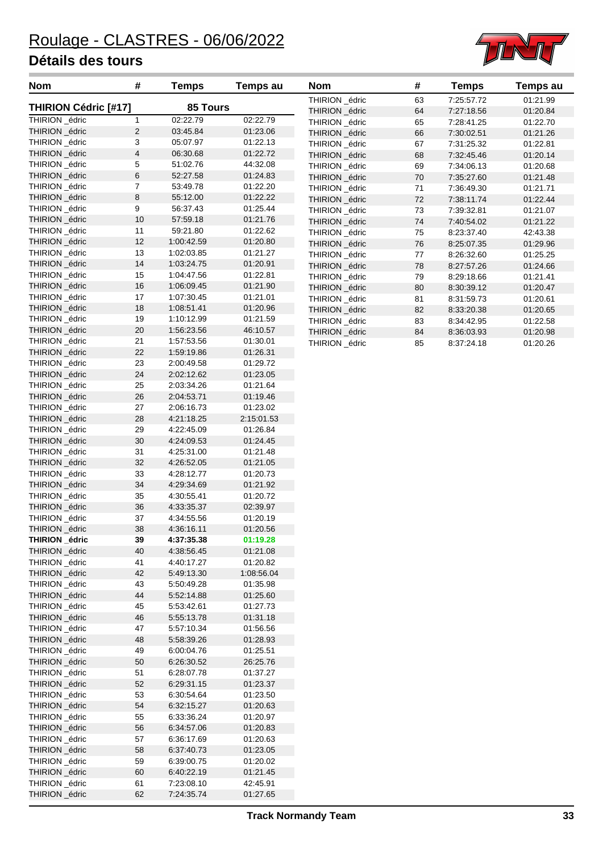

| <b>Nom</b>                       | #                       | <b>Temps</b>             | <b>Temps au</b>      | <b>Nom</b>     | #          | <b>Temps</b> | Temps au |
|----------------------------------|-------------------------|--------------------------|----------------------|----------------|------------|--------------|----------|
| <b>THIRION Cédric [#17]</b>      |                         | 85 Tours                 |                      | THIRION _édric | 63         | 7:25:57.72   | 01:21.99 |
| THIRION _édric                   |                         |                          |                      | THIRION _édric | 64         | 7:27:18.56   | 01:20.84 |
|                                  | 1<br>$\overline{2}$     | 02:22.79<br>03:45.84     | 02:22.79             | THIRION _édric | 65         | 7:28:41.25   | 01:22.70 |
| THIRION _édric<br>THIRION _édric | 3                       | 05:07.97                 | 01:23.06<br>01:22.13 | THIRION _édric | 66         | 7:30:02.51   | 01:21.26 |
| THIRION _édric                   | $\overline{\mathbf{4}}$ | 06:30.68                 | 01:22.72             | THIRION _édric | 67         | 7:31:25.32   | 01:22.81 |
|                                  |                         |                          |                      | THIRION _édric | 68         | 7:32:45.46   | 01:20.14 |
| THIRION _édric                   | 5                       | 51:02.76                 | 44:32.08             | THIRION _édric | 69         | 7:34:06.13   | 01:20.68 |
| THIRION _édric                   | 6                       | 52:27.58                 | 01:24.83             | THIRION _édric | 70         | 7:35:27.60   | 01:21.48 |
| THIRION _édric                   | $\overline{7}$          | 53:49.78                 | 01:22.20             | THIRION _édric | 71         | 7:36:49.30   | 01:21.71 |
| THIRION _édric                   | 8                       | 55:12.00                 | 01:22.22             | THIRION _édric | 72         | 7:38:11.74   | 01:22.44 |
| THIRION _édric                   | 9                       | 56:37.43                 | 01:25.44             | THIRION _édric | 73         | 7:39:32.81   | 01:21.07 |
| THIRION _édric                   | 10                      | 57:59.18                 | 01:21.76             | THIRION _édric | 74         | 7:40:54.02   | 01:21.22 |
| THIRION _édric                   | 11                      | 59:21.80                 | 01:22.62             | THIRION _édric | 75         | 8:23:37.40   | 42:43.38 |
| THIRION _édric                   | 12                      | 1:00:42.59               | 01:20.80             | THIRION _édric | ${\bf 76}$ | 8:25:07.35   | 01:29.96 |
| THIRION _édric                   | 13                      | 1:02:03.85               | 01:21.27             | THIRION _édric | 77         | 8:26:32.60   | 01:25.25 |
| THIRION _édric                   | 14<br>15                | 1:03:24.75               | 01:20.91             | THIRION _édric | 78         | 8:27:57.26   | 01:24.66 |
| THIRION _édric                   |                         | 1:04:47.56               | 01:22.81             | THIRION _édric | 79         | 8:29:18.66   | 01:21.41 |
| THIRION _édric                   | 16                      | 1:06:09.45               | 01:21.90             | THIRION _édric | 80         | 8:30:39.12   | 01:20.47 |
| THIRION _édric<br>THIRION _édric | 17                      | 1:07:30.45               | 01:21.01             | THIRION _édric | 81         | 8:31:59.73   | 01:20.61 |
|                                  | 18                      | 1:08:51.41               | 01:20.96             | THIRION _édric | 82         | 8:33:20.38   | 01:20.65 |
| THIRION _édric<br>THIRION _édric | 19                      | 1:10:12.99               | 01:21.59             | THIRION _édric | 83         | 8:34:42.95   | 01:22.58 |
|                                  | 20                      | 1:56:23.56<br>1.57:53.56 | 46:10.57             | THIRION _édric | 84         | 8:36:03.93   | 01:20.98 |
| THIRION _édric                   | 21<br>22                | 1:59:19.86               | 01:30.01             | THIRION _édric | 85         | 8:37:24.18   | 01:20.26 |
| THIRION _édric                   | 23                      | 2:00:49.58               | 01:26.31<br>01:29.72 |                |            |              |          |
| THIRION _édric<br>THIRION _édric | 24                      | 2:02:12.62               | 01:23.05             |                |            |              |          |
|                                  |                         |                          | 01:21.64             |                |            |              |          |
| THIRION _édric                   | 25                      | 2:03:34.26<br>2:04:53.71 | 01:19.46             |                |            |              |          |
| THIRION _édric                   | 26<br>27                |                          | 01:23.02             |                |            |              |          |
| THIRION _édric                   | 28                      | 2:06:16.73               |                      |                |            |              |          |
| THIRION _édric                   | 29                      | 4:21:18.25               | 2:15:01.53           |                |            |              |          |
| THIRION _édric<br>THIRION _édric | 30                      | 4:22:45.09<br>4:24:09.53 | 01:26.84<br>01:24.45 |                |            |              |          |
| THIRION _édric                   |                         | 4:25:31.00               | 01:21.48             |                |            |              |          |
| THIRION _édric                   | 31<br>32                | 4:26:52.05               | 01:21.05             |                |            |              |          |
| THIRION _édric                   | 33                      | 4:28:12.77               | 01:20.73             |                |            |              |          |
| THIRION _édric                   | 34                      | 4:29:34.69               | 01:21.92             |                |            |              |          |
| THIRION _édric                   | 35                      | 4:30:55.41               | 01:20.72             |                |            |              |          |
| THIRION _édric                   | 36                      | 4:33:35.37               | 02:39.97             |                |            |              |          |
| THIRION _édric                   | 37                      | 4:34:55.56               | 01:20.19             |                |            |              |          |
| THIRION _édric                   | 38                      | 4:36:16.11               | 01:20.56             |                |            |              |          |
| THIRION _édric                   | 39                      | 4:37:35.38               | 01:19.28             |                |            |              |          |
| THIRION _édric                   | 40                      | 4:38:56.45               | 01:21.08             |                |            |              |          |
| THIRION _édric                   | 41                      | 4:40:17.27               | 01:20.82             |                |            |              |          |
| THIRION _édric                   | 42                      | 5:49:13.30               | 1:08:56.04           |                |            |              |          |
| THIRION _édric                   | 43                      | 5:50:49.28               | 01:35.98             |                |            |              |          |
| THIRION _édric                   | 44                      | 5:52:14.88               | 01:25.60             |                |            |              |          |
| THIRION _édric                   | 45                      | 5:53:42.61               | 01:27.73             |                |            |              |          |
| THIRION _édric                   | 46                      | 5:55:13.78               | 01:31.18             |                |            |              |          |
| THIRION _édric                   | 47                      | 5:57:10.34               | 01:56.56             |                |            |              |          |
| THIRION _édric                   | 48                      | 5:58:39.26               | 01:28.93             |                |            |              |          |
| THIRION _édric                   | 49                      | 6:00:04.76               | 01:25.51             |                |            |              |          |
| THIRION _édric                   | $50\,$                  | 6:26:30.52               | 26:25.76             |                |            |              |          |
| THIRION _édric                   | 51                      | 6:28:07.78               | 01:37.27             |                |            |              |          |
| THIRION _édric                   | 52                      | 6:29:31.15               | 01:23.37             |                |            |              |          |
| THIRION _édric                   | 53                      | 6:30:54.64               | 01:23.50             |                |            |              |          |
| THIRION _édric                   | 54                      | 6:32:15.27               | 01:20.63             |                |            |              |          |
| THIRION _édric                   | 55                      | 6:33:36.24               | 01:20.97             |                |            |              |          |
| THIRION _édric                   | 56                      | 6:34:57.06               | 01:20.83             |                |            |              |          |
| THIRION _édric                   | 57                      | 6:36:17.69               | 01:20.63             |                |            |              |          |
| THIRION _édric                   | 58                      | 6:37:40.73               | 01:23.05             |                |            |              |          |
| THIRION _édric                   | 59                      | 6:39:00.75               | 01:20.02             |                |            |              |          |
| THIRION _édric                   | 60                      | 6:40:22.19               | 01:21.45             |                |            |              |          |
| THIRION _édric                   | 61                      | 7:23:08.10               | 42:45.91             |                |            |              |          |
| THIRION _édric                   | 62                      | 7:24:35.74               | 01:27.65             |                |            |              |          |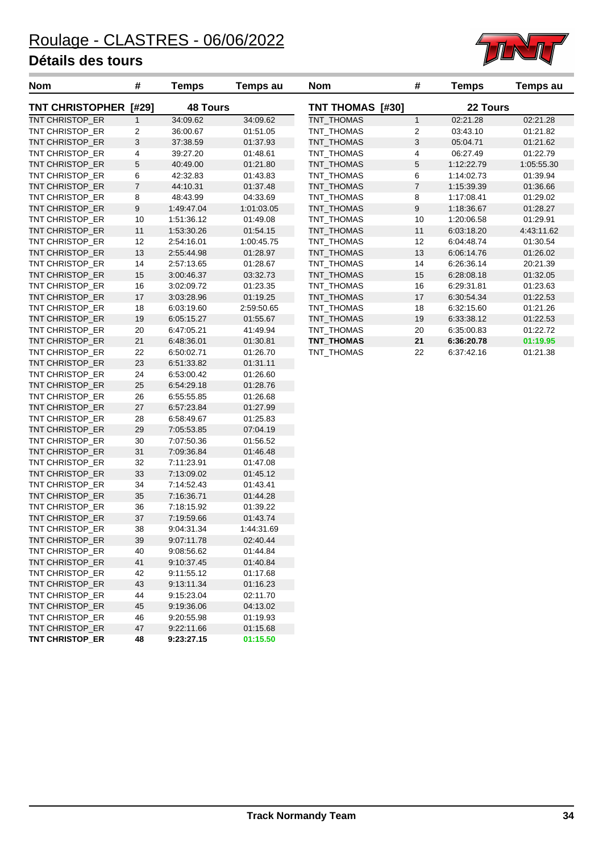**TNT CHRISTOP\_ER 48 9:23:27.15 01:15.50**



| <b>Nom</b>             | #                | <b>Temps</b>    | Temps au   | <b>Nom</b>       | #                | <b>Temps</b> | Temps au   |
|------------------------|------------------|-----------------|------------|------------------|------------------|--------------|------------|
| <b>TNT CHRISTOPHER</b> | [#29]            | <b>48 Tours</b> |            | TNT THOMAS [#30] |                  | 22 Tours     |            |
| TNT CHRISTOP_ER        | $\mathbf{1}$     | 34:09.62        | 34:09.62   | TNT_THOMAS       | $\mathbf{1}$     | 02:21.28     | 02:21.28   |
| TNT CHRISTOP_ER        | $\overline{c}$   | 36:00.67        | 01:51.05   | TNT_THOMAS       | 2                | 03:43.10     | 01:21.82   |
| TNT CHRISTOP_ER        | 3                | 37:38.59        | 01:37.93   | TNT_THOMAS       | $\sqrt{3}$       | 05:04.71     | 01:21.62   |
| TNT CHRISTOP_ER        | 4                | 39:27.20        | 01:48.61   | TNT THOMAS       | 4                | 06:27.49     | 01:22.79   |
| TNT CHRISTOP_ER        | 5                | 40:49.00        | 01:21.80   | TNT_THOMAS       | $\mathbf 5$      | 1:12:22.79   | 1:05:55.30 |
| TNT CHRISTOP_ER        | 6                | 42:32.83        | 01:43.83   | TNT_THOMAS       | 6                | 1:14:02.73   | 01:39.94   |
| TNT CHRISTOP_ER        | $\boldsymbol{7}$ | 44:10.31        | 01:37.48   | TNT_THOMAS       | $\boldsymbol{7}$ | 1:15:39.39   | 01:36.66   |
| TNT CHRISTOP ER        | 8                | 48:43.99        | 04:33.69   | TNT_THOMAS       | 8                | 1:17:08.41   | 01:29.02   |
| TNT CHRISTOP_ER        | 9                | 1:49:47.04      | 1:01:03.05 | TNT_THOMAS       | 9                | 1:18:36.67   | 01:28.27   |
| TNT CHRISTOP_ER        | 10               | 1:51:36.12      | 01:49.08   | TNT_THOMAS       | 10               | 1:20:06.58   | 01:29.91   |
| TNT CHRISTOP_ER        | 11               | 1:53:30.26      | 01:54.15   | TNT_THOMAS       | 11               | 6:03:18.20   | 4:43:11.62 |
| TNT CHRISTOP_ER        | 12               | 2:54:16.01      | 1:00:45.75 | TNT_THOMAS       | 12               | 6:04:48.74   | 01:30.54   |
| TNT CHRISTOP_ER        | 13               | 2:55:44.98      | 01:28.97   | TNT_THOMAS       | 13               | 6:06:14.76   | 01:26.02   |
| TNT CHRISTOP_ER        | 14               | 2:57:13.65      | 01:28.67   | TNT_THOMAS       | 14               | 6:26:36.14   | 20:21.39   |
| TNT CHRISTOP_ER        | 15               | 3:00:46.37      | 03:32.73   | TNT_THOMAS       | 15               | 6:28:08.18   | 01:32.05   |
| TNT CHRISTOP_ER        | 16               | 3:02:09.72      | 01:23.35   | TNT_THOMAS       | 16               | 6:29:31.81   | 01:23.63   |
| TNT CHRISTOP_ER        | 17               | 3:03:28.96      | 01:19.25   | TNT_THOMAS       | 17               | 6:30:54.34   | 01:22.53   |
| TNT CHRISTOP_ER        | 18               | 6:03:19.60      | 2:59:50.65 | TNT_THOMAS       | 18               | 6:32:15.60   | 01:21.26   |
| TNT CHRISTOP ER        | 19               | 6:05:15.27      | 01:55.67   | TNT THOMAS       | 19               | 6:33:38.12   | 01:22.53   |
| TNT CHRISTOP_ER        | 20               | 6:47:05.21      | 41:49.94   | TNT_THOMAS       | 20               | 6:35:00.83   | 01:22.72   |
| TNT CHRISTOP_ER        | 21               | 6:48:36.01      | 01:30.81   | TNT_THOMAS       | 21               | 6:36:20.78   | 01:19.95   |
| TNT CHRISTOP_ER        | 22               | 6:50:02.71      | 01:26.70   | TNT_THOMAS       | 22               | 6:37:42.16   | 01:21.38   |
| TNT CHRISTOP ER        | 23               | 6:51:33.82      | 01:31.11   |                  |                  |              |            |
| TNT CHRISTOP_ER        | 24               | 6:53:00.42      | 01:26.60   |                  |                  |              |            |
| TNT CHRISTOP_ER        | 25               | 6.54.29.18      | 01:28.76   |                  |                  |              |            |
| TNT CHRISTOP_ER        | 26               | 6:55:55.85      | 01:26.68   |                  |                  |              |            |
| TNT CHRISTOP_ER        | 27               | 6:57:23.84      | 01:27.99   |                  |                  |              |            |
| TNT CHRISTOP_ER        | 28               | 6:58:49.67      | 01:25.83   |                  |                  |              |            |
| TNT CHRISTOP_ER        | 29               | 7:05:53.85      | 07:04.19   |                  |                  |              |            |
| TNT CHRISTOP_ER        | 30               | 7:07:50.36      | 01:56.52   |                  |                  |              |            |
| TNT CHRISTOP_ER        | 31               | 7:09:36.84      | 01:46.48   |                  |                  |              |            |
| TNT CHRISTOP_ER        | 32               | 7:11:23.91      | 01:47.08   |                  |                  |              |            |
| TNT CHRISTOP ER        | 33               | 7:13:09.02      | 01:45.12   |                  |                  |              |            |
| TNT CHRISTOP_ER        | 34               | 7:14:52.43      | 01:43.41   |                  |                  |              |            |
| TNT CHRISTOP_ER        | 35               | 7:16:36.71      | 01:44.28   |                  |                  |              |            |
| TNT CHRISTOP_ER        | 36               | 7:18:15.92      | 01:39.22   |                  |                  |              |            |
| TNT CHRISTOP_ER        | 37               | 7:19:59.66      | 01:43.74   |                  |                  |              |            |
| TNT CHRISTOP_ER        | 38               | 9:04:31.34      | 1:44:31.69 |                  |                  |              |            |
| TNT CHRISTOP_ER        | 39               | 9:07:11.78      | 02:40.44   |                  |                  |              |            |
| TNT CHRISTOP_ER        | 40               | 9:08:56.62      | 01:44.84   |                  |                  |              |            |
| TNT CHRISTOP_ER        | 41               | 9:10:37.45      | 01:40.84   |                  |                  |              |            |
| TNT CHRISTOP_ER        | 42               | 9:11:55.12      | 01:17.68   |                  |                  |              |            |
| TNT CHRISTOP_ER        | 43               | 9:13:11.34      | 01:16.23   |                  |                  |              |            |
| TNT CHRISTOP ER        | 44               | 9:15:23.04      | 02:11.70   |                  |                  |              |            |
| TNT CHRISTOP_ER        | 45               | 9:19:36.06      | 04:13.02   |                  |                  |              |            |
| TNT CHRISTOP_ER        | 46               | 9:20:55.98      | 01:19.93   |                  |                  |              |            |
| TNT CHRISTOP_ER        | 47               | 9:22:11.66      | 01:15.68   |                  |                  |              |            |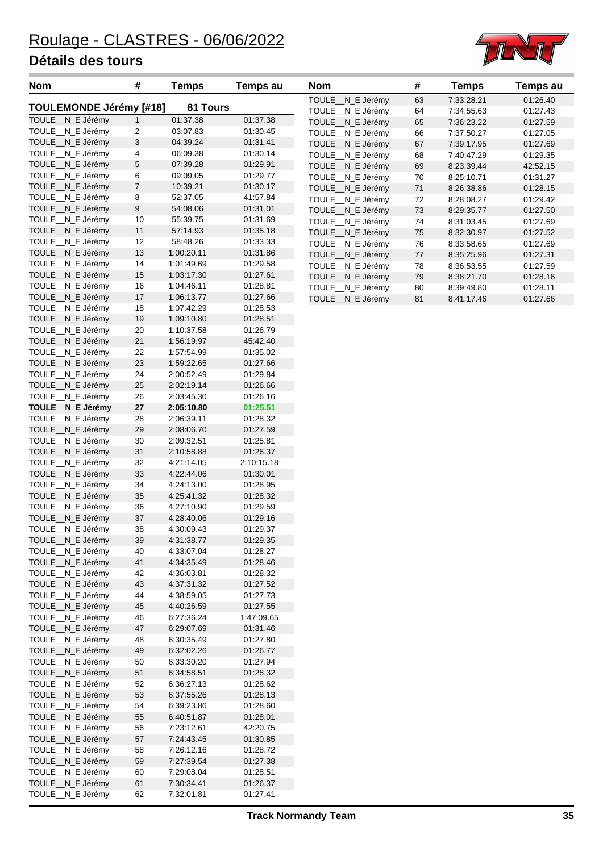

| <b>Nom</b>                           | #                                           | <b>Temps</b>             | Temps au             | <b>Nom</b>                           | #          | <b>Temps</b>             | <b>Temps au</b>      |
|--------------------------------------|---------------------------------------------|--------------------------|----------------------|--------------------------------------|------------|--------------------------|----------------------|
| TOULEMONDE Jérémy [#18]              |                                             | 81 Tours                 |                      | TOULE_N_E Jérémy                     | 63         | 7:33:28.21               | 01:26.40             |
|                                      |                                             |                          |                      | TOULE_N_E Jérémy                     | 64         | 7:34:55.63               | 01:27.43             |
| TOULE_N_E Jérémy                     | $\mathbf{1}$                                | 01:37.38                 | 01:37.38             | TOULE_N_E Jérémy                     | 65         | 7:36:23.22               | 01:27.59             |
| TOULE_N_E Jérémy                     | $\overline{c}$<br>$\ensuremath{\mathsf{3}}$ | 03:07.83<br>04:39.24     | 01:30.45<br>01:31.41 | TOULE_N_E Jérémy                     | 66         | 7:37:50.27               | 01:27.05             |
| TOULE_N_E Jérémy<br>TOULE_N_E Jérémy | 4                                           | 06:09.38                 | 01:30.14             | TOULE_N_E Jérémy                     | 67         | 7:39:17.95               | 01:27.69             |
| TOULE_N_E Jérémy                     | 5                                           | 07:39.28                 | 01:29.91             | TOULE_N_E Jérémy                     | 68         | 7:40:47.29               | 01:29.35             |
| TOULE_N_E Jérémy                     | 6                                           | 09:09.05                 | 01:29.77             | TOULE_N_E Jérémy                     | 69         | 8:23:39.44               | 42:52.15             |
| TOULE_N_E Jérémy                     | 7                                           | 10:39.21                 | 01:30.17             | TOULE_N_E Jérémy<br>TOULE_N_E Jérémy | 70<br>$71$ | 8:25:10.71<br>8:26:38.86 | 01:31.27<br>01:28.15 |
| TOULE_N_E Jérémy                     | 8                                           | 52:37.05                 | 41:57.84             | TOULE_N_E Jérémy                     | $72\,$     | 8:28:08.27               | 01:29.42             |
| TOULE_N_E Jérémy                     | $\boldsymbol{9}$                            | 54:08.06                 | 01:31.01             | TOULE_N_E Jérémy                     | 73         | 8:29:35.77               | 01:27.50             |
| TOULE_N_E Jérémy                     | 10                                          | 55:39.75                 | 01:31.69             | TOULE__N_E Jérémy                    | 74         | 8:31:03.45               | 01:27.69             |
| TOULE_N_E Jérémy                     | 11                                          | 57:14.93                 | 01:35.18             | TOULE_N_E Jérémy                     | 75         | 8:32:30.97               | 01:27.52             |
| TOULE_N_E Jérémy                     | 12                                          | 58:48.26                 | 01:33.33             | TOULE_N_E Jérémy                     | 76         | 8:33:58.65               | 01:27.69             |
| TOULE_N_E Jérémy                     | 13                                          | 1:00:20.11               | 01:31.86             | TOULE_N_E Jérémy                     | $77\,$     | 8:35:25.96               | 01:27.31             |
| TOULE_N_E Jérémy                     | 14                                          | 1:01:49.69               | 01:29.58             | TOULE_N_E Jérémy                     | 78         | 8:36:53.55               | 01:27.59             |
| TOULE_N_E Jérémy                     | 15                                          | 1:03:17.30               | 01:27.61             | TOULE_N_E Jérémy                     | 79         | 8:38:21.70               | 01:28.16             |
| TOULE_N_E Jérémy                     | 16                                          | 1:04:46.11               | 01:28.81             | TOULE_N_E Jérémy                     | 80         | 8:39:49.80               | 01:28.11             |
| TOULE_N_E Jérémy                     | 17                                          | 1:06:13.77               | 01:27.66             | TOULE_N_E Jérémy                     | 81         | 8:41:17.46               | 01:27.66             |
| TOULE_N_E Jérémy                     | 18                                          | 1:07:42.29               | 01:28.53             |                                      |            |                          |                      |
| TOULE_N_E Jérémy                     | 19                                          | 1:09:10.80               | 01:28.51             |                                      |            |                          |                      |
| TOULE_N_E Jérémy                     | 20                                          | 1:10:37.58               | 01:26.79             |                                      |            |                          |                      |
| TOULE_N_E Jérémy                     | 21                                          | 1:56:19.97               | 45:42.40             |                                      |            |                          |                      |
| TOULE_N_E Jérémy                     | 22                                          | 1:57:54.99               | 01:35.02             |                                      |            |                          |                      |
| TOULE_N_E Jérémy                     | 23                                          | 1:59:22.65               | 01:27.66             |                                      |            |                          |                      |
| TOULE_N_E Jérémy                     | 24                                          | 2:00:52.49               | 01:29.84             |                                      |            |                          |                      |
| TOULE_N_E Jérémy                     | 25                                          | 2:02:19.14               | 01:26.66             |                                      |            |                          |                      |
| TOULE_N_E Jérémy                     | 26                                          | 2:03:45.30               | 01:26.16             |                                      |            |                          |                      |
| TOULE_N_E Jérémy<br>TOULE_N_E Jérémy | 27<br>28                                    | 2:05:10.80<br>2:06:39.11 | 01:25.51<br>01:28.32 |                                      |            |                          |                      |
| TOULE_N_E Jérémy                     | 29                                          | 2:08:06.70               | 01:27.59             |                                      |            |                          |                      |
| TOULE_N_E Jérémy                     | $30\,$                                      | 2:09:32.51               | 01:25.81             |                                      |            |                          |                      |
| TOULE_N_E Jérémy                     | 31                                          | 2:10:58.88               | 01:26.37             |                                      |            |                          |                      |
| TOULE_N_E Jérémy                     | 32                                          | 4:21:14.05               | 2:10:15.18           |                                      |            |                          |                      |
| TOULE_N_E Jérémy                     | 33                                          | 4:22:44.06               | 01:30.01             |                                      |            |                          |                      |
| TOULE_N_E Jérémy                     | 34                                          | 4:24:13.00               | 01:28.95             |                                      |            |                          |                      |
| TOULE_N_E Jérémy                     | 35                                          | 4:25:41.32               | 01:28.32             |                                      |            |                          |                      |
| TOULE_N_E Jérémy                     | 36                                          | 4:27:10.90               | 01:29.59             |                                      |            |                          |                      |
| TOULE_N_E Jérémy                     | 37                                          | 4:28:40.06               | 01:29.16             |                                      |            |                          |                      |
| TOULE_N_E Jérémy                     | 38                                          | 4:30:09.43               | 01:29.37             |                                      |            |                          |                      |
| TOULE_N_E Jérémy                     | 39                                          | 4:31:38.77               | 01:29.35             |                                      |            |                          |                      |
| TOULE_N_E Jérémy                     | 40                                          | 4:33:07.04               | 01:28.27             |                                      |            |                          |                      |
| TOULE_N_E Jérémy                     | 41                                          | 4:34:35.49               | 01:28.46             |                                      |            |                          |                      |
| TOULE_N_E Jérémy                     | 42                                          | 4:36:03.81               | 01:28.32             |                                      |            |                          |                      |
| TOULE_N_E Jérémy                     | 43                                          | 4:37:31.32               | 01:27.52             |                                      |            |                          |                      |
| TOULE_N_E Jérémy                     | 44                                          | 4:38:59.05               | 01:27.73             |                                      |            |                          |                      |
| TOULE_N_E Jérémy                     | 45                                          | 4:40:26.59               | 01:27.55             |                                      |            |                          |                      |
| TOULE_N_E Jérémy                     | 46                                          | 6:27:36.24               | 1:47:09.65           |                                      |            |                          |                      |
| TOULE_N_E Jérémy                     | 47                                          | 6:29:07.69               | 01:31.46             |                                      |            |                          |                      |
| TOULE_N_E Jérémy<br>TOULE_N_E Jérémy | 48                                          | 6:30:35.49               | 01:27.80             |                                      |            |                          |                      |
| TOULE_N_E Jérémy                     | 49<br>50                                    | 6:32:02.26<br>6:33:30.20 | 01:26.77<br>01:27.94 |                                      |            |                          |                      |
| TOULE_N_E Jérémy                     | 51                                          | 6:34:58.51               | 01:28.32             |                                      |            |                          |                      |
| TOULE_N_E Jérémy                     | 52                                          | 6:36:27.13               | 01:28.62             |                                      |            |                          |                      |
| TOULE_N_E Jérémy                     | 53                                          | 6:37:55.26               | 01:28.13             |                                      |            |                          |                      |
| TOULE_N_E Jérémy                     | 54                                          | 6:39:23.86               | 01:28.60             |                                      |            |                          |                      |
| TOULE_N_E Jérémy                     | 55                                          | 6:40:51.87               | 01:28.01             |                                      |            |                          |                      |
| TOULE__N_E Jérémy                    | 56                                          | 7:23:12.61               | 42:20.75             |                                      |            |                          |                      |
| TOULE_N_E Jérémy                     | 57                                          | 7:24:43.45               | 01:30.85             |                                      |            |                          |                      |
| TOULE_N_E Jérémy                     | 58                                          | 7:26:12.16               | 01:28.72             |                                      |            |                          |                      |
| TOULE_N_E Jérémy                     | 59                                          | 7:27:39.54               | 01:27.38             |                                      |            |                          |                      |
| TOULE_N_E Jérémy                     | 60                                          | 7:29:08.04               | 01:28.51             |                                      |            |                          |                      |
| TOULE_N_E Jérémy                     | 61                                          | 7:30:34.41               | 01:26.37             |                                      |            |                          |                      |
| TOULE_N_E Jérémy                     | 62                                          | 7:32:01.81               | 01:27.41             |                                      |            |                          |                      |

| <b>Nom</b>                 | #  | <b>Temps</b> | Temps au |
|----------------------------|----|--------------|----------|
| TOULE __ N_E Jérémy        | 63 | 7:33:28.21   | 01:26.40 |
| <b>TOULE</b><br>N_E Jérémy | 64 | 7:34:55.63   | 01:27.43 |
| TOULE N E Jérémy           | 65 | 7:36:23.22   | 01:27.59 |
| TOULE_N_E Jérémy           | 66 | 7:37:50.27   | 01:27.05 |
| TOULE N E Jérémy           | 67 | 7:39:17.95   | 01:27.69 |
| TOULE N E Jérémy           | 68 | 7:40:47.29   | 01:29.35 |
| TOULE__N_E Jérémy          | 69 | 8:23:39.44   | 42:52.15 |
| TOULE N E Jérémy           | 70 | 8:25:10.71   | 01:31.27 |
| TOULE__N_E Jérémy          | 71 | 8:26:38.86   | 01:28.15 |
| TOULE__N_E Jérémy          | 72 | 8:28:08.27   | 01:29.42 |
| TOULE N E Jérémy           | 73 | 8:29:35.77   | 01:27.50 |
| TOULE N E Jérémy           | 74 | 8:31:03.45   | 01:27.69 |
| TOULE N E Jérémy           | 75 | 8:32:30.97   | 01:27.52 |
| TOULE__N_E Jérémy          | 76 | 8:33:58.65   | 01:27.69 |
| TOULE__N_E Jérémy          | 77 | 8:35:25.96   | 01:27.31 |
| TOULE__N_E Jérémy          | 78 | 8:36:53.55   | 01:27.59 |
| TOULE__N_E Jérémy          | 79 | 8:38:21.70   | 01:28.16 |
| TOULE N E Jérémy           | 80 | 8:39:49.80   | 01:28.11 |
| N E Jérémy<br><b>TOULE</b> | 81 | 8:41:17.46   | 01:27.66 |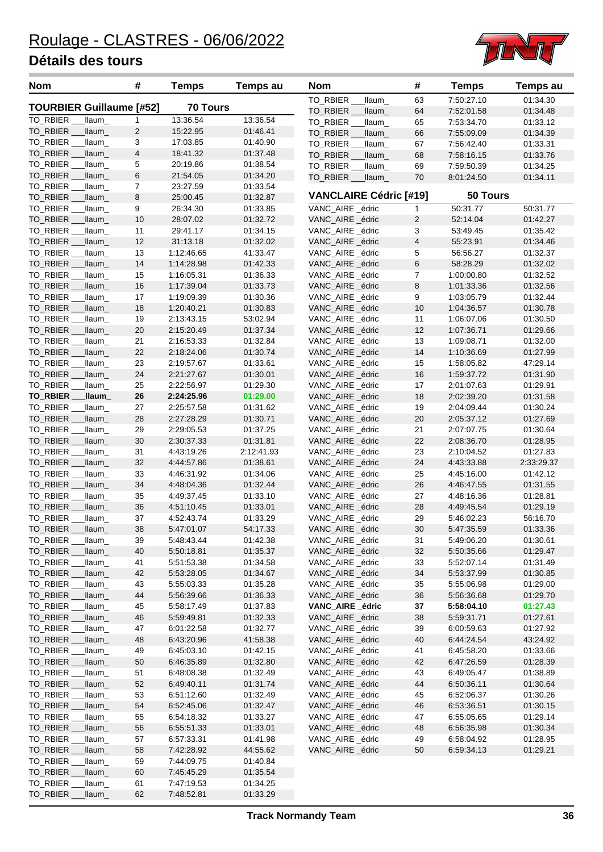

| <b>Nom</b>                      |                   | #              | <b>Temps</b>             | Temps au             | Nom                                 | #              | <b>Temps</b>             | <b>Temps au</b>      |
|---------------------------------|-------------------|----------------|--------------------------|----------------------|-------------------------------------|----------------|--------------------------|----------------------|
|                                 |                   |                |                          |                      | TO_RBIER_<br>_llaum_                | 63             | 7:50:27.10               | 01:34.30             |
| <b>TOURBIER Guillaume [#52]</b> |                   |                | <b>70 Tours</b>          |                      | TO RBIER<br>_llaum_                 | 64             | 7:52:01.58               | 01:34.48             |
| TO_RBIER                        | llaum_            | 1              | 13:36.54                 | 13:36.54             | TO_RBIER<br>llaum_                  | 65             | 7:53:34.70               | 01:33.12             |
| TO_RBIER                        | llaum_            | 2              | 15:22.95                 | 01:46.41             | TO_RBIER _<br>_llaum_               | 66             | 7:55:09.09               | 01:34.39             |
| TO_RBIER_                       | llaum_            | 3              | 17:03.85                 | 01:40.90             | TO_RBIER _<br>_llaum_               | 67             | 7:56:42.40               | 01:33.31             |
| TO_RBIER _                      | llaum_            | 4              | 18:41.32                 | 01:37.48             | TO_RBIER _<br>_llaum_               | 68             | 7:58:16.15               | 01:33.76             |
| TO_RBIER<br>TO_RBIER            | llaum_            | 5<br>$\,6$     | 20:19.86                 | 01:38.54             | TO_RBIER __<br>_llaum_              | 69             | 7:59:50.39               | 01:34.25             |
| TO_RBIER _                      | llaum_<br>_llaum_ | $\overline{7}$ | 21:54.05<br>23:27.59     | 01:34.20<br>01:33.54 | TO_RBIER __ llaum_                  | 70             | 8:01:24.50               | 01:34.11             |
| TO RBIER                        | llaum_            | 8              | 25:00.45                 | 01:32.87             | <b>VANCLAIRE Cédric [#19]</b>       |                | 50 Tours                 |                      |
| TO RBIER                        | llaum_            | 9              | 26:34.30                 | 01:33.85             | VANC_AIRE _édric                    | $\mathbf{1}$   | 50:31.77                 | 50:31.77             |
| TO_RBIER _                      | llaum_            | 10             | 28:07.02                 | 01:32.72             | VANC_AIRE _édric                    | $\overline{2}$ | 52:14.04                 | 01:42.27             |
| TO_RBIER                        | llaum_            | 11             | 29:41.17                 | 01:34.15             | VANC_AIRE _édric                    | 3              | 53:49.45                 | 01:35.42             |
| TO_RBIER                        | _llaum_           | 12             | 31:13.18                 | 01:32.02             | VANC_AIRE _édric                    | $\overline{4}$ | 55:23.91                 | 01:34.46             |
| TO_RBIER                        | llaum_            | 13             | 1:12:46.65               | 41:33.47             | VANC_AIRE _édric                    | 5              | 56:56.27                 | 01:32.37             |
| TO_RBIER                        | _llaum_           | 14             | 1:14:28.98               | 01:42.33             | VANC_AIRE _édric                    | 6              | 58:28.29                 | 01:32.02             |
| TO_RBIER _                      | _llaum_           | 15             | 1:16:05.31               | 01:36.33             | VANC_AIRE _édric                    | $\overline{7}$ | 1:00:00.80               | 01:32.52             |
| TO_RBIER _                      | llaum_            | 16             | 1:17:39.04               | 01:33.73             | VANC AIRE édric                     | 8              | 1:01:33.36               | 01:32.56             |
| TO_RBIER                        | llaum_            | 17             | 1:19:09.39               | 01:30.36             | VANC_AIRE _édric                    | 9              | 1:03:05.79               | 01:32.44             |
| TO RBIER                        | llaum_            | 18             | 1:20:40.21               | 01:30.83             | VANC AIRE édric                     | 10             | 1:04:36.57               | 01:30.78             |
| TO_RBIER                        | llaum_            | 19             | 2:13:43.15               | 53:02.94             | VANC AIRE édric                     | 11             | 1:06:07.06               | 01:30.50             |
| TO_RBIER                        | _llaum_           | 20             | 2:15:20.49               | 01:37.34             | VANC_AIRE _édric                    | 12             | 1:07:36.71               | 01:29.66             |
| TO_RBIER _                      | llaum_            | 21             | 2:16:53.33               | 01:32.84             | VANC_AIRE _édric                    | 13             | 1:09:08.71               | 01:32.00             |
| TO_RBIER                        | llaum_            | 22             | 2:18:24.06               | 01:30.74             | VANC_AIRE _édric                    | 14             | 1:10:36.69               | 01:27.99             |
| TO_RBIER                        | _llaum_           | 23             | 2:19:57.67               | 01:33.61             | VANC AIRE édric                     | 15             | 1:58:05.82               | 47:29.14             |
| TO_RBIER _                      | _llaum_           | 24             | 2:21:27.67               | 01:30.01             | VANC_AIRE _édric                    | 16             | 1:59:37.72               | 01:31.90             |
| TO_RBIER                        | llaum_            | 25             | 2:22:56.97               | 01:29.30             | VANC_AIRE _édric                    | 17             | 2:01:07.63               | 01:29.91             |
| TO_RBIER _                      | _Ilaum_           | 26             | 2:24:25.96               | 01:29.00             | VANC_AIRE _édric                    | 18             | 2:02:39.20               | 01:31.58             |
| TO_RBIER                        | llaum_            | 27             | 2:25:57.58               | 01:31.62             | VANC_AIRE _édric                    | 19             | 2:04:09.44               | 01:30.24             |
| TO_RBIER                        | _llaum_           | 28             | 2:27:28.29               | 01:30.71             | VANC_AIRE _édric                    | 20             | 2:05:37.12               | 01:27.69             |
| TO_RBIER                        | _llaum_           | 29             | 2:29:05.53               | 01:37.25             | VANC_AIRE _édric                    | 21             | 2:07:07.75               | 01:30.64             |
| TO_RBIER _                      | _llaum_           | 30             | 2:30:37.33               | 01:31.81             | VANC_AIRE _édric                    | 22             | 2:08:36.70               | 01:28.95             |
| TO_RBIER                        | llaum_            | 31             | 4:43:19.26               | 2:12:41.93           | VANC_AIRE _édric                    | 23             | 2:10:04.52               | 01:27.83             |
| TO_RBIER                        | llaum_            | 32             | 4:44:57.86               | 01:38.61             | VANC_AIRE _édric                    | 24             | 4:43:33.88               | 2:33:29.37           |
| TO_RBIER                        | llaum_            | 33             | 4:46:31.92               | 01:34.06             | VANC_AIRE _édric                    | 25             | 4:45:16.00               | 01:42.12             |
| <b>TO RBIER</b>                 | llaum_            | 34             | 4:48:04.36               | 01:32.44             | VANC AIRE édric                     | 26             | 4:46:47.55               | 01:31.55             |
| TO_RBIER                        | _llaum_           | 35             | 4:49:37.45               | 01:33.10             | VANC_AIRE _édric                    | 27             | 4:48:16.36               | 01:28.81             |
| TO_RBIER                        | llaum_            | 36<br>37       | 4:51:10.45               | 01:33.01             | VANC_AIRE _édric                    | 28             | 4:49:45.54               | 01:29.19             |
| TO_RBIER<br>TO_RBIER            | llaum_            | 38             | 4:52:43.74<br>5:47:01.07 | 01:33.29             | VANC AIRE édric<br>VANC_AIRE _édric | 29<br>30       | 5:46:02.23<br>5:47:35.59 | 56:16.70<br>01:33.36 |
| TO_RBIER                        | llaum<br>_llaum_  | 39             | 5:48:43.44               | 54:17.33<br>01:42.38 | VANC_AIRE _édric                    | 31             | 5:49:06.20               | 01:30.61             |
| TO_RBIER                        | _llaum_           | 40             | 5:50:18.81               | 01:35.37             | VANC_AIRE _édric                    | 32             | 5:50:35.66               | 01:29.47             |
| TO_RBIER                        | _llaum_           | 41             | 5:51:53.38               | 01:34.58             | VANC_AIRE _édric                    | 33             | 5:52:07.14               | 01:31.49             |
| TO RBIER                        | _llaum_           | 42             | 5:53:28.05               | 01:34.67             | VANC_AIRE _édric                    | 34             | 5:53:37.99               | 01:30.85             |
| TO_RBIER                        | llaum_            | 43             | 5:55:03.33               | 01:35.28             | VANC_AIRE _édric                    | 35             | 5:55:06.98               | 01:29.00             |
| TO_RBIER                        | llaum_            | 44             | 5.56.39.66               | 01:36.33             | VANC_AIRE _édric                    | 36             | 5:56:36.68               | 01:29.70             |
| TO_RBIER                        | _llaum_           | 45             | 5.58.17.49               | 01:37.83             | VANC_AIRE _édric                    | 37             | 5:58:04.10               | 01:27.43             |
| TO_RBIER                        | llaum_            | 46             | 5:59:49.81               | 01:32.33             | VANC_AIRE _édric                    | 38             | 5:59:31.71               | 01:27.61             |
| TO_RBIER                        | llaum             | 47             | 6:01:22.58               | 01:32.77             | VANC_AIRE _édric                    | 39             | 6:00:59.63               | 01:27.92             |
| TO_RBIER                        | llaum_            | 48             | 6:43:20.96               | 41:58.38             | VANC_AIRE _édric                    | 40             | 6:44:24.54               | 43:24.92             |
| TO_RBIER                        | _llaum_           | 49             | 6:45:03.10               | 01:42.15             | VANC_AIRE _édric                    | 41             | 6:45:58.20               | 01:33.66             |
| TO_RBIER                        | _llaum_           | 50             | 6:46:35.89               | 01:32.80             | VANC_AIRE _édric                    | 42             | 6:47:26.59               | 01:28.39             |
| TO_RBIER                        | _llaum_           | 51             | 6:48:08.38               | 01:32.49             | VANC_AIRE _édric                    | 43             | 6:49:05.47               | 01:38.89             |
| TO_RBIER                        | _llaum_           | 52             | 6:49:40.11               | 01:31.74             | VANC_AIRE _édric                    | 44             | 6:50:36.11               | 01:30.64             |
| TO_RBIER                        | _llaum_           | 53             | 6:51:12.60               | 01:32.49             | VANC_AIRE _édric                    | 45             | 6:52:06.37               | 01:30.26             |
| TO_RBIER                        | _llaum_           | 54             | 6.52.45.06               | 01:32.47             | VANC_AIRE _édric                    | 46             | 6:53:36.51               | 01:30.15             |
| TO_RBIER                        | llaum_            | 55             | 6:54:18.32               | 01:33.27             | VANC_AIRE _édric                    | 47             | 6:55:05.65               | 01:29.14             |
| TO_RBIER                        | _llaum_           | 56             | 6:55:51.33               | 01:33.01             | VANC_AIRE _édric                    | 48             | 6:56:35.98               | 01:30.34             |
| TO_RBIER                        | _llaum_           | 57             | 6:57:33.31               | 01:41.98             | VANC_AIRE _édric                    | 49             | 6:58:04.92               | 01:28.95             |
| TO_RBIER                        | _llaum_           | 58             | 7:42:28.92               | 44:55.62             | VANC_AIRE _édric                    | 50             | 6:59:34.13               | 01:29.21             |
| TO_RBIER                        | _llaum_           | 59             | 7:44:09.75               | 01:40.84             |                                     |                |                          |                      |
| TO_RBIER                        | llaum_            | 60             | 7:45:45.29               | 01:35.54             |                                     |                |                          |                      |
| TO_RBIER                        | _llaum_           | 61             | 7:47:19.53               | 01:34.25             |                                     |                |                          |                      |
| TO_RBIER                        | _llaum_           | 62             | 7:48:52.81               | 01:33.29             |                                     |                |                          |                      |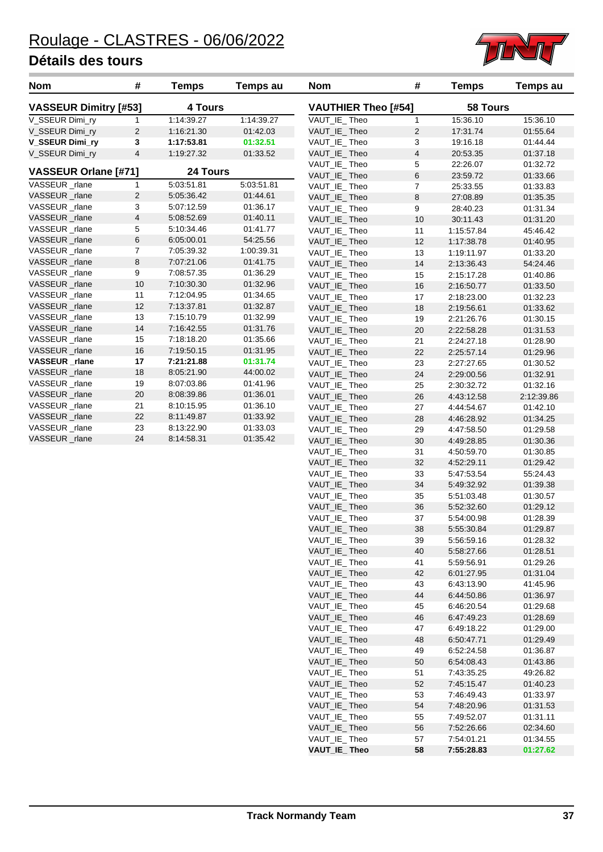

| <b>Nom</b>                   | #              | Temps           | Temps au   | <b>Nom</b>                 | #              | Temps      | Temps au   |
|------------------------------|----------------|-----------------|------------|----------------------------|----------------|------------|------------|
| <b>VASSEUR Dimitry [#53]</b> |                | <b>4 Tours</b>  |            | <b>VAUTHIER Theo [#54]</b> |                | 58 Tours   |            |
| V_SSEUR Dimi_ry              | 1              | 1:14:39.27      | 1:14:39.27 | VAUT_IE_Theo               | $\mathbf{1}$   | 15:36.10   | 15:36.10   |
| V SSEUR Dimi ry              | 2              | 1:16:21.30      | 01:42.03   | VAUT IE Theo               | 2              | 17:31.74   | 01.55.64   |
| V_SSEUR Dimi_ry              | 3              | 1:17:53.81      | 01:32.51   | VAUT_IE_Theo               | 3              | 19:16.18   | 01:44.44   |
| V SSEUR Dimi ry              | $\overline{4}$ | 1:19:27.32      | 01:33.52   | VAUT IE Theo               | $\overline{4}$ | 20:53.35   | 01:37.18   |
|                              |                |                 |            | VAUT_IE_Theo               | 5              | 22:26.07   | 01:32.72   |
| VASSEUR Orlane [#71]         |                | <b>24 Tours</b> |            | VAUT IE Theo               | 6              | 23:59.72   | 01:33.66   |
| VASSEUR rlane                | 1              | 5:03:51.81      | 5:03:51.81 | VAUT_IE_Theo               | $\overline{7}$ | 25:33.55   | 01:33.83   |
| VASSEUR rlane                | 2              | 5:05:36.42      | 01:44.61   | VAUT IE Theo               | 8              | 27:08.89   | 01:35.35   |
| VASSEUR rlane                | 3              | 5:07:12.59      | 01:36.17   | VAUT IE Theo               | 9              | 28:40.23   | 01:31.34   |
| VASSEUR _rlane               | 4              | 5:08:52.69      | 01:40.11   | VAUT IE Theo               | 10             | 30:11.43   | 01:31.20   |
| VASSEUR rlane                | 5              | 5:10:34.46      | 01:41.77   | VAUT_IE_Theo               | 11             | 1:15:57.84 | 45:46.42   |
| VASSEUR _rlane               | 6              | 6:05:00.01      | 54:25.56   | VAUT IE Theo               | 12             | 1:17:38.78 | 01:40.95   |
| VASSEUR rlane                | 7              | 7:05:39.32      | 1:00:39.31 | VAUT IE Theo               | 13             | 1:19:11.97 | 01:33.20   |
| VASSEUR_rlane                | 8              | 7:07:21.06      | 01:41.75   | VAUT_IE_Theo               | 14             | 2:13:36.43 | 54:24.46   |
| VASSEUR rlane                | 9              | 7:08:57.35      | 01:36.29   | VAUT_IE_Theo               | 15             | 2:15:17.28 | 01:40.86   |
| VASSEUR _rlane               | 10             | 7:10:30.30      | 01:32.96   | VAUT_IE_Theo               | 16             | 2:16:50.77 | 01:33.50   |
| VASSEUR rlane                | 11             | 7:12:04.95      | 01:34.65   | VAUT_IE_Theo               | 17             | 2:18:23.00 | 01:32.23   |
| VASSEUR rlane                | 12             | 7:13:37.81      | 01:32.87   | VAUT_IE_Theo               | 18             | 2:19:56.61 | 01:33.62   |
| VASSEUR rlane                | 13             | 7:15:10.79      | 01:32.99   | VAUT IE Theo               | 19             | 2:21:26.76 | 01:30.15   |
| VASSEUR rlane                | 14             | 7:16:42.55      | 01:31.76   | VAUT_IE_Theo               | 20             | 2:22:58.28 | 01:31.53   |
| VASSEUR_rlane                | 15             | 7:18:18.20      | 01:35.66   | VAUT IE Theo               | 21             | 2:24:27.18 | 01:28.90   |
| VASSEUR rlane                | 16             | 7:19:50.15      | 01:31.95   | VAUT_IE_Theo               | 22             | 2:25:57.14 | 01:29.96   |
| VASSEUR _rlane               | 17             | 7:21:21.88      | 01:31.74   | VAUT IE Theo               | 23             | 2:27:27.65 | 01:30.52   |
| VASSEUR rlane                | 18             | 8:05:21.90      | 44:00.02   | VAUT_IE_Theo               | 24             | 2:29:00.56 | 01:32.91   |
| VASSEUR rlane                | 19             | 8:07:03.86      | 01:41.96   | VAUT_IE_Theo               | 25             | 2:30:32.72 | 01:32.16   |
| VASSEUR rlane                | 20             | 8:08:39.86      | 01:36.01   | VAUT_IE_Theo               | 26             | 4:43:12.58 | 2:12:39.86 |
| VASSEUR _rlane               | 21             | 8:10:15.95      | 01:36.10   | VAUT_IE_Theo               | 27             | 4:44:54.67 | 01:42.10   |
| VASSEUR rlane                | 22             | 8:11:49.87      | 01:33.92   | VAUT_IE_Theo               | 28             | 4:46.28.92 | 01:34.25   |
| VASSEUR _rlane               | 23             | 8:13:22.90      | 01:33.03   | VAUT IE Theo               | 29             | 4:47.58.50 | 01:29.58   |
| VASSEUR rlane                | 24             | 8:14:58.31      | 01:35.42   | VAUT IE Theo               | 30             | 4:49:28.85 | 01:30.36   |

| VAUTHIER Theo [#54] |                | 58 Tours   |            |
|---------------------|----------------|------------|------------|
| VAUT_IE_Theo        | 1              | 15:36.10   | 15:36.10   |
| VAUT_IE_Theo        | $\overline{2}$ | 17:31.74   | 01:55.64   |
| VAUT_IE_Theo        | 3              | 19:16.18   | 01:44.44   |
| VAUT_IE_Theo        | 4              | 20:53.35   | 01:37.18   |
| VAUT_IE_Theo        | 5              | 22:26.07   | 01:32.72   |
| VAUT_IE_Theo        | 6              | 23:59.72   | 01:33.66   |
| VAUT_IE_Theo        | 7              | 25:33.55   | 01:33.83   |
| VAUT_IE_Theo        | 8              | 27:08.89   | 01:35.35   |
| VAUT_IE_Theo        | 9              | 28:40.23   | 01:31.34   |
| VAUT_IE_Theo        | 10             | 30:11.43   | 01:31.20   |
| VAUT_IE_Theo        | 11             | 1:15:57.84 | 45:46.42   |
| VAUT_IE_Theo        | 12             | 1:17:38.78 | 01:40.95   |
| VAUT_IE_Theo        | 13             | 1:19:11.97 | 01:33.20   |
| VAUT_IE_Theo        | 14             | 2:13:36.43 | 54:24.46   |
| VAUT_IE_Theo        | 15             | 2:15:17.28 | 01:40.86   |
| VAUT_IE_Theo        | 16             | 2:16:50.77 | 01:33.50   |
| VAUT_IE_Theo        | 17             | 2:18:23.00 | 01:32.23   |
| VAUT_IE_Theo        | 18             | 2:19:56.61 | 01:33.62   |
| VAUT_IE_Theo        | 19             | 2:21:26.76 | 01:30.15   |
| VAUT_IE_Theo        | 20             | 2:22:58.28 | 01:31.53   |
| VAUT_IE_Theo        | 21             | 2:24:27.18 | 01:28.90   |
| VAUT_IE_Theo        | 22             | 2:25:57.14 | 01:29.96   |
| VAUT_IE_Theo        | 23             | 2:27:27.65 | 01:30.52   |
| VAUT_IE_Theo        | 24             | 2:29:00.56 | 01:32.91   |
| VAUT_IE_Theo        | 25             | 2:30:32.72 | 01:32.16   |
| VAUT_IE_Theo        | 26             | 4:43:12.58 | 2:12:39.86 |
| VAUT_IE_Theo        | 27             | 4:44:54.67 | 01:42.10   |
| VAUT_IE_Theo        | 28             | 4:46.28.92 | 01:34.25   |
| VAUT_IE_Theo        | 29             | 4:47:58.50 | 01:29.58   |
| VAUT_IE_Theo        | 30             | 4:49:28.85 | 01:30.36   |
| VAUT_IE_Theo        | 31             | 4:50:59.70 | 01:30.85   |
| VAUT_IE_Theo        | 32             | 4:52:29.11 | 01:29.42   |
| VAUT_IE_Theo        | 33             | 5:47:53.54 | 55:24.43   |
| VAUT_IE_Theo        | 34             | 5:49:32.92 | 01:39.38   |
| VAUT_IE_Theo        | 35             | 5:51:03.48 | 01:30.57   |
| VAUT_IE_Theo        | 36             | 5.52.32.60 | 01:29.12   |
| VAUT_IE_Theo        | 37             | 5:54:00.98 | 01:28.39   |
| VAUT_IE_Theo        | 38             | 5.55.30.84 | 01:29.87   |
| VAUT_IE_Theo        | 39             | 5.56:59.16 | 01:28.32   |
| VAUT_IE_Theo        | 40             | 5:58:27.66 | 01:28.51   |
| VAUT_IE_Theo        | 41             | 5:59:56.91 | 01:29.26   |
| VAUT_IE_Theo        | 42             | 6:01:27.95 | 01:31.04   |
| VAUT_IE_Theo        | 43             | 6:43:13.90 | 41:45.96   |
| VAUT_IE_Theo        | 44             | 6:44:50.86 | 01:36.97   |
| VAUT_IE_Theo        | 45             | 6:46:20.54 | 01:29.68   |
| VAUT_IE_Theo        | 46             | 6:47:49.23 | 01:28.69   |
| VAUT_IE_Theo        | 47             | 6:49:18.22 | 01:29.00   |
| VAUT_IE_Theo        | 48             | 6:50:47.71 | 01:29.49   |
| VAUT_IE_Theo        | 49             | 6:52:24.58 | 01:36.87   |
| VAUT_IE_Theo        | 50             | 6:54:08.43 | 01:43.86   |
| VAUT_IE_Theo        | 51             | 7:43:35.25 | 49:26.82   |
| VAUT_IE_Theo        | 52             | 7:45:15.47 | 01:40.23   |
| VAUT_IE_Theo        | 53             | 7:46:49.43 | 01:33.97   |
| VAUT_IE_Theo        | 54             | 7:48:20.96 | 01:31.53   |
| VAUT_IE_Theo        | 55             | 7:49:52.07 | 01:31.11   |
| VAUT_IE_Theo        | 56             | 7:52:26.66 | 02:34.60   |
| VAUT_IE_Theo        | 57             | 7:54:01.21 | 01:34.55   |
| VAUT_IE_Theo        | 58             | 7:55:28.83 | 01:27.62   |
|                     |                |            |            |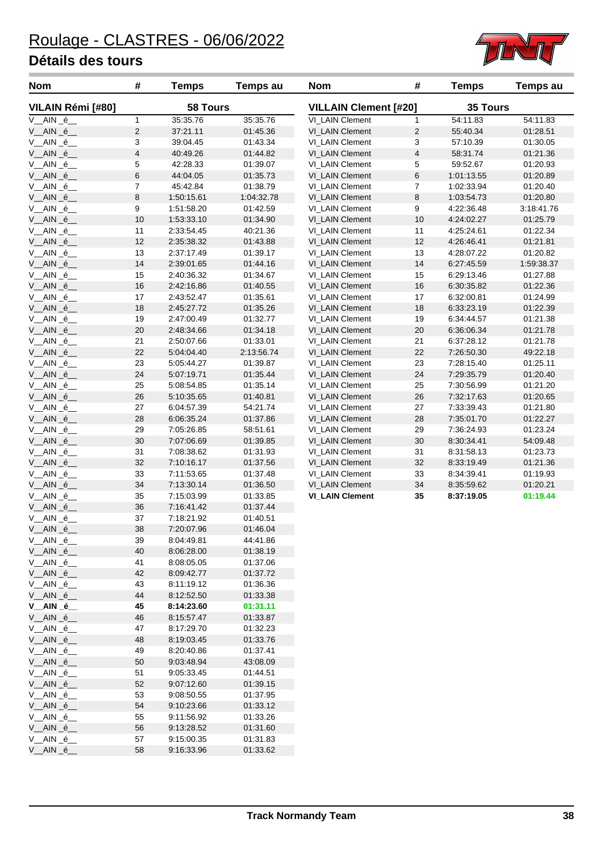V\_\_AIN \_é\_\_ 58 9:16:33.96 01:33.62



| <b>Nom</b>                  | #                       | <b>Temps</b> | <b>Temps au</b> | <b>Nom</b>                   | #                       | <b>Temps</b> | <b>Temps au</b> |
|-----------------------------|-------------------------|--------------|-----------------|------------------------------|-------------------------|--------------|-----------------|
| VILAIN Rémi [#80]           |                         | 58 Tours     |                 | <b>VILLAIN Clement [#20]</b> |                         | 35 Tours     |                 |
| $V\_AIN _{e\_}$             | $\mathbf{1}$            | 35:35.76     | 35:35.76        | VI_LAIN Clement              | $\mathbf{1}$            | 54:11.83     | 54:11.83        |
| V_AIN_é_                    | $\overline{c}$          | 37:21.11     | 01:45.36        | VI LAIN Clement              | $\overline{c}$          | 55:40.34     | 01:28.51        |
| V_AIN_é_                    | 3                       | 39:04.45     | 01:43.34        | VI_LAIN Clement              | 3                       | 57:10.39     | 01:30.05        |
| V_AIN_é_                    | $\overline{\mathbf{4}}$ | 40:49.26     | 01:44.82        | VI_LAIN Clement              | $\overline{\mathbf{4}}$ | 58:31.74     | 01:21.36        |
| V_AIN_é_                    | 5                       | 42:28.33     | 01:39.07        | VI_LAIN Clement              | 5                       | 59:52.67     | 01:20.93        |
| V__AIN _é__                 | $\,6$                   | 44:04.05     | 01:35.73        | VI_LAIN Clement              | $\,$ 6 $\,$             | 1:01:13.55   | 01:20.89        |
| V_AIN_é_                    | $\overline{7}$          | 45:42.84     | 01:38.79        | VI_LAIN Clement              | 7                       | 1:02:33.94   | 01:20.40        |
| V_AIN_é_                    | 8                       | 1:50:15.61   | 1:04:32.78      | <b>VI_LAIN Clement</b>       | 8                       | 1:03:54.73   | 01:20.80        |
| V_AIN_é_                    | 9                       | 1:51:58.20   | 01:42.59        | VI_LAIN Clement              | 9                       | 4:22:36.48   | 3:18:41.76      |
| V_AIN_é_                    | 10                      | 1:53:33.10   | 01:34.90        | VI_LAIN Clement              | 10                      | 4:24:02.27   | 01:25.79        |
| $V_A$ AIN $_6$              | 11                      | 2:33:54.45   | 40:21.36        | VI_LAIN Clement              | 11                      | 4:25:24.61   | 01:22.34        |
| V_AIN_é_                    | 12                      | 2:35:38.32   | 01:43.88        | VI_LAIN Clement              | 12                      | 4:26:46.41   | 01:21.81        |
| V_AIN_é_                    | 13                      | 2:37:17.49   | 01:39.17        | VI_LAIN Clement              | 13                      | 4:28:07.22   | 01:20.82        |
| V_AIN_é_                    | 14                      | 2:39:01.65   | 01:44.16        | VI_LAIN Clement              | 14                      | 6:27:45.59   | 1:59:38.37      |
| V_AIN_é_                    | 15                      | 2:40:36.32   | 01:34.67        | VI_LAIN Clement              | 15                      | 6:29:13.46   | 01:27.88        |
| V_AIN_é_                    | 16                      | 2:42:16.86   | 01:40.55        | VI_LAIN Clement              | 16                      | 6:30:35.82   | 01:22.36        |
| V_AIN_é_                    | 17                      | 2:43:52.47   | 01:35.61        | VI_LAIN Clement              | 17                      | 6:32:00.81   | 01:24.99        |
| V_AIN_é_                    | 18                      | 2:45:27.72   | 01:35.26        | VI_LAIN Clement              | $18$                    | 6:33:23.19   | 01:22.39        |
| V_AIN_é_                    | 19                      | 2:47:00.49   | 01:32.77        | VI_LAIN Clement              | 19                      | 6:34:44.57   | 01:21.38        |
| V_AIN_é_                    | 20                      | 2:48:34.66   | 01:34.18        | VI_LAIN Clement              | 20                      | 6:36:06.34   | 01:21.78        |
| $V\_AIN _{e\_e}$            | 21                      | 2:50:07.66   | 01:33.01        | VI_LAIN Clement              | 21                      | 6:37:28.12   | 01:21.78        |
| V_AIN_é_                    | 22                      | 5:04:04.40   | 2:13:56.74      | VI_LAIN Clement              | 22                      | 7:26:50.30   | 49:22.18        |
| V_AIN_é_                    | 23                      | 5:05:44.27   | 01:39.87        | VI_LAIN Clement              | 23                      | 7:28:15.40   | 01:25.11        |
| V__AIN _é__                 | 24                      | 5:07:19.71   | 01:35.44        | VI_LAIN Clement              | 24                      | 7:29:35.79   | 01:20.40        |
| V_AIN_é_                    | 25                      | 5:08:54.85   | 01:35.14        | VI_LAIN Clement              | 25                      | 7:30:56.99   | 01:21.20        |
| V_AIN_é_                    | 26                      | 5:10:35.65   | 01:40.81        | VI_LAIN Clement              | 26                      | 7:32:17.63   | 01:20.65        |
| V_AIN _é_                   | 27                      | 6:04:57.39   | 54:21.74        | VI_LAIN Clement              | 27                      | 7:33:39.43   | 01:21.80        |
| V__AIN _é__                 | 28                      | 6:06:35.24   | 01:37.86        | VI_LAIN Clement              | 28                      | 7:35:01.70   | 01:22.27        |
| V_AIN_é_                    | 29                      | 7:05:26.85   | 58:51.61        | VI_LAIN Clement              | 29                      | 7:36:24.93   | 01:23.24        |
| V_AIN_é_                    | $30\,$                  | 7:07:06.69   | 01:39.85        | VI_LAIN Clement              | 30                      | 8:30:34.41   | 54:09.48        |
| V_AIN_é_                    | 31                      | 7:08:38.62   | 01:31.93        | VI_LAIN Clement              | 31                      | 8:31:58.13   | 01:23.73        |
| V_AIN_é_                    | 32                      | 7:10:16.17   | 01:37.56        | VI_LAIN Clement              | 32                      | 8:33:19.49   | 01:21.36        |
| V_AIN_é_                    | 33                      | 7:11:53.65   | 01:37.48        | VI_LAIN Clement              | 33                      | 8:34:39.41   | 01:19.93        |
| V__AIN _é__                 | 34                      | 7:13:30.14   | 01:36.50        | VI_LAIN Clement              | 34                      | 8:35:59.62   | 01:20.21        |
| V_AIN_é_                    | 35                      | 7:15:03.99   | 01:33.85        | <b>VI_LAIN Clement</b>       | 35                      | 8:37:19.05   | 01:19.44        |
| V_AIN_é_                    | 36                      | 7:16:41.42   | 01:37.44        |                              |                         |              |                 |
| V_AIN_é_                    | 37                      | 7:18:21.92   | 01:40.51        |                              |                         |              |                 |
| V_AIN_é_                    | 38                      | 7:20:07.96   | 01:46.04        |                              |                         |              |                 |
| V_AIN_é_                    | 39                      | 8:04:49.81   | 44:41.86        |                              |                         |              |                 |
| V_AIN_é_                    | 40                      | 8:06:28.00   | 01:38.19        |                              |                         |              |                 |
| $V_A/N_e$                   | 41                      | 8:08:05.05   | 01:37.06        |                              |                         |              |                 |
| V__AIN _é__                 | 42                      | 8:09:42.77   | 01:37.72        |                              |                         |              |                 |
| $V_A/N_e$                   | 43                      | 8:11:19.12   | 01:36.36        |                              |                         |              |                 |
| V__AIN _é__                 | 44                      | 8:12:52.50   | 01:33.38        |                              |                         |              |                 |
| $V\_AIN _{e\_}$             | 45                      | 8:14:23.60   | 01:31.11        |                              |                         |              |                 |
| V__AIN _é__                 | 46                      | 8:15:57.47   | 01:33.87        |                              |                         |              |                 |
| $V$ <sub>_</sub> AIN $_6$ _ | 47                      | 8:17:29.70   | 01:32.23        |                              |                         |              |                 |
| V__AIN _é__                 | 48                      | 8:19:03.45   | 01:33.76        |                              |                         |              |                 |
| $V\_AIN _{e\_e}$            | 49                      | 8:20:40.86   | 01:37.41        |                              |                         |              |                 |
| V__AIN _é__                 | 50                      | 9:03:48.94   | 43:08.09        |                              |                         |              |                 |
| $V\_AIN _{e\_}$             | 51                      | 9:05:33.45   | 01:44.51        |                              |                         |              |                 |
| V__AIN _é__                 | 52                      | 9:07:12.60   | 01:39.15        |                              |                         |              |                 |
| $V_A$ AIN $_6$              | 53                      | 9:08:50.55   | 01:37.95        |                              |                         |              |                 |
| V__AIN _é__                 | 54                      | 9:10:23.66   | 01:33.12        |                              |                         |              |                 |
| V_AIN_é_                    | 55                      | 9:11:56.92   | 01:33.26        |                              |                         |              |                 |
| V__AIN _é__                 | 56                      | 9:13:28.52   | 01:31.60        |                              |                         |              |                 |
| V_AIN_é_                    | 57                      | 9:15:00.35   | 01:31.83        |                              |                         |              |                 |